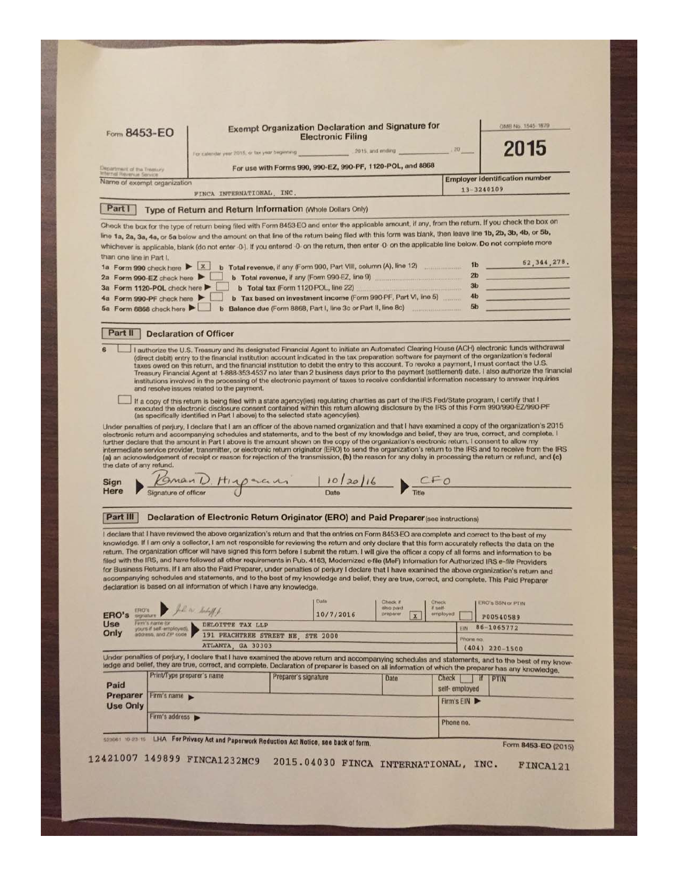|                                                               | Form 8453-EO                                                |                                                                                                                                                                                                                                                                                                                                                                                                                                                                                                                                                                                                                                                                                                                                                                                                                                                                                                                                                                                                             |                      | <b>Electronic Filing</b>             | <b>Exempt Organization Declaration and Signature for</b>                                                                                                                      |                             |                                  | OMB No. 1545-1879                                                                                                                                                                                                                                                                                                   |  |
|---------------------------------------------------------------|-------------------------------------------------------------|-------------------------------------------------------------------------------------------------------------------------------------------------------------------------------------------------------------------------------------------------------------------------------------------------------------------------------------------------------------------------------------------------------------------------------------------------------------------------------------------------------------------------------------------------------------------------------------------------------------------------------------------------------------------------------------------------------------------------------------------------------------------------------------------------------------------------------------------------------------------------------------------------------------------------------------------------------------------------------------------------------------|----------------------|--------------------------------------|-------------------------------------------------------------------------------------------------------------------------------------------------------------------------------|-----------------------------|----------------------------------|---------------------------------------------------------------------------------------------------------------------------------------------------------------------------------------------------------------------------------------------------------------------------------------------------------------------|--|
|                                                               |                                                             | For calendar year 2015, or tax year beginning 2015, and ending                                                                                                                                                                                                                                                                                                                                                                                                                                                                                                                                                                                                                                                                                                                                                                                                                                                                                                                                              |                      |                                      |                                                                                                                                                                               | $-20$                       |                                  | 2015                                                                                                                                                                                                                                                                                                                |  |
| Department of the Treasury<br><b>Internal Revenue Service</b> |                                                             |                                                                                                                                                                                                                                                                                                                                                                                                                                                                                                                                                                                                                                                                                                                                                                                                                                                                                                                                                                                                             |                      |                                      | For use with Forms 990, 990-EZ, 990-PF, 1120-POL, and 8868                                                                                                                    |                             |                                  | <b>Employer identification number</b>                                                                                                                                                                                                                                                                               |  |
|                                                               | Name of exempt organization                                 | FINCA INTERNATIONAL, INC.                                                                                                                                                                                                                                                                                                                                                                                                                                                                                                                                                                                                                                                                                                                                                                                                                                                                                                                                                                                   |                      |                                      |                                                                                                                                                                               |                             | 13-3240109                       |                                                                                                                                                                                                                                                                                                                     |  |
| Part I                                                        |                                                             | Type of Return and Return Information (Whole Dollars Only)                                                                                                                                                                                                                                                                                                                                                                                                                                                                                                                                                                                                                                                                                                                                                                                                                                                                                                                                                  |                      |                                      |                                                                                                                                                                               |                             |                                  |                                                                                                                                                                                                                                                                                                                     |  |
|                                                               |                                                             | Check the box for the type of return being filed with Form 8453-EO and enter the applicable amount, if any, from the return. If you check the box on<br>line 1a, 2a, 3a, 4a, or 5a below and the amount on that line of the return being filed with this form was blank, then leave line 1b, 2b, 3b, 4b, or 5b,<br>whichever is applicable, blank (do not enter -0-). If you entered -0- on the return, then enter -0- on the applicable line below. Do not complete more                                                                                                                                                                                                                                                                                                                                                                                                                                                                                                                                   |                      |                                      |                                                                                                                                                                               |                             |                                  |                                                                                                                                                                                                                                                                                                                     |  |
| than one line in Part I.                                      | 1a Form 990 check here $\triangleright$ $\lfloor x \rfloor$ |                                                                                                                                                                                                                                                                                                                                                                                                                                                                                                                                                                                                                                                                                                                                                                                                                                                                                                                                                                                                             |                      |                                      | b Total revenue, if any (Form 990, Part VIII, column (A), line 12)                                                                                                            |                             | 1 <sub>b</sub>                   | 62, 344, 278.                                                                                                                                                                                                                                                                                                       |  |
|                                                               | 2a Form 990-EZ check here                                   |                                                                                                                                                                                                                                                                                                                                                                                                                                                                                                                                                                                                                                                                                                                                                                                                                                                                                                                                                                                                             |                      |                                      | b Total revenue, if any (Form 990-EZ, line 9)                                                                                                                                 |                             | 2 <sub>b</sub><br>3 <sub>b</sub> |                                                                                                                                                                                                                                                                                                                     |  |
|                                                               | 3a Form 1120-POL check here<br>4a Form 990-PF check here    |                                                                                                                                                                                                                                                                                                                                                                                                                                                                                                                                                                                                                                                                                                                                                                                                                                                                                                                                                                                                             |                      | b Total tax (Form 1120 POL, line 22) | <b>ANTIQUES IN A PRODUCT OF A PRODUCT OF A PRODUCT OF A PRODUCT OF A PRODUCT OF A PRODUCT OF A PRODUCT</b><br>b Tax based on investment income (Form 990-PF, Part VI, line 5) |                             | 4 <sub>b</sub>                   |                                                                                                                                                                                                                                                                                                                     |  |
|                                                               | 5a Form 8868 check here                                     |                                                                                                                                                                                                                                                                                                                                                                                                                                                                                                                                                                                                                                                                                                                                                                                                                                                                                                                                                                                                             |                      |                                      | b Balance due (Form 8868, Part I, line 3c or Part II, line 8c)                                                                                                                |                             | 5 <sub>b</sub>                   |                                                                                                                                                                                                                                                                                                                     |  |
| Part II                                                       |                                                             | <b>Declaration of Officer</b>                                                                                                                                                                                                                                                                                                                                                                                                                                                                                                                                                                                                                                                                                                                                                                                                                                                                                                                                                                               |                      |                                      |                                                                                                                                                                               |                             |                                  |                                                                                                                                                                                                                                                                                                                     |  |
|                                                               |                                                             |                                                                                                                                                                                                                                                                                                                                                                                                                                                                                                                                                                                                                                                                                                                                                                                                                                                                                                                                                                                                             |                      |                                      |                                                                                                                                                                               |                             |                                  |                                                                                                                                                                                                                                                                                                                     |  |
|                                                               |                                                             | If a copy of this return is being filed with a state agency(ies) regulating charities as part of the IRS Fed/State program, I certify that I<br>executed the electronic disclosure consent contained within this return allowing disclosure by the IRS of this Form 990/990-EZ/990-PF<br>(as specifically identified in Part I above) to the selected state agency(ies).<br>electronic return and accompanying schedules and statements, and to the best of my knowledge and belief, they are true, correct, and complete. I<br>further declare that the amount in Part I above is the amount shown on the copy of the organization's electronic return. I consent to allow my<br>(a) an acknowledgement of receipt or reason for rejection of the transmission, (b) the reason for any delay in processing the return or refund, and (c)                                                                                                                                                                   |                      |                                      |                                                                                                                                                                               |                             |                                  | Under penalties of perjury, I declare that I am an officer of the above named organization and that I have examined a copy of the organization's 2015<br>intermediate service provider, transmitter, or electronic return originator (ERO) to send the organization's return to the IRS and to receive from the IRS |  |
|                                                               | Signature of officer                                        | $\frac{10\sqrt{9}}{2}$ Title $\frac{10}{2}$ Title                                                                                                                                                                                                                                                                                                                                                                                                                                                                                                                                                                                                                                                                                                                                                                                                                                                                                                                                                           |                      |                                      |                                                                                                                                                                               |                             |                                  |                                                                                                                                                                                                                                                                                                                     |  |
| the date of any refund.<br>Sign<br>Here<br>Part III           |                                                             | Declaration of Electronic Return Originator (ERO) and Paid Preparer (see instructions)                                                                                                                                                                                                                                                                                                                                                                                                                                                                                                                                                                                                                                                                                                                                                                                                                                                                                                                      |                      |                                      |                                                                                                                                                                               |                             |                                  |                                                                                                                                                                                                                                                                                                                     |  |
| ERO's                                                         |                                                             | I declare that I have reviewed the above organization's return and that the entries on Form 8453-EO are complete and correct to the best of my<br>knowledge. If I am only a collector, I am not responsible for reviewing the return and only declare that this form accurately reflects the data on the<br>return. The organization officer will have signed this form before I submit the return. I will give the officer a copy of all forms and information to be<br>filed with the IRS, and have followed all other requirements in Pub. 4163, Modernized e-file (MeF) Information for Authorized IRS e-file Providers<br>for Business Returns. If I am also the Paid Preparer, under penalties of perjury I declare that I have examined the above organization's return and<br>accompanying schedules and statements, and to the best of my knowledge and belief, they are true, correct, and complete. This Paid Preparer<br>declaration is based on all information of which I have any knowledge. |                      | Date                                 | Check if<br>пию раю                                                                                                                                                           | Check<br>if sett-           |                                  | <b>ERO's SSN or PTIN</b>                                                                                                                                                                                                                                                                                            |  |
| ERO's<br>Use                                                  | Firm's name for                                             | John Subff<br>DELOITTE TAX LLP                                                                                                                                                                                                                                                                                                                                                                                                                                                                                                                                                                                                                                                                                                                                                                                                                                                                                                                                                                              |                      | 10/7/2016                            | preparer<br>$\mathbf{x}$                                                                                                                                                      | employed                    |                                  | P00540589                                                                                                                                                                                                                                                                                                           |  |
|                                                               | yours if self-employed).<br>address, and ZiP code           | 191 PEACHTREE STREET NE. STE 2000                                                                                                                                                                                                                                                                                                                                                                                                                                                                                                                                                                                                                                                                                                                                                                                                                                                                                                                                                                           |                      |                                      |                                                                                                                                                                               |                             | <b>EIN</b><br>Phone no.          | 86-1065772                                                                                                                                                                                                                                                                                                          |  |
|                                                               |                                                             | ATLANTA, GA 30303                                                                                                                                                                                                                                                                                                                                                                                                                                                                                                                                                                                                                                                                                                                                                                                                                                                                                                                                                                                           |                      |                                      |                                                                                                                                                                               |                             |                                  | $(404)$ 220-1500                                                                                                                                                                                                                                                                                                    |  |
|                                                               |                                                             | ledge and belief, they are true, correct, and complete. Declaration of preparer is based on all information of which the preparer has any knowledge.                                                                                                                                                                                                                                                                                                                                                                                                                                                                                                                                                                                                                                                                                                                                                                                                                                                        |                      |                                      |                                                                                                                                                                               |                             |                                  | Under penalties of perjury, I declare that I have examined the above return and accompanying schedules and statements, and to the best of my know-                                                                                                                                                                  |  |
| Paid                                                          | Print/Type preparer's name                                  |                                                                                                                                                                                                                                                                                                                                                                                                                                                                                                                                                                                                                                                                                                                                                                                                                                                                                                                                                                                                             | Preparer's signature |                                      | <b>Date</b>                                                                                                                                                                   | Check                       | <b>If</b>                        | <b>I PTIN</b>                                                                                                                                                                                                                                                                                                       |  |
| Preparer                                                      | Firm's name                                                 |                                                                                                                                                                                                                                                                                                                                                                                                                                                                                                                                                                                                                                                                                                                                                                                                                                                                                                                                                                                                             |                      |                                      |                                                                                                                                                                               | self-employed<br>Firm's EIN |                                  |                                                                                                                                                                                                                                                                                                                     |  |
| <b>Use Only</b>                                               | Firm's address >                                            |                                                                                                                                                                                                                                                                                                                                                                                                                                                                                                                                                                                                                                                                                                                                                                                                                                                                                                                                                                                                             |                      |                                      |                                                                                                                                                                               |                             |                                  |                                                                                                                                                                                                                                                                                                                     |  |
| Only                                                          |                                                             | 523061 10-23-15 LHA For Privacy Act and Paperwork Reduction Act Notice, see back of form.                                                                                                                                                                                                                                                                                                                                                                                                                                                                                                                                                                                                                                                                                                                                                                                                                                                                                                                   |                      |                                      |                                                                                                                                                                               | Phone no.                   |                                  | Form 8453-EO (2015)                                                                                                                                                                                                                                                                                                 |  |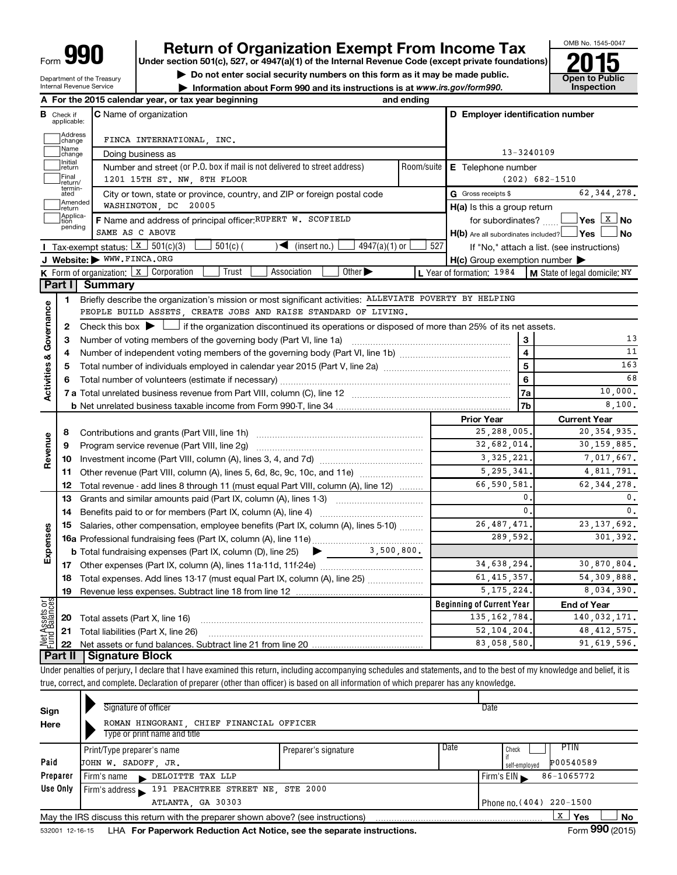Department of the Treasury Internal Revenue Service

## **Return of Organization Exempt From Income Tax**

**Under section 501(c), 527, or 4947(a)(1) of the Internal Revenue Code (except private foundations)**

**and Struction 501(c), 527, or 4947(a)(1) of the internal Revenue Code (except private foundations)<br>
■ Do not enter social security numbers on this form as it may be made public.<br>
■ Information about Form 990 and its inst** 

**• Information about Form 990 and its instructions is at www.irs.gov/form990. and inspection** 



|                                |                               | A For the 2015 calendar year, or tax year beginning                                                                                         | and ending           |                                                     |                                            |  |  |  |  |
|--------------------------------|-------------------------------|---------------------------------------------------------------------------------------------------------------------------------------------|----------------------|-----------------------------------------------------|--------------------------------------------|--|--|--|--|
|                                | <b>B</b> Check if applicable: | <b>C</b> Name of organization                                                                                                               |                      | D Employer identification number                    |                                            |  |  |  |  |
|                                | Address<br>change             | FINCA INTERNATIONAL, INC.                                                                                                                   |                      |                                                     |                                            |  |  |  |  |
|                                | Name<br>change                | Doing business as                                                                                                                           |                      | 13-3240109                                          |                                            |  |  |  |  |
|                                | Initial<br>return             | Number and street (or P.O. box if mail is not delivered to street address)                                                                  | Room/suite           | E Telephone number                                  |                                            |  |  |  |  |
|                                | Final<br>return/              | 1201 15TH ST. NW, 8TH FLOOR                                                                                                                 |                      |                                                     | $(202)$ 682-1510                           |  |  |  |  |
|                                | termin-<br>ated               | City or town, state or province, country, and ZIP or foreign postal code                                                                    |                      | G Gross receipts \$                                 | 62, 344, 278.                              |  |  |  |  |
|                                | Amended<br>return             | WASHINGTON, DC 20005                                                                                                                        |                      | $H(a)$ is this a group return                       |                                            |  |  |  |  |
|                                | Applica-<br>tion              | F Name and address of principal officer: RUPERT W. SCOFIELD                                                                                 |                      | for subordinates? [                                 |                                            |  |  |  |  |
|                                | pending                       | SAME AS C ABOVE                                                                                                                             |                      | $H(b)$ Are all subordinates included? $\Box$ Yes    | No                                         |  |  |  |  |
|                                |                               | <b>I</b> Tax-exempt status: $X \mid 501(c)(3)$<br>$\sim$ (insert no.)<br>$4947(a)(1)$ or<br>$501(c)$ (                                      | 527                  |                                                     | If "No," attach a list. (see instructions) |  |  |  |  |
|                                |                               | J Website: WWW.FINCA.ORG                                                                                                                    |                      | $H(c)$ Group exemption number $\blacktriangleright$ |                                            |  |  |  |  |
|                                |                               | K Form of organization:   X Corporation<br>Trust<br>Other $\blacktriangleright$<br>Association                                              |                      | L Year of formation: 1984                           | M State of legal domicile: NY              |  |  |  |  |
|                                | Part I                        | Summary                                                                                                                                     |                      |                                                     |                                            |  |  |  |  |
|                                | 1                             | Briefly describe the organization's mission or most significant activities: ALLEVIATE POVERTY BY HELPING                                    |                      |                                                     |                                            |  |  |  |  |
|                                |                               | PEOPLE BUILD ASSETS, CREATE JOBS AND RAISE STANDARD OF LIVING.                                                                              |                      |                                                     |                                            |  |  |  |  |
| Activities & Governance        | 2                             | Check this box $\blacktriangleright$ $\Box$ if the organization discontinued its operations or disposed of more than 25% of its net assets. |                      |                                                     |                                            |  |  |  |  |
|                                | з                             | Number of voting members of the governing body (Part VI, line 1a)                                                                           |                      | 3                                                   | 13                                         |  |  |  |  |
|                                | 4                             | Number of independent voting members of the governing body (Part VI, line 1b) manual content content of independent voting                  |                      | 4                                                   | 11                                         |  |  |  |  |
|                                | 5                             |                                                                                                                                             | 5                    | 163                                                 |                                            |  |  |  |  |
|                                | 6                             |                                                                                                                                             | 6                    | 68                                                  |                                            |  |  |  |  |
|                                |                               |                                                                                                                                             |                      | 7a                                                  | 10,000.                                    |  |  |  |  |
|                                |                               |                                                                                                                                             |                      | 7b                                                  | 8,100.                                     |  |  |  |  |
|                                |                               |                                                                                                                                             | <b>Prior Year</b>    | <b>Current Year</b>                                 |                                            |  |  |  |  |
|                                | 8                             | Contributions and grants (Part VIII, line 1h)                                                                                               |                      | 25,288,005.                                         | 20, 354, 935.                              |  |  |  |  |
| Revenue                        | 9                             | Program service revenue (Part VIII, line 2g)                                                                                                |                      | 32,682,014.                                         | 30,159,885.                                |  |  |  |  |
|                                | 10                            |                                                                                                                                             |                      | 3, 325, 221.                                        | 7,017,667.                                 |  |  |  |  |
|                                | 11                            | Other revenue (Part VIII, column (A), lines 5, 6d, 8c, 9c, 10c, and 11e)                                                                    |                      | 5.295.341.                                          | 4,811,791.                                 |  |  |  |  |
|                                | 12                            | Total revenue - add lines 8 through 11 (must equal Part VIII, column (A), line 12)                                                          |                      | 66,590,581.                                         | 62, 344, 278.                              |  |  |  |  |
|                                | 13                            | Grants and similar amounts paid (Part IX, column (A), lines 1-3)                                                                            | 0.<br>$\mathbf{0}$ . | 0.<br>0.                                            |                                            |  |  |  |  |
|                                | 14                            | Benefits paid to or for members (Part IX, column (A), line 4)                                                                               |                      |                                                     |                                            |  |  |  |  |
|                                | 15                            | Salaries, other compensation, employee benefits (Part IX, column (A), lines 5-10)                                                           |                      | 26, 487, 471.                                       | 23, 137, 692.                              |  |  |  |  |
| Expenses                       |                               |                                                                                                                                             |                      | 289,592.                                            | 301.392.                                   |  |  |  |  |
|                                |                               | $\bullet$ $\frac{3,500,800}{.}$<br><b>b</b> Total fundraising expenses (Part IX, column (D), line 25)                                       |                      |                                                     |                                            |  |  |  |  |
|                                | 17                            |                                                                                                                                             |                      | 34,638,294.                                         | 30,870,804.                                |  |  |  |  |
|                                | 18                            | Total expenses. Add lines 13-17 (must equal Part IX, column (A), line 25)                                                                   |                      | 61, 415, 357.                                       | 54, 309, 888.                              |  |  |  |  |
|                                | 19                            |                                                                                                                                             |                      | 5, 175, 224.                                        | 8,034,390.                                 |  |  |  |  |
| Net Assets or<br>Fund Balances |                               |                                                                                                                                             |                      | <b>Beginning of Current Year</b>                    | <b>End of Year</b>                         |  |  |  |  |
|                                | 20                            | Total assets (Part X, line 16)                                                                                                              |                      | 135, 162, 784.                                      | 140,032,171.                               |  |  |  |  |
|                                | 21                            | Total liabilities (Part X, line 26)                                                                                                         |                      | 52, 104, 204.                                       | 48, 412, 575.                              |  |  |  |  |
|                                | 22                            |                                                                                                                                             |                      | 83,058,580.                                         | 91.619.596.                                |  |  |  |  |
|                                | Part II                       | Signature Block                                                                                                                             |                      |                                                     |                                            |  |  |  |  |

Under penalties of perjury, I declare that I have examined this return, including accompanying schedules and statements, and to the best of my knowledge and belief, it is true, correct, and complete. Declaration of preparer (other than officer) is based on all information of which preparer has any knowledge.

|              | Signature of officer                                                              |                      | Date                         |
|--------------|-----------------------------------------------------------------------------------|----------------------|------------------------------|
| Sign<br>Here | ROMAN HINGORANI, CHIEF FINANCIAL OFFICER<br>Type or print name and title          |                      |                              |
|              | Print/Type preparer's name                                                        | Preparer's signature | Date<br><b>PTIN</b><br>Check |
| Paid         | JOHN W. SADOFF, JR.                                                               |                      | P00540589<br>self-employed   |
| Preparer     | Firm's name DELOITTE TAX LLP                                                      |                      | 86-1065772<br>Firm's $EIN$   |
| Use Only     | Firm's address 191 PEACHTREE STREET NE, STE 2000                                  |                      |                              |
|              | ATLANTA, GA 30303                                                                 |                      | Phone no. (404) 220-1500     |
|              | May the IRS discuss this return with the preparer shown above? (see instructions) |                      | X  <br>Yes<br><b>No</b>      |
|              |                                                                                   |                      | $\cdots$                     |

532001 12-16-15 LHA For Paperwork Reduction Act Notice, see the separate instructions. Form 990 (2015)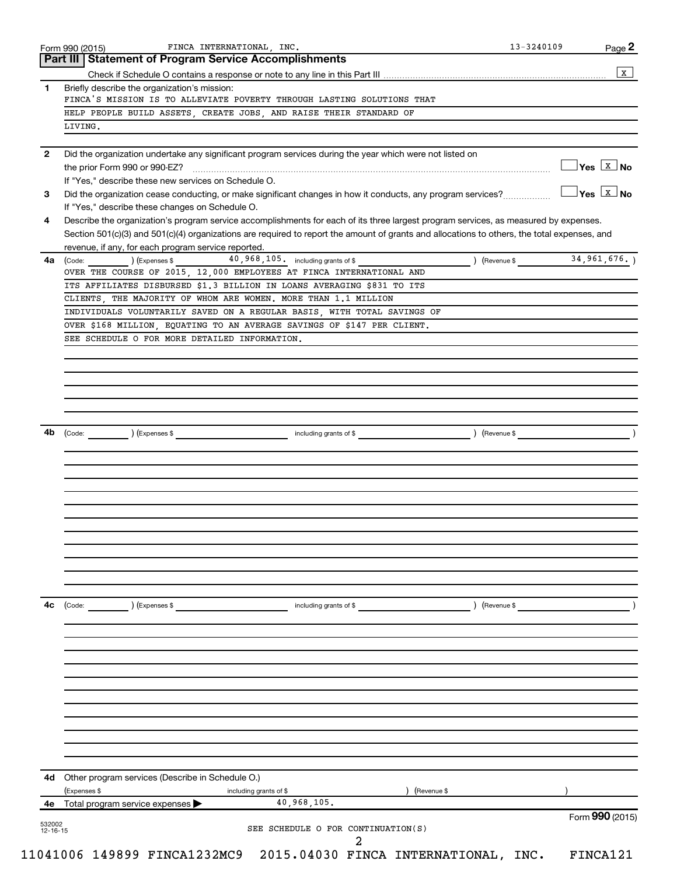|              | 532002                                                                                                                                                                                              |                                      |                        |                         |                                                   |
|--------------|-----------------------------------------------------------------------------------------------------------------------------------------------------------------------------------------------------|--------------------------------------|------------------------|-------------------------|---------------------------------------------------|
| 4е           | Total program service expenses                                                                                                                                                                      | 40,968,105.                          |                        |                         | Form 990 (2015)                                   |
| 4d           | Other program services (Describe in Schedule O.)<br>(Expenses \$                                                                                                                                    | including grants of \$               | (Revenue \$            |                         |                                                   |
|              |                                                                                                                                                                                                     |                                      |                        |                         |                                                   |
|              |                                                                                                                                                                                                     |                                      |                        |                         |                                                   |
|              |                                                                                                                                                                                                     |                                      |                        |                         |                                                   |
|              |                                                                                                                                                                                                     |                                      |                        |                         |                                                   |
|              |                                                                                                                                                                                                     |                                      |                        |                         |                                                   |
| 4с           | (Code:<br>) (Expenses \$                                                                                                                                                                            | including grants of \$               |                        | ) (Revenue \$           |                                                   |
|              |                                                                                                                                                                                                     |                                      |                        |                         |                                                   |
|              |                                                                                                                                                                                                     |                                      |                        |                         |                                                   |
|              |                                                                                                                                                                                                     |                                      |                        |                         |                                                   |
|              |                                                                                                                                                                                                     |                                      |                        |                         |                                                   |
|              |                                                                                                                                                                                                     |                                      |                        |                         |                                                   |
| 4b           | ) (Expenses \$<br>(Code:                                                                                                                                                                            |                                      | including grants of \$ | $\left(\text{Revenue }$ |                                                   |
|              |                                                                                                                                                                                                     |                                      |                        |                         |                                                   |
|              |                                                                                                                                                                                                     |                                      |                        |                         |                                                   |
|              | SEE SCHEDULE O FOR MORE DETAILED INFORMATION.                                                                                                                                                       |                                      |                        |                         |                                                   |
|              | INDIVIDUALS VOLUNTARILY SAVED ON A REGULAR BASIS, WITH TOTAL SAVINGS OF<br>OVER \$168 MILLION, EQUATING TO AN AVERAGE SAVINGS OF \$147 PER CLIENT.                                                  |                                      |                        |                         |                                                   |
|              | ITS AFFILIATES DISBURSED \$1.3 BILLION IN LOANS AVERAGING \$831 TO ITS<br>CLIENTS, THE MAJORITY OF WHOM ARE WOMEN. MORE THAN 1.1 MILLION                                                            |                                      |                        |                         |                                                   |
| 4a           | (Code: ) (Expenses \$<br>OVER THE COURSE OF 2015, 12,000 EMPLOYEES AT FINCA INTERNATIONAL AND                                                                                                       | 40, 968, 105. including grants of \$ |                        | $\sqrt{3}$ (Revenue \$  | 34, 961, 676.                                     |
|              | Section 501(c)(3) and 501(c)(4) organizations are required to report the amount of grants and allocations to others, the total expenses, and<br>revenue, if any, for each program service reported. |                                      |                        |                         |                                                   |
| 4            | If "Yes," describe these changes on Schedule O.<br>Describe the organization's program service accomplishments for each of its three largest program services, as measured by expenses.             |                                      |                        |                         |                                                   |
| 3            | If "Yes," describe these new services on Schedule O.<br>Did the organization cease conducting, or make significant changes in how it conducts, any program services?                                |                                      |                        |                         | $\sqrt{}$ Yes $\sqrt{ \frac{ \chi}{\Lambda} }$ No |
| $\mathbf{2}$ | Did the organization undertake any significant program services during the year which were not listed on<br>the prior Form 990 or 990-EZ?                                                           |                                      |                        |                         | $\exists$ Yes $\boxed{\texttt{x}}$ No             |
|              | LIVING.                                                                                                                                                                                             |                                      |                        |                         |                                                   |
|              | FINCA'S MISSION IS TO ALLEVIATE POVERTY THROUGH LASTING SOLUTIONS THAT<br>HELP PEOPLE BUILD ASSETS, CREATE JOBS, AND RAISE THEIR STANDARD OF                                                        |                                      |                        |                         |                                                   |
| 1            | Briefly describe the organization's mission:                                                                                                                                                        |                                      |                        |                         |                                                   |
|              |                                                                                                                                                                                                     |                                      |                        |                         |                                                   |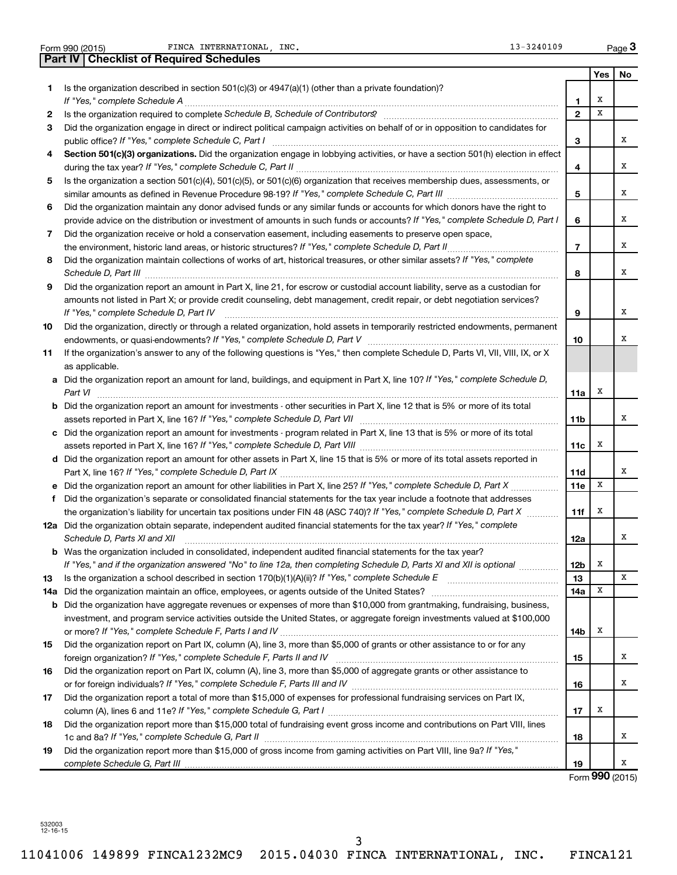| <b>Part IV   Checklist of Required Schedules</b><br>Yes<br>Is the organization described in section $501(c)(3)$ or $4947(a)(1)$ (other than a private foundation)?<br>1.<br>х<br>If "Yes," complete Schedule A<br>1.<br>$\overline{2}$<br>X<br>2<br>Did the organization engage in direct or indirect political campaign activities on behalf of or in opposition to candidates for<br>3<br>З<br>Section 501(c)(3) organizations. Did the organization engage in lobbying activities, or have a section 501(h) election in effect<br>4<br>4<br>Is the organization a section 501(c)(4), 501(c)(5), or 501(c)(6) organization that receives membership dues, assessments, or<br>5<br>5<br>Did the organization maintain any donor advised funds or any similar funds or accounts for which donors have the right to<br>6<br>provide advice on the distribution or investment of amounts in such funds or accounts? If "Yes," complete Schedule D, Part I<br>6<br>Did the organization receive or hold a conservation easement, including easements to preserve open space,<br>7<br>the environment, historic land areas, or historic structures? If "Yes," complete Schedule D, Part II<br>$\overline{7}$<br>Did the organization maintain collections of works of art, historical treasures, or other similar assets? If "Yes," complete<br>8<br>8<br>Did the organization report an amount in Part X, line 21, for escrow or custodial account liability, serve as a custodian for<br>9<br>amounts not listed in Part X; or provide credit counseling, debt management, credit repair, or debt negotiation services?<br>If "Yes," complete Schedule D, Part IV<br>9<br>Did the organization, directly or through a related organization, hold assets in temporarily restricted endowments, permanent<br>10<br>10<br>If the organization's answer to any of the following questions is "Yes," then complete Schedule D, Parts VI, VII, VIII, IX, or X<br>11<br>as applicable.<br>a Did the organization report an amount for land, buildings, and equipment in Part X, line 10? If "Yes," complete Schedule D,<br>X<br>Part VI<br>11a<br><b>b</b> Did the organization report an amount for investments - other securities in Part X, line 12 that is 5% or more of its total<br>11b<br>Did the organization report an amount for investments - program related in Part X, line 13 that is 5% or more of its total<br>c<br>X<br>11c<br>d Did the organization report an amount for other assets in Part X, line 15 that is 5% or more of its total assets reported in<br>11d<br>x<br><b>e</b> Did the organization report an amount for other liabilities in Part X, line 25? If "Yes," complete Schedule D, Part X<br>11e<br>Did the organization's separate or consolidated financial statements for the tax year include a footnote that addresses<br>f<br>X<br>the organization's liability for uncertain tax positions under FIN 48 (ASC 740)? If "Yes," complete Schedule D, Part X<br>11f<br>12a Did the organization obtain separate, independent audited financial statements for the tax year? If "Yes," complete<br>Schedule D, Parts XI and XII<br>12a<br><b>b</b> Was the organization included in consolidated, independent audited financial statements for the tax year?<br>X<br>If "Yes," and if the organization answered "No" to line 12a, then completing Schedule D, Parts XI and XII is optional <i>manimini</i><br>12 <sub>b</sub><br>13<br>13<br>14a<br>х<br>Did the organization maintain an office, employees, or agents outside of the United States?<br>14a<br><b>b</b> Did the organization have aggregate revenues or expenses of more than \$10,000 from grantmaking, fundraising, business,<br>investment, and program service activities outside the United States, or aggregate foreign investments valued at \$100,000<br>X<br>14b<br>Did the organization report on Part IX, column (A), line 3, more than \$5,000 of grants or other assistance to or for any<br>15<br>foreign organization? If "Yes," complete Schedule F, Parts II and IV<br>15<br>Did the organization report on Part IX, column (A), line 3, more than \$5,000 of aggregate grants or other assistance to<br>16<br>16<br>Did the organization report a total of more than \$15,000 of expenses for professional fundraising services on Part IX,<br>17<br>х<br>17 |    | 13-3240109<br>FINCA INTERNATIONAL INC.<br>Form 990 (2015)                                                                    |  | Page 3 |
|----------------------------------------------------------------------------------------------------------------------------------------------------------------------------------------------------------------------------------------------------------------------------------------------------------------------------------------------------------------------------------------------------------------------------------------------------------------------------------------------------------------------------------------------------------------------------------------------------------------------------------------------------------------------------------------------------------------------------------------------------------------------------------------------------------------------------------------------------------------------------------------------------------------------------------------------------------------------------------------------------------------------------------------------------------------------------------------------------------------------------------------------------------------------------------------------------------------------------------------------------------------------------------------------------------------------------------------------------------------------------------------------------------------------------------------------------------------------------------------------------------------------------------------------------------------------------------------------------------------------------------------------------------------------------------------------------------------------------------------------------------------------------------------------------------------------------------------------------------------------------------------------------------------------------------------------------------------------------------------------------------------------------------------------------------------------------------------------------------------------------------------------------------------------------------------------------------------------------------------------------------------------------------------------------------------------------------------------------------------------------------------------------------------------------------------------------------------------------------------------------------------------------------------------------------------------------------------------------------------------------------------------------------------------------------------------------------------------------------------------------------------------------------------------------------------------------------------------------------------------------------------------------------------------------------------------------------------------------------------------------------------------------------------------------------------------------------------------------------------------------------------------------------------------------------------------------------------------------------------------------------------------------------------------------------------------------------------------------------------------------------------------------------------------------------------------------------------------------------------------------------------------------------------------------------------------------------------------------------------------------------------------------------------------------------------------------------------------------------------------------------------------------------------------------------------------------------------------------------------------------------------------------------------------------------------------------------------------------------------------------------------------------------------------------------------------------------------------------------------------------------------------------------------------------------------------------------------------------------------------------------------------------------------------------------------------------------------------------------------------------|----|------------------------------------------------------------------------------------------------------------------------------|--|--------|
|                                                                                                                                                                                                                                                                                                                                                                                                                                                                                                                                                                                                                                                                                                                                                                                                                                                                                                                                                                                                                                                                                                                                                                                                                                                                                                                                                                                                                                                                                                                                                                                                                                                                                                                                                                                                                                                                                                                                                                                                                                                                                                                                                                                                                                                                                                                                                                                                                                                                                                                                                                                                                                                                                                                                                                                                                                                                                                                                                                                                                                                                                                                                                                                                                                                                                                                                                                                                                                                                                                                                                                                                                                                                                                                                                                                                                                                                                                                                                                                                                                                                                                                                                                                                                                                                                                                                                                            |    |                                                                                                                              |  |        |
|                                                                                                                                                                                                                                                                                                                                                                                                                                                                                                                                                                                                                                                                                                                                                                                                                                                                                                                                                                                                                                                                                                                                                                                                                                                                                                                                                                                                                                                                                                                                                                                                                                                                                                                                                                                                                                                                                                                                                                                                                                                                                                                                                                                                                                                                                                                                                                                                                                                                                                                                                                                                                                                                                                                                                                                                                                                                                                                                                                                                                                                                                                                                                                                                                                                                                                                                                                                                                                                                                                                                                                                                                                                                                                                                                                                                                                                                                                                                                                                                                                                                                                                                                                                                                                                                                                                                                                            |    |                                                                                                                              |  | No     |
|                                                                                                                                                                                                                                                                                                                                                                                                                                                                                                                                                                                                                                                                                                                                                                                                                                                                                                                                                                                                                                                                                                                                                                                                                                                                                                                                                                                                                                                                                                                                                                                                                                                                                                                                                                                                                                                                                                                                                                                                                                                                                                                                                                                                                                                                                                                                                                                                                                                                                                                                                                                                                                                                                                                                                                                                                                                                                                                                                                                                                                                                                                                                                                                                                                                                                                                                                                                                                                                                                                                                                                                                                                                                                                                                                                                                                                                                                                                                                                                                                                                                                                                                                                                                                                                                                                                                                                            |    |                                                                                                                              |  |        |
|                                                                                                                                                                                                                                                                                                                                                                                                                                                                                                                                                                                                                                                                                                                                                                                                                                                                                                                                                                                                                                                                                                                                                                                                                                                                                                                                                                                                                                                                                                                                                                                                                                                                                                                                                                                                                                                                                                                                                                                                                                                                                                                                                                                                                                                                                                                                                                                                                                                                                                                                                                                                                                                                                                                                                                                                                                                                                                                                                                                                                                                                                                                                                                                                                                                                                                                                                                                                                                                                                                                                                                                                                                                                                                                                                                                                                                                                                                                                                                                                                                                                                                                                                                                                                                                                                                                                                                            |    |                                                                                                                              |  |        |
|                                                                                                                                                                                                                                                                                                                                                                                                                                                                                                                                                                                                                                                                                                                                                                                                                                                                                                                                                                                                                                                                                                                                                                                                                                                                                                                                                                                                                                                                                                                                                                                                                                                                                                                                                                                                                                                                                                                                                                                                                                                                                                                                                                                                                                                                                                                                                                                                                                                                                                                                                                                                                                                                                                                                                                                                                                                                                                                                                                                                                                                                                                                                                                                                                                                                                                                                                                                                                                                                                                                                                                                                                                                                                                                                                                                                                                                                                                                                                                                                                                                                                                                                                                                                                                                                                                                                                                            |    |                                                                                                                              |  |        |
|                                                                                                                                                                                                                                                                                                                                                                                                                                                                                                                                                                                                                                                                                                                                                                                                                                                                                                                                                                                                                                                                                                                                                                                                                                                                                                                                                                                                                                                                                                                                                                                                                                                                                                                                                                                                                                                                                                                                                                                                                                                                                                                                                                                                                                                                                                                                                                                                                                                                                                                                                                                                                                                                                                                                                                                                                                                                                                                                                                                                                                                                                                                                                                                                                                                                                                                                                                                                                                                                                                                                                                                                                                                                                                                                                                                                                                                                                                                                                                                                                                                                                                                                                                                                                                                                                                                                                                            |    |                                                                                                                              |  |        |
|                                                                                                                                                                                                                                                                                                                                                                                                                                                                                                                                                                                                                                                                                                                                                                                                                                                                                                                                                                                                                                                                                                                                                                                                                                                                                                                                                                                                                                                                                                                                                                                                                                                                                                                                                                                                                                                                                                                                                                                                                                                                                                                                                                                                                                                                                                                                                                                                                                                                                                                                                                                                                                                                                                                                                                                                                                                                                                                                                                                                                                                                                                                                                                                                                                                                                                                                                                                                                                                                                                                                                                                                                                                                                                                                                                                                                                                                                                                                                                                                                                                                                                                                                                                                                                                                                                                                                                            |    |                                                                                                                              |  | x      |
|                                                                                                                                                                                                                                                                                                                                                                                                                                                                                                                                                                                                                                                                                                                                                                                                                                                                                                                                                                                                                                                                                                                                                                                                                                                                                                                                                                                                                                                                                                                                                                                                                                                                                                                                                                                                                                                                                                                                                                                                                                                                                                                                                                                                                                                                                                                                                                                                                                                                                                                                                                                                                                                                                                                                                                                                                                                                                                                                                                                                                                                                                                                                                                                                                                                                                                                                                                                                                                                                                                                                                                                                                                                                                                                                                                                                                                                                                                                                                                                                                                                                                                                                                                                                                                                                                                                                                                            |    |                                                                                                                              |  | x      |
|                                                                                                                                                                                                                                                                                                                                                                                                                                                                                                                                                                                                                                                                                                                                                                                                                                                                                                                                                                                                                                                                                                                                                                                                                                                                                                                                                                                                                                                                                                                                                                                                                                                                                                                                                                                                                                                                                                                                                                                                                                                                                                                                                                                                                                                                                                                                                                                                                                                                                                                                                                                                                                                                                                                                                                                                                                                                                                                                                                                                                                                                                                                                                                                                                                                                                                                                                                                                                                                                                                                                                                                                                                                                                                                                                                                                                                                                                                                                                                                                                                                                                                                                                                                                                                                                                                                                                                            |    |                                                                                                                              |  |        |
|                                                                                                                                                                                                                                                                                                                                                                                                                                                                                                                                                                                                                                                                                                                                                                                                                                                                                                                                                                                                                                                                                                                                                                                                                                                                                                                                                                                                                                                                                                                                                                                                                                                                                                                                                                                                                                                                                                                                                                                                                                                                                                                                                                                                                                                                                                                                                                                                                                                                                                                                                                                                                                                                                                                                                                                                                                                                                                                                                                                                                                                                                                                                                                                                                                                                                                                                                                                                                                                                                                                                                                                                                                                                                                                                                                                                                                                                                                                                                                                                                                                                                                                                                                                                                                                                                                                                                                            |    |                                                                                                                              |  | x      |
|                                                                                                                                                                                                                                                                                                                                                                                                                                                                                                                                                                                                                                                                                                                                                                                                                                                                                                                                                                                                                                                                                                                                                                                                                                                                                                                                                                                                                                                                                                                                                                                                                                                                                                                                                                                                                                                                                                                                                                                                                                                                                                                                                                                                                                                                                                                                                                                                                                                                                                                                                                                                                                                                                                                                                                                                                                                                                                                                                                                                                                                                                                                                                                                                                                                                                                                                                                                                                                                                                                                                                                                                                                                                                                                                                                                                                                                                                                                                                                                                                                                                                                                                                                                                                                                                                                                                                                            |    |                                                                                                                              |  |        |
|                                                                                                                                                                                                                                                                                                                                                                                                                                                                                                                                                                                                                                                                                                                                                                                                                                                                                                                                                                                                                                                                                                                                                                                                                                                                                                                                                                                                                                                                                                                                                                                                                                                                                                                                                                                                                                                                                                                                                                                                                                                                                                                                                                                                                                                                                                                                                                                                                                                                                                                                                                                                                                                                                                                                                                                                                                                                                                                                                                                                                                                                                                                                                                                                                                                                                                                                                                                                                                                                                                                                                                                                                                                                                                                                                                                                                                                                                                                                                                                                                                                                                                                                                                                                                                                                                                                                                                            |    |                                                                                                                              |  | x      |
|                                                                                                                                                                                                                                                                                                                                                                                                                                                                                                                                                                                                                                                                                                                                                                                                                                                                                                                                                                                                                                                                                                                                                                                                                                                                                                                                                                                                                                                                                                                                                                                                                                                                                                                                                                                                                                                                                                                                                                                                                                                                                                                                                                                                                                                                                                                                                                                                                                                                                                                                                                                                                                                                                                                                                                                                                                                                                                                                                                                                                                                                                                                                                                                                                                                                                                                                                                                                                                                                                                                                                                                                                                                                                                                                                                                                                                                                                                                                                                                                                                                                                                                                                                                                                                                                                                                                                                            |    |                                                                                                                              |  |        |
|                                                                                                                                                                                                                                                                                                                                                                                                                                                                                                                                                                                                                                                                                                                                                                                                                                                                                                                                                                                                                                                                                                                                                                                                                                                                                                                                                                                                                                                                                                                                                                                                                                                                                                                                                                                                                                                                                                                                                                                                                                                                                                                                                                                                                                                                                                                                                                                                                                                                                                                                                                                                                                                                                                                                                                                                                                                                                                                                                                                                                                                                                                                                                                                                                                                                                                                                                                                                                                                                                                                                                                                                                                                                                                                                                                                                                                                                                                                                                                                                                                                                                                                                                                                                                                                                                                                                                                            |    |                                                                                                                              |  | x      |
|                                                                                                                                                                                                                                                                                                                                                                                                                                                                                                                                                                                                                                                                                                                                                                                                                                                                                                                                                                                                                                                                                                                                                                                                                                                                                                                                                                                                                                                                                                                                                                                                                                                                                                                                                                                                                                                                                                                                                                                                                                                                                                                                                                                                                                                                                                                                                                                                                                                                                                                                                                                                                                                                                                                                                                                                                                                                                                                                                                                                                                                                                                                                                                                                                                                                                                                                                                                                                                                                                                                                                                                                                                                                                                                                                                                                                                                                                                                                                                                                                                                                                                                                                                                                                                                                                                                                                                            |    |                                                                                                                              |  |        |
|                                                                                                                                                                                                                                                                                                                                                                                                                                                                                                                                                                                                                                                                                                                                                                                                                                                                                                                                                                                                                                                                                                                                                                                                                                                                                                                                                                                                                                                                                                                                                                                                                                                                                                                                                                                                                                                                                                                                                                                                                                                                                                                                                                                                                                                                                                                                                                                                                                                                                                                                                                                                                                                                                                                                                                                                                                                                                                                                                                                                                                                                                                                                                                                                                                                                                                                                                                                                                                                                                                                                                                                                                                                                                                                                                                                                                                                                                                                                                                                                                                                                                                                                                                                                                                                                                                                                                                            |    |                                                                                                                              |  | х      |
|                                                                                                                                                                                                                                                                                                                                                                                                                                                                                                                                                                                                                                                                                                                                                                                                                                                                                                                                                                                                                                                                                                                                                                                                                                                                                                                                                                                                                                                                                                                                                                                                                                                                                                                                                                                                                                                                                                                                                                                                                                                                                                                                                                                                                                                                                                                                                                                                                                                                                                                                                                                                                                                                                                                                                                                                                                                                                                                                                                                                                                                                                                                                                                                                                                                                                                                                                                                                                                                                                                                                                                                                                                                                                                                                                                                                                                                                                                                                                                                                                                                                                                                                                                                                                                                                                                                                                                            |    |                                                                                                                              |  |        |
|                                                                                                                                                                                                                                                                                                                                                                                                                                                                                                                                                                                                                                                                                                                                                                                                                                                                                                                                                                                                                                                                                                                                                                                                                                                                                                                                                                                                                                                                                                                                                                                                                                                                                                                                                                                                                                                                                                                                                                                                                                                                                                                                                                                                                                                                                                                                                                                                                                                                                                                                                                                                                                                                                                                                                                                                                                                                                                                                                                                                                                                                                                                                                                                                                                                                                                                                                                                                                                                                                                                                                                                                                                                                                                                                                                                                                                                                                                                                                                                                                                                                                                                                                                                                                                                                                                                                                                            |    |                                                                                                                              |  |        |
|                                                                                                                                                                                                                                                                                                                                                                                                                                                                                                                                                                                                                                                                                                                                                                                                                                                                                                                                                                                                                                                                                                                                                                                                                                                                                                                                                                                                                                                                                                                                                                                                                                                                                                                                                                                                                                                                                                                                                                                                                                                                                                                                                                                                                                                                                                                                                                                                                                                                                                                                                                                                                                                                                                                                                                                                                                                                                                                                                                                                                                                                                                                                                                                                                                                                                                                                                                                                                                                                                                                                                                                                                                                                                                                                                                                                                                                                                                                                                                                                                                                                                                                                                                                                                                                                                                                                                                            |    |                                                                                                                              |  | х      |
|                                                                                                                                                                                                                                                                                                                                                                                                                                                                                                                                                                                                                                                                                                                                                                                                                                                                                                                                                                                                                                                                                                                                                                                                                                                                                                                                                                                                                                                                                                                                                                                                                                                                                                                                                                                                                                                                                                                                                                                                                                                                                                                                                                                                                                                                                                                                                                                                                                                                                                                                                                                                                                                                                                                                                                                                                                                                                                                                                                                                                                                                                                                                                                                                                                                                                                                                                                                                                                                                                                                                                                                                                                                                                                                                                                                                                                                                                                                                                                                                                                                                                                                                                                                                                                                                                                                                                                            |    |                                                                                                                              |  |        |
|                                                                                                                                                                                                                                                                                                                                                                                                                                                                                                                                                                                                                                                                                                                                                                                                                                                                                                                                                                                                                                                                                                                                                                                                                                                                                                                                                                                                                                                                                                                                                                                                                                                                                                                                                                                                                                                                                                                                                                                                                                                                                                                                                                                                                                                                                                                                                                                                                                                                                                                                                                                                                                                                                                                                                                                                                                                                                                                                                                                                                                                                                                                                                                                                                                                                                                                                                                                                                                                                                                                                                                                                                                                                                                                                                                                                                                                                                                                                                                                                                                                                                                                                                                                                                                                                                                                                                                            |    |                                                                                                                              |  | х      |
|                                                                                                                                                                                                                                                                                                                                                                                                                                                                                                                                                                                                                                                                                                                                                                                                                                                                                                                                                                                                                                                                                                                                                                                                                                                                                                                                                                                                                                                                                                                                                                                                                                                                                                                                                                                                                                                                                                                                                                                                                                                                                                                                                                                                                                                                                                                                                                                                                                                                                                                                                                                                                                                                                                                                                                                                                                                                                                                                                                                                                                                                                                                                                                                                                                                                                                                                                                                                                                                                                                                                                                                                                                                                                                                                                                                                                                                                                                                                                                                                                                                                                                                                                                                                                                                                                                                                                                            |    |                                                                                                                              |  |        |
|                                                                                                                                                                                                                                                                                                                                                                                                                                                                                                                                                                                                                                                                                                                                                                                                                                                                                                                                                                                                                                                                                                                                                                                                                                                                                                                                                                                                                                                                                                                                                                                                                                                                                                                                                                                                                                                                                                                                                                                                                                                                                                                                                                                                                                                                                                                                                                                                                                                                                                                                                                                                                                                                                                                                                                                                                                                                                                                                                                                                                                                                                                                                                                                                                                                                                                                                                                                                                                                                                                                                                                                                                                                                                                                                                                                                                                                                                                                                                                                                                                                                                                                                                                                                                                                                                                                                                                            |    |                                                                                                                              |  |        |
|                                                                                                                                                                                                                                                                                                                                                                                                                                                                                                                                                                                                                                                                                                                                                                                                                                                                                                                                                                                                                                                                                                                                                                                                                                                                                                                                                                                                                                                                                                                                                                                                                                                                                                                                                                                                                                                                                                                                                                                                                                                                                                                                                                                                                                                                                                                                                                                                                                                                                                                                                                                                                                                                                                                                                                                                                                                                                                                                                                                                                                                                                                                                                                                                                                                                                                                                                                                                                                                                                                                                                                                                                                                                                                                                                                                                                                                                                                                                                                                                                                                                                                                                                                                                                                                                                                                                                                            |    |                                                                                                                              |  |        |
|                                                                                                                                                                                                                                                                                                                                                                                                                                                                                                                                                                                                                                                                                                                                                                                                                                                                                                                                                                                                                                                                                                                                                                                                                                                                                                                                                                                                                                                                                                                                                                                                                                                                                                                                                                                                                                                                                                                                                                                                                                                                                                                                                                                                                                                                                                                                                                                                                                                                                                                                                                                                                                                                                                                                                                                                                                                                                                                                                                                                                                                                                                                                                                                                                                                                                                                                                                                                                                                                                                                                                                                                                                                                                                                                                                                                                                                                                                                                                                                                                                                                                                                                                                                                                                                                                                                                                                            |    |                                                                                                                              |  |        |
|                                                                                                                                                                                                                                                                                                                                                                                                                                                                                                                                                                                                                                                                                                                                                                                                                                                                                                                                                                                                                                                                                                                                                                                                                                                                                                                                                                                                                                                                                                                                                                                                                                                                                                                                                                                                                                                                                                                                                                                                                                                                                                                                                                                                                                                                                                                                                                                                                                                                                                                                                                                                                                                                                                                                                                                                                                                                                                                                                                                                                                                                                                                                                                                                                                                                                                                                                                                                                                                                                                                                                                                                                                                                                                                                                                                                                                                                                                                                                                                                                                                                                                                                                                                                                                                                                                                                                                            |    |                                                                                                                              |  | х      |
|                                                                                                                                                                                                                                                                                                                                                                                                                                                                                                                                                                                                                                                                                                                                                                                                                                                                                                                                                                                                                                                                                                                                                                                                                                                                                                                                                                                                                                                                                                                                                                                                                                                                                                                                                                                                                                                                                                                                                                                                                                                                                                                                                                                                                                                                                                                                                                                                                                                                                                                                                                                                                                                                                                                                                                                                                                                                                                                                                                                                                                                                                                                                                                                                                                                                                                                                                                                                                                                                                                                                                                                                                                                                                                                                                                                                                                                                                                                                                                                                                                                                                                                                                                                                                                                                                                                                                                            |    |                                                                                                                              |  |        |
|                                                                                                                                                                                                                                                                                                                                                                                                                                                                                                                                                                                                                                                                                                                                                                                                                                                                                                                                                                                                                                                                                                                                                                                                                                                                                                                                                                                                                                                                                                                                                                                                                                                                                                                                                                                                                                                                                                                                                                                                                                                                                                                                                                                                                                                                                                                                                                                                                                                                                                                                                                                                                                                                                                                                                                                                                                                                                                                                                                                                                                                                                                                                                                                                                                                                                                                                                                                                                                                                                                                                                                                                                                                                                                                                                                                                                                                                                                                                                                                                                                                                                                                                                                                                                                                                                                                                                                            |    |                                                                                                                              |  |        |
|                                                                                                                                                                                                                                                                                                                                                                                                                                                                                                                                                                                                                                                                                                                                                                                                                                                                                                                                                                                                                                                                                                                                                                                                                                                                                                                                                                                                                                                                                                                                                                                                                                                                                                                                                                                                                                                                                                                                                                                                                                                                                                                                                                                                                                                                                                                                                                                                                                                                                                                                                                                                                                                                                                                                                                                                                                                                                                                                                                                                                                                                                                                                                                                                                                                                                                                                                                                                                                                                                                                                                                                                                                                                                                                                                                                                                                                                                                                                                                                                                                                                                                                                                                                                                                                                                                                                                                            |    |                                                                                                                              |  |        |
|                                                                                                                                                                                                                                                                                                                                                                                                                                                                                                                                                                                                                                                                                                                                                                                                                                                                                                                                                                                                                                                                                                                                                                                                                                                                                                                                                                                                                                                                                                                                                                                                                                                                                                                                                                                                                                                                                                                                                                                                                                                                                                                                                                                                                                                                                                                                                                                                                                                                                                                                                                                                                                                                                                                                                                                                                                                                                                                                                                                                                                                                                                                                                                                                                                                                                                                                                                                                                                                                                                                                                                                                                                                                                                                                                                                                                                                                                                                                                                                                                                                                                                                                                                                                                                                                                                                                                                            |    |                                                                                                                              |  | х      |
|                                                                                                                                                                                                                                                                                                                                                                                                                                                                                                                                                                                                                                                                                                                                                                                                                                                                                                                                                                                                                                                                                                                                                                                                                                                                                                                                                                                                                                                                                                                                                                                                                                                                                                                                                                                                                                                                                                                                                                                                                                                                                                                                                                                                                                                                                                                                                                                                                                                                                                                                                                                                                                                                                                                                                                                                                                                                                                                                                                                                                                                                                                                                                                                                                                                                                                                                                                                                                                                                                                                                                                                                                                                                                                                                                                                                                                                                                                                                                                                                                                                                                                                                                                                                                                                                                                                                                                            |    |                                                                                                                              |  |        |
|                                                                                                                                                                                                                                                                                                                                                                                                                                                                                                                                                                                                                                                                                                                                                                                                                                                                                                                                                                                                                                                                                                                                                                                                                                                                                                                                                                                                                                                                                                                                                                                                                                                                                                                                                                                                                                                                                                                                                                                                                                                                                                                                                                                                                                                                                                                                                                                                                                                                                                                                                                                                                                                                                                                                                                                                                                                                                                                                                                                                                                                                                                                                                                                                                                                                                                                                                                                                                                                                                                                                                                                                                                                                                                                                                                                                                                                                                                                                                                                                                                                                                                                                                                                                                                                                                                                                                                            |    |                                                                                                                              |  |        |
|                                                                                                                                                                                                                                                                                                                                                                                                                                                                                                                                                                                                                                                                                                                                                                                                                                                                                                                                                                                                                                                                                                                                                                                                                                                                                                                                                                                                                                                                                                                                                                                                                                                                                                                                                                                                                                                                                                                                                                                                                                                                                                                                                                                                                                                                                                                                                                                                                                                                                                                                                                                                                                                                                                                                                                                                                                                                                                                                                                                                                                                                                                                                                                                                                                                                                                                                                                                                                                                                                                                                                                                                                                                                                                                                                                                                                                                                                                                                                                                                                                                                                                                                                                                                                                                                                                                                                                            |    |                                                                                                                              |  |        |
|                                                                                                                                                                                                                                                                                                                                                                                                                                                                                                                                                                                                                                                                                                                                                                                                                                                                                                                                                                                                                                                                                                                                                                                                                                                                                                                                                                                                                                                                                                                                                                                                                                                                                                                                                                                                                                                                                                                                                                                                                                                                                                                                                                                                                                                                                                                                                                                                                                                                                                                                                                                                                                                                                                                                                                                                                                                                                                                                                                                                                                                                                                                                                                                                                                                                                                                                                                                                                                                                                                                                                                                                                                                                                                                                                                                                                                                                                                                                                                                                                                                                                                                                                                                                                                                                                                                                                                            |    |                                                                                                                              |  |        |
|                                                                                                                                                                                                                                                                                                                                                                                                                                                                                                                                                                                                                                                                                                                                                                                                                                                                                                                                                                                                                                                                                                                                                                                                                                                                                                                                                                                                                                                                                                                                                                                                                                                                                                                                                                                                                                                                                                                                                                                                                                                                                                                                                                                                                                                                                                                                                                                                                                                                                                                                                                                                                                                                                                                                                                                                                                                                                                                                                                                                                                                                                                                                                                                                                                                                                                                                                                                                                                                                                                                                                                                                                                                                                                                                                                                                                                                                                                                                                                                                                                                                                                                                                                                                                                                                                                                                                                            |    |                                                                                                                              |  |        |
|                                                                                                                                                                                                                                                                                                                                                                                                                                                                                                                                                                                                                                                                                                                                                                                                                                                                                                                                                                                                                                                                                                                                                                                                                                                                                                                                                                                                                                                                                                                                                                                                                                                                                                                                                                                                                                                                                                                                                                                                                                                                                                                                                                                                                                                                                                                                                                                                                                                                                                                                                                                                                                                                                                                                                                                                                                                                                                                                                                                                                                                                                                                                                                                                                                                                                                                                                                                                                                                                                                                                                                                                                                                                                                                                                                                                                                                                                                                                                                                                                                                                                                                                                                                                                                                                                                                                                                            |    |                                                                                                                              |  |        |
|                                                                                                                                                                                                                                                                                                                                                                                                                                                                                                                                                                                                                                                                                                                                                                                                                                                                                                                                                                                                                                                                                                                                                                                                                                                                                                                                                                                                                                                                                                                                                                                                                                                                                                                                                                                                                                                                                                                                                                                                                                                                                                                                                                                                                                                                                                                                                                                                                                                                                                                                                                                                                                                                                                                                                                                                                                                                                                                                                                                                                                                                                                                                                                                                                                                                                                                                                                                                                                                                                                                                                                                                                                                                                                                                                                                                                                                                                                                                                                                                                                                                                                                                                                                                                                                                                                                                                                            |    |                                                                                                                              |  |        |
|                                                                                                                                                                                                                                                                                                                                                                                                                                                                                                                                                                                                                                                                                                                                                                                                                                                                                                                                                                                                                                                                                                                                                                                                                                                                                                                                                                                                                                                                                                                                                                                                                                                                                                                                                                                                                                                                                                                                                                                                                                                                                                                                                                                                                                                                                                                                                                                                                                                                                                                                                                                                                                                                                                                                                                                                                                                                                                                                                                                                                                                                                                                                                                                                                                                                                                                                                                                                                                                                                                                                                                                                                                                                                                                                                                                                                                                                                                                                                                                                                                                                                                                                                                                                                                                                                                                                                                            |    |                                                                                                                              |  | x      |
|                                                                                                                                                                                                                                                                                                                                                                                                                                                                                                                                                                                                                                                                                                                                                                                                                                                                                                                                                                                                                                                                                                                                                                                                                                                                                                                                                                                                                                                                                                                                                                                                                                                                                                                                                                                                                                                                                                                                                                                                                                                                                                                                                                                                                                                                                                                                                                                                                                                                                                                                                                                                                                                                                                                                                                                                                                                                                                                                                                                                                                                                                                                                                                                                                                                                                                                                                                                                                                                                                                                                                                                                                                                                                                                                                                                                                                                                                                                                                                                                                                                                                                                                                                                                                                                                                                                                                                            |    |                                                                                                                              |  |        |
|                                                                                                                                                                                                                                                                                                                                                                                                                                                                                                                                                                                                                                                                                                                                                                                                                                                                                                                                                                                                                                                                                                                                                                                                                                                                                                                                                                                                                                                                                                                                                                                                                                                                                                                                                                                                                                                                                                                                                                                                                                                                                                                                                                                                                                                                                                                                                                                                                                                                                                                                                                                                                                                                                                                                                                                                                                                                                                                                                                                                                                                                                                                                                                                                                                                                                                                                                                                                                                                                                                                                                                                                                                                                                                                                                                                                                                                                                                                                                                                                                                                                                                                                                                                                                                                                                                                                                                            |    |                                                                                                                              |  |        |
|                                                                                                                                                                                                                                                                                                                                                                                                                                                                                                                                                                                                                                                                                                                                                                                                                                                                                                                                                                                                                                                                                                                                                                                                                                                                                                                                                                                                                                                                                                                                                                                                                                                                                                                                                                                                                                                                                                                                                                                                                                                                                                                                                                                                                                                                                                                                                                                                                                                                                                                                                                                                                                                                                                                                                                                                                                                                                                                                                                                                                                                                                                                                                                                                                                                                                                                                                                                                                                                                                                                                                                                                                                                                                                                                                                                                                                                                                                                                                                                                                                                                                                                                                                                                                                                                                                                                                                            |    |                                                                                                                              |  |        |
|                                                                                                                                                                                                                                                                                                                                                                                                                                                                                                                                                                                                                                                                                                                                                                                                                                                                                                                                                                                                                                                                                                                                                                                                                                                                                                                                                                                                                                                                                                                                                                                                                                                                                                                                                                                                                                                                                                                                                                                                                                                                                                                                                                                                                                                                                                                                                                                                                                                                                                                                                                                                                                                                                                                                                                                                                                                                                                                                                                                                                                                                                                                                                                                                                                                                                                                                                                                                                                                                                                                                                                                                                                                                                                                                                                                                                                                                                                                                                                                                                                                                                                                                                                                                                                                                                                                                                                            |    |                                                                                                                              |  |        |
|                                                                                                                                                                                                                                                                                                                                                                                                                                                                                                                                                                                                                                                                                                                                                                                                                                                                                                                                                                                                                                                                                                                                                                                                                                                                                                                                                                                                                                                                                                                                                                                                                                                                                                                                                                                                                                                                                                                                                                                                                                                                                                                                                                                                                                                                                                                                                                                                                                                                                                                                                                                                                                                                                                                                                                                                                                                                                                                                                                                                                                                                                                                                                                                                                                                                                                                                                                                                                                                                                                                                                                                                                                                                                                                                                                                                                                                                                                                                                                                                                                                                                                                                                                                                                                                                                                                                                                            |    |                                                                                                                              |  |        |
|                                                                                                                                                                                                                                                                                                                                                                                                                                                                                                                                                                                                                                                                                                                                                                                                                                                                                                                                                                                                                                                                                                                                                                                                                                                                                                                                                                                                                                                                                                                                                                                                                                                                                                                                                                                                                                                                                                                                                                                                                                                                                                                                                                                                                                                                                                                                                                                                                                                                                                                                                                                                                                                                                                                                                                                                                                                                                                                                                                                                                                                                                                                                                                                                                                                                                                                                                                                                                                                                                                                                                                                                                                                                                                                                                                                                                                                                                                                                                                                                                                                                                                                                                                                                                                                                                                                                                                            |    |                                                                                                                              |  | х      |
|                                                                                                                                                                                                                                                                                                                                                                                                                                                                                                                                                                                                                                                                                                                                                                                                                                                                                                                                                                                                                                                                                                                                                                                                                                                                                                                                                                                                                                                                                                                                                                                                                                                                                                                                                                                                                                                                                                                                                                                                                                                                                                                                                                                                                                                                                                                                                                                                                                                                                                                                                                                                                                                                                                                                                                                                                                                                                                                                                                                                                                                                                                                                                                                                                                                                                                                                                                                                                                                                                                                                                                                                                                                                                                                                                                                                                                                                                                                                                                                                                                                                                                                                                                                                                                                                                                                                                                            |    |                                                                                                                              |  | х      |
|                                                                                                                                                                                                                                                                                                                                                                                                                                                                                                                                                                                                                                                                                                                                                                                                                                                                                                                                                                                                                                                                                                                                                                                                                                                                                                                                                                                                                                                                                                                                                                                                                                                                                                                                                                                                                                                                                                                                                                                                                                                                                                                                                                                                                                                                                                                                                                                                                                                                                                                                                                                                                                                                                                                                                                                                                                                                                                                                                                                                                                                                                                                                                                                                                                                                                                                                                                                                                                                                                                                                                                                                                                                                                                                                                                                                                                                                                                                                                                                                                                                                                                                                                                                                                                                                                                                                                                            |    |                                                                                                                              |  |        |
|                                                                                                                                                                                                                                                                                                                                                                                                                                                                                                                                                                                                                                                                                                                                                                                                                                                                                                                                                                                                                                                                                                                                                                                                                                                                                                                                                                                                                                                                                                                                                                                                                                                                                                                                                                                                                                                                                                                                                                                                                                                                                                                                                                                                                                                                                                                                                                                                                                                                                                                                                                                                                                                                                                                                                                                                                                                                                                                                                                                                                                                                                                                                                                                                                                                                                                                                                                                                                                                                                                                                                                                                                                                                                                                                                                                                                                                                                                                                                                                                                                                                                                                                                                                                                                                                                                                                                                            |    |                                                                                                                              |  |        |
|                                                                                                                                                                                                                                                                                                                                                                                                                                                                                                                                                                                                                                                                                                                                                                                                                                                                                                                                                                                                                                                                                                                                                                                                                                                                                                                                                                                                                                                                                                                                                                                                                                                                                                                                                                                                                                                                                                                                                                                                                                                                                                                                                                                                                                                                                                                                                                                                                                                                                                                                                                                                                                                                                                                                                                                                                                                                                                                                                                                                                                                                                                                                                                                                                                                                                                                                                                                                                                                                                                                                                                                                                                                                                                                                                                                                                                                                                                                                                                                                                                                                                                                                                                                                                                                                                                                                                                            | 18 | Did the organization report more than \$15,000 total of fundraising event gross income and contributions on Part VIII, lines |  |        |
| 18                                                                                                                                                                                                                                                                                                                                                                                                                                                                                                                                                                                                                                                                                                                                                                                                                                                                                                                                                                                                                                                                                                                                                                                                                                                                                                                                                                                                                                                                                                                                                                                                                                                                                                                                                                                                                                                                                                                                                                                                                                                                                                                                                                                                                                                                                                                                                                                                                                                                                                                                                                                                                                                                                                                                                                                                                                                                                                                                                                                                                                                                                                                                                                                                                                                                                                                                                                                                                                                                                                                                                                                                                                                                                                                                                                                                                                                                                                                                                                                                                                                                                                                                                                                                                                                                                                                                                                         |    |                                                                                                                              |  | х      |
| Did the organization report more than \$15,000 of gross income from gaming activities on Part VIII, line 9a? If "Yes,"<br>19                                                                                                                                                                                                                                                                                                                                                                                                                                                                                                                                                                                                                                                                                                                                                                                                                                                                                                                                                                                                                                                                                                                                                                                                                                                                                                                                                                                                                                                                                                                                                                                                                                                                                                                                                                                                                                                                                                                                                                                                                                                                                                                                                                                                                                                                                                                                                                                                                                                                                                                                                                                                                                                                                                                                                                                                                                                                                                                                                                                                                                                                                                                                                                                                                                                                                                                                                                                                                                                                                                                                                                                                                                                                                                                                                                                                                                                                                                                                                                                                                                                                                                                                                                                                                                               |    |                                                                                                                              |  |        |
| 19                                                                                                                                                                                                                                                                                                                                                                                                                                                                                                                                                                                                                                                                                                                                                                                                                                                                                                                                                                                                                                                                                                                                                                                                                                                                                                                                                                                                                                                                                                                                                                                                                                                                                                                                                                                                                                                                                                                                                                                                                                                                                                                                                                                                                                                                                                                                                                                                                                                                                                                                                                                                                                                                                                                                                                                                                                                                                                                                                                                                                                                                                                                                                                                                                                                                                                                                                                                                                                                                                                                                                                                                                                                                                                                                                                                                                                                                                                                                                                                                                                                                                                                                                                                                                                                                                                                                                                         |    |                                                                                                                              |  | x      |

Form **990** (2015)

532003 12-16-15

**3**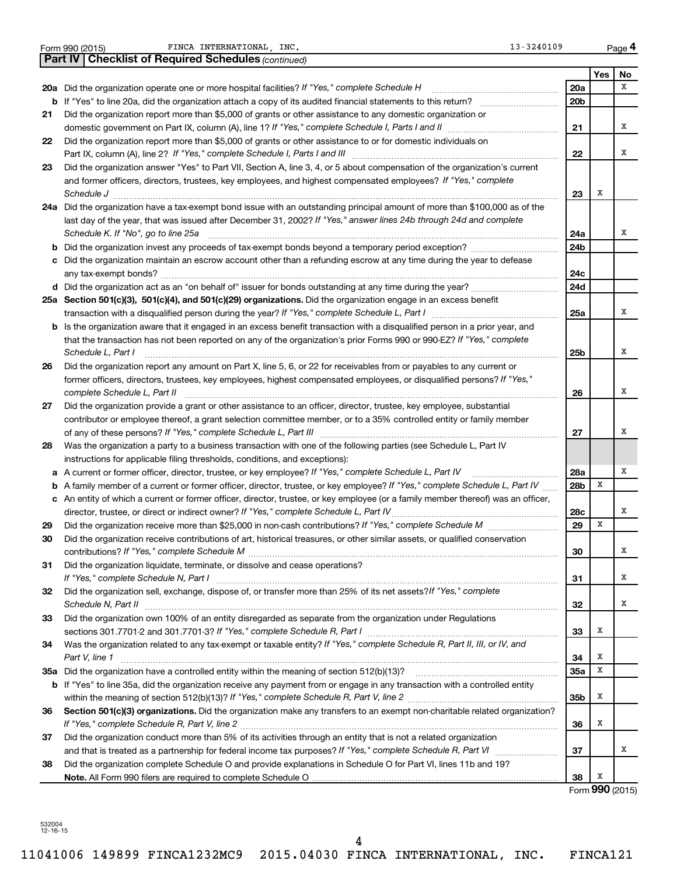|    | <b>Part IV   Checklist of Required Schedules (continued)</b>                                                                        |     |     |                 |
|----|-------------------------------------------------------------------------------------------------------------------------------------|-----|-----|-----------------|
|    |                                                                                                                                     |     | Yes | No              |
|    | 20a Did the organization operate one or more hospital facilities? If "Yes," complete Schedule H                                     | 20a |     | X               |
|    |                                                                                                                                     | 20b |     |                 |
| 21 | Did the organization report more than \$5,000 of grants or other assistance to any domestic organization or                         |     |     |                 |
|    |                                                                                                                                     | 21  |     | x               |
| 22 | Did the organization report more than \$5,000 of grants or other assistance to or for domestic individuals on                       |     |     |                 |
|    |                                                                                                                                     | 22  |     | x               |
| 23 | Did the organization answer "Yes" to Part VII, Section A, line 3, 4, or 5 about compensation of the organization's current          |     |     |                 |
|    | and former officers, directors, trustees, key employees, and highest compensated employees? If "Yes," complete                      |     |     |                 |
|    | Schedule J <b>Execute Schedule J Execute Schedule J</b>                                                                             | 23  | х   |                 |
|    | 24a Did the organization have a tax-exempt bond issue with an outstanding principal amount of more than \$100,000 as of the         |     |     |                 |
|    | last day of the year, that was issued after December 31, 2002? If "Yes," answer lines 24b through 24d and complete                  |     |     |                 |
|    | Schedule K. If "No", go to line 25a                                                                                                 | 24a |     | x               |
|    |                                                                                                                                     | 24b |     |                 |
|    | c Did the organization maintain an escrow account other than a refunding escrow at any time during the year to defease              |     |     |                 |
|    |                                                                                                                                     | 24c |     |                 |
|    |                                                                                                                                     | 24d |     |                 |
|    | 25a Section 501(c)(3), 501(c)(4), and 501(c)(29) organizations. Did the organization engage in an excess benefit                    |     |     |                 |
|    |                                                                                                                                     | 25a |     | x               |
|    | <b>b</b> Is the organization aware that it engaged in an excess benefit transaction with a disqualified person in a prior year, and |     |     |                 |
|    | that the transaction has not been reported on any of the organization's prior Forms 990 or 990-EZ? If "Yes," complete               |     |     |                 |
|    | Schedule L, Part I                                                                                                                  | 25b |     | x               |
| 26 | Did the organization report any amount on Part X, line 5, 6, or 22 for receivables from or payables to any current or               |     |     |                 |
|    | former officers, directors, trustees, key employees, highest compensated employees, or disqualified persons? If "Yes,"              |     |     |                 |
|    | complete Schedule L, Part II                                                                                                        | 26  |     | x               |
| 27 | Did the organization provide a grant or other assistance to an officer, director, trustee, key employee, substantial                |     |     |                 |
|    | contributor or employee thereof, a grant selection committee member, or to a 35% controlled entity or family member                 |     |     |                 |
|    |                                                                                                                                     | 27  |     | x               |
| 28 | Was the organization a party to a business transaction with one of the following parties (see Schedule L, Part IV                   |     |     |                 |
|    | instructions for applicable filing thresholds, conditions, and exceptions):                                                         |     |     |                 |
| а  | A current or former officer, director, trustee, or key employee? If "Yes," complete Schedule L, Part IV                             | 28a |     | X               |
| b  | A family member of a current or former officer, director, trustee, or key employee? If "Yes," complete Schedule L, Part IV          | 28b | х   |                 |
|    | c An entity of which a current or former officer, director, trustee, or key employee (or a family member thereof) was an officer,   |     |     |                 |
|    | director, trustee, or direct or indirect owner? If "Yes," complete Schedule L, Part IV.                                             | 28c |     | x               |
| 29 |                                                                                                                                     | 29  | X   |                 |
| 30 | Did the organization receive contributions of art, historical treasures, or other similar assets, or qualified conservation         |     |     |                 |
|    |                                                                                                                                     | 30  |     | A               |
| 31 | Did the organization liquidate, terminate, or dissolve and cease operations?                                                        |     |     |                 |
|    |                                                                                                                                     | 31  |     | x               |
| 32 | Did the organization sell, exchange, dispose of, or transfer more than 25% of its net assets? If "Yes," complete                    |     |     |                 |
|    |                                                                                                                                     | 32  |     | x               |
| 33 | Did the organization own 100% of an entity disregarded as separate from the organization under Regulations                          |     |     |                 |
|    |                                                                                                                                     | 33  | х   |                 |
| 34 | Was the organization related to any tax-exempt or taxable entity? If "Yes," complete Schedule R, Part II, III, or IV, and           |     |     |                 |
|    | Part V, line 1                                                                                                                      | 34  | х   |                 |
|    |                                                                                                                                     | 35a | х   |                 |
|    | b If "Yes" to line 35a, did the organization receive any payment from or engage in any transaction with a controlled entity         |     |     |                 |
|    |                                                                                                                                     | 35b | х   |                 |
| 36 | Section 501(c)(3) organizations. Did the organization make any transfers to an exempt non-charitable related organization?          |     |     |                 |
|    |                                                                                                                                     | 36  | х   |                 |
| 37 | Did the organization conduct more than 5% of its activities through an entity that is not a related organization                    |     |     |                 |
|    |                                                                                                                                     | 37  |     | x               |
| 38 | Did the organization complete Schedule O and provide explanations in Schedule O for Part VI, lines 11b and 19?                      |     |     |                 |
|    |                                                                                                                                     | 38  | х   |                 |
|    |                                                                                                                                     |     |     | Form 990 (2015) |

Form 990 (2015) FINCA INTERNATIONAL, INC. The extended of the contract of the contract of the Page

**4**

532004 12-16-15

4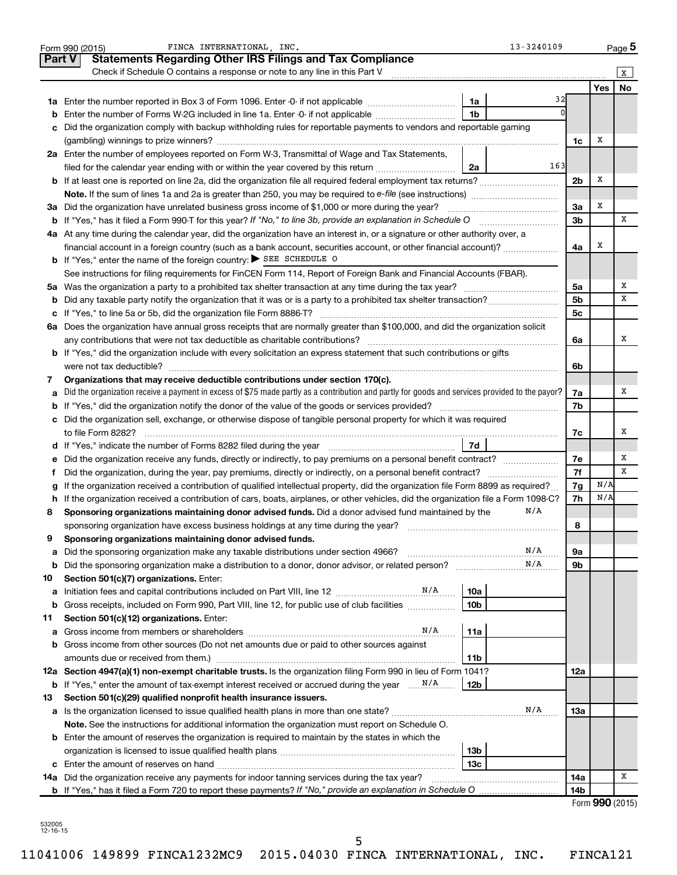|               | FINCA INTERNATIONAL . INC.<br>13-3240109<br>Form 990 (2015)                                                                                     |                |            | Page 5          |
|---------------|-------------------------------------------------------------------------------------------------------------------------------------------------|----------------|------------|-----------------|
| <b>Part V</b> | <b>Statements Regarding Other IRS Filings and Tax Compliance</b>                                                                                |                |            |                 |
|               | Check if Schedule O contains a response or note to any line in this Part V                                                                      |                |            | X               |
|               |                                                                                                                                                 |                | <b>Yes</b> | <b>No</b>       |
|               | 32<br>1a                                                                                                                                        |                |            |                 |
| b             | 1 <sub>b</sub><br>Enter the number of Forms W-2G included in line 1a. Enter -0- if not applicable                                               |                |            |                 |
| с             | Did the organization comply with backup withholding rules for reportable payments to vendors and reportable gaming                              |                |            |                 |
|               |                                                                                                                                                 | 1c             | х          |                 |
|               | 2a Enter the number of employees reported on Form W-3, Transmittal of Wage and Tax Statements,                                                  |                |            |                 |
|               | 163<br>filed for the calendar year ending with or within the year covered by this return<br>2a                                                  |                |            |                 |
|               |                                                                                                                                                 | 2 <sub>b</sub> | х          |                 |
|               |                                                                                                                                                 |                |            |                 |
|               | 3a Did the organization have unrelated business gross income of \$1,000 or more during the year?                                                | 3a             | Х          |                 |
| b             | If "Yes," has it filed a Form 990 T for this year? If "No," to line 3b, provide an explanation in Schedule O manumerrous                        | 3 <sub>b</sub> |            | х               |
|               | 4a At any time during the calendar year, did the organization have an interest in, or a signature or other authority over, a                    |                |            |                 |
|               | financial account in a foreign country (such as a bank account, securities account, or other financial account)?                                | 4a             | х          |                 |
|               | <b>b</b> If "Yes," enter the name of the foreign country: SEE SCHEDULE O                                                                        |                |            |                 |
|               | See instructions for filing requirements for FinCEN Form 114, Report of Foreign Bank and Financial Accounts (FBAR).                             |                |            |                 |
|               |                                                                                                                                                 | 5a             |            | х               |
| b             |                                                                                                                                                 | 5 <sub>b</sub> |            | x               |
| с             |                                                                                                                                                 | 5 <sub>c</sub> |            |                 |
| 6а            | Does the organization have annual gross receipts that are normally greater than \$100,000, and did the organization solicit                     |                |            |                 |
|               | any contributions that were not tax deductible as charitable contributions?                                                                     | 6a             |            | х               |
|               | b If "Yes," did the organization include with every solicitation an express statement that such contributions or gifts                          |                |            |                 |
|               | were not tax deductible?                                                                                                                        | 6b             |            |                 |
| 7             | Organizations that may receive deductible contributions under section 170(c).                                                                   |                |            | х               |
| а             | Did the organization receive a payment in excess of \$75 made partly as a contribution and partly for goods and services provided to the payor? | 7a<br>7b       |            |                 |
| b             | c Did the organization sell, exchange, or otherwise dispose of tangible personal property for which it was required                             |                |            |                 |
|               |                                                                                                                                                 | 7c             |            | х               |
|               | 7d<br>d If "Yes," indicate the number of Forms 8282 filed during the year manufacture intervent in the set of the number                        |                |            |                 |
| е             |                                                                                                                                                 | 7е             |            | x               |
| f.            | Did the organization, during the year, pay premiums, directly or indirectly, on a personal benefit contract?                                    | 7f             |            | x               |
| g             | If the organization received a contribution of qualified intellectual property, did the organization file Form 8899 as required?                | 7g             | N/A        |                 |
| h             | If the organization received a contribution of cars, boats, airplanes, or other vehicles, did the organization file a Form 1098-C?              | 7h             | N/A        |                 |
| 8             | N/A<br>Sponsoring organizations maintaining donor advised funds. Did a donor advised fund maintained by the                                     |                |            |                 |
|               | sponsoring organization have excess business holdings at any time during the year?                                                              | 8              |            |                 |
| 9             | Sponsoring organizations maintaining donor advised funds.                                                                                       |                |            |                 |
| а             | N/A<br>Did the sponsoring organization make any taxable distributions under section 4966?                                                       | 9а             |            |                 |
| b             | N/A                                                                                                                                             | 9b             |            |                 |
| 10            | Section 501(c)(7) organizations. Enter:                                                                                                         |                |            |                 |
| а             | 10a                                                                                                                                             |                |            |                 |
| b             | 10 <sub>b</sub><br>Gross receipts, included on Form 990, Part VIII, line 12, for public use of club facilities                                  |                |            |                 |
| 11            | Section 501(c)(12) organizations. Enter:                                                                                                        |                |            |                 |
| а             | N/A<br>11a                                                                                                                                      |                |            |                 |
| b             | Gross income from other sources (Do not net amounts due or paid to other sources against                                                        |                |            |                 |
|               | amounts due or received from them.)<br>11b                                                                                                      |                |            |                 |
|               | 12a Section 4947(a)(1) non-exempt charitable trusts. Is the organization filing Form 990 in lieu of Form 1041?                                  | 12a            |            |                 |
| b             | 12 <sub>b</sub>                                                                                                                                 |                |            |                 |
| 13            | Section 501(c)(29) qualified nonprofit health insurance issuers.                                                                                |                |            |                 |
| а             | N/A<br>Is the organization licensed to issue qualified health plans in more than one state?                                                     | 13a            |            |                 |
|               | Note. See the instructions for additional information the organization must report on Schedule O.                                               |                |            |                 |
|               | <b>b</b> Enter the amount of reserves the organization is required to maintain by the states in which the                                       |                |            |                 |
|               | 13 <sub>b</sub>                                                                                                                                 |                |            |                 |
| с             | 13 <sub>c</sub>                                                                                                                                 |                |            |                 |
|               | 14a Did the organization receive any payments for indoor tanning services during the tax year?                                                  | 14a            |            | х               |
|               | <b>b</b> If "Yes," has it filed a Form 720 to report these payments? If "No," provide an explanation in Schedule O                              | 14b            |            |                 |
|               |                                                                                                                                                 |                |            | Form 990 (2015) |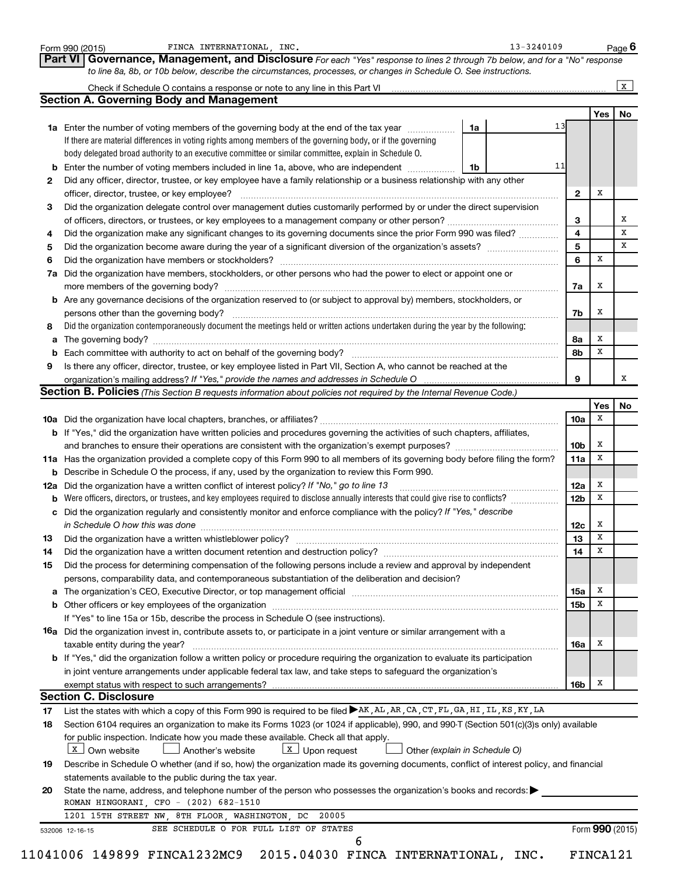|    | Form 990 (2015)<br><b>Part VI</b><br>Governance, Management, and Disclosure For each "Yes" response to lines 2 through 7b below, and for a "No" response |    |    |                         |                 | Page 6 |
|----|----------------------------------------------------------------------------------------------------------------------------------------------------------|----|----|-------------------------|-----------------|--------|
|    | to line 8a, 8b, or 10b below, describe the circumstances, processes, or changes in Schedule O. See instructions.                                         |    |    |                         |                 |        |
|    |                                                                                                                                                          |    |    |                         |                 | X      |
|    | <b>Section A. Governing Body and Management</b>                                                                                                          |    |    |                         |                 |        |
|    |                                                                                                                                                          |    |    |                         | Yes             | No     |
|    | 1a Enter the number of voting members of the governing body at the end of the tax year                                                                   | 1a | 13 |                         |                 |        |
|    | If there are material differences in voting rights among members of the governing body, or if the governing                                              |    |    |                         |                 |        |
|    | body delegated broad authority to an executive committee or similar committee, explain in Schedule O.                                                    |    | 11 |                         |                 |        |
| b  | Enter the number of voting members included in line 1a, above, who are independent <i>manumum</i>                                                        | 1b |    |                         |                 |        |
| 2  | Did any officer, director, trustee, or key employee have a family relationship or a business relationship with any other                                 |    |    |                         |                 |        |
|    | officer, director, trustee, or key employee?                                                                                                             |    |    | $\mathbf{2}$            | х               |        |
| 3  | Did the organization delegate control over management duties customarily performed by or under the direct supervision                                    |    |    | 3                       |                 |        |
| 4  |                                                                                                                                                          |    |    | $\overline{\mathbf{4}}$ |                 |        |
|    | Did the organization make any significant changes to its governing documents since the prior Form 990 was filed?                                         |    |    | 5                       |                 |        |
| 5  |                                                                                                                                                          |    |    | 6                       | X               |        |
| 6  |                                                                                                                                                          |    |    |                         |                 |        |
| 7a | Did the organization have members, stockholders, or other persons who had the power to elect or appoint one or                                           |    |    |                         | х               |        |
|    | <b>b</b> Are any governance decisions of the organization reserved to (or subject to approval by) members, stockholders, or                              |    |    | 7a                      |                 |        |
|    |                                                                                                                                                          |    |    | 7b                      | х               |        |
| 8  | Did the organization contemporaneously document the meetings held or written actions undertaken during the year by the following:                        |    |    |                         |                 |        |
|    |                                                                                                                                                          |    |    | 8а                      | х               |        |
| а  |                                                                                                                                                          |    |    | 8b                      | х               |        |
| 9  | Is there any officer, director, trustee, or key employee listed in Part VII, Section A, who cannot be reached at the                                     |    |    |                         |                 |        |
|    |                                                                                                                                                          |    |    | 9                       |                 |        |
|    | <b>Section B. Policies</b> (This Section B requests information about policies not required by the Internal Revenue Code.)                               |    |    |                         |                 |        |
|    |                                                                                                                                                          |    |    |                         | Yes             | No     |
|    |                                                                                                                                                          |    |    | 10a                     | x               |        |
|    | b If "Yes," did the organization have written policies and procedures governing the activities of such chapters, affiliates,                             |    |    |                         |                 |        |
|    |                                                                                                                                                          |    |    | 10 <sub>b</sub>         | x               |        |
|    | 11a Has the organization provided a complete copy of this Form 990 to all members of its governing body before filing the form?                          |    |    | 11a                     | X               |        |
|    | <b>b</b> Describe in Schedule O the process, if any, used by the organization to review this Form 990.                                                   |    |    |                         |                 |        |
|    | 12a Did the organization have a written conflict of interest policy? If "No," go to line 13                                                              |    |    | 12a                     | x               |        |
|    | <b>b</b> Were officers, directors, or trustees, and key employees required to disclose annually interests that could give rise to conflicts?             |    |    | 12 <sub>b</sub>         | х               |        |
|    | c Did the organization regularly and consistently monitor and enforce compliance with the policy? If "Yes," describe                                     |    |    |                         |                 |        |
|    |                                                                                                                                                          |    |    | 12c                     | x               |        |
| 13 |                                                                                                                                                          |    |    | 13 <sup>13</sup>        | X               |        |
| 14 | Did the organization have a written document retention and destruction policy? [11] manufaction manufaction in                                           |    |    | 14                      | х               |        |
| 15 | Did the process for determining compensation of the following persons include a review and approval by independent                                       |    |    |                         |                 |        |
|    | persons, comparability data, and contemporaneous substantiation of the deliberation and decision?                                                        |    |    |                         |                 |        |
|    |                                                                                                                                                          |    |    | 15a                     | х               |        |
|    |                                                                                                                                                          |    |    | 15 <sub>b</sub>         | X               |        |
|    | If "Yes" to line 15a or 15b, describe the process in Schedule O (see instructions).                                                                      |    |    |                         |                 |        |
|    | 16a Did the organization invest in, contribute assets to, or participate in a joint venture or similar arrangement with a                                |    |    |                         |                 |        |
|    | taxable entity during the year?                                                                                                                          |    |    | 16a                     | Х               |        |
|    | b If "Yes," did the organization follow a written policy or procedure requiring the organization to evaluate its participation                           |    |    |                         |                 |        |
|    | in joint venture arrangements under applicable federal tax law, and take steps to safequard the organization's                                           |    |    |                         |                 |        |
|    | exempt status with respect to such arrangements?                                                                                                         |    |    | 16b                     | x               |        |
|    | <b>Section C. Disclosure</b>                                                                                                                             |    |    |                         |                 |        |
| 17 | List the states with which a copy of this Form 990 is required to be filed AK, AL, AR, CA, CT, FL, GA, HI, IL, KS, KY, LA                                |    |    |                         |                 |        |
| 18 | Section 6104 requires an organization to make its Forms 1023 (or 1024 if applicable), 990, and 990-T (Section 501(c)(3)s only) available                 |    |    |                         |                 |        |
|    | for public inspection. Indicate how you made these available. Check all that apply.                                                                      |    |    |                         |                 |        |
|    | $\boxed{\mathbf{x}}$ Upon request<br>X Own website<br>Another's website<br>Other (explain in Schedule O)                                                 |    |    |                         |                 |        |
|    |                                                                                                                                                          |    |    |                         |                 |        |
| 19 | Describe in Schedule O whether (and if so, how) the organization made its governing documents, conflict of interest policy, and financial                |    |    |                         |                 |        |
|    | statements available to the public during the tax year.                                                                                                  |    |    |                         |                 |        |
| 20 | State the name, address, and telephone number of the person who possesses the organization's books and records:                                          |    |    |                         |                 |        |
|    | ROMAN HINGORANI, CFO - (202) 682-1510                                                                                                                    |    |    |                         |                 |        |
|    | 1201 15TH STREET NW, 8TH FLOOR, WASHINGTON, DC<br>20005                                                                                                  |    |    |                         |                 |        |
|    | SEE SCHEDULE O FOR FULL LIST OF STATES<br>532006 12-16-15<br>6                                                                                           |    |    |                         | Form 990 (2015) |        |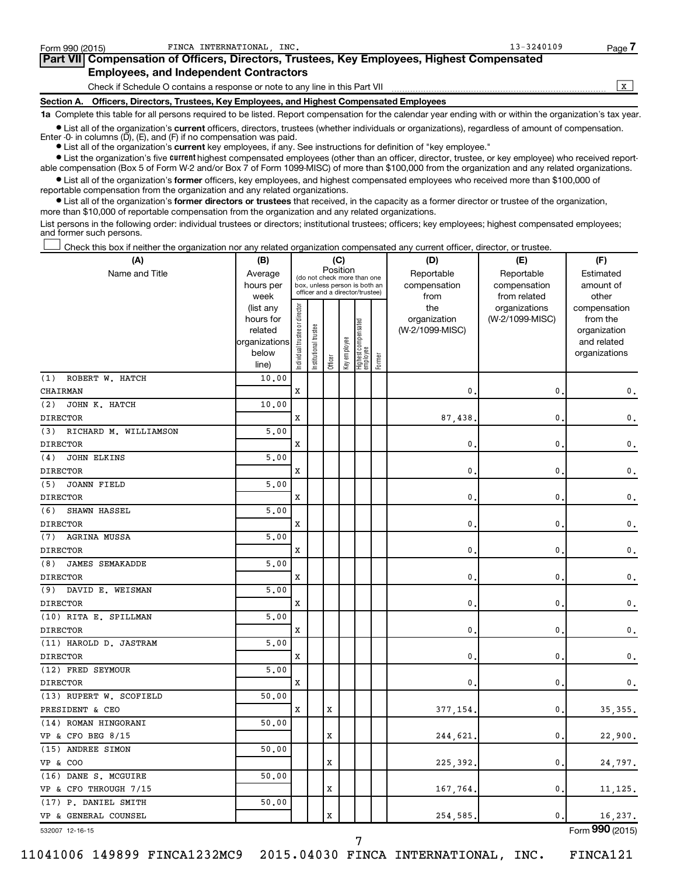| Form 990 (2015)   | FINCA INTERNATIONAL INC.                                                                   | $13 - 3240109$ | Page. |
|-------------------|--------------------------------------------------------------------------------------------|----------------|-------|
|                   | Part VII Compensation of Officers, Directors, Trustees, Key Employees, Highest Compensated |                |       |
|                   | <b>Employees, and Independent Contractors</b>                                              |                |       |
|                   | Check if Schedule O contains a response or note to any line in this Part VII               |                |       |
| <b>Section A.</b> | Officers, Directors, Trustees, Key Employees, and Highest Compensated Employees            |                |       |

**1a**  Complete this table for all persons required to be listed. Report compensation for the calendar year ending with or within the organization's tax year.

**•** List all of the organization's current officers, directors, trustees (whether individuals or organizations), regardless of amount of compensation. Enter -0- in columns (D), (E), and (F) if no compensation was paid.

**•** List all of the organization's **current** key employees, if any. See instructions for definition of "key employee."

**•** List the organization's five current highest compensated employees (other than an officer, director, trustee, or key employee) who received reportable compensation (Box 5 of Form W-2 and/or Box 7 of Form 1099-MISC) of more than \$100,000 from the organization and any related organizations.

**•** List all of the organization's former officers, key employees, and highest compensated employees who received more than \$100,000 of reportable compensation from the organization and any related organizations.

**•** List all of the organization's former directors or trustees that received, in the capacity as a former director or trustee of the organization, more than \$10,000 of reportable compensation from the organization and any related organizations.

List persons in the following order: individual trustees or directors; institutional trustees; officers; key employees; highest compensated employees; and former such persons.

Check this box if neither the organization nor any related organization compensated any current officer, director, or trustee. †

| (A)                           | (B)                    |                                                                                                                                           |                 | (C)         |              |                                 |        | (D)             | (E)                        | (F)                          |
|-------------------------------|------------------------|-------------------------------------------------------------------------------------------------------------------------------------------|-----------------|-------------|--------------|---------------------------------|--------|-----------------|----------------------------|------------------------------|
| Name and Title                | Average<br>hours per   | Position<br>Reportable<br>(do not check more than one<br>compensation<br>box, unless person is both an<br>officer and a director/trustee) |                 |             |              |                                 |        |                 | Reportable<br>compensation | Estimated<br>amount of       |
|                               | week                   |                                                                                                                                           |                 |             |              |                                 |        | from            | from related               | other                        |
|                               | (list any              |                                                                                                                                           |                 |             |              |                                 |        | the             | organizations              | compensation                 |
|                               | hours for              |                                                                                                                                           |                 |             |              |                                 |        | organization    | (W-2/1099-MISC)            | from the                     |
|                               | related                |                                                                                                                                           | trustee         |             |              |                                 |        | (W-2/1099-MISC) |                            | organization                 |
|                               | organizations<br>below |                                                                                                                                           |                 |             |              |                                 |        |                 |                            | and related<br>organizations |
|                               | line)                  | Individual trustee or director                                                                                                            | Institutional t | Officer     | Key employee | Highest compensated<br>employee | Former |                 |                            |                              |
| (1)<br>ROBERT W. HATCH        | 10.00                  |                                                                                                                                           |                 |             |              |                                 |        |                 |                            |                              |
| CHAIRMAN                      |                        | X                                                                                                                                         |                 |             |              |                                 |        | 0.              | 0                          | 0.                           |
| (2)<br>JOHN K. HATCH          | 10.00                  |                                                                                                                                           |                 |             |              |                                 |        |                 |                            |                              |
| <b>DIRECTOR</b>               |                        | X                                                                                                                                         |                 |             |              |                                 |        | 87,438          | 0                          | 0.                           |
| (3) RICHARD M. WILLIAMSON     | 5.00                   |                                                                                                                                           |                 |             |              |                                 |        |                 |                            |                              |
| <b>DIRECTOR</b>               |                        | X                                                                                                                                         |                 |             |              |                                 |        | $\mathbf{0}$ .  | 0                          | $\mathbf 0$ .                |
| (4)<br><b>JOHN ELKINS</b>     | 5.00                   |                                                                                                                                           |                 |             |              |                                 |        |                 |                            |                              |
| <b>DIRECTOR</b>               |                        | X                                                                                                                                         |                 |             |              |                                 |        | $\mathbf{0}$ .  | 0                          | 0.                           |
| JOANN FIELD<br>(5)            | 5.00                   |                                                                                                                                           |                 |             |              |                                 |        |                 |                            |                              |
| <b>DIRECTOR</b>               |                        | $\mathbf x$                                                                                                                               |                 |             |              |                                 |        | 0.              | 0                          | 0.                           |
| (6)<br>SHAWN HASSEL           | 5,00                   |                                                                                                                                           |                 |             |              |                                 |        |                 |                            |                              |
| <b>DIRECTOR</b>               |                        | X                                                                                                                                         |                 |             |              |                                 |        | $\mathbf 0$ .   | 0                          | 0.                           |
| (7) AGRINA MUSSA              | 5,00                   |                                                                                                                                           |                 |             |              |                                 |        |                 |                            |                              |
| <b>DIRECTOR</b>               |                        | X                                                                                                                                         |                 |             |              |                                 |        | $\mathbf{0}$ .  | 0                          | 0.                           |
| (8)<br><b>JAMES SEMAKADDE</b> | 5,00                   |                                                                                                                                           |                 |             |              |                                 |        |                 |                            |                              |
| <b>DIRECTOR</b>               |                        | X                                                                                                                                         |                 |             |              |                                 |        | $\mathbf{0}$    | 0                          | 0.                           |
| (9) DAVID E. WEISMAN          | 5.00                   |                                                                                                                                           |                 |             |              |                                 |        |                 |                            |                              |
| <b>DIRECTOR</b>               |                        | X                                                                                                                                         |                 |             |              |                                 |        | 0.              | 0                          | $\mathbf 0$ .                |
| (10) RITA E. SPILLMAN         | 5.00                   |                                                                                                                                           |                 |             |              |                                 |        |                 |                            |                              |
| <b>DIRECTOR</b>               |                        | X                                                                                                                                         |                 |             |              |                                 |        | $\mathbf{0}$    | 0                          | $\mathbf 0$ .                |
| (11) HAROLD D. JASTRAM        | 5,00                   |                                                                                                                                           |                 |             |              |                                 |        |                 |                            |                              |
| <b>DIRECTOR</b>               |                        | X                                                                                                                                         |                 |             |              |                                 |        | $\mathbf{0}$    | $\mathbf 0$                | $\mathbf 0$ .                |
| (12) FRED SEYMOUR             | 5,00                   |                                                                                                                                           |                 |             |              |                                 |        |                 |                            |                              |
| <b>DIRECTOR</b>               |                        | X                                                                                                                                         |                 |             |              |                                 |        | 0               | 0                          | $\mathbf{0}$ .               |
| (13) RUPERT W. SCOFIELD       | 50.00                  |                                                                                                                                           |                 |             |              |                                 |        |                 |                            |                              |
| PRESIDENT & CEO               |                        | X                                                                                                                                         |                 | X           |              |                                 |        | 377,154         | 0                          | 35, 355.                     |
| (14) ROMAN HINGORANI          | 50.00                  |                                                                                                                                           |                 |             |              |                                 |        |                 |                            |                              |
| VP & CFO BEG 8/15             |                        |                                                                                                                                           |                 | X           |              |                                 |        | 244,621.        | 0                          | 22,900.                      |
| (15) ANDREE SIMON             | 50.00                  |                                                                                                                                           |                 |             |              |                                 |        |                 |                            |                              |
| VP & COO                      |                        |                                                                                                                                           |                 | X           |              |                                 |        | 225,392.        | 0                          | 24,797.                      |
| (16) DANE S. MCGUIRE          | 50.00                  |                                                                                                                                           |                 |             |              |                                 |        |                 |                            |                              |
| VP & CFO THROUGH 7/15         |                        |                                                                                                                                           |                 | X           |              |                                 |        | 167,764.        | 0                          | 11, 125.                     |
| (17) P. DANIEL SMITH          | 50.00                  |                                                                                                                                           |                 |             |              |                                 |        |                 |                            |                              |
| VP & GENERAL COUNSEL          |                        |                                                                                                                                           |                 | $\mathbf x$ |              |                                 |        | 254,585.        | $\mathbf{0}$ .             | 16,237.                      |

532007 12-16-15

11041006 149899 FINCA1232MC9 2015.04030 FINCA INTERNATIONAL, INC. FINCA121

Form (2015) **990**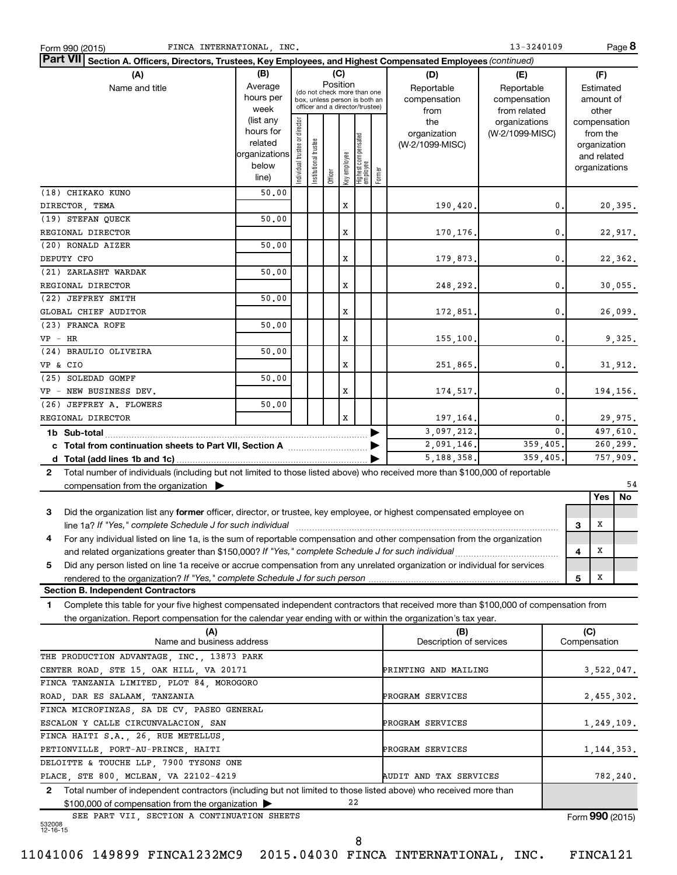| FINCA INTERNATIONAL, INC.<br>Form 990 (2015)                                                                                                 |               |                                |                       |          |              |                                                              |        |                         | 13-3240109      |                |                 |             | Page 8     |
|----------------------------------------------------------------------------------------------------------------------------------------------|---------------|--------------------------------|-----------------------|----------|--------------|--------------------------------------------------------------|--------|-------------------------|-----------------|----------------|-----------------|-------------|------------|
| Part VII Section A. Officers, Directors, Trustees, Key Employees, and Highest Compensated Employees (continued)                              |               |                                |                       |          |              |                                                              |        |                         |                 |                |                 |             |            |
| (A)                                                                                                                                          | (B)           |                                |                       |          | (C)          |                                                              |        | (D)                     | (E)             |                |                 | (F)         |            |
| Name and title                                                                                                                               | Average       |                                |                       | Position |              |                                                              |        | Reportable              | Reportable      |                |                 | Estimated   |            |
|                                                                                                                                              | hours per     |                                |                       |          |              | (do not check more than one<br>box, unless person is both an |        | compensation            | compensation    |                |                 | amount of   |            |
|                                                                                                                                              | week          |                                |                       |          |              | officer and a director/trustee)                              |        | from                    | from related    |                |                 | other       |            |
|                                                                                                                                              | (list any     |                                |                       |          |              |                                                              |        | the                     | organizations   |                | compensation    |             |            |
|                                                                                                                                              | hours for     |                                |                       |          |              |                                                              |        | organization            | (W-2/1099-MISC) |                |                 | from the    |            |
|                                                                                                                                              | related       |                                |                       |          |              |                                                              |        | (W-2/1099-MISC)         |                 |                | organization    |             |            |
|                                                                                                                                              | organizations |                                |                       |          |              |                                                              |        |                         |                 |                |                 | and related |            |
|                                                                                                                                              | below         | Individual trustee or director | Institutional trustee |          | Key employee |                                                              |        |                         |                 |                | organizations   |             |            |
|                                                                                                                                              | line)         |                                |                       | Officer  |              | Highest compensated<br>  employee                            | Former |                         |                 |                |                 |             |            |
| (18) CHIKAKO KUNO                                                                                                                            | 50.00         |                                |                       |          |              |                                                              |        |                         |                 |                |                 |             |            |
| DIRECTOR, TEMA                                                                                                                               |               |                                |                       |          | X            |                                                              |        | 190,420.                |                 | 0.             |                 |             | 20, 395.   |
| (19) STEFAN QUECK                                                                                                                            | 50.00         |                                |                       |          |              |                                                              |        |                         |                 |                |                 |             |            |
| REGIONAL DIRECTOR                                                                                                                            |               |                                |                       |          | X            |                                                              |        | 170, 176.               |                 | 0.             |                 |             | 22,917.    |
| (20) RONALD AIZER                                                                                                                            | 50.00         |                                |                       |          |              |                                                              |        |                         |                 |                |                 |             |            |
| DEPUTY CFO                                                                                                                                   |               |                                |                       |          | X            |                                                              |        | 179,873.                |                 | 0.             |                 |             | 22,362.    |
| (21) ZARLASHT WARDAK                                                                                                                         | 50.00         |                                |                       |          |              |                                                              |        |                         |                 |                |                 |             |            |
|                                                                                                                                              |               |                                |                       |          |              |                                                              |        |                         |                 |                |                 |             |            |
| REGIONAL DIRECTOR                                                                                                                            |               |                                |                       |          | X            |                                                              |        | 248,292.                |                 | 0.             |                 |             | 30,055.    |
| (22) JEFFREY SMITH                                                                                                                           | 50.00         |                                |                       |          |              |                                                              |        |                         |                 |                |                 |             |            |
| GLOBAL CHIEF AUDITOR                                                                                                                         |               |                                |                       |          | X            |                                                              |        | 172,851.                |                 | 0.             |                 |             | 26,099.    |
| (23) FRANCA ROFE                                                                                                                             | 50.00         |                                |                       |          |              |                                                              |        |                         |                 |                |                 |             |            |
| $VP$ - $HR$                                                                                                                                  |               |                                |                       |          | X            |                                                              |        | 155,100.                |                 | 0.             |                 |             | 9,325.     |
| (24) BRAULIO OLIVEIRA                                                                                                                        | 50.00         |                                |                       |          |              |                                                              |        |                         |                 |                |                 |             |            |
| VP & CIO                                                                                                                                     |               |                                |                       |          | X            |                                                              |        | 251,865.                |                 | 0.             |                 |             | 31,912.    |
| (25) SOLEDAD GOMPF                                                                                                                           | 50.00         |                                |                       |          |              |                                                              |        |                         |                 |                |                 |             |            |
| VP - NEW BUSINESS DEV.                                                                                                                       |               |                                |                       |          | X            |                                                              |        | 174,517.                |                 | 0.             |                 |             | 194,156.   |
| (26) JEFFREY A. FLOWERS                                                                                                                      | 50.00         |                                |                       |          |              |                                                              |        |                         |                 |                |                 |             |            |
| REGIONAL DIRECTOR                                                                                                                            |               |                                |                       |          | X            |                                                              |        |                         |                 | 0.             |                 |             |            |
|                                                                                                                                              |               |                                |                       |          |              |                                                              |        | 197,164.                |                 |                |                 |             | 29,975.    |
|                                                                                                                                              |               |                                |                       |          |              |                                                              |        | 3,097,212.              |                 | $\mathbf{0}$ . |                 |             | 497,610.   |
| c Total from continuation sheets to Part VII, Section A <b>manual</b> Section A                                                              |               |                                |                       |          |              |                                                              |        | 2,091,146.              | 359,405.        |                |                 |             | 260,299.   |
|                                                                                                                                              |               |                                |                       |          |              |                                                              |        | 5, 188, 358.            | 359.405.        |                |                 |             | 757,909.   |
| Total number of individuals (including but not limited to those listed above) who received more than \$100,000 of reportable<br>$\mathbf{2}$ |               |                                |                       |          |              |                                                              |        |                         |                 |                |                 |             |            |
| compensation from the organization $\blacktriangleright$                                                                                     |               |                                |                       |          |              |                                                              |        |                         |                 |                |                 |             | 54         |
|                                                                                                                                              |               |                                |                       |          |              |                                                              |        |                         |                 |                |                 | Yes         | No         |
| 3<br>Did the organization list any former officer, director, or trustee, key employee, or highest compensated employee on                    |               |                                |                       |          |              |                                                              |        |                         |                 |                |                 |             |            |
| line 1a? If "Yes," complete Schedule J for such individual manufacture content to the set of the set of the schedule J for such individual   |               |                                |                       |          |              |                                                              |        |                         |                 |                | 3               | X           |            |
| For any individual listed on line 1a, is the sum of reportable compensation and other compensation from the organization                     |               |                                |                       |          |              |                                                              |        |                         |                 |                |                 |             |            |
| and related organizations greater than \$150,000? If "Yes," complete Schedule J for such individual                                          |               |                                |                       |          |              |                                                              |        |                         |                 |                | 4               | X           |            |
| Did any person listed on line 1a receive or accrue compensation from any unrelated organization or individual for services<br>5              |               |                                |                       |          |              |                                                              |        |                         |                 |                |                 |             |            |
|                                                                                                                                              |               |                                |                       |          |              |                                                              |        |                         |                 |                | 5               | X           |            |
| <b>Section B. Independent Contractors</b>                                                                                                    |               |                                |                       |          |              |                                                              |        |                         |                 |                |                 |             |            |
| Complete this table for your five highest compensated independent contractors that received more than \$100,000 of compensation from         |               |                                |                       |          |              |                                                              |        |                         |                 |                |                 |             |            |
| 1.                                                                                                                                           |               |                                |                       |          |              |                                                              |        |                         |                 |                |                 |             |            |
| the organization. Report compensation for the calendar year ending with or within the organization's tax year.                               |               |                                |                       |          |              |                                                              |        |                         |                 |                |                 |             |            |
| (A)                                                                                                                                          |               |                                |                       |          |              |                                                              |        | (B)                     |                 |                | (C)             |             |            |
| Name and business address                                                                                                                    |               |                                |                       |          |              |                                                              |        | Description of services |                 |                | Compensation    |             |            |
| THE PRODUCTION ADVANTAGE, INC., 13873 PARK                                                                                                   |               |                                |                       |          |              |                                                              |        |                         |                 |                |                 |             |            |
| CENTER ROAD, STE 15, OAK HILL, VA 20171                                                                                                      |               |                                |                       |          |              |                                                              |        | PRINTING AND MAILING    |                 |                |                 |             | 3,522,047. |
| FINCA TANZANIA LIMITED, PLOT 84, MOROGORO                                                                                                    |               |                                |                       |          |              |                                                              |        |                         |                 |                |                 |             |            |
| ROAD, DAR ES SALAAM, TANZANIA                                                                                                                |               |                                |                       |          |              |                                                              |        | PROGRAM SERVICES        |                 |                |                 |             | 2,455,302. |
| FINCA MICROFINZAS, SA DE CV, PASEO GENERAL                                                                                                   |               |                                |                       |          |              |                                                              |        |                         |                 |                |                 |             |            |
| ESCALON Y CALLE CIRCUNVALACION, SAN                                                                                                          |               |                                |                       |          |              |                                                              |        | PROGRAM SERVICES        |                 |                |                 |             | 1,249,109. |
| FINCA HAITI S.A., 26, RUE METELLUS,                                                                                                          |               |                                |                       |          |              |                                                              |        |                         |                 |                |                 |             |            |
| PETIONVILLE, PORT-AU-PRINCE, HAITI                                                                                                           |               |                                |                       |          |              |                                                              |        | PROGRAM SERVICES        |                 |                |                 |             | 1,144,353. |
| DELOITTE & TOUCHE LLP, 7900 TYSONS ONE                                                                                                       |               |                                |                       |          |              |                                                              |        |                         |                 |                |                 |             |            |
| PLACE, STE 800, MCLEAN, VA 22102-4219                                                                                                        |               |                                |                       |          |              |                                                              |        | AUDIT AND TAX SERVICES  |                 |                |                 |             | 782,240.   |
|                                                                                                                                              |               |                                |                       |          |              |                                                              |        |                         |                 |                |                 |             |            |
| Total number of independent contractors (including but not limited to those listed above) who received more than<br>$\mathbf{2}$             |               |                                |                       |          |              |                                                              |        |                         |                 |                |                 |             |            |
| \$100,000 of compensation from the organization                                                                                              |               |                                |                       |          |              | 22                                                           |        |                         |                 |                |                 |             |            |
| SEE PART VII, SECTION A CONTINUATION SHEETS                                                                                                  |               |                                |                       |          |              |                                                              |        |                         |                 |                | Form 990 (2015) |             |            |
| 532008<br>12-16-15                                                                                                                           |               |                                |                       |          |              |                                                              |        |                         |                 |                |                 |             |            |
|                                                                                                                                              |               |                                |                       |          |              | 8                                                            |        |                         |                 |                |                 |             |            |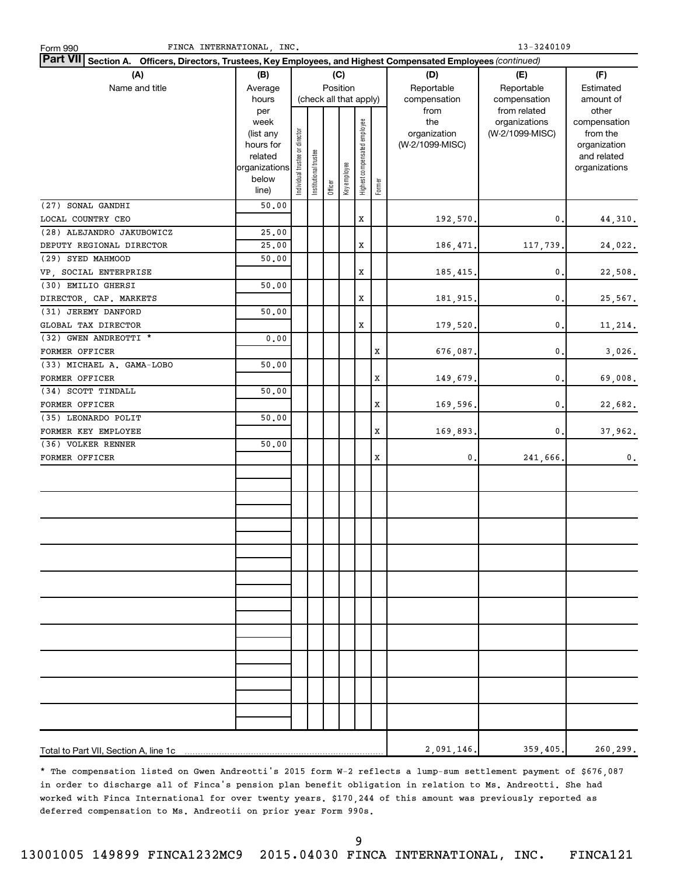| FINCA INTERNATIONAL, INC.<br>Form 990                                                                           |                      |                                |                       |         |                        |                              |        |                 | 13-3240109      |                             |
|-----------------------------------------------------------------------------------------------------------------|----------------------|--------------------------------|-----------------------|---------|------------------------|------------------------------|--------|-----------------|-----------------|-----------------------------|
| Part VII Section A. Officers, Directors, Trustees, Key Employees, and Highest Compensated Employees (continued) |                      |                                |                       |         |                        |                              |        |                 |                 |                             |
| (A)                                                                                                             | (B)                  |                                |                       |         | (C)                    |                              |        | (D)             | (E)             | (F)                         |
| Name and title                                                                                                  | Average              |                                |                       |         | Position               |                              |        | Reportable      | Reportable      | Estimated                   |
|                                                                                                                 | hours                |                                |                       |         | (check all that apply) |                              |        | compensation    | compensation    | amount of                   |
|                                                                                                                 | per                  |                                |                       |         |                        |                              |        | from            | from related    | other                       |
|                                                                                                                 | week                 |                                |                       |         |                        |                              |        | the             | organizations   | compensation                |
|                                                                                                                 | (list any            |                                |                       |         |                        |                              |        | organization    | (W-2/1099-MISC) | from the                    |
|                                                                                                                 | hours for<br>related |                                |                       |         |                        |                              |        | (W-2/1099-MISC) |                 | organization<br>and related |
|                                                                                                                 | organizations        | Individual trustee or director | Institutional trustee |         |                        |                              |        |                 |                 | organizations               |
|                                                                                                                 | below                |                                |                       |         |                        |                              |        |                 |                 |                             |
|                                                                                                                 | line)                |                                |                       | Officer | Key employee           | Highest compensated employee | Former |                 |                 |                             |
| (27) SONAL GANDHI                                                                                               | 50.00                |                                |                       |         |                        |                              |        |                 |                 |                             |
| LOCAL COUNTRY CEO                                                                                               |                      |                                |                       |         |                        | x                            |        | 192,570.        | 0,              | 44,310.                     |
| (28) ALEJANDRO JAKUBOWICZ                                                                                       | 25.00                |                                |                       |         |                        |                              |        |                 |                 |                             |
| DEPUTY REGIONAL DIRECTOR                                                                                        | 25.00                |                                |                       |         |                        | x                            |        | 186,471.        | 117,739.        | 24,022.                     |
| (29) SYED MAHMOOD                                                                                               | 50.00                |                                |                       |         |                        |                              |        |                 |                 |                             |
| VP SOCIAL ENTERPRISE                                                                                            |                      |                                |                       |         |                        | x                            |        | 185,415.        | $\mathbf 0$ .   | 22,508.                     |
| (30) EMILIO GHERSI                                                                                              | 50.00                |                                |                       |         |                        |                              |        |                 |                 |                             |
| DIRECTOR, CAP. MARKETS                                                                                          |                      |                                |                       |         |                        | x                            |        | 181,915.        | 0.              | 25,567.                     |
| (31) JEREMY DANFORD                                                                                             | 50.00                |                                |                       |         |                        |                              |        |                 |                 |                             |
| GLOBAL TAX DIRECTOR                                                                                             |                      |                                |                       |         |                        | x                            |        | 179,520.        | $\mathbf{0}$    | 11,214.                     |
| (32) GWEN ANDREOTTI *                                                                                           | 0.00                 |                                |                       |         |                        |                              |        |                 |                 |                             |
| FORMER OFFICER                                                                                                  |                      |                                |                       |         |                        |                              | x      | 676,087.        | $\mathbf{0}$ .  | 3,026.                      |
| (33) MICHAEL A. GAMA-LOBO                                                                                       | 50.00                |                                |                       |         |                        |                              |        |                 |                 |                             |
| FORMER OFFICER                                                                                                  |                      |                                |                       |         |                        |                              | x      | 149,679.        | $\mathbf{0}$    | 69,008.                     |
| (34) SCOTT TINDALL                                                                                              | 50.00                |                                |                       |         |                        |                              |        |                 |                 |                             |
| FORMER OFFICER                                                                                                  |                      |                                |                       |         |                        |                              | x      | 169,596.        | $\mathbf{0}$    | 22,682.                     |
| (35) LEONARDO POLIT                                                                                             | 50.00                |                                |                       |         |                        |                              |        |                 |                 |                             |
| FORMER KEY EMPLOYEE                                                                                             |                      |                                |                       |         |                        |                              | X      | 169,893.        | 0.              | 37,962.                     |
| (36) VOLKER RENNER                                                                                              | 50.00                |                                |                       |         |                        |                              |        |                 |                 |                             |
| FORMER OFFICER                                                                                                  |                      |                                |                       |         |                        |                              | X      | 0.              | 241,666.        | 0.                          |
|                                                                                                                 |                      |                                |                       |         |                        |                              |        |                 |                 |                             |
|                                                                                                                 |                      |                                |                       |         |                        |                              |        |                 |                 |                             |
|                                                                                                                 |                      |                                |                       |         |                        |                              |        |                 |                 |                             |
|                                                                                                                 |                      |                                |                       |         |                        |                              |        |                 |                 |                             |
|                                                                                                                 |                      |                                |                       |         |                        |                              |        |                 |                 |                             |
|                                                                                                                 |                      |                                |                       |         |                        |                              |        |                 |                 |                             |
|                                                                                                                 |                      |                                |                       |         |                        |                              |        |                 |                 |                             |
|                                                                                                                 |                      |                                |                       |         |                        |                              |        |                 |                 |                             |
|                                                                                                                 |                      |                                |                       |         |                        |                              |        |                 |                 |                             |
|                                                                                                                 |                      |                                |                       |         |                        |                              |        |                 |                 |                             |
|                                                                                                                 |                      |                                |                       |         |                        |                              |        |                 |                 |                             |
|                                                                                                                 |                      |                                |                       |         |                        |                              |        |                 |                 |                             |
|                                                                                                                 |                      |                                |                       |         |                        |                              |        |                 |                 |                             |
|                                                                                                                 |                      |                                |                       |         |                        |                              |        |                 |                 |                             |
|                                                                                                                 |                      |                                |                       |         |                        |                              |        |                 |                 |                             |
|                                                                                                                 |                      |                                |                       |         |                        |                              |        |                 |                 |                             |
|                                                                                                                 |                      |                                |                       |         |                        |                              |        |                 |                 |                             |
|                                                                                                                 |                      |                                |                       |         |                        |                              |        |                 |                 |                             |
|                                                                                                                 |                      |                                |                       |         |                        |                              |        |                 |                 |                             |
|                                                                                                                 |                      |                                |                       |         |                        |                              |        |                 |                 |                             |
|                                                                                                                 |                      |                                |                       |         |                        |                              |        | 2,091,146.      | 359,405.        | 260,299.                    |

\* The compensation listed on Gwen Andreotti's 2015 form W-2 reflects a lump-sum settlement payment of \$676,087 in order to discharge all of Finca's pension plan benefit obligation in relation to Ms. Andreotti. She had worked with Finca International for over twenty years. \$170,244 of this amount was previously reported as deferred compensation to Ms. Andreotii on prior year Form 990s.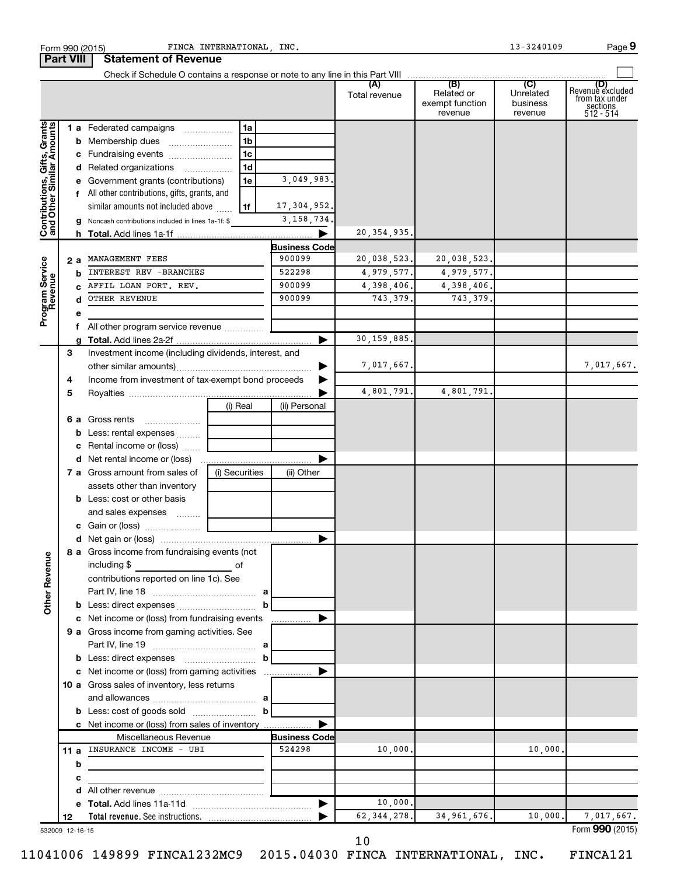| Form 990 (2015)                                           |    | FINCA INTERNATIONAL, INC.                                                       |                                |               |                                          | 13-3240109                       | Page 9                                                             |
|-----------------------------------------------------------|----|---------------------------------------------------------------------------------|--------------------------------|---------------|------------------------------------------|----------------------------------|--------------------------------------------------------------------|
| <b>Part VIII</b>                                          |    | <b>Statement of Revenue</b>                                                     |                                |               |                                          |                                  |                                                                    |
|                                                           |    |                                                                                 |                                | Total revenue | Related or<br>exempt function<br>revenue | Unrelated<br>business<br>revenue | (D)<br>Revenue excluded<br>trom tax under<br>sections<br>512 - 514 |
|                                                           |    | 1 a Federated campaigns<br>1a                                                   |                                |               |                                          |                                  |                                                                    |
| Contributions, Gifts, Grants<br>and Other Similar Amounts |    | 1b                                                                              |                                |               |                                          |                                  |                                                                    |
|                                                           |    | 1c<br>c Fundraising events                                                      |                                |               |                                          |                                  |                                                                    |
|                                                           |    | 1 <sub>d</sub><br>d Related organizations                                       |                                |               |                                          |                                  |                                                                    |
|                                                           |    | e Government grants (contributions)<br>1e                                       | 3,049,983.                     |               |                                          |                                  |                                                                    |
|                                                           |    | f All other contributions, gifts, grants, and                                   |                                |               |                                          |                                  |                                                                    |
|                                                           |    | similar amounts not included above<br>1f                                        | 17, 304, 952.                  |               |                                          |                                  |                                                                    |
|                                                           |    | Noncash contributions included in lines 1a-1f: \$                               | 3, 158, 734.                   |               |                                          |                                  |                                                                    |
|                                                           |    |                                                                                 |                                | 20, 354, 935. |                                          |                                  |                                                                    |
|                                                           |    |                                                                                 | <b>Business Code</b>           |               |                                          |                                  |                                                                    |
|                                                           | 2а | MANAGEMENT FEES                                                                 | 900099                         | 20,038,523.   | 20,038,523.                              |                                  |                                                                    |
| Program Service<br>Revenue                                | b  | INTEREST REV - BRANCHES                                                         | 522298                         | 4,979,577.    | 4,979,577.                               |                                  |                                                                    |
|                                                           | C. | AFFIL LOAN PORT. REV.                                                           | 900099                         | 4,398,406.    | 4,398,406.                               |                                  |                                                                    |
|                                                           | d  | <b>OTHER REVENUE</b>                                                            | 900099                         | 743,379.      | 743.379.                                 |                                  |                                                                    |
|                                                           | е  |                                                                                 |                                |               |                                          |                                  |                                                                    |
|                                                           | f  | All other program service revenue                                               |                                |               |                                          |                                  |                                                                    |
|                                                           |    |                                                                                 |                                | 30, 159, 885. |                                          |                                  |                                                                    |
| З                                                         |    | Investment income (including dividends, interest, and                           |                                |               |                                          |                                  |                                                                    |
|                                                           |    |                                                                                 |                                | 7,017,667.    |                                          |                                  | 7,017,667.                                                         |
| 4                                                         |    | Income from investment of tax-exempt bond proceeds                              |                                |               |                                          |                                  |                                                                    |
| 5                                                         |    |                                                                                 |                                | 4,801,791.    | 4,801,791.                               |                                  |                                                                    |
|                                                           |    | (i) Real                                                                        | (ii) Personal                  |               |                                          |                                  |                                                                    |
|                                                           |    | <b>6 a</b> Gross rents                                                          |                                |               |                                          |                                  |                                                                    |
|                                                           | b  | Less: rental expenses                                                           |                                |               |                                          |                                  |                                                                    |
|                                                           | с  | Rental income or (loss)                                                         |                                |               |                                          |                                  |                                                                    |
|                                                           |    |                                                                                 |                                |               |                                          |                                  |                                                                    |
|                                                           |    | 7 a Gross amount from sales of<br>(i) Securities<br>assets other than inventory | (ii) Other                     |               |                                          |                                  |                                                                    |
|                                                           |    | <b>b</b> Less: cost or other basis                                              |                                |               |                                          |                                  |                                                                    |
|                                                           |    |                                                                                 |                                |               |                                          |                                  |                                                                    |
|                                                           |    | and sales expenses                                                              |                                |               |                                          |                                  |                                                                    |
|                                                           |    |                                                                                 |                                |               |                                          |                                  |                                                                    |
|                                                           |    | 8 a Gross income from fundraising events (not                                   |                                |               |                                          |                                  |                                                                    |
|                                                           |    | including \$<br>of                                                              |                                |               |                                          |                                  |                                                                    |
| <b>Other Revenue</b>                                      |    | contributions reported on line 1c). See                                         |                                |               |                                          |                                  |                                                                    |
|                                                           |    |                                                                                 |                                |               |                                          |                                  |                                                                    |
|                                                           |    |                                                                                 | $\mathbf{b}$                   |               |                                          |                                  |                                                                    |
|                                                           |    | c Net income or (loss) from fundraising events                                  | .                              |               |                                          |                                  |                                                                    |
|                                                           |    | 9 a Gross income from gaming activities. See                                    |                                |               |                                          |                                  |                                                                    |
|                                                           |    |                                                                                 |                                |               |                                          |                                  |                                                                    |
|                                                           |    |                                                                                 | $\mathbf{b}$                   |               |                                          |                                  |                                                                    |
|                                                           |    | c Net income or (loss) from gaming activities                                   |                                |               |                                          |                                  |                                                                    |
|                                                           |    | 10 a Gross sales of inventory, less returns                                     |                                |               |                                          |                                  |                                                                    |
|                                                           |    |                                                                                 | $\mathbf{b}$                   |               |                                          |                                  |                                                                    |
|                                                           |    |                                                                                 |                                |               |                                          |                                  |                                                                    |
|                                                           |    | c Net income or (loss) from sales of inventory                                  |                                |               |                                          |                                  |                                                                    |
|                                                           |    | Miscellaneous Revenue<br>11 a INSURANCE INCOME - UBI                            | <b>Business Code</b><br>524298 | 10,000.       |                                          | 10,000.                          |                                                                    |
|                                                           |    |                                                                                 |                                |               |                                          |                                  |                                                                    |
|                                                           | b  | the control of the control of the control of the                                |                                |               |                                          |                                  |                                                                    |
|                                                           | с  |                                                                                 |                                |               |                                          |                                  |                                                                    |
|                                                           | d  |                                                                                 |                                | 10,000.       |                                          |                                  |                                                                    |
| 12                                                        | е  |                                                                                 |                                | 62, 344, 278. | 34, 961, 676.                            | 10,000.                          | 7,017,667.                                                         |
| 532009 12-16-15                                           |    |                                                                                 |                                |               |                                          |                                  | Form 990 (2015)                                                    |

11041006 149899 FINCA1232MC9 2015.04030 FINCA INTERNATIONAL, INC. FINCA121

10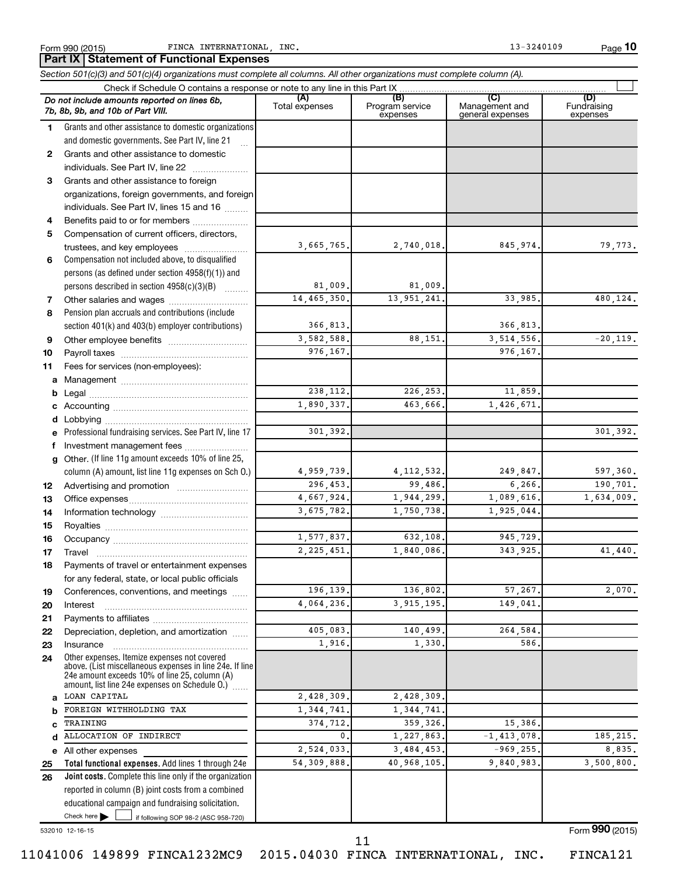**10**

|        | Part IX   Statement of Functional Expenses                                                                                                                                                                  |                       |                        |                       |                    |
|--------|-------------------------------------------------------------------------------------------------------------------------------------------------------------------------------------------------------------|-----------------------|------------------------|-----------------------|--------------------|
|        | Section 501(c)(3) and 501(c)(4) organizations must complete all columns. All other organizations must complete column (A).                                                                                  |                       |                        |                       |                    |
|        | Check if Schedule O contains a response or note to any line in this Part IX<br>Do not include amounts reported on lines 6b,                                                                                 | (A)<br>Total expenses | (B)<br>Program service | (C)<br>Management and | (D)<br>Fundraising |
|        | 7b, 8b, 9b, and 10b of Part VIII.                                                                                                                                                                           |                       | expenses               | general expenses      | expenses           |
| 1      | Grants and other assistance to domestic organizations                                                                                                                                                       |                       |                        |                       |                    |
|        | and domestic governments. See Part IV, line 21                                                                                                                                                              |                       |                        |                       |                    |
| 2      | Grants and other assistance to domestic                                                                                                                                                                     |                       |                        |                       |                    |
|        | individuals. See Part IV, line 22<br>$\overline{\phantom{a}}$                                                                                                                                               |                       |                        |                       |                    |
| 3      | Grants and other assistance to foreign                                                                                                                                                                      |                       |                        |                       |                    |
|        | organizations, foreign governments, and foreign                                                                                                                                                             |                       |                        |                       |                    |
|        | individuals. See Part IV, lines 15 and 16                                                                                                                                                                   |                       |                        |                       |                    |
| 4<br>5 | Benefits paid to or for members<br>Compensation of current officers, directors,                                                                                                                             |                       |                        |                       |                    |
|        | trustees, and key employees                                                                                                                                                                                 | 3,665,765.            | 2,740,018.             | 845,974.              | 79,773.            |
| 6      | Compensation not included above, to disqualified                                                                                                                                                            |                       |                        |                       |                    |
|        | persons (as defined under section 4958(f)(1)) and                                                                                                                                                           |                       |                        |                       |                    |
|        | persons described in section 4958(c)(3)(B)                                                                                                                                                                  | 81,009.               | 81.009.                |                       |                    |
| 7      |                                                                                                                                                                                                             | 14, 465, 350.         | 13, 951, 241.          | 33,985.               | 480,124.           |
| 8      | Pension plan accruals and contributions (include                                                                                                                                                            |                       |                        |                       |                    |
|        | section 401(k) and 403(b) employer contributions)                                                                                                                                                           | 366,813.              |                        | 366,813.              |                    |
| 9      |                                                                                                                                                                                                             | 3,582,588.            | 88,151.                | 3,514,556.            | $-20,119.$         |
| 10     |                                                                                                                                                                                                             | 976,167.              |                        | 976,167.              |                    |
| 11     | Fees for services (non-employees):                                                                                                                                                                          |                       |                        |                       |                    |
| а      |                                                                                                                                                                                                             |                       |                        |                       |                    |
| b      |                                                                                                                                                                                                             | 238,112.              | 226, 253.              | 11,859.               |                    |
|        |                                                                                                                                                                                                             | 1,890,337.            | 463,666.               | 1,426,671.            |                    |
| d      |                                                                                                                                                                                                             |                       |                        |                       |                    |
|        | Professional fundraising services. See Part IV, line 17                                                                                                                                                     | 301,392.              |                        |                       | 301,392.           |
| f      | Investment management fees                                                                                                                                                                                  |                       |                        |                       |                    |
| g      | Other. (If line 11g amount exceeds 10% of line 25,                                                                                                                                                          |                       |                        |                       |                    |
|        | column (A) amount, list line 11g expenses on Sch O.)                                                                                                                                                        | 4,959,739.            | 4, 112, 532.           | 249,847.              | 597,360.           |
| 12     |                                                                                                                                                                                                             | 296,453.              | 99,486.                | 6,266.                | 190,701.           |
| 13     |                                                                                                                                                                                                             | 4,667,924.            | 1,944,299.             | 1,089,616.            | 1,634,009.         |
| 14     |                                                                                                                                                                                                             | 3,675,782.            | 1,750,738.             | 1,925,044.            |                    |
| 15     |                                                                                                                                                                                                             |                       |                        |                       |                    |
| 16     |                                                                                                                                                                                                             | 1,577,837.            | 632,108.               | 945,729.              |                    |
| 17     | Travel                                                                                                                                                                                                      | 2, 225, 451.          | 1,840,086.             | 343,925.              | 41,440.            |
| 18     | Payments of travel or entertainment expenses                                                                                                                                                                |                       |                        |                       |                    |
|        | for any federal, state, or local public officials                                                                                                                                                           |                       |                        |                       |                    |
| 19     | Conferences, conventions, and meetings                                                                                                                                                                      | 196,139.              | 136,802.               | 57,267.               | 2,070.             |
| 20     | Interest                                                                                                                                                                                                    | 4,064,236.            | 3, 915, 195.           | 149,041               |                    |
| 21     |                                                                                                                                                                                                             |                       |                        |                       |                    |
| 22     | Depreciation, depletion, and amortization                                                                                                                                                                   | 405,083.              | 140,499.               | 264,584.              |                    |
| 23     | Insurance                                                                                                                                                                                                   | 1,916.                | 1,330.                 | 586.                  |                    |
| 24     | Other expenses. Itemize expenses not covered<br>above. (List miscellaneous expenses in line 24e. If line<br>24e amount exceeds 10% of line 25, column (A)<br>amount, list line 24e expenses on Schedule O.) |                       |                        |                       |                    |
| a      | LOAN CAPITAL                                                                                                                                                                                                | 2,428,309.            | 2,428,309.             |                       |                    |
| b      | FOREIGN WITHHOLDING TAX                                                                                                                                                                                     | 1, 344, 741.          | 1,344,741.             |                       |                    |
| C      | TRAINING                                                                                                                                                                                                    | 374,712.              | 359, 326.              | 15,386.               |                    |
| d      | ALLOCATION OF INDIRECT                                                                                                                                                                                      | 0,                    | 1,227,863.             | $-1, 413, 078.$       | 185, 215.          |
|        | e All other expenses                                                                                                                                                                                        | 2,524,033.            | 3,484,453.             | $-969, 255.$          | 8,835.             |
| 25     | Total functional expenses. Add lines 1 through 24e                                                                                                                                                          | 54, 309, 888.         | 40,968,105.            | 9,840,983.            | 3,500,800.         |
| 26     | <b>Joint costs.</b> Complete this line only if the organization                                                                                                                                             |                       |                        |                       |                    |
|        | reported in column (B) joint costs from a combined                                                                                                                                                          |                       |                        |                       |                    |
|        | educational campaign and fundraising solicitation.                                                                                                                                                          |                       |                        |                       |                    |
|        | Check here<br>if following SOP 98-2 (ASC 958-720)                                                                                                                                                           |                       |                        |                       |                    |

532010 12-16-15

Form (2015) **990**

11041006 149899 FINCA1232MC9 2015.04030 FINCA INTERNATIONAL, INC. FINCA121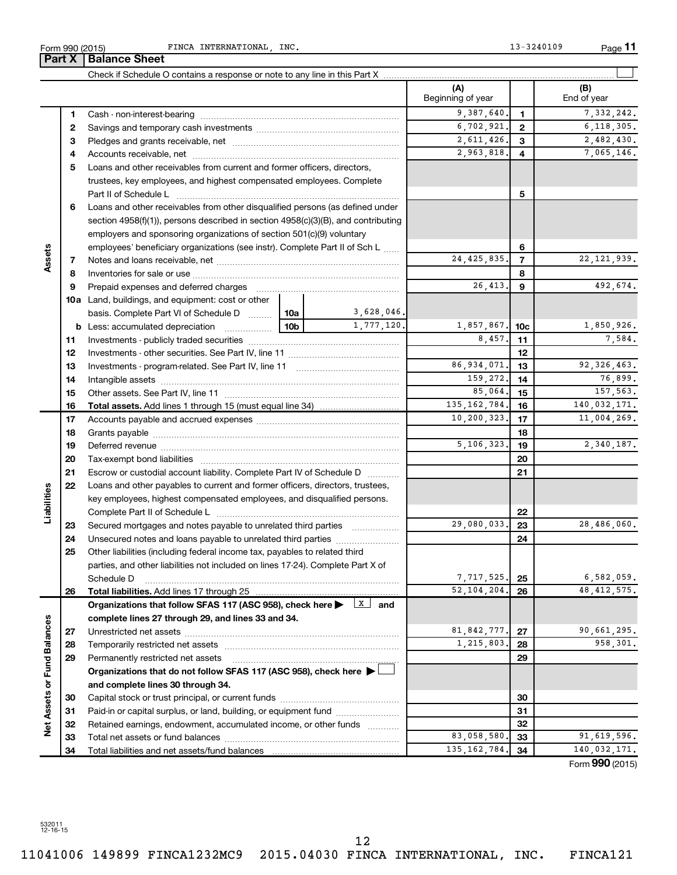532011 12-16-15

11041006 149899 FINCA1232MC9 2015.04030 FINCA INTERNATIONAL, INC. FINCA121 12

Form 990 (2015) FINCA INTERNATIONAL, INC. The extended of the contract of the contract of the Page **Part X Balance Sheet** 

|                             |    |                                                                                                                                                                                                                                |                 |                         | (A)<br>Beginning of year |                | (B)<br>End of year |
|-----------------------------|----|--------------------------------------------------------------------------------------------------------------------------------------------------------------------------------------------------------------------------------|-----------------|-------------------------|--------------------------|----------------|--------------------|
|                             | 1  |                                                                                                                                                                                                                                |                 |                         | 9,387,640.               | 1              | 7,332,242.         |
|                             | 2  |                                                                                                                                                                                                                                |                 |                         | 6,702,921.               | $\mathbf{2}$   | 6, 118, 305.       |
|                             | З  |                                                                                                                                                                                                                                |                 |                         | 2,611,426.               | 3              | 2,482,430.         |
|                             | 4  |                                                                                                                                                                                                                                |                 |                         | 2,963,818.               | 4              | 7,065,146.         |
|                             | 5  | Loans and other receivables from current and former officers, directors,                                                                                                                                                       |                 |                         |                          |                |                    |
|                             |    | trustees, key employees, and highest compensated employees. Complete                                                                                                                                                           |                 |                         |                          |                |                    |
|                             |    | Part II of Schedule Latin and Communication of Schedule Latin and Communication of Schedule Latin and Schedule                                                                                                                 |                 |                         |                          | 5              |                    |
|                             | 6  | Loans and other receivables from other disqualified persons (as defined under                                                                                                                                                  |                 |                         |                          |                |                    |
|                             |    | section 4958(f)(1)), persons described in section 4958(c)(3)(B), and contributing                                                                                                                                              |                 |                         |                          |                |                    |
|                             |    | employers and sponsoring organizations of section 501(c)(9) voluntary                                                                                                                                                          |                 |                         |                          |                |                    |
|                             |    | employees' beneficiary organizations (see instr). Complete Part II of Sch L                                                                                                                                                    |                 |                         |                          | 6              |                    |
| Assets                      | 7  |                                                                                                                                                                                                                                |                 |                         | 24, 425, 835.            | $\overline{7}$ | 22, 121, 939.      |
|                             | 8  |                                                                                                                                                                                                                                |                 |                         |                          | 8              |                    |
|                             | 9  | Prepaid expenses and deferred charges                                                                                                                                                                                          |                 |                         | 26,413.                  | 9              | 492,674.           |
|                             |    | 10a Land, buildings, and equipment: cost or other                                                                                                                                                                              |                 |                         |                          |                |                    |
|                             |    | basis. Complete Part VI of Schedule D                                                                                                                                                                                          | 10a             | 3,628,046.              |                          |                |                    |
|                             |    | <b>b</b> Less: accumulated depreciation                                                                                                                                                                                        | 10 <sub>b</sub> | 1,777,120.              | 1,857,867.               | 10c            | 1,850,926.         |
|                             | 11 |                                                                                                                                                                                                                                |                 |                         | 8,457.                   | 11             | 7,584.             |
|                             | 12 |                                                                                                                                                                                                                                |                 |                         |                          | 12             |                    |
|                             | 13 |                                                                                                                                                                                                                                |                 |                         | 86,934,071.              | 13             | 92, 326, 463.      |
|                             | 14 |                                                                                                                                                                                                                                |                 |                         | 159,272.                 | 14             | 76,899.            |
|                             | 15 |                                                                                                                                                                                                                                |                 |                         | 85,064.                  | 15             | 157,563.           |
|                             | 16 |                                                                                                                                                                                                                                |                 |                         | 135, 162, 784.           | 16             | 140,032,171.       |
|                             | 17 |                                                                                                                                                                                                                                |                 |                         | 10, 200, 323.            | 17             | 11,004,269.        |
|                             | 18 |                                                                                                                                                                                                                                |                 |                         |                          | 18             |                    |
|                             | 19 | Deferred revenue manual contracts and contracts are all the contracts and contracts are contracted and contracts are contracted and contract are contracted and contract are contracted and contract are contracted and contra |                 |                         | 5,106,323.               | 19             | 2,340,187.         |
|                             | 20 |                                                                                                                                                                                                                                |                 |                         |                          | 20             |                    |
|                             | 21 | Escrow or custodial account liability. Complete Part IV of Schedule D                                                                                                                                                          |                 |                         |                          | 21             |                    |
|                             | 22 | Loans and other payables to current and former officers, directors, trustees,                                                                                                                                                  |                 |                         |                          |                |                    |
| Liabilities                 |    | key employees, highest compensated employees, and disqualified persons.                                                                                                                                                        |                 |                         |                          |                |                    |
|                             |    |                                                                                                                                                                                                                                |                 |                         |                          | 22             |                    |
|                             | 23 | Secured mortgages and notes payable to unrelated third parties                                                                                                                                                                 |                 |                         | 29,080,033.              | 23             | 28,486,060.        |
|                             | 24 | Unsecured notes and loans payable to unrelated third parties                                                                                                                                                                   |                 |                         |                          | 24             |                    |
|                             | 25 | Other liabilities (including federal income tax, payables to related third                                                                                                                                                     |                 |                         |                          |                |                    |
|                             |    | parties, and other liabilities not included on lines 17-24). Complete Part X of                                                                                                                                                |                 |                         |                          |                |                    |
|                             |    | Schedule D                                                                                                                                                                                                                     |                 |                         | 7,717,525.               | 25             | 6,582,059.         |
|                             | 26 |                                                                                                                                                                                                                                |                 |                         | 52, 104, 204.            | 26             | 48, 412, 575.      |
|                             |    | Organizations that follow SFAS 117 (ASC 958), check here >                                                                                                                                                                     |                 | $\lfloor x \rfloor$ and |                          |                |                    |
|                             |    | complete lines 27 through 29, and lines 33 and 34.                                                                                                                                                                             |                 |                         |                          |                |                    |
|                             | 27 |                                                                                                                                                                                                                                |                 |                         | 81, 842, 777.            | 27             | 90,661,295.        |
|                             | 28 |                                                                                                                                                                                                                                |                 |                         | 1,215,803.               | 28             | 958,301.           |
|                             | 29 | Permanently restricted net assets                                                                                                                                                                                              |                 |                         |                          | 29             |                    |
|                             |    | Organizations that do not follow SFAS 117 (ASC 958), check here ▶                                                                                                                                                              |                 |                         |                          |                |                    |
| Net Assets or Fund Balances |    | and complete lines 30 through 34.                                                                                                                                                                                              |                 |                         |                          |                |                    |
|                             | 30 |                                                                                                                                                                                                                                |                 |                         |                          | 30             |                    |
|                             | 31 | Paid-in or capital surplus, or land, building, or equipment fund                                                                                                                                                               |                 |                         |                          | 31             |                    |
|                             | 32 | Retained earnings, endowment, accumulated income, or other funds                                                                                                                                                               |                 |                         |                          | 32             |                    |
|                             | 33 |                                                                                                                                                                                                                                |                 |                         | 83,058,580.              | 33             | 91,619,596.        |
|                             | 34 |                                                                                                                                                                                                                                |                 |                         | 135, 162, 784.           | 34             | 140,032,171.       |

Form (2015) **990**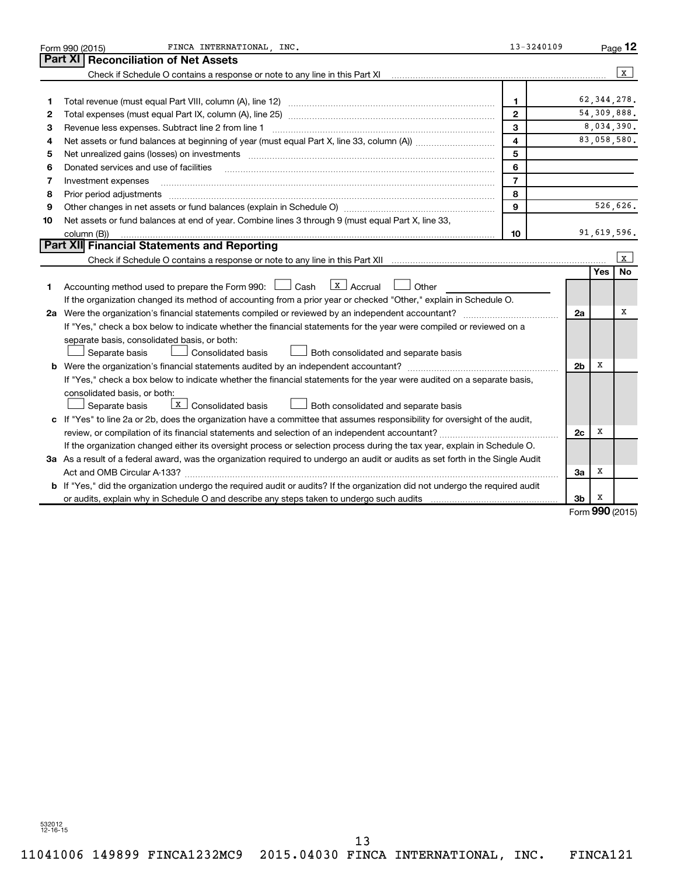|    | FINCA INTERNATIONAL INC.<br>Form 990 (2015)                                                                                                                                                                                    | 13-3240109              |                |                          | Page 12       |
|----|--------------------------------------------------------------------------------------------------------------------------------------------------------------------------------------------------------------------------------|-------------------------|----------------|--------------------------|---------------|
|    | Part XI<br><b>Reconciliation of Net Assets</b>                                                                                                                                                                                 |                         |                |                          |               |
|    | Check if Schedule O contains a response or note to any line in this Part XI                                                                                                                                                    |                         |                |                          | $\mathbf{x}$  |
|    |                                                                                                                                                                                                                                |                         |                |                          |               |
| 1  |                                                                                                                                                                                                                                | $\mathbf{1}$            |                |                          | 62, 344, 278. |
| 2  |                                                                                                                                                                                                                                | $\mathbf{2}$            |                |                          | 54,309,888.   |
| З  | Revenue less expenses. Subtract line 2 from line 1                                                                                                                                                                             | 3                       |                |                          | 8,034,390.    |
| 4  |                                                                                                                                                                                                                                | $\overline{\mathbf{4}}$ |                |                          | 83,058,580.   |
| 5  | Net unrealized gains (losses) on investments [11] matter in the contract of the state of the state of the state of the state of the state of the state of the state of the state of the state of the state of the state of the | 5                       |                |                          |               |
| 6  | Donated services and use of facilities                                                                                                                                                                                         | 6                       |                |                          |               |
| 7  | Investment expenses                                                                                                                                                                                                            | $\overline{7}$          |                |                          |               |
| 8  | Prior period adjustments www.communication.communication.communication.com/                                                                                                                                                    | 8                       |                |                          |               |
| 9  |                                                                                                                                                                                                                                | 9                       |                |                          | 526,626.      |
| 10 | Net assets or fund balances at end of year. Combine lines 3 through 9 (must equal Part X, line 33,                                                                                                                             |                         |                |                          |               |
|    | column (B))                                                                                                                                                                                                                    | 10                      |                |                          | 91,619,596.   |
|    | Part XII Financial Statements and Reporting                                                                                                                                                                                    |                         |                |                          |               |
|    |                                                                                                                                                                                                                                |                         |                |                          | l x           |
|    |                                                                                                                                                                                                                                |                         |                | <b>Yes</b>               | No            |
| 1. | $\boxed{\text{X}}$ Accrual<br>Accounting method used to prepare the Form 990: $\Box$ Cash<br>Other                                                                                                                             |                         |                |                          |               |
|    | If the organization changed its method of accounting from a prior year or checked "Other," explain in Schedule O.                                                                                                              |                         |                |                          |               |
|    | 2a Were the organization's financial statements compiled or reviewed by an independent accountant?                                                                                                                             |                         | 2a             |                          | x             |
|    | If "Yes," check a box below to indicate whether the financial statements for the year were compiled or reviewed on a                                                                                                           |                         |                |                          |               |
|    | separate basis, consolidated basis, or both:                                                                                                                                                                                   |                         |                |                          |               |
|    | Both consolidated and separate basis<br>Separate basis<br>Consolidated basis                                                                                                                                                   |                         |                |                          |               |
|    |                                                                                                                                                                                                                                |                         | 2 <sub>b</sub> | х                        |               |
|    | If "Yes," check a box below to indicate whether the financial statements for the year were audited on a separate basis,                                                                                                        |                         |                |                          |               |
|    | consolidated basis, or both:                                                                                                                                                                                                   |                         |                |                          |               |
|    | $\overline{\mathbf{x}}$ Consolidated basis<br>Both consolidated and separate basis<br>Separate basis                                                                                                                           |                         |                |                          |               |
|    | c If "Yes" to line 2a or 2b, does the organization have a committee that assumes responsibility for oversight of the audit,                                                                                                    |                         |                |                          |               |
|    | review, or compilation of its financial statements and selection of an independent accountant?                                                                                                                                 |                         | 2c             | x                        |               |
|    | If the organization changed either its oversight process or selection process during the tax year, explain in Schedule O.                                                                                                      |                         |                |                          |               |
|    | 3a As a result of a federal award, was the organization required to undergo an audit or audits as set forth in the Single Audit                                                                                                |                         |                |                          |               |
|    | Act and OMB Circular A-133?                                                                                                                                                                                                    |                         | За             | х                        |               |
|    | <b>b</b> If "Yes," did the organization undergo the required audit or audits? If the organization did not undergo the required audit                                                                                           |                         |                |                          |               |
|    |                                                                                                                                                                                                                                |                         | 3b             | х<br>$000 \text{ hours}$ |               |

Form (2015) **990**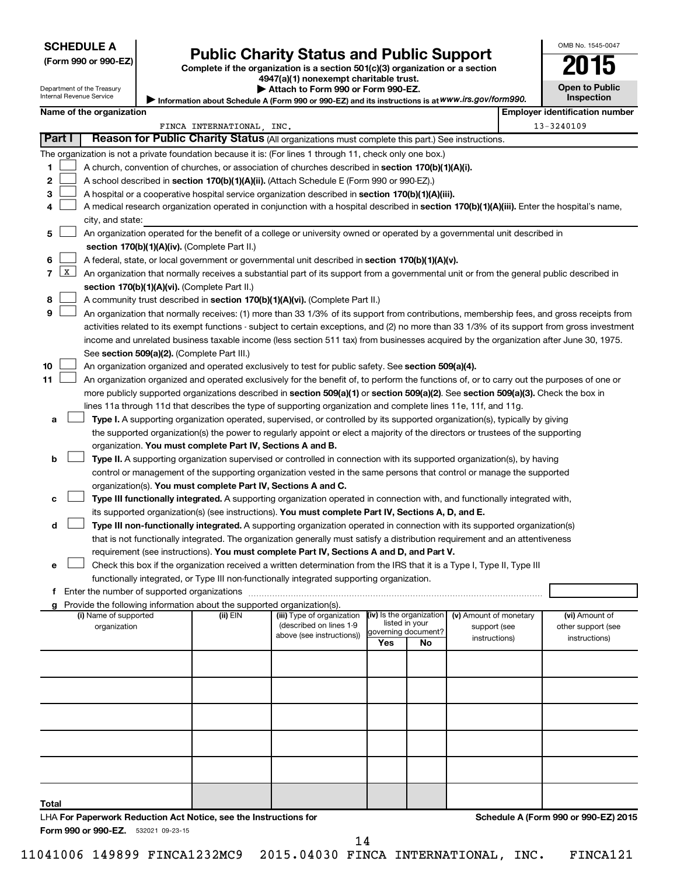### **SCHEDULE A**

# **Public Charity Status and Public Support** 2015

**(Form 990 or 990-EZ) Complete if the organization is a section 501(c)(3) organization or a section 4947(a)(1) nonexempt charitable trust.**

| LU<br>IJ              |  |
|-----------------------|--|
| <b>Open to Public</b> |  |
| <b>Inspection</b>     |  |

OMB No. 1545-0047

Department of the Treasury Internal Revenue Service

|                                                                                                   | Attach to Form 990 or Form 990-EZ. |  |
|---------------------------------------------------------------------------------------------------|------------------------------------|--|
| Information about Schedule A (Form 990 or 990-EZ) and its instructions is at WWW.irs.gov/form990. |                                    |  |

|    |                     | Name of the organization                                                                                                                                                                                                       |                           |                            |                          |                |                        | <b>Employer identification number</b> |
|----|---------------------|--------------------------------------------------------------------------------------------------------------------------------------------------------------------------------------------------------------------------------|---------------------------|----------------------------|--------------------------|----------------|------------------------|---------------------------------------|
|    |                     |                                                                                                                                                                                                                                | FINCA INTERNATIONAL, INC. |                            |                          |                |                        | 13-3240109                            |
|    | Part I              | Reason for Public Charity Status (All organizations must complete this part.) See instructions.                                                                                                                                |                           |                            |                          |                |                        |                                       |
|    |                     | The organization is not a private foundation because it is: (For lines 1 through 11, check only one box.)                                                                                                                      |                           |                            |                          |                |                        |                                       |
| 1  |                     | A church, convention of churches, or association of churches described in section 170(b)(1)(A)(i).                                                                                                                             |                           |                            |                          |                |                        |                                       |
| 2  |                     | A school described in section 170(b)(1)(A)(ii). (Attach Schedule E (Form 990 or 990-EZ).)                                                                                                                                      |                           |                            |                          |                |                        |                                       |
| з  |                     | A hospital or a cooperative hospital service organization described in section 170(b)(1)(A)(iii).                                                                                                                              |                           |                            |                          |                |                        |                                       |
|    |                     | A medical research organization operated in conjunction with a hospital described in section 170(b)(1)(A)(iii). Enter the hospital's name,                                                                                     |                           |                            |                          |                |                        |                                       |
|    |                     | city, and state:                                                                                                                                                                                                               |                           |                            |                          |                |                        |                                       |
| 5  |                     | An organization operated for the benefit of a college or university owned or operated by a governmental unit described in                                                                                                      |                           |                            |                          |                |                        |                                       |
|    |                     | section 170(b)(1)(A)(iv). (Complete Part II.)                                                                                                                                                                                  |                           |                            |                          |                |                        |                                       |
| 6  |                     | A federal, state, or local government or governmental unit described in section 170(b)(1)(A)(v).                                                                                                                               |                           |                            |                          |                |                        |                                       |
| 7  | $\lfloor x \rfloor$ | An organization that normally receives a substantial part of its support from a governmental unit or from the general public described in                                                                                      |                           |                            |                          |                |                        |                                       |
|    |                     | section 170(b)(1)(A)(vi). (Complete Part II.)                                                                                                                                                                                  |                           |                            |                          |                |                        |                                       |
| 8  |                     | A community trust described in section 170(b)(1)(A)(vi). (Complete Part II.)                                                                                                                                                   |                           |                            |                          |                |                        |                                       |
| 9  |                     | An organization that normally receives: (1) more than 33 1/3% of its support from contributions, membership fees, and gross receipts from                                                                                      |                           |                            |                          |                |                        |                                       |
|    |                     | activities related to its exempt functions - subject to certain exceptions, and (2) no more than 33 1/3% of its support from gross investment                                                                                  |                           |                            |                          |                |                        |                                       |
|    |                     | income and unrelated business taxable income (less section 511 tax) from businesses acquired by the organization after June 30, 1975.                                                                                          |                           |                            |                          |                |                        |                                       |
|    |                     | See section 509(a)(2). (Complete Part III.)                                                                                                                                                                                    |                           |                            |                          |                |                        |                                       |
| 10 |                     | An organization organized and operated exclusively to test for public safety. See section 509(a)(4).                                                                                                                           |                           |                            |                          |                |                        |                                       |
| 11 |                     | An organization organized and operated exclusively for the benefit of, to perform the functions of, or to carry out the purposes of one or                                                                                     |                           |                            |                          |                |                        |                                       |
|    |                     | more publicly supported organizations described in section 509(a)(1) or section 509(a)(2). See section 509(a)(3). Check the box in                                                                                             |                           |                            |                          |                |                        |                                       |
|    |                     | lines 11a through 11d that describes the type of supporting organization and complete lines 11e, 11f, and 11g.                                                                                                                 |                           |                            |                          |                |                        |                                       |
| а  |                     | Type I. A supporting organization operated, supervised, or controlled by its supported organization(s), typically by giving                                                                                                    |                           |                            |                          |                |                        |                                       |
|    |                     | the supported organization(s) the power to regularly appoint or elect a majority of the directors or trustees of the supporting                                                                                                |                           |                            |                          |                |                        |                                       |
|    |                     | organization. You must complete Part IV, Sections A and B.                                                                                                                                                                     |                           |                            |                          |                |                        |                                       |
| b  |                     | Type II. A supporting organization supervised or controlled in connection with its supported organization(s), by having                                                                                                        |                           |                            |                          |                |                        |                                       |
|    |                     | control or management of the supporting organization vested in the same persons that control or manage the supported                                                                                                           |                           |                            |                          |                |                        |                                       |
|    |                     | organization(s). You must complete Part IV, Sections A and C.                                                                                                                                                                  |                           |                            |                          |                |                        |                                       |
| с  |                     | Type III functionally integrated. A supporting organization operated in connection with, and functionally integrated with,                                                                                                     |                           |                            |                          |                |                        |                                       |
|    |                     | its supported organization(s) (see instructions). You must complete Part IV, Sections A, D, and E.                                                                                                                             |                           |                            |                          |                |                        |                                       |
| d  |                     | Type III non-functionally integrated. A supporting organization operated in connection with its supported organization(s)                                                                                                      |                           |                            |                          |                |                        |                                       |
|    |                     | that is not functionally integrated. The organization generally must satisfy a distribution requirement and an attentiveness                                                                                                   |                           |                            |                          |                |                        |                                       |
|    |                     | requirement (see instructions). You must complete Part IV, Sections A and D, and Part V.                                                                                                                                       |                           |                            |                          |                |                        |                                       |
| е  |                     | Check this box if the organization received a written determination from the IRS that it is a Type I, Type II, Type III                                                                                                        |                           |                            |                          |                |                        |                                       |
|    |                     | functionally integrated, or Type III non-functionally integrated supporting organization.                                                                                                                                      |                           |                            |                          |                |                        |                                       |
|    |                     | f Enter the number of supported organizations [111] [12] content to the number of supported organizations [11] [12] content to the number of supported organizations [11] [12] content to the number of supported or supported |                           |                            |                          |                |                        |                                       |
|    |                     | <b>g</b> Provide the following information about the supported organization(s).<br>(i) Name of supported                                                                                                                       | (ii) EIN                  | (iii) Type of organization | (iv) Is the organization |                | (v) Amount of monetary | (vi) Amount of                        |
|    |                     | organization                                                                                                                                                                                                                   |                           | (described on lines 1-9    | governing document?      | listed in your | support (see           | other support (see                    |
|    |                     |                                                                                                                                                                                                                                |                           | above (see instructions))  | Yes                      | No             | instructions)          | instructions)                         |
|    |                     |                                                                                                                                                                                                                                |                           |                            |                          |                |                        |                                       |
|    |                     |                                                                                                                                                                                                                                |                           |                            |                          |                |                        |                                       |
|    |                     |                                                                                                                                                                                                                                |                           |                            |                          |                |                        |                                       |
|    |                     |                                                                                                                                                                                                                                |                           |                            |                          |                |                        |                                       |
|    |                     |                                                                                                                                                                                                                                |                           |                            |                          |                |                        |                                       |

**Total**

**Schedule A (Form 990 or 990-EZ) 2015**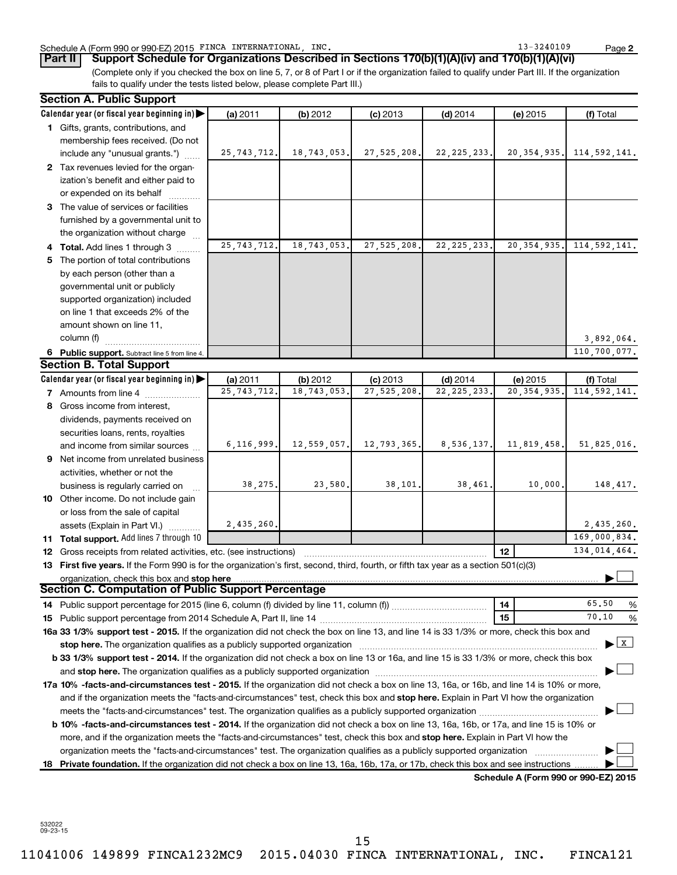### Schedule A (Form 990 or 990-EZ) 2015 FINCA INTERNATIONAL, INC. 13 = 13-3240109 Page

**2**

(Complete only if you checked the box on line 5, 7, or 8 of Part I or if the organization failed to qualify under Part III. If the organization fails to qualify under the tests listed below, please complete Part III.) **Part II Support Schedule for Organizations Described in Sections 170(b)(1)(A)(iv) and 170(b)(1)(A)(vi)**

|   | <b>Section A. Public Support</b>                                                                                                                  |               |             |               |               |                                      |                                           |
|---|---------------------------------------------------------------------------------------------------------------------------------------------------|---------------|-------------|---------------|---------------|--------------------------------------|-------------------------------------------|
|   | Calendar year (or fiscal year beginning in)                                                                                                       | (a) 2011      | (b) 2012    | $(c)$ 2013    | $(d)$ 2014    | (e) 2015                             | (f) Total                                 |
|   | 1 Gifts, grants, contributions, and                                                                                                               |               |             |               |               |                                      |                                           |
|   | membership fees received. (Do not                                                                                                                 |               |             |               |               |                                      |                                           |
|   | include any "unusual grants.")                                                                                                                    | 25, 743, 712. | 18,743,053. | 27, 525, 208. | 22, 225, 233. | 20, 354, 935.                        | 114,592,141.                              |
|   | 2 Tax revenues levied for the organ-                                                                                                              |               |             |               |               |                                      |                                           |
|   | ization's benefit and either paid to                                                                                                              |               |             |               |               |                                      |                                           |
|   | or expended on its behalf                                                                                                                         |               |             |               |               |                                      |                                           |
|   | 3 The value of services or facilities                                                                                                             |               |             |               |               |                                      |                                           |
|   | furnished by a governmental unit to                                                                                                               |               |             |               |               |                                      |                                           |
|   | the organization without charge                                                                                                                   |               |             |               |               |                                      |                                           |
|   | 4 Total. Add lines 1 through 3                                                                                                                    | 25, 743, 712. | 18,743,053. | 27, 525, 208. | 22, 225, 233. | 20, 354, 935.                        | 114, 592, 141.                            |
|   | 5 The portion of total contributions                                                                                                              |               |             |               |               |                                      |                                           |
|   | by each person (other than a                                                                                                                      |               |             |               |               |                                      |                                           |
|   | governmental unit or publicly                                                                                                                     |               |             |               |               |                                      |                                           |
|   | supported organization) included                                                                                                                  |               |             |               |               |                                      |                                           |
|   | on line 1 that exceeds 2% of the                                                                                                                  |               |             |               |               |                                      |                                           |
|   | amount shown on line 11,                                                                                                                          |               |             |               |               |                                      |                                           |
|   | column (f)                                                                                                                                        |               |             |               |               |                                      | 3,892,064.                                |
|   | 6 Public support. Subtract line 5 from line 4.                                                                                                    |               |             |               |               |                                      | 110,700,077.                              |
|   | <b>Section B. Total Support</b>                                                                                                                   |               |             |               |               |                                      |                                           |
|   | Calendar year (or fiscal year beginning in)                                                                                                       | (a) 2011      | (b) 2012    | $(c)$ 2013    | $(d)$ 2014    | (e) 2015                             | (f) Total                                 |
|   | 7 Amounts from line 4                                                                                                                             | 25, 743, 712. | 18,743,053  | 27,525,208.   | 22, 225, 233  | 20, 354, 935.                        | 114, 592, 141.                            |
|   | 8 Gross income from interest,                                                                                                                     |               |             |               |               |                                      |                                           |
|   | dividends, payments received on                                                                                                                   |               |             |               |               |                                      |                                           |
|   | securities loans, rents, royalties                                                                                                                |               |             |               |               |                                      |                                           |
|   | and income from similar sources                                                                                                                   | 6, 116, 999.  | 12,559,057. | 12,793,365.   | 8,536,137.    | 11,819,458.                          | 51,825,016.                               |
| 9 | Net income from unrelated business                                                                                                                |               |             |               |               |                                      |                                           |
|   | activities, whether or not the                                                                                                                    |               |             |               |               |                                      |                                           |
|   | business is regularly carried on                                                                                                                  | 38,275.       | 23,580.     | 38,101.       | 38,461.       | 10,000.                              | 148, 417.                                 |
|   | 10 Other income. Do not include gain                                                                                                              |               |             |               |               |                                      |                                           |
|   | or loss from the sale of capital                                                                                                                  |               |             |               |               |                                      |                                           |
|   | assets (Explain in Part VI.)                                                                                                                      | 2,435,260.    |             |               |               |                                      | 2,435,260.                                |
|   | 11 Total support. Add lines 7 through 10                                                                                                          |               |             |               |               |                                      | 169,000,834.                              |
|   | 12 Gross receipts from related activities, etc. (see instructions)                                                                                |               |             |               |               | 12                                   | 134,014,464.                              |
|   | 13 First five years. If the Form 990 is for the organization's first, second, third, fourth, or fifth tax year as a section 501(c)(3)             |               |             |               |               |                                      |                                           |
|   | organization, check this box and stop here                                                                                                        |               |             |               |               |                                      |                                           |
|   | Section C. Computation of Public Support Percentage                                                                                               |               |             |               |               |                                      |                                           |
|   |                                                                                                                                                   |               |             |               |               | 14                                   | 65.50<br>%                                |
|   |                                                                                                                                                   |               |             |               |               | 15                                   | 70.10<br>%                                |
|   | 16a 33 1/3% support test - 2015. If the organization did not check the box on line 13, and line 14 is 33 1/3% or more, check this box and         |               |             |               |               |                                      |                                           |
|   |                                                                                                                                                   |               |             |               |               |                                      | $\blacktriangleright$ $\lfloor x \rfloor$ |
|   | b 33 1/3% support test - 2014. If the organization did not check a box on line 13 or 16a, and line 15 is 33 1/3% or more, check this box          |               |             |               |               |                                      |                                           |
|   |                                                                                                                                                   |               |             |               |               |                                      |                                           |
|   | <b>17a 10% -facts-and-circumstances test - 2015.</b> If the organization did not check a box on line 13, 16a, or 16b, and line 14 is 10% or more, |               |             |               |               |                                      |                                           |
|   | and if the organization meets the "facts-and-circumstances" test, check this box and stop here. Explain in Part VI how the organization           |               |             |               |               |                                      |                                           |
|   |                                                                                                                                                   |               |             |               |               |                                      |                                           |
|   | <b>b 10% -facts-and-circumstances test - 2014.</b> If the organization did not check a box on line 13, 16a, 16b, or 17a, and line 15 is 10% or    |               |             |               |               |                                      |                                           |
|   | more, and if the organization meets the "facts-and-circumstances" test, check this box and stop here. Explain in Part VI how the                  |               |             |               |               |                                      |                                           |
|   | organization meets the "facts-and-circumstances" test. The organization qualifies as a publicly supported organization                            |               |             |               |               |                                      |                                           |
|   | 18 Private foundation. If the organization did not check a box on line 13, 16a, 16b, 17a, or 17b, check this box and see instructions             |               |             |               |               |                                      |                                           |
|   |                                                                                                                                                   |               |             |               |               | Schedule A (Form 990 or 990-EZ) 2015 |                                           |

532022 09-23-15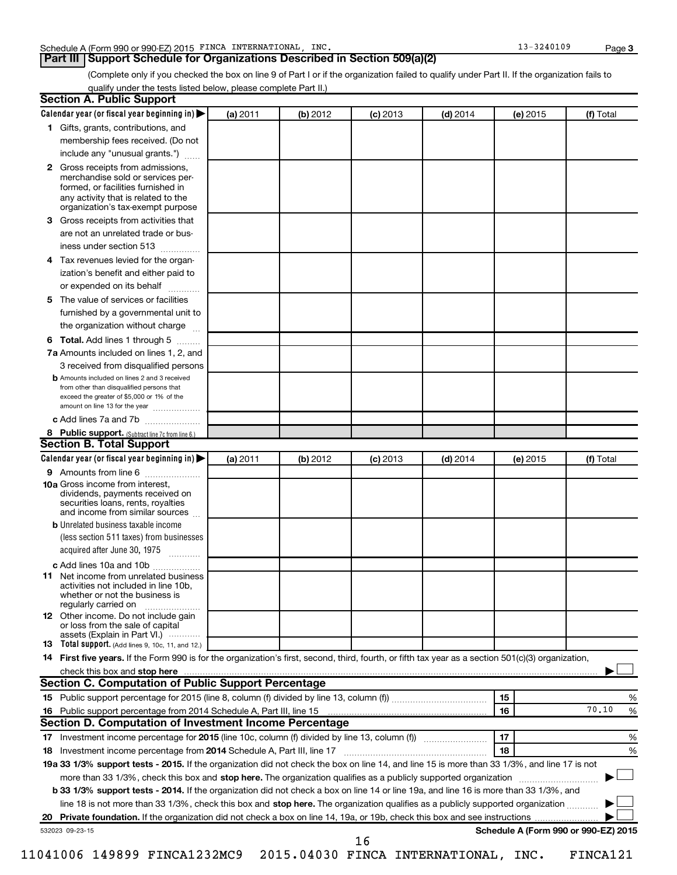### **Part III Support Schedule for Organizations Described in Section 509(a)(2)**

(Complete only if you checked the box on line 9 of Part I or if the organization failed to qualify under Part II. If the organization fails to qualify under the tests listed below, please complete Part II.)

| Calendar year (or fiscal year beginning in)<br>(a) 2011<br>(b) 2012<br>$(d)$ 2014<br>(f) Total<br>$(c)$ 2013<br>(e) 2015<br>1 Gifts, grants, contributions, and<br>membership fees received. (Do not<br>include any "unusual grants.")<br>2 Gross receipts from admissions,<br>merchandise sold or services per-<br>formed, or facilities furnished in<br>any activity that is related to the<br>organization's tax-exempt purpose<br><b>3</b> Gross receipts from activities that<br>are not an unrelated trade or bus-<br>iness under section 513<br>4 Tax revenues levied for the organ-<br>ization's benefit and either paid to<br>or expended on its behalf<br>5 The value of services or facilities<br>furnished by a governmental unit to<br>the organization without charge<br><b>6 Total.</b> Add lines 1 through 5<br>7a Amounts included on lines 1, 2, and<br>3 received from disqualified persons<br><b>b</b> Amounts included on lines 2 and 3 received<br>from other than disqualified persons that<br>exceed the greater of \$5,000 or 1% of the<br>amount on line 13 for the year<br>c Add lines 7a and 7b<br>8 Public support. (Subtract line 7c from line 6.)<br><b>Section B. Total Support</b><br>Calendar year (or fiscal year beginning in)<br>(a) 2011<br>(b) 2012<br>$(c)$ 2013<br>$(d)$ 2014<br>(f) Total<br>(e) 2015<br><b>9</b> Amounts from line 6<br><b>10a</b> Gross income from interest,<br>dividends, payments received on<br>securities loans, rents, royalties<br>and income from similar sources<br><b>b</b> Unrelated business taxable income<br>(less section 511 taxes) from businesses<br>acquired after June 30, 1975<br>c Add lines 10a and 10b<br><b>11</b> Net income from unrelated business<br>activities not included in line 10b.<br>whether or not the business is<br>regularly carried on<br><b>12</b> Other income. Do not include gain<br>or loss from the sale of capital<br>assets (Explain in Part VI.)<br><b>13</b> Total support. (Add lines 9, 10c, 11, and 12.)<br>14 First five years. If the Form 990 is for the organization's first, second, third, fourth, or fifth tax year as a section 501(c)(3) organization,<br>check this box and stop here<br><b>Section C. Computation of Public Support Percentage</b><br>15<br>70.10<br>16<br>16 Public support percentage from 2014 Schedule A, Part III, line 15<br>Section D. Computation of Investment Income Percentage<br>17<br>17 Investment income percentage for 2015 (line 10c, column (f) divided by line 13, column (f))<br>18<br>18 Investment income percentage from 2014 Schedule A, Part III, line 17<br>19a 33 1/3% support tests - 2015. If the organization did not check the box on line 14, and line 15 is more than 33 1/3%, and line 17 is not<br>more than 33 1/3%, check this box and stop here. The organization qualifies as a publicly supported organization<br>b 33 1/3% support tests - 2014. If the organization did not check a box on line 14 or line 19a, and line 16 is more than 33 1/3%, and<br>line 18 is not more than 33 1/3%, check this box and stop here. The organization qualifies as a publicly supported organization<br>Schedule A (Form 990 or 990-EZ) 2015<br>532023 09-23-15<br>16 | <b>Section A. Public Support</b> |  |  |   |
|---------------------------------------------------------------------------------------------------------------------------------------------------------------------------------------------------------------------------------------------------------------------------------------------------------------------------------------------------------------------------------------------------------------------------------------------------------------------------------------------------------------------------------------------------------------------------------------------------------------------------------------------------------------------------------------------------------------------------------------------------------------------------------------------------------------------------------------------------------------------------------------------------------------------------------------------------------------------------------------------------------------------------------------------------------------------------------------------------------------------------------------------------------------------------------------------------------------------------------------------------------------------------------------------------------------------------------------------------------------------------------------------------------------------------------------------------------------------------------------------------------------------------------------------------------------------------------------------------------------------------------------------------------------------------------------------------------------------------------------------------------------------------------------------------------------------------------------------------------------------------------------------------------------------------------------------------------------------------------------------------------------------------------------------------------------------------------------------------------------------------------------------------------------------------------------------------------------------------------------------------------------------------------------------------------------------------------------------------------------------------------------------------------------------------------------------------------------------------------------------------------------------------------------------------------------------------------------------------------------------------------------------------------------------------------------------------------------------------------------------------------------------------------------------------------------------------------------------------------------------------------------------------------------------------------------------------------------------------------------------------------------------------------------------------------------------------------------------------------------------------------------------------------------------------------------------------------------------------------------------------|----------------------------------|--|--|---|
|                                                                                                                                                                                                                                                                                                                                                                                                                                                                                                                                                                                                                                                                                                                                                                                                                                                                                                                                                                                                                                                                                                                                                                                                                                                                                                                                                                                                                                                                                                                                                                                                                                                                                                                                                                                                                                                                                                                                                                                                                                                                                                                                                                                                                                                                                                                                                                                                                                                                                                                                                                                                                                                                                                                                                                                                                                                                                                                                                                                                                                                                                                                                                                                                                                                   |                                  |  |  |   |
|                                                                                                                                                                                                                                                                                                                                                                                                                                                                                                                                                                                                                                                                                                                                                                                                                                                                                                                                                                                                                                                                                                                                                                                                                                                                                                                                                                                                                                                                                                                                                                                                                                                                                                                                                                                                                                                                                                                                                                                                                                                                                                                                                                                                                                                                                                                                                                                                                                                                                                                                                                                                                                                                                                                                                                                                                                                                                                                                                                                                                                                                                                                                                                                                                                                   |                                  |  |  |   |
|                                                                                                                                                                                                                                                                                                                                                                                                                                                                                                                                                                                                                                                                                                                                                                                                                                                                                                                                                                                                                                                                                                                                                                                                                                                                                                                                                                                                                                                                                                                                                                                                                                                                                                                                                                                                                                                                                                                                                                                                                                                                                                                                                                                                                                                                                                                                                                                                                                                                                                                                                                                                                                                                                                                                                                                                                                                                                                                                                                                                                                                                                                                                                                                                                                                   |                                  |  |  |   |
|                                                                                                                                                                                                                                                                                                                                                                                                                                                                                                                                                                                                                                                                                                                                                                                                                                                                                                                                                                                                                                                                                                                                                                                                                                                                                                                                                                                                                                                                                                                                                                                                                                                                                                                                                                                                                                                                                                                                                                                                                                                                                                                                                                                                                                                                                                                                                                                                                                                                                                                                                                                                                                                                                                                                                                                                                                                                                                                                                                                                                                                                                                                                                                                                                                                   |                                  |  |  |   |
|                                                                                                                                                                                                                                                                                                                                                                                                                                                                                                                                                                                                                                                                                                                                                                                                                                                                                                                                                                                                                                                                                                                                                                                                                                                                                                                                                                                                                                                                                                                                                                                                                                                                                                                                                                                                                                                                                                                                                                                                                                                                                                                                                                                                                                                                                                                                                                                                                                                                                                                                                                                                                                                                                                                                                                                                                                                                                                                                                                                                                                                                                                                                                                                                                                                   |                                  |  |  |   |
|                                                                                                                                                                                                                                                                                                                                                                                                                                                                                                                                                                                                                                                                                                                                                                                                                                                                                                                                                                                                                                                                                                                                                                                                                                                                                                                                                                                                                                                                                                                                                                                                                                                                                                                                                                                                                                                                                                                                                                                                                                                                                                                                                                                                                                                                                                                                                                                                                                                                                                                                                                                                                                                                                                                                                                                                                                                                                                                                                                                                                                                                                                                                                                                                                                                   |                                  |  |  |   |
|                                                                                                                                                                                                                                                                                                                                                                                                                                                                                                                                                                                                                                                                                                                                                                                                                                                                                                                                                                                                                                                                                                                                                                                                                                                                                                                                                                                                                                                                                                                                                                                                                                                                                                                                                                                                                                                                                                                                                                                                                                                                                                                                                                                                                                                                                                                                                                                                                                                                                                                                                                                                                                                                                                                                                                                                                                                                                                                                                                                                                                                                                                                                                                                                                                                   |                                  |  |  |   |
|                                                                                                                                                                                                                                                                                                                                                                                                                                                                                                                                                                                                                                                                                                                                                                                                                                                                                                                                                                                                                                                                                                                                                                                                                                                                                                                                                                                                                                                                                                                                                                                                                                                                                                                                                                                                                                                                                                                                                                                                                                                                                                                                                                                                                                                                                                                                                                                                                                                                                                                                                                                                                                                                                                                                                                                                                                                                                                                                                                                                                                                                                                                                                                                                                                                   |                                  |  |  |   |
|                                                                                                                                                                                                                                                                                                                                                                                                                                                                                                                                                                                                                                                                                                                                                                                                                                                                                                                                                                                                                                                                                                                                                                                                                                                                                                                                                                                                                                                                                                                                                                                                                                                                                                                                                                                                                                                                                                                                                                                                                                                                                                                                                                                                                                                                                                                                                                                                                                                                                                                                                                                                                                                                                                                                                                                                                                                                                                                                                                                                                                                                                                                                                                                                                                                   |                                  |  |  |   |
|                                                                                                                                                                                                                                                                                                                                                                                                                                                                                                                                                                                                                                                                                                                                                                                                                                                                                                                                                                                                                                                                                                                                                                                                                                                                                                                                                                                                                                                                                                                                                                                                                                                                                                                                                                                                                                                                                                                                                                                                                                                                                                                                                                                                                                                                                                                                                                                                                                                                                                                                                                                                                                                                                                                                                                                                                                                                                                                                                                                                                                                                                                                                                                                                                                                   |                                  |  |  |   |
|                                                                                                                                                                                                                                                                                                                                                                                                                                                                                                                                                                                                                                                                                                                                                                                                                                                                                                                                                                                                                                                                                                                                                                                                                                                                                                                                                                                                                                                                                                                                                                                                                                                                                                                                                                                                                                                                                                                                                                                                                                                                                                                                                                                                                                                                                                                                                                                                                                                                                                                                                                                                                                                                                                                                                                                                                                                                                                                                                                                                                                                                                                                                                                                                                                                   |                                  |  |  |   |
|                                                                                                                                                                                                                                                                                                                                                                                                                                                                                                                                                                                                                                                                                                                                                                                                                                                                                                                                                                                                                                                                                                                                                                                                                                                                                                                                                                                                                                                                                                                                                                                                                                                                                                                                                                                                                                                                                                                                                                                                                                                                                                                                                                                                                                                                                                                                                                                                                                                                                                                                                                                                                                                                                                                                                                                                                                                                                                                                                                                                                                                                                                                                                                                                                                                   |                                  |  |  |   |
|                                                                                                                                                                                                                                                                                                                                                                                                                                                                                                                                                                                                                                                                                                                                                                                                                                                                                                                                                                                                                                                                                                                                                                                                                                                                                                                                                                                                                                                                                                                                                                                                                                                                                                                                                                                                                                                                                                                                                                                                                                                                                                                                                                                                                                                                                                                                                                                                                                                                                                                                                                                                                                                                                                                                                                                                                                                                                                                                                                                                                                                                                                                                                                                                                                                   |                                  |  |  |   |
|                                                                                                                                                                                                                                                                                                                                                                                                                                                                                                                                                                                                                                                                                                                                                                                                                                                                                                                                                                                                                                                                                                                                                                                                                                                                                                                                                                                                                                                                                                                                                                                                                                                                                                                                                                                                                                                                                                                                                                                                                                                                                                                                                                                                                                                                                                                                                                                                                                                                                                                                                                                                                                                                                                                                                                                                                                                                                                                                                                                                                                                                                                                                                                                                                                                   |                                  |  |  |   |
|                                                                                                                                                                                                                                                                                                                                                                                                                                                                                                                                                                                                                                                                                                                                                                                                                                                                                                                                                                                                                                                                                                                                                                                                                                                                                                                                                                                                                                                                                                                                                                                                                                                                                                                                                                                                                                                                                                                                                                                                                                                                                                                                                                                                                                                                                                                                                                                                                                                                                                                                                                                                                                                                                                                                                                                                                                                                                                                                                                                                                                                                                                                                                                                                                                                   |                                  |  |  |   |
|                                                                                                                                                                                                                                                                                                                                                                                                                                                                                                                                                                                                                                                                                                                                                                                                                                                                                                                                                                                                                                                                                                                                                                                                                                                                                                                                                                                                                                                                                                                                                                                                                                                                                                                                                                                                                                                                                                                                                                                                                                                                                                                                                                                                                                                                                                                                                                                                                                                                                                                                                                                                                                                                                                                                                                                                                                                                                                                                                                                                                                                                                                                                                                                                                                                   |                                  |  |  |   |
|                                                                                                                                                                                                                                                                                                                                                                                                                                                                                                                                                                                                                                                                                                                                                                                                                                                                                                                                                                                                                                                                                                                                                                                                                                                                                                                                                                                                                                                                                                                                                                                                                                                                                                                                                                                                                                                                                                                                                                                                                                                                                                                                                                                                                                                                                                                                                                                                                                                                                                                                                                                                                                                                                                                                                                                                                                                                                                                                                                                                                                                                                                                                                                                                                                                   |                                  |  |  |   |
|                                                                                                                                                                                                                                                                                                                                                                                                                                                                                                                                                                                                                                                                                                                                                                                                                                                                                                                                                                                                                                                                                                                                                                                                                                                                                                                                                                                                                                                                                                                                                                                                                                                                                                                                                                                                                                                                                                                                                                                                                                                                                                                                                                                                                                                                                                                                                                                                                                                                                                                                                                                                                                                                                                                                                                                                                                                                                                                                                                                                                                                                                                                                                                                                                                                   |                                  |  |  |   |
|                                                                                                                                                                                                                                                                                                                                                                                                                                                                                                                                                                                                                                                                                                                                                                                                                                                                                                                                                                                                                                                                                                                                                                                                                                                                                                                                                                                                                                                                                                                                                                                                                                                                                                                                                                                                                                                                                                                                                                                                                                                                                                                                                                                                                                                                                                                                                                                                                                                                                                                                                                                                                                                                                                                                                                                                                                                                                                                                                                                                                                                                                                                                                                                                                                                   |                                  |  |  |   |
|                                                                                                                                                                                                                                                                                                                                                                                                                                                                                                                                                                                                                                                                                                                                                                                                                                                                                                                                                                                                                                                                                                                                                                                                                                                                                                                                                                                                                                                                                                                                                                                                                                                                                                                                                                                                                                                                                                                                                                                                                                                                                                                                                                                                                                                                                                                                                                                                                                                                                                                                                                                                                                                                                                                                                                                                                                                                                                                                                                                                                                                                                                                                                                                                                                                   |                                  |  |  |   |
|                                                                                                                                                                                                                                                                                                                                                                                                                                                                                                                                                                                                                                                                                                                                                                                                                                                                                                                                                                                                                                                                                                                                                                                                                                                                                                                                                                                                                                                                                                                                                                                                                                                                                                                                                                                                                                                                                                                                                                                                                                                                                                                                                                                                                                                                                                                                                                                                                                                                                                                                                                                                                                                                                                                                                                                                                                                                                                                                                                                                                                                                                                                                                                                                                                                   |                                  |  |  |   |
|                                                                                                                                                                                                                                                                                                                                                                                                                                                                                                                                                                                                                                                                                                                                                                                                                                                                                                                                                                                                                                                                                                                                                                                                                                                                                                                                                                                                                                                                                                                                                                                                                                                                                                                                                                                                                                                                                                                                                                                                                                                                                                                                                                                                                                                                                                                                                                                                                                                                                                                                                                                                                                                                                                                                                                                                                                                                                                                                                                                                                                                                                                                                                                                                                                                   |                                  |  |  |   |
|                                                                                                                                                                                                                                                                                                                                                                                                                                                                                                                                                                                                                                                                                                                                                                                                                                                                                                                                                                                                                                                                                                                                                                                                                                                                                                                                                                                                                                                                                                                                                                                                                                                                                                                                                                                                                                                                                                                                                                                                                                                                                                                                                                                                                                                                                                                                                                                                                                                                                                                                                                                                                                                                                                                                                                                                                                                                                                                                                                                                                                                                                                                                                                                                                                                   |                                  |  |  |   |
|                                                                                                                                                                                                                                                                                                                                                                                                                                                                                                                                                                                                                                                                                                                                                                                                                                                                                                                                                                                                                                                                                                                                                                                                                                                                                                                                                                                                                                                                                                                                                                                                                                                                                                                                                                                                                                                                                                                                                                                                                                                                                                                                                                                                                                                                                                                                                                                                                                                                                                                                                                                                                                                                                                                                                                                                                                                                                                                                                                                                                                                                                                                                                                                                                                                   |                                  |  |  |   |
|                                                                                                                                                                                                                                                                                                                                                                                                                                                                                                                                                                                                                                                                                                                                                                                                                                                                                                                                                                                                                                                                                                                                                                                                                                                                                                                                                                                                                                                                                                                                                                                                                                                                                                                                                                                                                                                                                                                                                                                                                                                                                                                                                                                                                                                                                                                                                                                                                                                                                                                                                                                                                                                                                                                                                                                                                                                                                                                                                                                                                                                                                                                                                                                                                                                   |                                  |  |  |   |
|                                                                                                                                                                                                                                                                                                                                                                                                                                                                                                                                                                                                                                                                                                                                                                                                                                                                                                                                                                                                                                                                                                                                                                                                                                                                                                                                                                                                                                                                                                                                                                                                                                                                                                                                                                                                                                                                                                                                                                                                                                                                                                                                                                                                                                                                                                                                                                                                                                                                                                                                                                                                                                                                                                                                                                                                                                                                                                                                                                                                                                                                                                                                                                                                                                                   |                                  |  |  |   |
|                                                                                                                                                                                                                                                                                                                                                                                                                                                                                                                                                                                                                                                                                                                                                                                                                                                                                                                                                                                                                                                                                                                                                                                                                                                                                                                                                                                                                                                                                                                                                                                                                                                                                                                                                                                                                                                                                                                                                                                                                                                                                                                                                                                                                                                                                                                                                                                                                                                                                                                                                                                                                                                                                                                                                                                                                                                                                                                                                                                                                                                                                                                                                                                                                                                   |                                  |  |  |   |
|                                                                                                                                                                                                                                                                                                                                                                                                                                                                                                                                                                                                                                                                                                                                                                                                                                                                                                                                                                                                                                                                                                                                                                                                                                                                                                                                                                                                                                                                                                                                                                                                                                                                                                                                                                                                                                                                                                                                                                                                                                                                                                                                                                                                                                                                                                                                                                                                                                                                                                                                                                                                                                                                                                                                                                                                                                                                                                                                                                                                                                                                                                                                                                                                                                                   |                                  |  |  |   |
|                                                                                                                                                                                                                                                                                                                                                                                                                                                                                                                                                                                                                                                                                                                                                                                                                                                                                                                                                                                                                                                                                                                                                                                                                                                                                                                                                                                                                                                                                                                                                                                                                                                                                                                                                                                                                                                                                                                                                                                                                                                                                                                                                                                                                                                                                                                                                                                                                                                                                                                                                                                                                                                                                                                                                                                                                                                                                                                                                                                                                                                                                                                                                                                                                                                   |                                  |  |  |   |
|                                                                                                                                                                                                                                                                                                                                                                                                                                                                                                                                                                                                                                                                                                                                                                                                                                                                                                                                                                                                                                                                                                                                                                                                                                                                                                                                                                                                                                                                                                                                                                                                                                                                                                                                                                                                                                                                                                                                                                                                                                                                                                                                                                                                                                                                                                                                                                                                                                                                                                                                                                                                                                                                                                                                                                                                                                                                                                                                                                                                                                                                                                                                                                                                                                                   |                                  |  |  |   |
|                                                                                                                                                                                                                                                                                                                                                                                                                                                                                                                                                                                                                                                                                                                                                                                                                                                                                                                                                                                                                                                                                                                                                                                                                                                                                                                                                                                                                                                                                                                                                                                                                                                                                                                                                                                                                                                                                                                                                                                                                                                                                                                                                                                                                                                                                                                                                                                                                                                                                                                                                                                                                                                                                                                                                                                                                                                                                                                                                                                                                                                                                                                                                                                                                                                   |                                  |  |  |   |
|                                                                                                                                                                                                                                                                                                                                                                                                                                                                                                                                                                                                                                                                                                                                                                                                                                                                                                                                                                                                                                                                                                                                                                                                                                                                                                                                                                                                                                                                                                                                                                                                                                                                                                                                                                                                                                                                                                                                                                                                                                                                                                                                                                                                                                                                                                                                                                                                                                                                                                                                                                                                                                                                                                                                                                                                                                                                                                                                                                                                                                                                                                                                                                                                                                                   |                                  |  |  | % |
|                                                                                                                                                                                                                                                                                                                                                                                                                                                                                                                                                                                                                                                                                                                                                                                                                                                                                                                                                                                                                                                                                                                                                                                                                                                                                                                                                                                                                                                                                                                                                                                                                                                                                                                                                                                                                                                                                                                                                                                                                                                                                                                                                                                                                                                                                                                                                                                                                                                                                                                                                                                                                                                                                                                                                                                                                                                                                                                                                                                                                                                                                                                                                                                                                                                   |                                  |  |  | % |
|                                                                                                                                                                                                                                                                                                                                                                                                                                                                                                                                                                                                                                                                                                                                                                                                                                                                                                                                                                                                                                                                                                                                                                                                                                                                                                                                                                                                                                                                                                                                                                                                                                                                                                                                                                                                                                                                                                                                                                                                                                                                                                                                                                                                                                                                                                                                                                                                                                                                                                                                                                                                                                                                                                                                                                                                                                                                                                                                                                                                                                                                                                                                                                                                                                                   |                                  |  |  |   |
|                                                                                                                                                                                                                                                                                                                                                                                                                                                                                                                                                                                                                                                                                                                                                                                                                                                                                                                                                                                                                                                                                                                                                                                                                                                                                                                                                                                                                                                                                                                                                                                                                                                                                                                                                                                                                                                                                                                                                                                                                                                                                                                                                                                                                                                                                                                                                                                                                                                                                                                                                                                                                                                                                                                                                                                                                                                                                                                                                                                                                                                                                                                                                                                                                                                   |                                  |  |  | % |
|                                                                                                                                                                                                                                                                                                                                                                                                                                                                                                                                                                                                                                                                                                                                                                                                                                                                                                                                                                                                                                                                                                                                                                                                                                                                                                                                                                                                                                                                                                                                                                                                                                                                                                                                                                                                                                                                                                                                                                                                                                                                                                                                                                                                                                                                                                                                                                                                                                                                                                                                                                                                                                                                                                                                                                                                                                                                                                                                                                                                                                                                                                                                                                                                                                                   |                                  |  |  | % |
|                                                                                                                                                                                                                                                                                                                                                                                                                                                                                                                                                                                                                                                                                                                                                                                                                                                                                                                                                                                                                                                                                                                                                                                                                                                                                                                                                                                                                                                                                                                                                                                                                                                                                                                                                                                                                                                                                                                                                                                                                                                                                                                                                                                                                                                                                                                                                                                                                                                                                                                                                                                                                                                                                                                                                                                                                                                                                                                                                                                                                                                                                                                                                                                                                                                   |                                  |  |  |   |
|                                                                                                                                                                                                                                                                                                                                                                                                                                                                                                                                                                                                                                                                                                                                                                                                                                                                                                                                                                                                                                                                                                                                                                                                                                                                                                                                                                                                                                                                                                                                                                                                                                                                                                                                                                                                                                                                                                                                                                                                                                                                                                                                                                                                                                                                                                                                                                                                                                                                                                                                                                                                                                                                                                                                                                                                                                                                                                                                                                                                                                                                                                                                                                                                                                                   |                                  |  |  |   |
|                                                                                                                                                                                                                                                                                                                                                                                                                                                                                                                                                                                                                                                                                                                                                                                                                                                                                                                                                                                                                                                                                                                                                                                                                                                                                                                                                                                                                                                                                                                                                                                                                                                                                                                                                                                                                                                                                                                                                                                                                                                                                                                                                                                                                                                                                                                                                                                                                                                                                                                                                                                                                                                                                                                                                                                                                                                                                                                                                                                                                                                                                                                                                                                                                                                   |                                  |  |  |   |
|                                                                                                                                                                                                                                                                                                                                                                                                                                                                                                                                                                                                                                                                                                                                                                                                                                                                                                                                                                                                                                                                                                                                                                                                                                                                                                                                                                                                                                                                                                                                                                                                                                                                                                                                                                                                                                                                                                                                                                                                                                                                                                                                                                                                                                                                                                                                                                                                                                                                                                                                                                                                                                                                                                                                                                                                                                                                                                                                                                                                                                                                                                                                                                                                                                                   |                                  |  |  |   |
|                                                                                                                                                                                                                                                                                                                                                                                                                                                                                                                                                                                                                                                                                                                                                                                                                                                                                                                                                                                                                                                                                                                                                                                                                                                                                                                                                                                                                                                                                                                                                                                                                                                                                                                                                                                                                                                                                                                                                                                                                                                                                                                                                                                                                                                                                                                                                                                                                                                                                                                                                                                                                                                                                                                                                                                                                                                                                                                                                                                                                                                                                                                                                                                                                                                   |                                  |  |  |   |
|                                                                                                                                                                                                                                                                                                                                                                                                                                                                                                                                                                                                                                                                                                                                                                                                                                                                                                                                                                                                                                                                                                                                                                                                                                                                                                                                                                                                                                                                                                                                                                                                                                                                                                                                                                                                                                                                                                                                                                                                                                                                                                                                                                                                                                                                                                                                                                                                                                                                                                                                                                                                                                                                                                                                                                                                                                                                                                                                                                                                                                                                                                                                                                                                                                                   |                                  |  |  |   |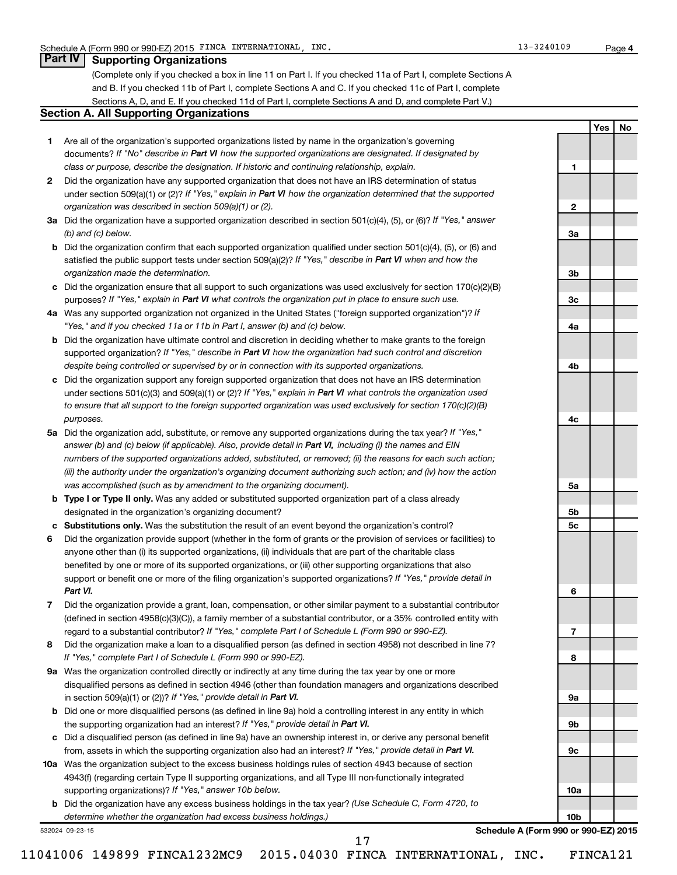### **Part IV Supporting Organizations**

(Complete only if you checked a box in line 11 on Part I. If you checked 11a of Part I, complete Sections A and B. If you checked 11b of Part I, complete Sections A and C. If you checked 11c of Part I, complete Sections A, D, and E. If you checked 11d of Part I, complete Sections A and D, and complete Part V.)

### **Section A. All Supporting Organizations**

- **1** Are all of the organization's supported organizations listed by name in the organization's governing documents? If "No" describe in Part VI how the supported organizations are designated. If designated by *class or purpose, describe the designation. If historic and continuing relationship, explain.*
- **2** Did the organization have any supported organization that does not have an IRS determination of status under section 509(a)(1) or (2)? If "Yes," explain in Part VI how the organization determined that the supported *organization was described in section 509(a)(1) or (2).*
- **3a** Did the organization have a supported organization described in section 501(c)(4), (5), or (6)? If "Yes," answer *(b) and (c) below.*
- **b** Did the organization confirm that each supported organization qualified under section 501(c)(4), (5), or (6) and satisfied the public support tests under section 509(a)(2)? If "Yes," describe in Part VI when and how the *organization made the determination.*
- **c** Did the organization ensure that all support to such organizations was used exclusively for section 170(c)(2)(B) purposes? If "Yes," explain in Part VI what controls the organization put in place to ensure such use.
- **4 a** *If* Was any supported organization not organized in the United States ("foreign supported organization")? *"Yes," and if you checked 11a or 11b in Part I, answer (b) and (c) below.*
- **b** Did the organization have ultimate control and discretion in deciding whether to make grants to the foreign supported organization? If "Yes," describe in Part VI how the organization had such control and discretion *despite being controlled or supervised by or in connection with its supported organizations.*
- **c** Did the organization support any foreign supported organization that does not have an IRS determination under sections 501(c)(3) and 509(a)(1) or (2)? If "Yes," explain in Part VI what controls the organization used *to ensure that all support to the foreign supported organization was used exclusively for section 170(c)(2)(B) purposes.*
- **5a** Did the organization add, substitute, or remove any supported organizations during the tax year? If "Yes," answer (b) and (c) below (if applicable). Also, provide detail in Part VI, including (i) the names and EIN *numbers of the supported organizations added, substituted, or removed; (ii) the reasons for each such action; (iii) the authority under the organization's organizing document authorizing such action; and (iv) how the action was accomplished (such as by amendment to the organizing document).*
- **b Type I or Type II only.** Was any added or substituted supported organization part of a class already designated in the organization's organizing document?
- **c Substitutions only.**  Was the substitution the result of an event beyond the organization's control?
- **6** Did the organization provide support (whether in the form of grants or the provision of services or facilities) to support or benefit one or more of the filing organization's supported organizations? If "Yes," provide detail in anyone other than (i) its supported organizations, (ii) individuals that are part of the charitable class benefited by one or more of its supported organizations, or (iii) other supporting organizations that also *Part VI.*
- **7** Did the organization provide a grant, loan, compensation, or other similar payment to a substantial contributor regard to a substantial contributor? If "Yes," complete Part I of Schedule L (Form 990 or 990-EZ). (defined in section 4958(c)(3)(C)), a family member of a substantial contributor, or a 35% controlled entity with
- **8** Did the organization make a loan to a disqualified person (as defined in section 4958) not described in line 7? *If "Yes," complete Part I of Schedule L (Form 990 or 990-EZ).*
- **9 a** Was the organization controlled directly or indirectly at any time during the tax year by one or more in section 509(a)(1) or (2))? If "Yes," provide detail in Part VI. disqualified persons as defined in section 4946 (other than foundation managers and organizations described
- **b** Did one or more disqualified persons (as defined in line 9a) hold a controlling interest in any entity in which the supporting organization had an interest? If "Yes," provide detail in Part VI.
- **c** Did a disqualified person (as defined in line 9a) have an ownership interest in, or derive any personal benefit from, assets in which the supporting organization also had an interest? If "Yes," provide detail in Part VI.
- **10 a** Was the organization subject to the excess business holdings rules of section 4943 because of section supporting organizations)? If "Yes," answer 10b below. 4943(f) (regarding certain Type II supporting organizations, and all Type III non-functionally integrated
	- **b** Did the organization have any excess business holdings in the tax year? (Use Schedule C, Form 4720, to *determine whether the organization had excess business holdings.)*

532024 09-23-15

**Schedule A (Form 990 or 990-EZ) 2015**

**4**

**Yes No 1 2 3a 3b 3c 4a 4b 4c 5a 5b 5c 6 7 8 9a 9b 9c 10a 10b**

11041006 149899 FINCA1232MC9 2015.04030 FINCA INTERNATIONAL, INC. FINCA121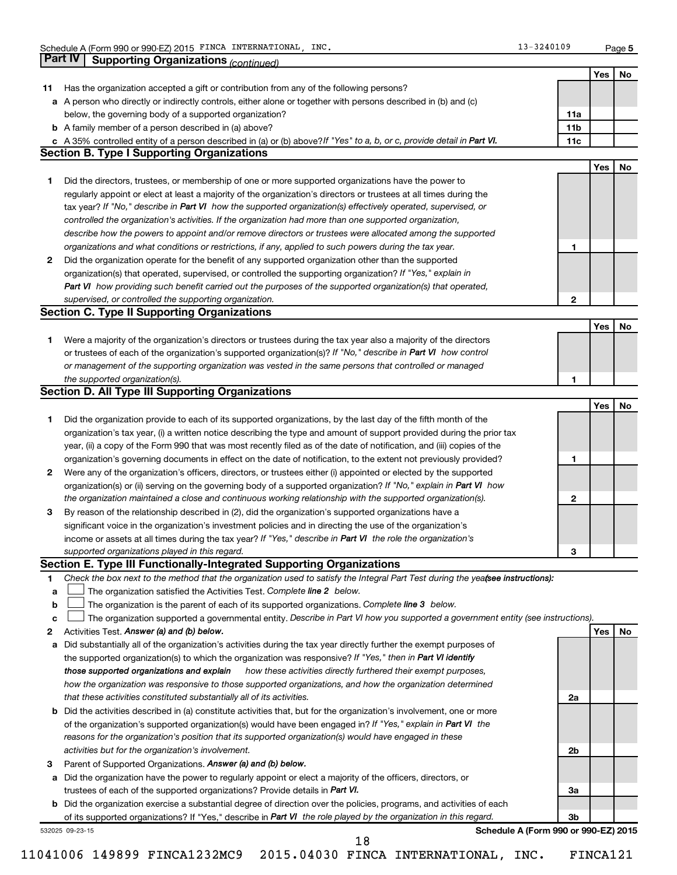| Has the organization accepted a gift or contribution from any of the following persons?<br>a A person who directly or indirectly controls, either alone or together with persons described in (b) and (c)<br>below, the governing body of a supported organization?<br><b>b</b> A family member of a person described in (a) above?<br>c A 35% controlled entity of a person described in (a) or (b) above? If "Yes" to a, b, or c, provide detail in Part VI.<br><b>Section B. Type I Supporting Organizations</b><br>Did the directors, trustees, or membership of one or more supported organizations have the power to<br>regularly appoint or elect at least a majority of the organization's directors or trustees at all times during the<br>tax year? If "No," describe in Part VI how the supported organization(s) effectively operated, supervised, or<br>controlled the organization's activities. If the organization had more than one supported organization,<br>describe how the powers to appoint and/or remove directors or trustees were allocated among the supported<br>organizations and what conditions or restrictions, if any, applied to such powers during the tax year.<br>Did the organization operate for the benefit of any supported organization other than the supported<br>organization(s) that operated, supervised, or controlled the supporting organization? If "Yes," explain in | 11a<br>11 <sub>b</sub><br>11c                                                                                                                                                                                                                                                                                                                                                                                                                                                                                                                                                                                                                                                                                                                                                                                                                                                                                                                                                                                                                                                                                                                                                                                                                | Yes<br>Yes                                                                                                                                                                                                                                                                          |
|--------------------------------------------------------------------------------------------------------------------------------------------------------------------------------------------------------------------------------------------------------------------------------------------------------------------------------------------------------------------------------------------------------------------------------------------------------------------------------------------------------------------------------------------------------------------------------------------------------------------------------------------------------------------------------------------------------------------------------------------------------------------------------------------------------------------------------------------------------------------------------------------------------------------------------------------------------------------------------------------------------------------------------------------------------------------------------------------------------------------------------------------------------------------------------------------------------------------------------------------------------------------------------------------------------------------------------------------------------------------------------------------------------------------------|----------------------------------------------------------------------------------------------------------------------------------------------------------------------------------------------------------------------------------------------------------------------------------------------------------------------------------------------------------------------------------------------------------------------------------------------------------------------------------------------------------------------------------------------------------------------------------------------------------------------------------------------------------------------------------------------------------------------------------------------------------------------------------------------------------------------------------------------------------------------------------------------------------------------------------------------------------------------------------------------------------------------------------------------------------------------------------------------------------------------------------------------------------------------------------------------------------------------------------------------|-------------------------------------------------------------------------------------------------------------------------------------------------------------------------------------------------------------------------------------------------------------------------------------|
|                                                                                                                                                                                                                                                                                                                                                                                                                                                                                                                                                                                                                                                                                                                                                                                                                                                                                                                                                                                                                                                                                                                                                                                                                                                                                                                                                                                                                          |                                                                                                                                                                                                                                                                                                                                                                                                                                                                                                                                                                                                                                                                                                                                                                                                                                                                                                                                                                                                                                                                                                                                                                                                                                              |                                                                                                                                                                                                                                                                                     |
|                                                                                                                                                                                                                                                                                                                                                                                                                                                                                                                                                                                                                                                                                                                                                                                                                                                                                                                                                                                                                                                                                                                                                                                                                                                                                                                                                                                                                          |                                                                                                                                                                                                                                                                                                                                                                                                                                                                                                                                                                                                                                                                                                                                                                                                                                                                                                                                                                                                                                                                                                                                                                                                                                              |                                                                                                                                                                                                                                                                                     |
|                                                                                                                                                                                                                                                                                                                                                                                                                                                                                                                                                                                                                                                                                                                                                                                                                                                                                                                                                                                                                                                                                                                                                                                                                                                                                                                                                                                                                          |                                                                                                                                                                                                                                                                                                                                                                                                                                                                                                                                                                                                                                                                                                                                                                                                                                                                                                                                                                                                                                                                                                                                                                                                                                              |                                                                                                                                                                                                                                                                                     |
|                                                                                                                                                                                                                                                                                                                                                                                                                                                                                                                                                                                                                                                                                                                                                                                                                                                                                                                                                                                                                                                                                                                                                                                                                                                                                                                                                                                                                          |                                                                                                                                                                                                                                                                                                                                                                                                                                                                                                                                                                                                                                                                                                                                                                                                                                                                                                                                                                                                                                                                                                                                                                                                                                              |                                                                                                                                                                                                                                                                                     |
|                                                                                                                                                                                                                                                                                                                                                                                                                                                                                                                                                                                                                                                                                                                                                                                                                                                                                                                                                                                                                                                                                                                                                                                                                                                                                                                                                                                                                          |                                                                                                                                                                                                                                                                                                                                                                                                                                                                                                                                                                                                                                                                                                                                                                                                                                                                                                                                                                                                                                                                                                                                                                                                                                              |                                                                                                                                                                                                                                                                                     |
|                                                                                                                                                                                                                                                                                                                                                                                                                                                                                                                                                                                                                                                                                                                                                                                                                                                                                                                                                                                                                                                                                                                                                                                                                                                                                                                                                                                                                          |                                                                                                                                                                                                                                                                                                                                                                                                                                                                                                                                                                                                                                                                                                                                                                                                                                                                                                                                                                                                                                                                                                                                                                                                                                              |                                                                                                                                                                                                                                                                                     |
|                                                                                                                                                                                                                                                                                                                                                                                                                                                                                                                                                                                                                                                                                                                                                                                                                                                                                                                                                                                                                                                                                                                                                                                                                                                                                                                                                                                                                          |                                                                                                                                                                                                                                                                                                                                                                                                                                                                                                                                                                                                                                                                                                                                                                                                                                                                                                                                                                                                                                                                                                                                                                                                                                              |                                                                                                                                                                                                                                                                                     |
|                                                                                                                                                                                                                                                                                                                                                                                                                                                                                                                                                                                                                                                                                                                                                                                                                                                                                                                                                                                                                                                                                                                                                                                                                                                                                                                                                                                                                          |                                                                                                                                                                                                                                                                                                                                                                                                                                                                                                                                                                                                                                                                                                                                                                                                                                                                                                                                                                                                                                                                                                                                                                                                                                              |                                                                                                                                                                                                                                                                                     |
|                                                                                                                                                                                                                                                                                                                                                                                                                                                                                                                                                                                                                                                                                                                                                                                                                                                                                                                                                                                                                                                                                                                                                                                                                                                                                                                                                                                                                          |                                                                                                                                                                                                                                                                                                                                                                                                                                                                                                                                                                                                                                                                                                                                                                                                                                                                                                                                                                                                                                                                                                                                                                                                                                              |                                                                                                                                                                                                                                                                                     |
|                                                                                                                                                                                                                                                                                                                                                                                                                                                                                                                                                                                                                                                                                                                                                                                                                                                                                                                                                                                                                                                                                                                                                                                                                                                                                                                                                                                                                          |                                                                                                                                                                                                                                                                                                                                                                                                                                                                                                                                                                                                                                                                                                                                                                                                                                                                                                                                                                                                                                                                                                                                                                                                                                              |                                                                                                                                                                                                                                                                                     |
|                                                                                                                                                                                                                                                                                                                                                                                                                                                                                                                                                                                                                                                                                                                                                                                                                                                                                                                                                                                                                                                                                                                                                                                                                                                                                                                                                                                                                          |                                                                                                                                                                                                                                                                                                                                                                                                                                                                                                                                                                                                                                                                                                                                                                                                                                                                                                                                                                                                                                                                                                                                                                                                                                              |                                                                                                                                                                                                                                                                                     |
|                                                                                                                                                                                                                                                                                                                                                                                                                                                                                                                                                                                                                                                                                                                                                                                                                                                                                                                                                                                                                                                                                                                                                                                                                                                                                                                                                                                                                          |                                                                                                                                                                                                                                                                                                                                                                                                                                                                                                                                                                                                                                                                                                                                                                                                                                                                                                                                                                                                                                                                                                                                                                                                                                              |                                                                                                                                                                                                                                                                                     |
|                                                                                                                                                                                                                                                                                                                                                                                                                                                                                                                                                                                                                                                                                                                                                                                                                                                                                                                                                                                                                                                                                                                                                                                                                                                                                                                                                                                                                          | 1                                                                                                                                                                                                                                                                                                                                                                                                                                                                                                                                                                                                                                                                                                                                                                                                                                                                                                                                                                                                                                                                                                                                                                                                                                            |                                                                                                                                                                                                                                                                                     |
|                                                                                                                                                                                                                                                                                                                                                                                                                                                                                                                                                                                                                                                                                                                                                                                                                                                                                                                                                                                                                                                                                                                                                                                                                                                                                                                                                                                                                          |                                                                                                                                                                                                                                                                                                                                                                                                                                                                                                                                                                                                                                                                                                                                                                                                                                                                                                                                                                                                                                                                                                                                                                                                                                              |                                                                                                                                                                                                                                                                                     |
|                                                                                                                                                                                                                                                                                                                                                                                                                                                                                                                                                                                                                                                                                                                                                                                                                                                                                                                                                                                                                                                                                                                                                                                                                                                                                                                                                                                                                          |                                                                                                                                                                                                                                                                                                                                                                                                                                                                                                                                                                                                                                                                                                                                                                                                                                                                                                                                                                                                                                                                                                                                                                                                                                              |                                                                                                                                                                                                                                                                                     |
| Part VI how providing such benefit carried out the purposes of the supported organization(s) that operated,                                                                                                                                                                                                                                                                                                                                                                                                                                                                                                                                                                                                                                                                                                                                                                                                                                                                                                                                                                                                                                                                                                                                                                                                                                                                                                              |                                                                                                                                                                                                                                                                                                                                                                                                                                                                                                                                                                                                                                                                                                                                                                                                                                                                                                                                                                                                                                                                                                                                                                                                                                              |                                                                                                                                                                                                                                                                                     |
|                                                                                                                                                                                                                                                                                                                                                                                                                                                                                                                                                                                                                                                                                                                                                                                                                                                                                                                                                                                                                                                                                                                                                                                                                                                                                                                                                                                                                          |                                                                                                                                                                                                                                                                                                                                                                                                                                                                                                                                                                                                                                                                                                                                                                                                                                                                                                                                                                                                                                                                                                                                                                                                                                              |                                                                                                                                                                                                                                                                                     |
| supervised, or controlled the supporting organization.<br><b>Section C. Type II Supporting Organizations</b>                                                                                                                                                                                                                                                                                                                                                                                                                                                                                                                                                                                                                                                                                                                                                                                                                                                                                                                                                                                                                                                                                                                                                                                                                                                                                                             | 2                                                                                                                                                                                                                                                                                                                                                                                                                                                                                                                                                                                                                                                                                                                                                                                                                                                                                                                                                                                                                                                                                                                                                                                                                                            |                                                                                                                                                                                                                                                                                     |
|                                                                                                                                                                                                                                                                                                                                                                                                                                                                                                                                                                                                                                                                                                                                                                                                                                                                                                                                                                                                                                                                                                                                                                                                                                                                                                                                                                                                                          |                                                                                                                                                                                                                                                                                                                                                                                                                                                                                                                                                                                                                                                                                                                                                                                                                                                                                                                                                                                                                                                                                                                                                                                                                                              | Yes                                                                                                                                                                                                                                                                                 |
| Were a majority of the organization's directors or trustees during the tax year also a majority of the directors                                                                                                                                                                                                                                                                                                                                                                                                                                                                                                                                                                                                                                                                                                                                                                                                                                                                                                                                                                                                                                                                                                                                                                                                                                                                                                         |                                                                                                                                                                                                                                                                                                                                                                                                                                                                                                                                                                                                                                                                                                                                                                                                                                                                                                                                                                                                                                                                                                                                                                                                                                              |                                                                                                                                                                                                                                                                                     |
|                                                                                                                                                                                                                                                                                                                                                                                                                                                                                                                                                                                                                                                                                                                                                                                                                                                                                                                                                                                                                                                                                                                                                                                                                                                                                                                                                                                                                          |                                                                                                                                                                                                                                                                                                                                                                                                                                                                                                                                                                                                                                                                                                                                                                                                                                                                                                                                                                                                                                                                                                                                                                                                                                              |                                                                                                                                                                                                                                                                                     |
|                                                                                                                                                                                                                                                                                                                                                                                                                                                                                                                                                                                                                                                                                                                                                                                                                                                                                                                                                                                                                                                                                                                                                                                                                                                                                                                                                                                                                          |                                                                                                                                                                                                                                                                                                                                                                                                                                                                                                                                                                                                                                                                                                                                                                                                                                                                                                                                                                                                                                                                                                                                                                                                                                              |                                                                                                                                                                                                                                                                                     |
|                                                                                                                                                                                                                                                                                                                                                                                                                                                                                                                                                                                                                                                                                                                                                                                                                                                                                                                                                                                                                                                                                                                                                                                                                                                                                                                                                                                                                          |                                                                                                                                                                                                                                                                                                                                                                                                                                                                                                                                                                                                                                                                                                                                                                                                                                                                                                                                                                                                                                                                                                                                                                                                                                              |                                                                                                                                                                                                                                                                                     |
|                                                                                                                                                                                                                                                                                                                                                                                                                                                                                                                                                                                                                                                                                                                                                                                                                                                                                                                                                                                                                                                                                                                                                                                                                                                                                                                                                                                                                          |                                                                                                                                                                                                                                                                                                                                                                                                                                                                                                                                                                                                                                                                                                                                                                                                                                                                                                                                                                                                                                                                                                                                                                                                                                              |                                                                                                                                                                                                                                                                                     |
|                                                                                                                                                                                                                                                                                                                                                                                                                                                                                                                                                                                                                                                                                                                                                                                                                                                                                                                                                                                                                                                                                                                                                                                                                                                                                                                                                                                                                          |                                                                                                                                                                                                                                                                                                                                                                                                                                                                                                                                                                                                                                                                                                                                                                                                                                                                                                                                                                                                                                                                                                                                                                                                                                              | Yes                                                                                                                                                                                                                                                                                 |
|                                                                                                                                                                                                                                                                                                                                                                                                                                                                                                                                                                                                                                                                                                                                                                                                                                                                                                                                                                                                                                                                                                                                                                                                                                                                                                                                                                                                                          |                                                                                                                                                                                                                                                                                                                                                                                                                                                                                                                                                                                                                                                                                                                                                                                                                                                                                                                                                                                                                                                                                                                                                                                                                                              |                                                                                                                                                                                                                                                                                     |
|                                                                                                                                                                                                                                                                                                                                                                                                                                                                                                                                                                                                                                                                                                                                                                                                                                                                                                                                                                                                                                                                                                                                                                                                                                                                                                                                                                                                                          |                                                                                                                                                                                                                                                                                                                                                                                                                                                                                                                                                                                                                                                                                                                                                                                                                                                                                                                                                                                                                                                                                                                                                                                                                                              |                                                                                                                                                                                                                                                                                     |
|                                                                                                                                                                                                                                                                                                                                                                                                                                                                                                                                                                                                                                                                                                                                                                                                                                                                                                                                                                                                                                                                                                                                                                                                                                                                                                                                                                                                                          |                                                                                                                                                                                                                                                                                                                                                                                                                                                                                                                                                                                                                                                                                                                                                                                                                                                                                                                                                                                                                                                                                                                                                                                                                                              |                                                                                                                                                                                                                                                                                     |
| year, (ii) a copy of the Form 990 that was most recently filed as of the date of notification, and (iii) copies of the<br>organization's governing documents in effect on the date of notification, to the extent not previously provided?<br>Were any of the organization's officers, directors, or trustees either (i) appointed or elected by the supported<br>2                                                                                                                                                                                                                                                                                                                                                                                                                                                                                                                                                                                                                                                                                                                                                                                                                                                                                                                                                                                                                                                      |                                                                                                                                                                                                                                                                                                                                                                                                                                                                                                                                                                                                                                                                                                                                                                                                                                                                                                                                                                                                                                                                                                                                                                                                                                              |                                                                                                                                                                                                                                                                                     |
|                                                                                                                                                                                                                                                                                                                                                                                                                                                                                                                                                                                                                                                                                                                                                                                                                                                                                                                                                                                                                                                                                                                                                                                                                                                                                                                                                                                                                          |                                                                                                                                                                                                                                                                                                                                                                                                                                                                                                                                                                                                                                                                                                                                                                                                                                                                                                                                                                                                                                                                                                                                                                                                                                              |                                                                                                                                                                                                                                                                                     |
|                                                                                                                                                                                                                                                                                                                                                                                                                                                                                                                                                                                                                                                                                                                                                                                                                                                                                                                                                                                                                                                                                                                                                                                                                                                                                                                                                                                                                          |                                                                                                                                                                                                                                                                                                                                                                                                                                                                                                                                                                                                                                                                                                                                                                                                                                                                                                                                                                                                                                                                                                                                                                                                                                              |                                                                                                                                                                                                                                                                                     |
| or trustees of each of the organization's supported organization(s)? If "No," describe in Part VI how control<br>or management of the supporting organization was vested in the same persons that controlled or managed<br>the supported organization(s).<br>1<br><b>Section D. All Type III Supporting Organizations</b><br>1<br>Did the organization provide to each of its supported organizations, by the last day of the fifth month of the<br>organization's tax year, (i) a written notice describing the type and amount of support provided during the prior tax<br>1<br>organization(s) or (ii) serving on the governing body of a supported organization? If "No," explain in Part VI how<br>the organization maintained a close and continuous working relationship with the supported organization(s).<br>$\mathbf{2}$<br>By reason of the relationship described in (2), did the organization's supported organizations have a<br>з<br>significant voice in the organization's investment policies and in directing the use of the organization's<br>income or assets at all times during the tax year? If "Yes," describe in Part VI the role the organization's                                                                                                                                                                                                                                          |                                                                                                                                                                                                                                                                                                                                                                                                                                                                                                                                                                                                                                                                                                                                                                                                                                                                                                                                                                                                                                                                                                                                                                                                                                              |                                                                                                                                                                                                                                                                                     |
|                                                                                                                                                                                                                                                                                                                                                                                                                                                                                                                                                                                                                                                                                                                                                                                                                                                                                                                                                                                                                                                                                                                                                                                                                                                                                                                                                                                                                          |                                                                                                                                                                                                                                                                                                                                                                                                                                                                                                                                                                                                                                                                                                                                                                                                                                                                                                                                                                                                                                                                                                                                                                                                                                              |                                                                                                                                                                                                                                                                                     |
|                                                                                                                                                                                                                                                                                                                                                                                                                                                                                                                                                                                                                                                                                                                                                                                                                                                                                                                                                                                                                                                                                                                                                                                                                                                                                                                                                                                                                          |                                                                                                                                                                                                                                                                                                                                                                                                                                                                                                                                                                                                                                                                                                                                                                                                                                                                                                                                                                                                                                                                                                                                                                                                                                              |                                                                                                                                                                                                                                                                                     |
|                                                                                                                                                                                                                                                                                                                                                                                                                                                                                                                                                                                                                                                                                                                                                                                                                                                                                                                                                                                                                                                                                                                                                                                                                                                                                                                                                                                                                          |                                                                                                                                                                                                                                                                                                                                                                                                                                                                                                                                                                                                                                                                                                                                                                                                                                                                                                                                                                                                                                                                                                                                                                                                                                              |                                                                                                                                                                                                                                                                                     |
|                                                                                                                                                                                                                                                                                                                                                                                                                                                                                                                                                                                                                                                                                                                                                                                                                                                                                                                                                                                                                                                                                                                                                                                                                                                                                                                                                                                                                          |                                                                                                                                                                                                                                                                                                                                                                                                                                                                                                                                                                                                                                                                                                                                                                                                                                                                                                                                                                                                                                                                                                                                                                                                                                              |                                                                                                                                                                                                                                                                                     |
|                                                                                                                                                                                                                                                                                                                                                                                                                                                                                                                                                                                                                                                                                                                                                                                                                                                                                                                                                                                                                                                                                                                                                                                                                                                                                                                                                                                                                          |                                                                                                                                                                                                                                                                                                                                                                                                                                                                                                                                                                                                                                                                                                                                                                                                                                                                                                                                                                                                                                                                                                                                                                                                                                              |                                                                                                                                                                                                                                                                                     |
|                                                                                                                                                                                                                                                                                                                                                                                                                                                                                                                                                                                                                                                                                                                                                                                                                                                                                                                                                                                                                                                                                                                                                                                                                                                                                                                                                                                                                          |                                                                                                                                                                                                                                                                                                                                                                                                                                                                                                                                                                                                                                                                                                                                                                                                                                                                                                                                                                                                                                                                                                                                                                                                                                              |                                                                                                                                                                                                                                                                                     |
|                                                                                                                                                                                                                                                                                                                                                                                                                                                                                                                                                                                                                                                                                                                                                                                                                                                                                                                                                                                                                                                                                                                                                                                                                                                                                                                                                                                                                          |                                                                                                                                                                                                                                                                                                                                                                                                                                                                                                                                                                                                                                                                                                                                                                                                                                                                                                                                                                                                                                                                                                                                                                                                                                              |                                                                                                                                                                                                                                                                                     |
|                                                                                                                                                                                                                                                                                                                                                                                                                                                                                                                                                                                                                                                                                                                                                                                                                                                                                                                                                                                                                                                                                                                                                                                                                                                                                                                                                                                                                          |                                                                                                                                                                                                                                                                                                                                                                                                                                                                                                                                                                                                                                                                                                                                                                                                                                                                                                                                                                                                                                                                                                                                                                                                                                              |                                                                                                                                                                                                                                                                                     |
|                                                                                                                                                                                                                                                                                                                                                                                                                                                                                                                                                                                                                                                                                                                                                                                                                                                                                                                                                                                                                                                                                                                                                                                                                                                                                                                                                                                                                          |                                                                                                                                                                                                                                                                                                                                                                                                                                                                                                                                                                                                                                                                                                                                                                                                                                                                                                                                                                                                                                                                                                                                                                                                                                              |                                                                                                                                                                                                                                                                                     |
|                                                                                                                                                                                                                                                                                                                                                                                                                                                                                                                                                                                                                                                                                                                                                                                                                                                                                                                                                                                                                                                                                                                                                                                                                                                                                                                                                                                                                          |                                                                                                                                                                                                                                                                                                                                                                                                                                                                                                                                                                                                                                                                                                                                                                                                                                                                                                                                                                                                                                                                                                                                                                                                                                              | <b>Yes</b>                                                                                                                                                                                                                                                                          |
|                                                                                                                                                                                                                                                                                                                                                                                                                                                                                                                                                                                                                                                                                                                                                                                                                                                                                                                                                                                                                                                                                                                                                                                                                                                                                                                                                                                                                          |                                                                                                                                                                                                                                                                                                                                                                                                                                                                                                                                                                                                                                                                                                                                                                                                                                                                                                                                                                                                                                                                                                                                                                                                                                              |                                                                                                                                                                                                                                                                                     |
|                                                                                                                                                                                                                                                                                                                                                                                                                                                                                                                                                                                                                                                                                                                                                                                                                                                                                                                                                                                                                                                                                                                                                                                                                                                                                                                                                                                                                          |                                                                                                                                                                                                                                                                                                                                                                                                                                                                                                                                                                                                                                                                                                                                                                                                                                                                                                                                                                                                                                                                                                                                                                                                                                              |                                                                                                                                                                                                                                                                                     |
|                                                                                                                                                                                                                                                                                                                                                                                                                                                                                                                                                                                                                                                                                                                                                                                                                                                                                                                                                                                                                                                                                                                                                                                                                                                                                                                                                                                                                          |                                                                                                                                                                                                                                                                                                                                                                                                                                                                                                                                                                                                                                                                                                                                                                                                                                                                                                                                                                                                                                                                                                                                                                                                                                              |                                                                                                                                                                                                                                                                                     |
|                                                                                                                                                                                                                                                                                                                                                                                                                                                                                                                                                                                                                                                                                                                                                                                                                                                                                                                                                                                                                                                                                                                                                                                                                                                                                                                                                                                                                          |                                                                                                                                                                                                                                                                                                                                                                                                                                                                                                                                                                                                                                                                                                                                                                                                                                                                                                                                                                                                                                                                                                                                                                                                                                              |                                                                                                                                                                                                                                                                                     |
|                                                                                                                                                                                                                                                                                                                                                                                                                                                                                                                                                                                                                                                                                                                                                                                                                                                                                                                                                                                                                                                                                                                                                                                                                                                                                                                                                                                                                          |                                                                                                                                                                                                                                                                                                                                                                                                                                                                                                                                                                                                                                                                                                                                                                                                                                                                                                                                                                                                                                                                                                                                                                                                                                              |                                                                                                                                                                                                                                                                                     |
|                                                                                                                                                                                                                                                                                                                                                                                                                                                                                                                                                                                                                                                                                                                                                                                                                                                                                                                                                                                                                                                                                                                                                                                                                                                                                                                                                                                                                          |                                                                                                                                                                                                                                                                                                                                                                                                                                                                                                                                                                                                                                                                                                                                                                                                                                                                                                                                                                                                                                                                                                                                                                                                                                              |                                                                                                                                                                                                                                                                                     |
|                                                                                                                                                                                                                                                                                                                                                                                                                                                                                                                                                                                                                                                                                                                                                                                                                                                                                                                                                                                                                                                                                                                                                                                                                                                                                                                                                                                                                          |                                                                                                                                                                                                                                                                                                                                                                                                                                                                                                                                                                                                                                                                                                                                                                                                                                                                                                                                                                                                                                                                                                                                                                                                                                              |                                                                                                                                                                                                                                                                                     |
|                                                                                                                                                                                                                                                                                                                                                                                                                                                                                                                                                                                                                                                                                                                                                                                                                                                                                                                                                                                                                                                                                                                                                                                                                                                                                                                                                                                                                          |                                                                                                                                                                                                                                                                                                                                                                                                                                                                                                                                                                                                                                                                                                                                                                                                                                                                                                                                                                                                                                                                                                                                                                                                                                              |                                                                                                                                                                                                                                                                                     |
|                                                                                                                                                                                                                                                                                                                                                                                                                                                                                                                                                                                                                                                                                                                                                                                                                                                                                                                                                                                                                                                                                                                                                                                                                                                                                                                                                                                                                          |                                                                                                                                                                                                                                                                                                                                                                                                                                                                                                                                                                                                                                                                                                                                                                                                                                                                                                                                                                                                                                                                                                                                                                                                                                              |                                                                                                                                                                                                                                                                                     |
|                                                                                                                                                                                                                                                                                                                                                                                                                                                                                                                                                                                                                                                                                                                                                                                                                                                                                                                                                                                                                                                                                                                                                                                                                                                                                                                                                                                                                          |                                                                                                                                                                                                                                                                                                                                                                                                                                                                                                                                                                                                                                                                                                                                                                                                                                                                                                                                                                                                                                                                                                                                                                                                                                              |                                                                                                                                                                                                                                                                                     |
| activities but for the organization's involvement.                                                                                                                                                                                                                                                                                                                                                                                                                                                                                                                                                                                                                                                                                                                                                                                                                                                                                                                                                                                                                                                                                                                                                                                                                                                                                                                                                                       |                                                                                                                                                                                                                                                                                                                                                                                                                                                                                                                                                                                                                                                                                                                                                                                                                                                                                                                                                                                                                                                                                                                                                                                                                                              |                                                                                                                                                                                                                                                                                     |
| Parent of Supported Organizations. Answer (a) and (b) below.                                                                                                                                                                                                                                                                                                                                                                                                                                                                                                                                                                                                                                                                                                                                                                                                                                                                                                                                                                                                                                                                                                                                                                                                                                                                                                                                                             |                                                                                                                                                                                                                                                                                                                                                                                                                                                                                                                                                                                                                                                                                                                                                                                                                                                                                                                                                                                                                                                                                                                                                                                                                                              |                                                                                                                                                                                                                                                                                     |
| Did the organization have the power to regularly appoint or elect a majority of the officers, directors, or                                                                                                                                                                                                                                                                                                                                                                                                                                                                                                                                                                                                                                                                                                                                                                                                                                                                                                                                                                                                                                                                                                                                                                                                                                                                                                              |                                                                                                                                                                                                                                                                                                                                                                                                                                                                                                                                                                                                                                                                                                                                                                                                                                                                                                                                                                                                                                                                                                                                                                                                                                              |                                                                                                                                                                                                                                                                                     |
| trustees of each of the supported organizations? Provide details in Part VI.                                                                                                                                                                                                                                                                                                                                                                                                                                                                                                                                                                                                                                                                                                                                                                                                                                                                                                                                                                                                                                                                                                                                                                                                                                                                                                                                             | За                                                                                                                                                                                                                                                                                                                                                                                                                                                                                                                                                                                                                                                                                                                                                                                                                                                                                                                                                                                                                                                                                                                                                                                                                                           |                                                                                                                                                                                                                                                                                     |
| b Did the organization exercise a substantial degree of direction over the policies, programs, and activities of each<br>of its supported organizations? If "Yes," describe in Part VI the role played by the organization in this regard.                                                                                                                                                                                                                                                                                                                                                                                                                                                                                                                                                                                                                                                                                                                                                                                                                                                                                                                                                                                                                                                                                                                                                                               |                                                                                                                                                                                                                                                                                                                                                                                                                                                                                                                                                                                                                                                                                                                                                                                                                                                                                                                                                                                                                                                                                                                                                                                                                                              |                                                                                                                                                                                                                                                                                     |
|                                                                                                                                                                                                                                                                                                                                                                                                                                                                                                                                                                                                                                                                                                                                                                                                                                                                                                                                                                                                                                                                                                                                                                                                                                                                                                                                                                                                                          | supported organizations played in this regard.<br>Section E. Type III Functionally-Integrated Supporting Organizations<br>The organization satisfied the Activities Test. Complete line 2 below.<br>The organization is the parent of each of its supported organizations. Complete line 3 below.<br>Activities Test. Answer (a) and (b) below.<br>Did substantially all of the organization's activities during the tax year directly further the exempt purposes of<br>the supported organization(s) to which the organization was responsive? If "Yes," then in Part VI identify<br>those supported organizations and explain<br>how these activities directly furthered their exempt purposes,<br>how the organization was responsive to those supported organizations, and how the organization determined<br>that these activities constituted substantially all of its activities.<br>b Did the activities described in (a) constitute activities that, but for the organization's involvement, one or more<br>of the organization's supported organization(s) would have been engaged in? If "Yes," explain in Part VI the<br>reasons for the organization's position that its supported organization(s) would have engaged in these | з<br>Check the box next to the method that the organization used to satisfy the Integral Part Test during the yealsee instructions):<br>The organization supported a governmental entity. Describe in Part VI how you supported a government entity (see instructions).<br>2a<br>2b |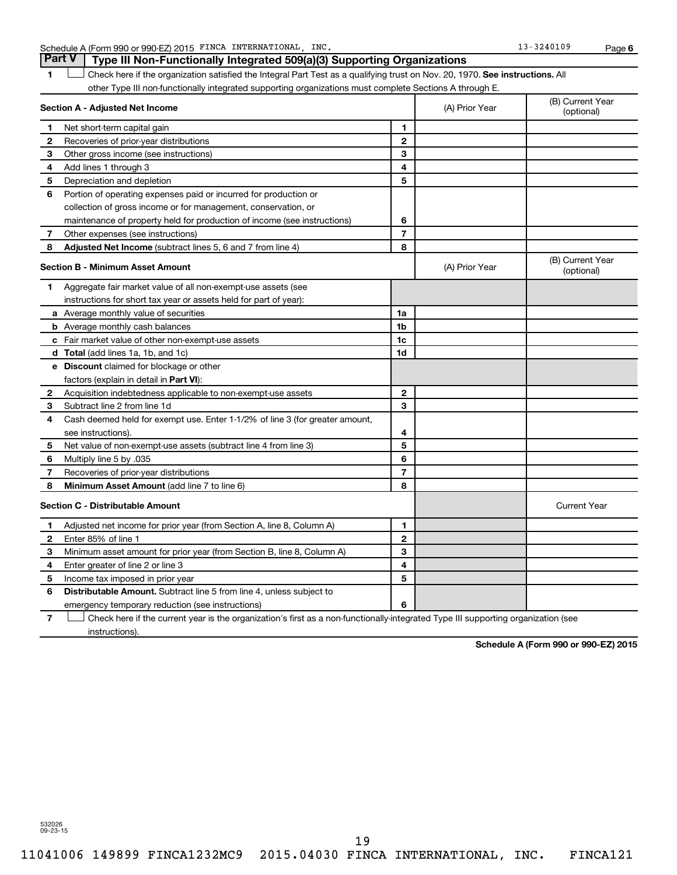Schedule A (Form 990 or 990-EZ) 2015 FINCA INTERNATIONAL, INC. 13 = 13-3240109 Page

**6**

1 **Letter on Reck here if the organization satisfied the Integral Part Test as a qualifying trust on Nov. 20, 1970. See instructions. All** other Type III non-functionally integrated supporting organizations must complete Sections A through E. **Part V Type III Non-Functionally Integrated 509(a)(3) Supporting Organizations** 

|              | Section A - Adjusted Net Income                                              | (A) Prior Year | (B) Current Year<br>(optional) |                                |
|--------------|------------------------------------------------------------------------------|----------------|--------------------------------|--------------------------------|
| 1            | Net short-term capital gain                                                  | 1              |                                |                                |
| $\mathbf{2}$ | Recoveries of prior-year distributions                                       | $\mathbf{2}$   |                                |                                |
| 3            | Other gross income (see instructions)                                        | 3              |                                |                                |
| 4            | Add lines 1 through 3                                                        | 4              |                                |                                |
| 5            | Depreciation and depletion                                                   | 5              |                                |                                |
| 6            | Portion of operating expenses paid or incurred for production or             |                |                                |                                |
|              | collection of gross income or for management, conservation, or               |                |                                |                                |
|              | maintenance of property held for production of income (see instructions)     | 6              |                                |                                |
| 7            | Other expenses (see instructions)                                            | $\overline{7}$ |                                |                                |
| 8            | Adjusted Net Income (subtract lines 5, 6 and 7 from line 4)                  | 8              |                                |                                |
|              | <b>Section B - Minimum Asset Amount</b>                                      |                | (A) Prior Year                 | (B) Current Year<br>(optional) |
| 1            | Aggregate fair market value of all non-exempt-use assets (see                |                |                                |                                |
|              | instructions for short tax year or assets held for part of year):            |                |                                |                                |
|              | a Average monthly value of securities                                        | 1a             |                                |                                |
|              | <b>b</b> Average monthly cash balances                                       | 1 <sub>b</sub> |                                |                                |
|              | c Fair market value of other non-exempt-use assets                           | 1c             |                                |                                |
|              | d Total (add lines 1a, 1b, and 1c)                                           | 1d             |                                |                                |
|              | e Discount claimed for blockage or other                                     |                |                                |                                |
|              | factors (explain in detail in <b>Part VI</b> ):                              |                |                                |                                |
| $\mathbf{2}$ | Acquisition indebtedness applicable to non-exempt-use assets                 | $\mathbf{2}$   |                                |                                |
| З            | Subtract line 2 from line 1d                                                 | 3              |                                |                                |
| 4            | Cash deemed held for exempt use. Enter 1-1/2% of line 3 (for greater amount, |                |                                |                                |
|              | see instructions).                                                           | 4              |                                |                                |
| 5            | Net value of non-exempt-use assets (subtract line 4 from line 3)             | 5              |                                |                                |
| 6            | Multiply line 5 by .035                                                      | 6              |                                |                                |
| 7            | Recoveries of prior-year distributions                                       | $\overline{7}$ |                                |                                |
| 8            | <b>Minimum Asset Amount (add line 7 to line 6)</b>                           | 8              |                                |                                |
|              | <b>Section C - Distributable Amount</b>                                      |                |                                | <b>Current Year</b>            |
| 1            | Adjusted net income for prior year (from Section A, line 8, Column A)        | 1              |                                |                                |
| $\mathbf{2}$ | Enter 85% of line 1                                                          | $\overline{2}$ |                                |                                |
| З            | Minimum asset amount for prior year (from Section B, line 8, Column A)       | 3              |                                |                                |
| 4            | Enter greater of line 2 or line 3                                            | 4              |                                |                                |
| 5            | Income tax imposed in prior year                                             | 5              |                                |                                |
| 6            | <b>Distributable Amount.</b> Subtract line 5 from line 4, unless subject to  |                |                                |                                |
|              | emergency temporary reduction (see instructions)                             | 6              |                                |                                |

**7** Let Check here if the current year is the organization's first as a non-functionally-integrated Type III supporting organization (see instructions).

**Schedule A (Form 990 or 990-EZ) 2015**

532026 09-23-15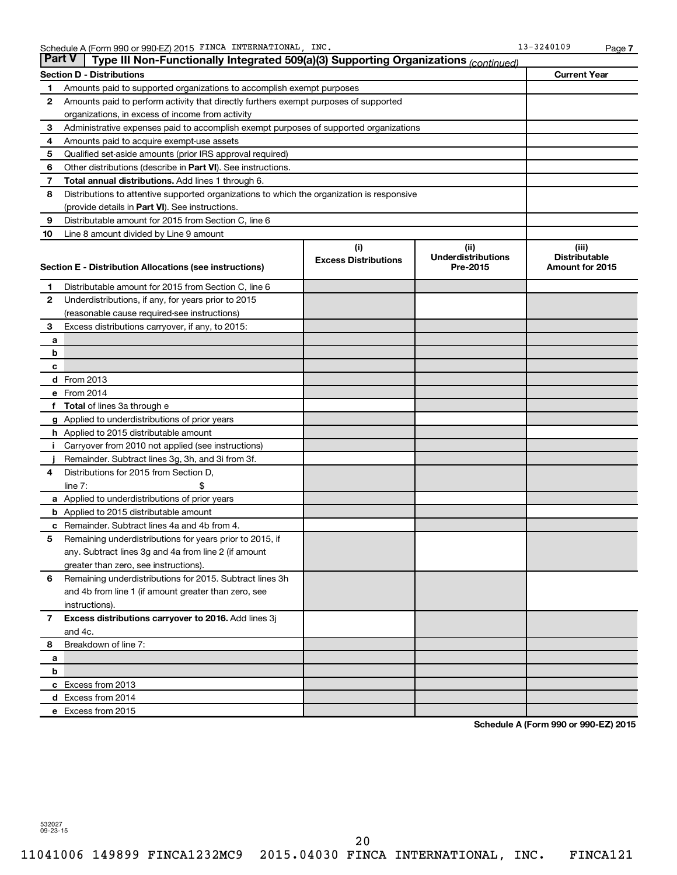|              | <b>Part V</b><br>Type III Non-Functionally Integrated 509(a)(3) Supporting Organizations (continued) |                                    |                                               |                                                  |
|--------------|------------------------------------------------------------------------------------------------------|------------------------------------|-----------------------------------------------|--------------------------------------------------|
|              | <b>Section D - Distributions</b>                                                                     |                                    |                                               | <b>Current Year</b>                              |
| 1            | Amounts paid to supported organizations to accomplish exempt purposes                                |                                    |                                               |                                                  |
| 2            | Amounts paid to perform activity that directly furthers exempt purposes of supported                 |                                    |                                               |                                                  |
|              | organizations, in excess of income from activity                                                     |                                    |                                               |                                                  |
| 3            | Administrative expenses paid to accomplish exempt purposes of supported organizations                |                                    |                                               |                                                  |
| 4            | Amounts paid to acquire exempt-use assets                                                            |                                    |                                               |                                                  |
| 5            | Qualified set-aside amounts (prior IRS approval required)                                            |                                    |                                               |                                                  |
| 6            | Other distributions (describe in <b>Part VI</b> ). See instructions.                                 |                                    |                                               |                                                  |
| 7            | <b>Total annual distributions.</b> Add lines 1 through 6.                                            |                                    |                                               |                                                  |
| 8            | Distributions to attentive supported organizations to which the organization is responsive           |                                    |                                               |                                                  |
|              | (provide details in Part VI). See instructions.                                                      |                                    |                                               |                                                  |
| 9            | Distributable amount for 2015 from Section C, line 6                                                 |                                    |                                               |                                                  |
| 10           | Line 8 amount divided by Line 9 amount                                                               |                                    |                                               |                                                  |
|              | Section E - Distribution Allocations (see instructions)                                              | (i)<br><b>Excess Distributions</b> | (ii)<br><b>Underdistributions</b><br>Pre-2015 | (iii)<br><b>Distributable</b><br>Amount for 2015 |
| 1            | Distributable amount for 2015 from Section C, line 6                                                 |                                    |                                               |                                                  |
| 2            | Underdistributions, if any, for years prior to 2015                                                  |                                    |                                               |                                                  |
|              | (reasonable cause required-see instructions)                                                         |                                    |                                               |                                                  |
| З            | Excess distributions carryover, if any, to 2015:                                                     |                                    |                                               |                                                  |
| а            |                                                                                                      |                                    |                                               |                                                  |
| b            |                                                                                                      |                                    |                                               |                                                  |
| с            |                                                                                                      |                                    |                                               |                                                  |
|              | <b>d</b> From 2013                                                                                   |                                    |                                               |                                                  |
|              | e From 2014                                                                                          |                                    |                                               |                                                  |
| f            | <b>Total</b> of lines 3a through e                                                                   |                                    |                                               |                                                  |
|              | <b>g</b> Applied to underdistributions of prior years                                                |                                    |                                               |                                                  |
|              | <b>h</b> Applied to 2015 distributable amount                                                        |                                    |                                               |                                                  |
| Ť            | Carryover from 2010 not applied (see instructions)                                                   |                                    |                                               |                                                  |
|              | Remainder. Subtract lines 3g, 3h, and 3i from 3f.                                                    |                                    |                                               |                                                  |
| 4            | Distributions for 2015 from Section D,                                                               |                                    |                                               |                                                  |
|              | $line 7$ :                                                                                           |                                    |                                               |                                                  |
|              | a Applied to underdistributions of prior years                                                       |                                    |                                               |                                                  |
|              | <b>b</b> Applied to 2015 distributable amount                                                        |                                    |                                               |                                                  |
| с            | Remainder. Subtract lines 4a and 4b from 4.                                                          |                                    |                                               |                                                  |
| 5            | Remaining underdistributions for years prior to 2015, if                                             |                                    |                                               |                                                  |
|              | any. Subtract lines 3g and 4a from line 2 (if amount                                                 |                                    |                                               |                                                  |
|              | greater than zero, see instructions).                                                                |                                    |                                               |                                                  |
| 6            | Remaining underdistributions for 2015. Subtract lines 3h                                             |                                    |                                               |                                                  |
|              | and 4b from line 1 (if amount greater than zero, see                                                 |                                    |                                               |                                                  |
|              | instructions).                                                                                       |                                    |                                               |                                                  |
| $\mathbf{7}$ | Excess distributions carryover to 2016. Add lines 3j                                                 |                                    |                                               |                                                  |
|              | and 4c.<br>Breakdown of line 7:                                                                      |                                    |                                               |                                                  |
| 8            |                                                                                                      |                                    |                                               |                                                  |
| a<br>b       |                                                                                                      |                                    |                                               |                                                  |
|              | c Excess from 2013                                                                                   |                                    |                                               |                                                  |
|              | d Excess from 2014                                                                                   |                                    |                                               |                                                  |
|              | e Excess from 2015                                                                                   |                                    |                                               |                                                  |
|              |                                                                                                      |                                    |                                               |                                                  |

**Schedule A (Form 990 or 990-EZ) 2015**

**7**

532027 09-23-15

20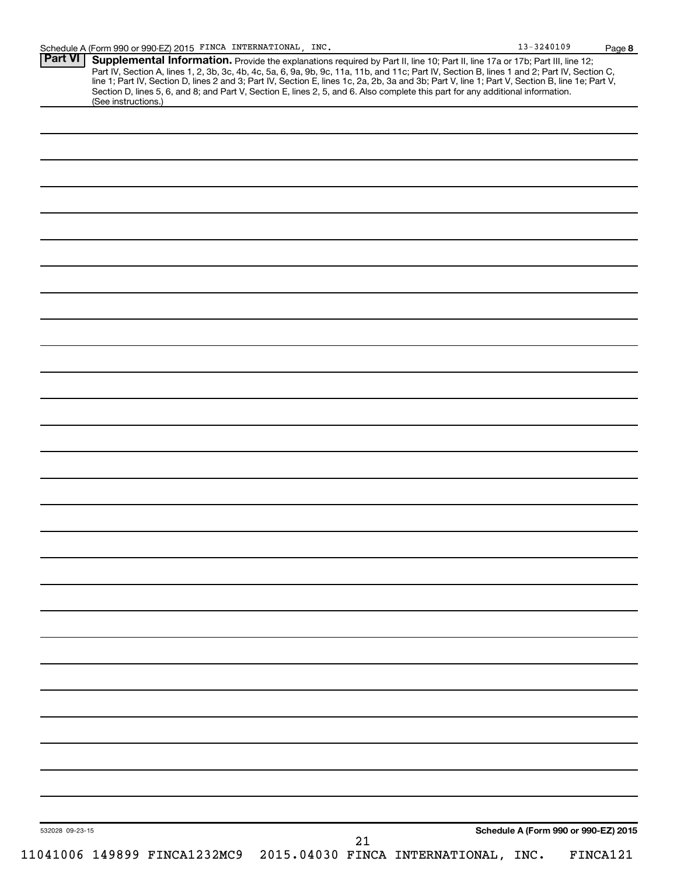| (See instructions.) | Section D, lines 5, 6, and 8; and Part V, Section E, lines 2, 5, and 6. Also complete this part for any additional information. |  |  |  |  |
|---------------------|---------------------------------------------------------------------------------------------------------------------------------|--|--|--|--|
|                     |                                                                                                                                 |  |  |  |  |
|                     |                                                                                                                                 |  |  |  |  |
|                     |                                                                                                                                 |  |  |  |  |
|                     |                                                                                                                                 |  |  |  |  |
|                     |                                                                                                                                 |  |  |  |  |
|                     |                                                                                                                                 |  |  |  |  |
|                     |                                                                                                                                 |  |  |  |  |
|                     |                                                                                                                                 |  |  |  |  |
|                     |                                                                                                                                 |  |  |  |  |
|                     |                                                                                                                                 |  |  |  |  |
|                     |                                                                                                                                 |  |  |  |  |
|                     |                                                                                                                                 |  |  |  |  |
|                     |                                                                                                                                 |  |  |  |  |
|                     |                                                                                                                                 |  |  |  |  |
|                     |                                                                                                                                 |  |  |  |  |
|                     |                                                                                                                                 |  |  |  |  |
|                     |                                                                                                                                 |  |  |  |  |
|                     |                                                                                                                                 |  |  |  |  |
|                     |                                                                                                                                 |  |  |  |  |
|                     |                                                                                                                                 |  |  |  |  |
|                     |                                                                                                                                 |  |  |  |  |
|                     |                                                                                                                                 |  |  |  |  |
|                     |                                                                                                                                 |  |  |  |  |
|                     |                                                                                                                                 |  |  |  |  |
|                     |                                                                                                                                 |  |  |  |  |
|                     |                                                                                                                                 |  |  |  |  |
|                     |                                                                                                                                 |  |  |  |  |
|                     |                                                                                                                                 |  |  |  |  |
|                     |                                                                                                                                 |  |  |  |  |
|                     |                                                                                                                                 |  |  |  |  |
|                     |                                                                                                                                 |  |  |  |  |
|                     |                                                                                                                                 |  |  |  |  |
|                     |                                                                                                                                 |  |  |  |  |
|                     |                                                                                                                                 |  |  |  |  |
|                     |                                                                                                                                 |  |  |  |  |

**Page 8**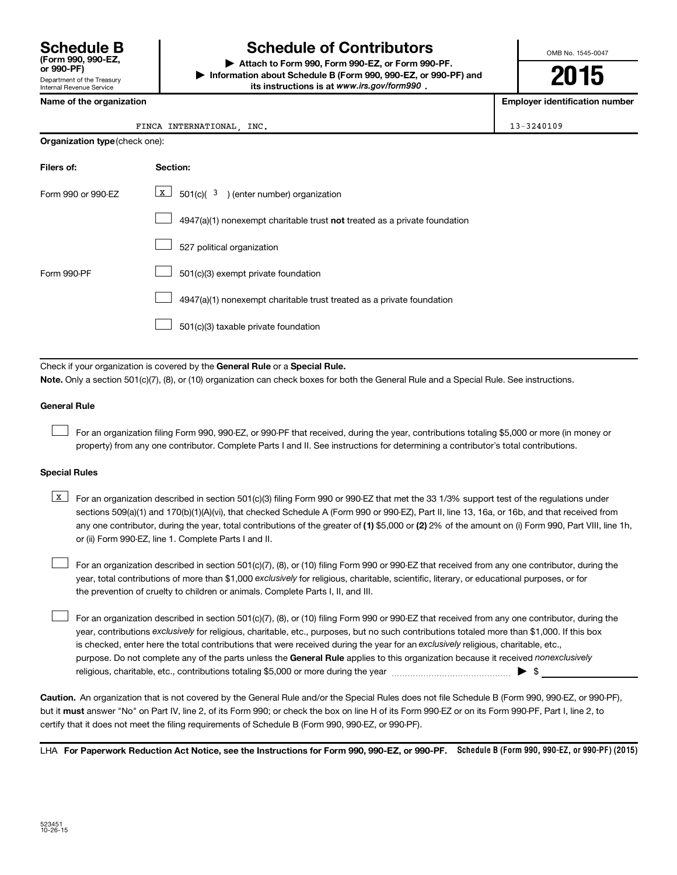Department of the Treasury Internal Revenue Service **(Form 990, 990-EZ,**

# **Schedule B Schedule of Contributors**

**or 990-PF) | Attach to Form 990, Form 990-EZ, or Form 990-PF. | Information about Schedule B (Form 990, 990-EZ, or 990-PF) and** its instructions is at www.irs.gov/form990.

OMB No. 1545-0047

**2015**

**Name of the organization Employer identification number**

#### FINCA INTERNATIONAL, INC. 13-3240109

| <b>Organization type (check one):</b> |                                                                           |  |  |  |  |
|---------------------------------------|---------------------------------------------------------------------------|--|--|--|--|
| Filers of:                            | Section:                                                                  |  |  |  |  |
| Form 990 or 990-EZ                    | $\underline{x}$ 501(c)( <sup>3</sup> ) (enter number) organization        |  |  |  |  |
|                                       | 4947(a)(1) nonexempt charitable trust not treated as a private foundation |  |  |  |  |
|                                       | 527 political organization                                                |  |  |  |  |
| Form 990-PF                           | 501(c)(3) exempt private foundation                                       |  |  |  |  |
|                                       | 4947(a)(1) nonexempt charitable trust treated as a private foundation     |  |  |  |  |
|                                       | 501(c)(3) taxable private foundation                                      |  |  |  |  |

Check if your organization is covered by the General Rule or a Special Rule.

**Note.**  Only a section 501(c)(7), (8), or (10) organization can check boxes for both the General Rule and a Special Rule. See instructions.

#### **General Rule**

 $\Box$ 

For an organization filing Form 990, 990-EZ, or 990-PF that received, during the year, contributions totaling \$5,000 or more (in money or property) from any one contributor. Complete Parts I and II. See instructions for determining a contributor's total contributions.

#### **Special Rules**

any one contributor, during the year, total contributions of the greater of **(1)** \$5,000 or **(2)** 2% of the amount on (i) Form 990, Part VIII, line 1h, **K** For an organization described in section 501(c)(3) filing Form 990 or 990-EZ that met the 33 1/3% support test of the regulations under sections 509(a)(1) and 170(b)(1)(A)(vi), that checked Schedule A (Form 990 or 990-EZ), Part II, line 13, 16a, or 16b, and that received from or (ii) Form 990-EZ, line 1. Complete Parts I and II.

year, total contributions of more than \$1,000 *exclusively* for religious, charitable, scientific, literary, or educational purposes, or for For an organization described in section 501(c)(7), (8), or (10) filing Form 990 or 990-EZ that received from any one contributor, during the the prevention of cruelty to children or animals. Complete Parts I, II, and III.  $\Box$ 

purpose. Do not complete any of the parts unless the General Rule applies to this organization because it received nonexclusively year, contributions exclusively for religious, charitable, etc., purposes, but no such contributions totaled more than \$1,000. If this box is checked, enter here the total contributions that were received during the year for an exclusively religious, charitable, etc., For an organization described in section 501(c)(7), (8), or (10) filing Form 990 or 990-EZ that received from any one contributor, during the religious, charitable, etc., contributions totaling \$5,000 or more during the year  $\ldots$  $\ldots$  $\ldots$  $\ldots$  $\ldots$  $\ldots$  $\Box$ 

**Caution.** An organization that is not covered by the General Rule and/or the Special Rules does not file Schedule B (Form 990, 990-EZ, or 990-PF),  **must** but it answer "No" on Part IV, line 2, of its Form 990; or check the box on line H of its Form 990-EZ or on its Form 990-PF, Part I, line 2, to certify that it does not meet the filing requirements of Schedule B (Form 990, 990-EZ, or 990-PF).

LHA For Paperwork Reduction Act Notice, see the Instructions for Form 990, 990-EZ, or 990-PF. Schedule B (Form 990, 990-EZ, or 990-PF) (2015)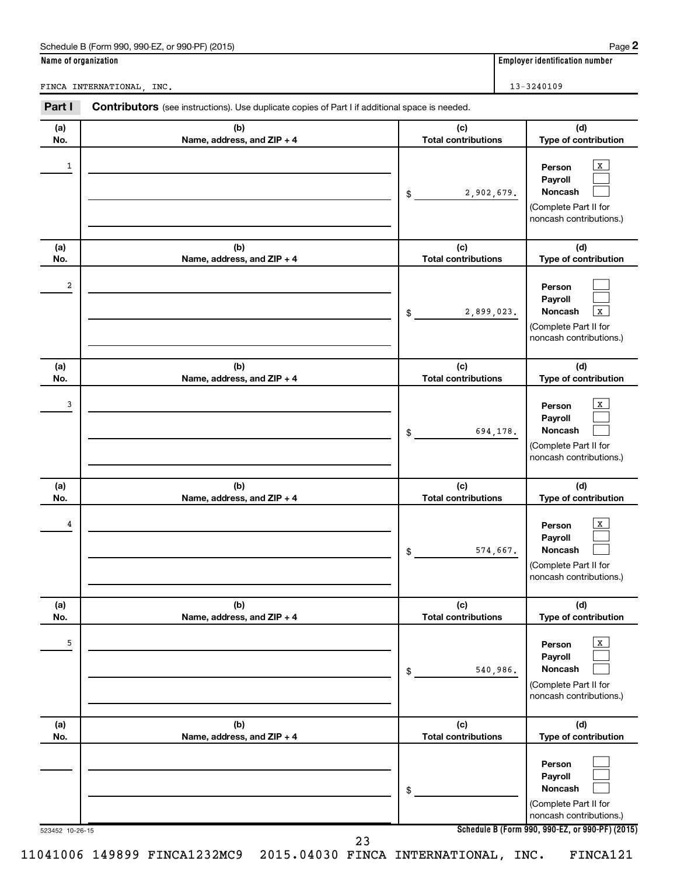| Name of organization | Schedule B (Form 990, 990-EZ, or 990-PF) (2015)                                                       |                                              | Page 2<br><b>Employer identification number</b>                                                         |  |  |
|----------------------|-------------------------------------------------------------------------------------------------------|----------------------------------------------|---------------------------------------------------------------------------------------------------------|--|--|
|                      |                                                                                                       |                                              |                                                                                                         |  |  |
|                      | FINCA INTERNATIONAL, INC.                                                                             |                                              | 13-3240109                                                                                              |  |  |
| Part I               | <b>Contributors</b> (see instructions). Use duplicate copies of Part I if additional space is needed. |                                              |                                                                                                         |  |  |
| (a)<br>No.           | (b)<br>Name, address, and ZIP + 4                                                                     | (c)<br><b>Total contributions</b>            | (d)<br>Type of contribution                                                                             |  |  |
| 1                    |                                                                                                       | 2,902,679.<br>\$                             | X<br>Person<br>Payroll<br>Noncash<br>(Complete Part II for<br>noncash contributions.)                   |  |  |
| (a)                  | (b)                                                                                                   | (c)                                          | (d)                                                                                                     |  |  |
| No.                  | Name, address, and ZIP + 4                                                                            | <b>Total contributions</b>                   | Type of contribution                                                                                    |  |  |
| 2                    |                                                                                                       | 2,899,023.<br>\$                             | Person<br>Payroll<br>Noncash<br>$\mathbf{x}$<br>(Complete Part II for<br>noncash contributions.)        |  |  |
| (a)<br>No.           | (b)<br>Name, address, and ZIP + 4                                                                     | (c)<br><b>Total contributions</b>            | (d)<br>Type of contribution                                                                             |  |  |
| 3                    |                                                                                                       | 694,178.<br>\$                               | X<br>Person<br>Payroll<br>Noncash<br>(Complete Part II for<br>noncash contributions.)                   |  |  |
| (a)<br>No.           | (b)<br>Name, address, and ZIP + 4                                                                     | (c)<br><b>Total contributions</b>            | (d)<br>Type of contribution                                                                             |  |  |
| 4                    |                                                                                                       | 574,667.<br>\$                               | $\mathbf{x}$<br>Person<br>Payroll<br><b>Noncash</b><br>(Complete Part II for<br>noncash contributions.) |  |  |
| (a)                  | (b)                                                                                                   | (c)                                          | (d)                                                                                                     |  |  |
| No.<br>5             | Name, address, and ZIP + 4                                                                            | <b>Total contributions</b><br>540,986.<br>\$ | Type of contribution<br>$\mathbf{X}$<br>Person<br>Payroll<br><b>Noncash</b><br>(Complete Part II for    |  |  |

|            |                                   |                                   | $ -$<br>Complete Part II for<br>noncash contributions.)                          |
|------------|-----------------------------------|-----------------------------------|----------------------------------------------------------------------------------|
| (a)<br>No. | (b)<br>Name, address, and ZIP + 4 | (c)<br><b>Total contributions</b> | (d)<br><b>Type of contribution</b>                                               |
|            |                                   | \$                                | Person<br>Payroll<br>Noncash<br>(Complete Part II for<br>noncash contributions.) |

**Schedule B (Form 990, 990-EZ, or 990-PF) (2015)**

523452 10-26-15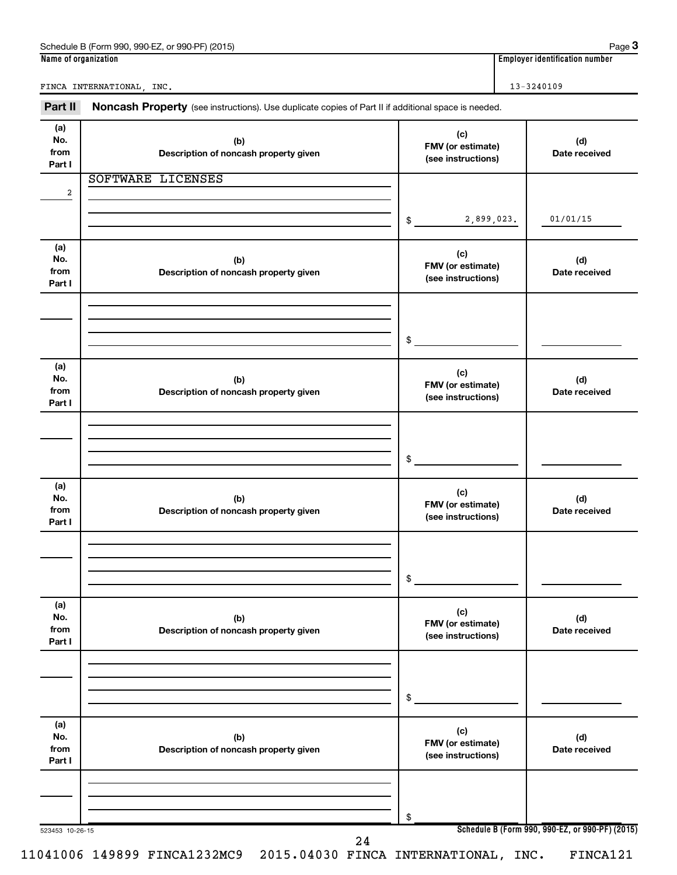| Part II                      | Noncash Property (see instructions). Use duplicate copies of Part II if additional space is needed. |                                                |                      |
|------------------------------|-----------------------------------------------------------------------------------------------------|------------------------------------------------|----------------------|
| (a)<br>No.<br>from<br>Part I | (b)<br>Description of noncash property given                                                        | (c)<br>FMV (or estimate)<br>(see instructions) | (d)<br>Date received |
|                              | SOFTWARE LICENSES                                                                                   |                                                |                      |
| 2                            |                                                                                                     | 2,899,023.<br>$\frac{1}{2}$                    | 01/01/15             |
| (a)<br>No.<br>from<br>Part I | (b)<br>Description of noncash property given                                                        | (c)<br>FMV (or estimate)<br>(see instructions) | (d)<br>Date received |
|                              |                                                                                                     | \$                                             |                      |
| (a)<br>No.<br>from<br>Part I | (b)<br>Description of noncash property given                                                        | (c)<br>FMV (or estimate)<br>(see instructions) | (d)<br>Date received |
|                              |                                                                                                     | \$                                             |                      |
| (a)<br>No.<br>from<br>Part I | (b)<br>Description of noncash property given                                                        | (c)<br>FMV (or estimate)<br>(see instructions) | (d)<br>Date received |
|                              |                                                                                                     | \$                                             |                      |
| (a)<br>No.<br>from<br>Part I | (b)<br>Description of noncash property given                                                        | (c)<br>FMV (or estimate)<br>(see instructions) | (d)<br>Date received |
|                              |                                                                                                     | \$                                             |                      |
| (a)<br>No.<br>from<br>Part I | (b)<br>Description of noncash property given                                                        | (c)<br>FMV (or estimate)<br>(see instructions) | (d)<br>Date received |
|                              |                                                                                                     | \$                                             |                      |

Schedule B (Form 990, 990-EZ, or 990-PF) (2015) Schedule B (Form 1990, 990-PF) Page **3**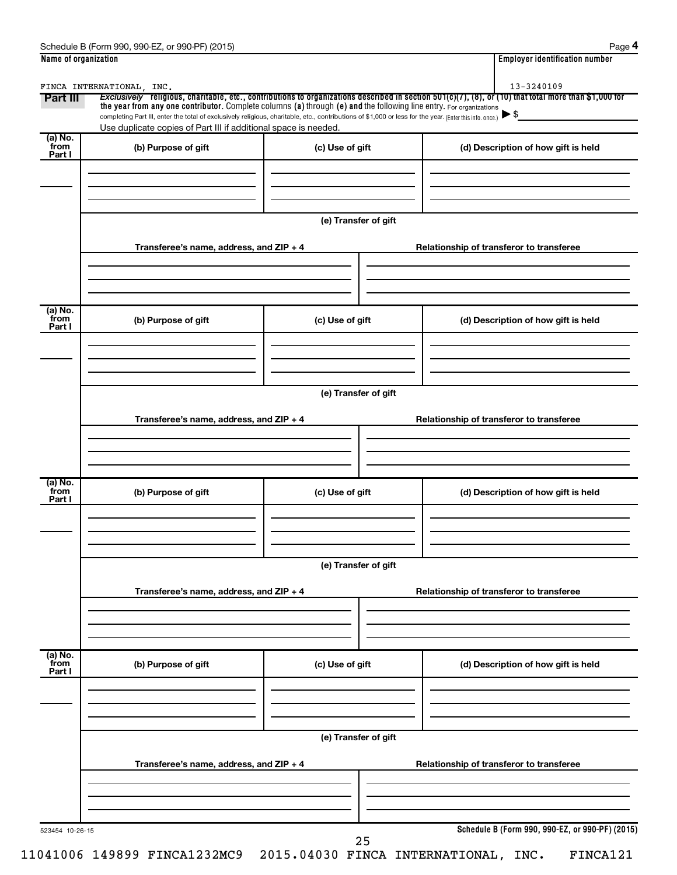| Schedule B (<br>990-EZ<br>(2015)<br>or 990-PF)<br>: (Form 990) | Paɑe                               |
|----------------------------------------------------------------|------------------------------------|
| Name of organization                                           | <br>Emplover identification number |

|--|--|

| Part III                  | FINCA INTERNATIONAL, INC.<br>the year from any one contributor. Complete columns (a) through (e) and the following line entry. For organizations<br>completing Part III, enter the total of exclusively religious, charitable, etc., contributions of \$1,000 or less for the year. (Enter this info. once.) |                      | Exclusively religious, charitable, etc., contributions to organizations described in section 501(c)(7), (8), or (10) that total more than \$1,000 for |
|---------------------------|--------------------------------------------------------------------------------------------------------------------------------------------------------------------------------------------------------------------------------------------------------------------------------------------------------------|----------------------|-------------------------------------------------------------------------------------------------------------------------------------------------------|
|                           | Use duplicate copies of Part III if additional space is needed.                                                                                                                                                                                                                                              |                      |                                                                                                                                                       |
| (a) No.<br>from<br>Part I | (b) Purpose of gift                                                                                                                                                                                                                                                                                          | (c) Use of gift      | (d) Description of how gift is held                                                                                                                   |
|                           |                                                                                                                                                                                                                                                                                                              | (e) Transfer of gift |                                                                                                                                                       |
|                           | Transferee's name, address, and ZIP + 4                                                                                                                                                                                                                                                                      |                      | Relationship of transferor to transferee                                                                                                              |
| (a) No.<br>from<br>Part I | (b) Purpose of gift                                                                                                                                                                                                                                                                                          | (c) Use of gift      | (d) Description of how gift is held                                                                                                                   |
|                           | Transferee's name, address, and ZIP + 4                                                                                                                                                                                                                                                                      | (e) Transfer of gift | Relationship of transferor to transferee                                                                                                              |
| (a) No.<br>from<br>Part I | (b) Purpose of gift                                                                                                                                                                                                                                                                                          | (c) Use of gift      | (d) Description of how gift is held                                                                                                                   |
|                           | Transferee's name, address, and ZIP + 4                                                                                                                                                                                                                                                                      | (e) Transfer of gift | Relationship of transferor to transferee                                                                                                              |
|                           |                                                                                                                                                                                                                                                                                                              |                      |                                                                                                                                                       |
|                           |                                                                                                                                                                                                                                                                                                              |                      |                                                                                                                                                       |
| (a) No.<br>from<br>Part I | (b) Purpose of gift                                                                                                                                                                                                                                                                                          | (c) Use of gift      | (d) Description of how gift is held                                                                                                                   |
|                           |                                                                                                                                                                                                                                                                                                              |                      |                                                                                                                                                       |
|                           | Transferee's name, address, and ZIP + 4                                                                                                                                                                                                                                                                      | (e) Transfer of gift | Relationship of transferor to transferee                                                                                                              |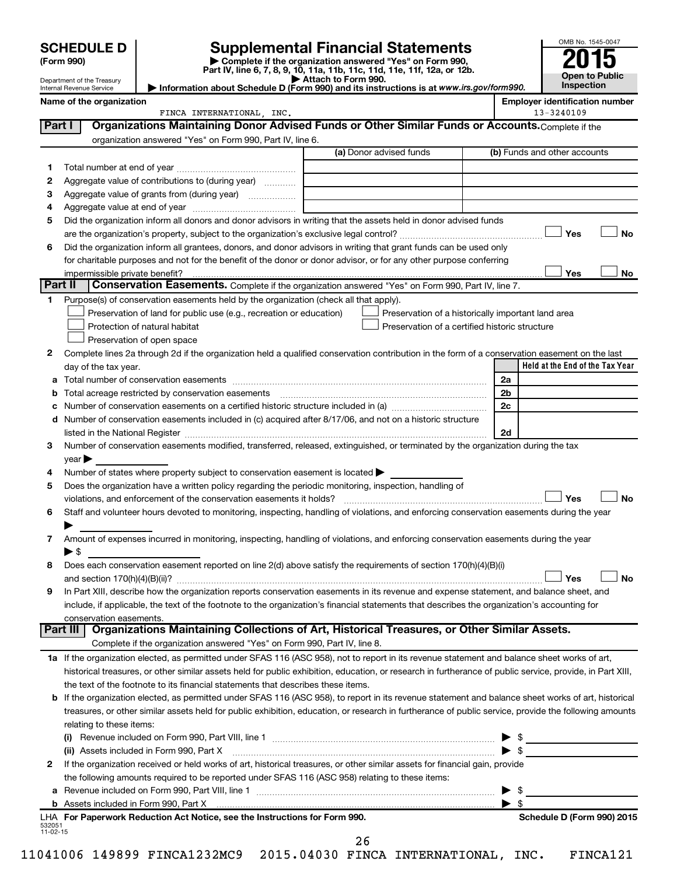Department of the Treasury Internal Revenue Service

| (Form 990) |  |
|------------|--|
|------------|--|

# **SCHEDULE D Supplemental Financial Statements**<br> **Form 990 2015**<br> **Part IV** line 6.7.8.9.10, 11a, 11b, 11d, 11d, 11d, 11d, 11d, 12a, 0r, 12b

**(Form 990) | Complete if the organization answered "Yes" on Form 990, Part IV, line 6, 7, 8, 9, 10, 11a, 11b, 11c, 11d, 11e, 11f, 12a, or 12b.**

**| Attach to Form 990. | Information about Schedule D (Form 990) and its instructions is at**  *www.irs.gov/form990.*



|                    | Name of the organization                                                                                                                                                                                                                                                                                   |                         | <b>Employer identification number</b>                                                |
|--------------------|------------------------------------------------------------------------------------------------------------------------------------------------------------------------------------------------------------------------------------------------------------------------------------------------------------|-------------------------|--------------------------------------------------------------------------------------|
|                    | FINCA INTERNATIONAL, INC.                                                                                                                                                                                                                                                                                  |                         | 13-3240109                                                                           |
| Part I             | Organizations Maintaining Donor Advised Funds or Other Similar Funds or Accounts. Complete if the                                                                                                                                                                                                          |                         |                                                                                      |
|                    | organization answered "Yes" on Form 990, Part IV, line 6.                                                                                                                                                                                                                                                  |                         |                                                                                      |
|                    |                                                                                                                                                                                                                                                                                                            | (a) Donor advised funds | (b) Funds and other accounts                                                         |
| 1.                 |                                                                                                                                                                                                                                                                                                            |                         |                                                                                      |
| 2                  | Aggregate value of contributions to (during year)                                                                                                                                                                                                                                                          |                         |                                                                                      |
| З                  | Aggregate value of grants from (during year)                                                                                                                                                                                                                                                               |                         |                                                                                      |
| 4                  |                                                                                                                                                                                                                                                                                                            |                         |                                                                                      |
| 5                  | Did the organization inform all donors and donor advisors in writing that the assets held in donor advised funds                                                                                                                                                                                           |                         |                                                                                      |
|                    |                                                                                                                                                                                                                                                                                                            |                         | Yes<br>No                                                                            |
| 6                  | Did the organization inform all grantees, donors, and donor advisors in writing that grant funds can be used only                                                                                                                                                                                          |                         |                                                                                      |
|                    | for charitable purposes and not for the benefit of the donor or donor advisor, or for any other purpose conferring                                                                                                                                                                                         |                         |                                                                                      |
|                    |                                                                                                                                                                                                                                                                                                            |                         | Yes<br>No                                                                            |
| Part II            | Conservation Easements. Complete if the organization answered "Yes" on Form 990, Part IV, line 7.                                                                                                                                                                                                          |                         |                                                                                      |
| 1.                 | Purpose(s) of conservation easements held by the organization (check all that apply).                                                                                                                                                                                                                      |                         |                                                                                      |
|                    | Preservation of land for public use (e.g., recreation or education)                                                                                                                                                                                                                                        |                         | Preservation of a historically important land area                                   |
|                    | Protection of natural habitat                                                                                                                                                                                                                                                                              |                         | Preservation of a certified historic structure                                       |
|                    | Preservation of open space                                                                                                                                                                                                                                                                                 |                         |                                                                                      |
| 2                  | Complete lines 2a through 2d if the organization held a qualified conservation contribution in the form of a conservation easement on the last                                                                                                                                                             |                         |                                                                                      |
|                    | day of the tax year.                                                                                                                                                                                                                                                                                       |                         | Held at the End of the Tax Year                                                      |
| а                  |                                                                                                                                                                                                                                                                                                            |                         | 2a                                                                                   |
| b                  |                                                                                                                                                                                                                                                                                                            |                         | 2 <sub>b</sub>                                                                       |
| с                  | Number of conservation easements on a certified historic structure included in (a) manufacture included in (a)                                                                                                                                                                                             |                         | 2c                                                                                   |
| d                  | Number of conservation easements included in (c) acquired after 8/17/06, and not on a historic structure                                                                                                                                                                                                   |                         |                                                                                      |
|                    |                                                                                                                                                                                                                                                                                                            |                         | 2d                                                                                   |
| З.                 | Number of conservation easements modified, transferred, released, extinguished, or terminated by the organization during the tax                                                                                                                                                                           |                         |                                                                                      |
|                    | $year \blacktriangleright$                                                                                                                                                                                                                                                                                 |                         |                                                                                      |
| 4                  | Number of states where property subject to conservation easement is located >                                                                                                                                                                                                                              |                         |                                                                                      |
| 5                  | Does the organization have a written policy regarding the periodic monitoring, inspection, handling of                                                                                                                                                                                                     |                         |                                                                                      |
|                    | violations, and enforcement of the conservation easements it holds?                                                                                                                                                                                                                                        |                         | Yes<br><b>No</b>                                                                     |
| 6                  | Staff and volunteer hours devoted to monitoring, inspecting, handling of violations, and enforcing conservation easements during the year                                                                                                                                                                  |                         |                                                                                      |
|                    |                                                                                                                                                                                                                                                                                                            |                         |                                                                                      |
| 7                  | Amount of expenses incurred in monitoring, inspecting, handling of violations, and enforcing conservation easements during the year                                                                                                                                                                        |                         |                                                                                      |
|                    | $\blacktriangleright$ \$                                                                                                                                                                                                                                                                                   |                         |                                                                                      |
| 8                  | Does each conservation easement reported on line 2(d) above satisfy the requirements of section 170(h)(4)(B)(i)                                                                                                                                                                                            |                         |                                                                                      |
|                    |                                                                                                                                                                                                                                                                                                            |                         | Yes<br>No                                                                            |
|                    | In Part XIII, describe how the organization reports conservation easements in its revenue and expense statement, and balance sheet, and                                                                                                                                                                    |                         |                                                                                      |
|                    | include, if applicable, the text of the footnote to the organization's financial statements that describes the organization's accounting for                                                                                                                                                               |                         |                                                                                      |
|                    | conservation easements.<br>Organizations Maintaining Collections of Art, Historical Treasures, or Other Similar Assets.<br>Part III                                                                                                                                                                        |                         |                                                                                      |
|                    | Complete if the organization answered "Yes" on Form 990, Part IV, line 8.                                                                                                                                                                                                                                  |                         |                                                                                      |
|                    | 1a If the organization elected, as permitted under SFAS 116 (ASC 958), not to report in its revenue statement and balance sheet works of art,                                                                                                                                                              |                         |                                                                                      |
|                    | historical treasures, or other similar assets held for public exhibition, education, or research in furtherance of public service, provide, in Part XIII,                                                                                                                                                  |                         |                                                                                      |
|                    | the text of the footnote to its financial statements that describes these items.                                                                                                                                                                                                                           |                         |                                                                                      |
|                    |                                                                                                                                                                                                                                                                                                            |                         |                                                                                      |
|                    | If the organization elected, as permitted under SFAS 116 (ASC 958), to report in its revenue statement and balance sheet works of art, historical<br>treasures, or other similar assets held for public exhibition, education, or research in furtherance of public service, provide the following amounts |                         |                                                                                      |
|                    | relating to these items:                                                                                                                                                                                                                                                                                   |                         |                                                                                      |
|                    |                                                                                                                                                                                                                                                                                                            |                         |                                                                                      |
|                    | (ii) Assets included in Form 990, Part X                                                                                                                                                                                                                                                                   |                         | -\$<br>▶<br>the control of the control of the control of<br>$\blacktriangleright$ \$ |
| $\mathbf{2}$       | If the organization received or held works of art, historical treasures, or other similar assets for financial gain, provide                                                                                                                                                                               |                         |                                                                                      |
|                    |                                                                                                                                                                                                                                                                                                            |                         |                                                                                      |
|                    | the following amounts required to be reported under SFAS 116 (ASC 958) relating to these items:                                                                                                                                                                                                            |                         | -\$                                                                                  |
| а                  |                                                                                                                                                                                                                                                                                                            |                         | ▶<br>$\blacktriangleright$ \$                                                        |
|                    | LHA For Paperwork Reduction Act Notice, see the Instructions for Form 990.                                                                                                                                                                                                                                 |                         | Schedule D (Form 990) 2015                                                           |
| 532051<br>11-02-15 |                                                                                                                                                                                                                                                                                                            |                         |                                                                                      |

26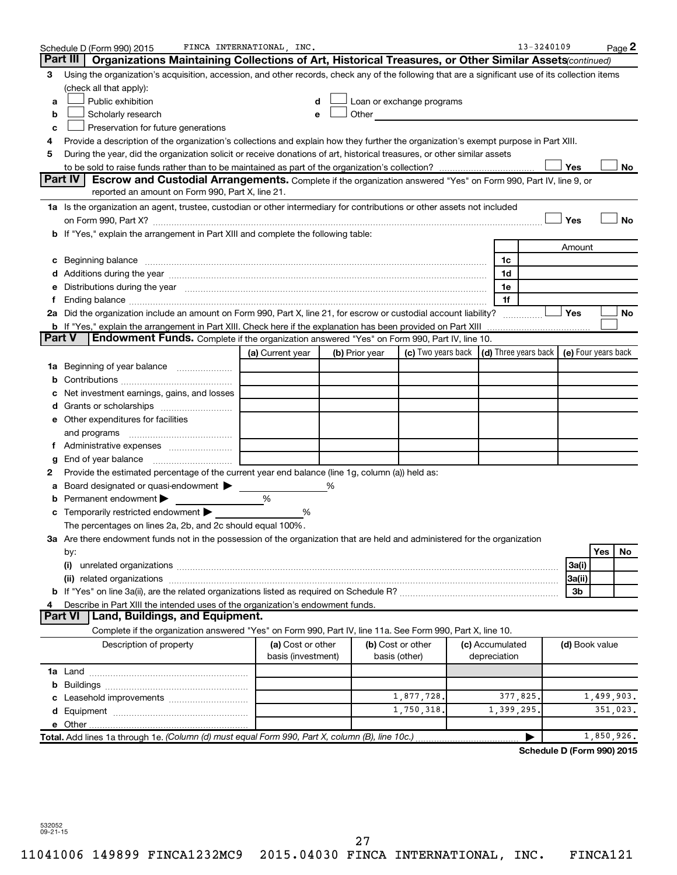|               | Schedule D (Form 990) 2015                                                                                                                                                                                                     | FINCA INTERNATIONAL, INC.               |                |                                                                                                                                                                                                                               |                                            | 13-3240109 |                |            | Page 2 |
|---------------|--------------------------------------------------------------------------------------------------------------------------------------------------------------------------------------------------------------------------------|-----------------------------------------|----------------|-------------------------------------------------------------------------------------------------------------------------------------------------------------------------------------------------------------------------------|--------------------------------------------|------------|----------------|------------|--------|
|               | Part III I<br>Organizations Maintaining Collections of Art, Historical Treasures, or Other Similar Assets (continued)                                                                                                          |                                         |                |                                                                                                                                                                                                                               |                                            |            |                |            |        |
| З             | Using the organization's acquisition, accession, and other records, check any of the following that are a significant use of its collection items                                                                              |                                         |                |                                                                                                                                                                                                                               |                                            |            |                |            |        |
|               | (check all that apply):                                                                                                                                                                                                        |                                         |                |                                                                                                                                                                                                                               |                                            |            |                |            |        |
| a             | Public exhibition                                                                                                                                                                                                              | d                                       |                | Loan or exchange programs                                                                                                                                                                                                     |                                            |            |                |            |        |
| b             | Scholarly research                                                                                                                                                                                                             | е                                       |                | Other and the contract of the contract of the contract of the contract of the contract of the contract of the contract of the contract of the contract of the contract of the contract of the contract of the contract of the |                                            |            |                |            |        |
| с             | Preservation for future generations                                                                                                                                                                                            |                                         |                |                                                                                                                                                                                                                               |                                            |            |                |            |        |
| 4             | Provide a description of the organization's collections and explain how they further the organization's exempt purpose in Part XIII.                                                                                           |                                         |                |                                                                                                                                                                                                                               |                                            |            |                |            |        |
| 5             | During the year, did the organization solicit or receive donations of art, historical treasures, or other similar assets                                                                                                       |                                         |                |                                                                                                                                                                                                                               |                                            |            |                |            |        |
|               |                                                                                                                                                                                                                                |                                         |                |                                                                                                                                                                                                                               |                                            |            | Yes            |            | No     |
|               | Part IV<br><b>Escrow and Custodial Arrangements.</b> Complete if the organization answered "Yes" on Form 990, Part IV, line 9, or                                                                                              |                                         |                |                                                                                                                                                                                                                               |                                            |            |                |            |        |
|               | reported an amount on Form 990, Part X, line 21.                                                                                                                                                                               |                                         |                |                                                                                                                                                                                                                               |                                            |            |                |            |        |
|               | 1a Is the organization an agent, trustee, custodian or other intermediary for contributions or other assets not included                                                                                                       |                                         |                |                                                                                                                                                                                                                               |                                            |            |                |            |        |
|               |                                                                                                                                                                                                                                |                                         |                |                                                                                                                                                                                                                               |                                            |            | Yes            |            | No     |
|               | b If "Yes," explain the arrangement in Part XIII and complete the following table:                                                                                                                                             |                                         |                |                                                                                                                                                                                                                               |                                            |            |                |            |        |
|               |                                                                                                                                                                                                                                |                                         |                |                                                                                                                                                                                                                               |                                            |            | Amount         |            |        |
| с             |                                                                                                                                                                                                                                |                                         |                |                                                                                                                                                                                                                               | 1c                                         |            |                |            |        |
|               |                                                                                                                                                                                                                                |                                         |                |                                                                                                                                                                                                                               | 1d                                         |            |                |            |        |
|               | Distributions during the year measurement contains and all the year measurement of the state of the state of the state of the state of the state of the state of the state of the state of the state of the state of the state |                                         |                |                                                                                                                                                                                                                               | 1e                                         |            |                |            |        |
| Ť.            | Ending balance measurements are all the contract of the contract of the contract of the contract of the contract of the contract of the contract of the contract of the contract of the contract of the contract of the contra |                                         |                |                                                                                                                                                                                                                               | 1f                                         |            |                |            |        |
|               | 2a Did the organization include an amount on Form 990, Part X, line 21, for escrow or custodial account liability?                                                                                                             |                                         |                |                                                                                                                                                                                                                               | .                                          |            | Yes            |            | No     |
| <b>Part V</b> | <b>b</b> If "Yes," explain the arrangement in Part XIII. Check here if the explanation has been provided on Part XIII<br>Endowment Funds. Complete if the organization answered "Yes" on Form 990, Part IV, line 10.           |                                         |                |                                                                                                                                                                                                                               |                                            |            |                |            |        |
|               |                                                                                                                                                                                                                                |                                         |                | (c) Two years back                                                                                                                                                                                                            | (d) Three years back   (e) Four years back |            |                |            |        |
|               |                                                                                                                                                                                                                                | (a) Current year                        | (b) Prior year |                                                                                                                                                                                                                               |                                            |            |                |            |        |
|               | <b>1a</b> Beginning of year balance                                                                                                                                                                                            |                                         |                |                                                                                                                                                                                                                               |                                            |            |                |            |        |
|               |                                                                                                                                                                                                                                |                                         |                |                                                                                                                                                                                                                               |                                            |            |                |            |        |
|               | Net investment earnings, gains, and losses                                                                                                                                                                                     |                                         |                |                                                                                                                                                                                                                               |                                            |            |                |            |        |
|               | e Other expenditures for facilities                                                                                                                                                                                            |                                         |                |                                                                                                                                                                                                                               |                                            |            |                |            |        |
|               |                                                                                                                                                                                                                                |                                         |                |                                                                                                                                                                                                                               |                                            |            |                |            |        |
|               |                                                                                                                                                                                                                                |                                         |                |                                                                                                                                                                                                                               |                                            |            |                |            |        |
|               |                                                                                                                                                                                                                                |                                         |                |                                                                                                                                                                                                                               |                                            |            |                |            |        |
|               | Provide the estimated percentage of the current year end balance (line 1g, column (a)) held as:                                                                                                                                |                                         |                |                                                                                                                                                                                                                               |                                            |            |                |            |        |
| а             | Board designated or quasi-endowment                                                                                                                                                                                            |                                         | %              |                                                                                                                                                                                                                               |                                            |            |                |            |        |
|               | Permanent endowment                                                                                                                                                                                                            | %                                       |                |                                                                                                                                                                                                                               |                                            |            |                |            |        |
|               | <b>c</b> Temporarily restricted endowment $\blacktriangleright$                                                                                                                                                                | %                                       |                |                                                                                                                                                                                                                               |                                            |            |                |            |        |
|               | The percentages on lines 2a, 2b, and 2c should equal 100%.                                                                                                                                                                     |                                         |                |                                                                                                                                                                                                                               |                                            |            |                |            |        |
|               | 3a Are there endowment funds not in the possession of the organization that are held and administered for the organization                                                                                                     |                                         |                |                                                                                                                                                                                                                               |                                            |            |                |            |        |
|               | by:                                                                                                                                                                                                                            |                                         |                |                                                                                                                                                                                                                               |                                            |            |                | Yes        | No     |
|               | (i)                                                                                                                                                                                                                            |                                         |                |                                                                                                                                                                                                                               |                                            |            | 3a(i)          |            |        |
|               |                                                                                                                                                                                                                                |                                         |                |                                                                                                                                                                                                                               |                                            |            | 3a(ii)         |            |        |
|               |                                                                                                                                                                                                                                |                                         |                |                                                                                                                                                                                                                               |                                            |            | 3b             |            |        |
|               | Describe in Part XIII the intended uses of the organization's endowment funds.                                                                                                                                                 |                                         |                |                                                                                                                                                                                                                               |                                            |            |                |            |        |
|               | <b>Land, Buildings, and Equipment.</b><br>Part VI                                                                                                                                                                              |                                         |                |                                                                                                                                                                                                                               |                                            |            |                |            |        |
|               | Complete if the organization answered "Yes" on Form 990, Part IV, line 11a. See Form 990, Part X, line 10.                                                                                                                     |                                         |                |                                                                                                                                                                                                                               |                                            |            |                |            |        |
|               | Description of property                                                                                                                                                                                                        | (a) Cost or other<br>basis (investment) |                | (b) Cost or other<br>basis (other)                                                                                                                                                                                            | (c) Accumulated<br>depreciation            |            | (d) Book value |            |        |
|               |                                                                                                                                                                                                                                |                                         |                |                                                                                                                                                                                                                               |                                            |            |                |            |        |
| b             |                                                                                                                                                                                                                                |                                         |                |                                                                                                                                                                                                                               |                                            |            |                |            |        |
|               |                                                                                                                                                                                                                                |                                         |                | 1,877,728,                                                                                                                                                                                                                    | 377,825.                                   |            |                | 1,499,903. |        |
|               |                                                                                                                                                                                                                                |                                         |                | 1,750,318.                                                                                                                                                                                                                    | 1,399,295                                  |            |                | 351,023.   |        |
|               |                                                                                                                                                                                                                                |                                         |                |                                                                                                                                                                                                                               |                                            |            |                |            |        |
|               | Total. Add lines 1a through 1e. (Column (d) must equal Form 990, Part X, column (B), line 10c.)                                                                                                                                |                                         |                |                                                                                                                                                                                                                               |                                            |            |                | 1,850,926. |        |

**Schedule D (Form 990) 2015**

532052 09-21-15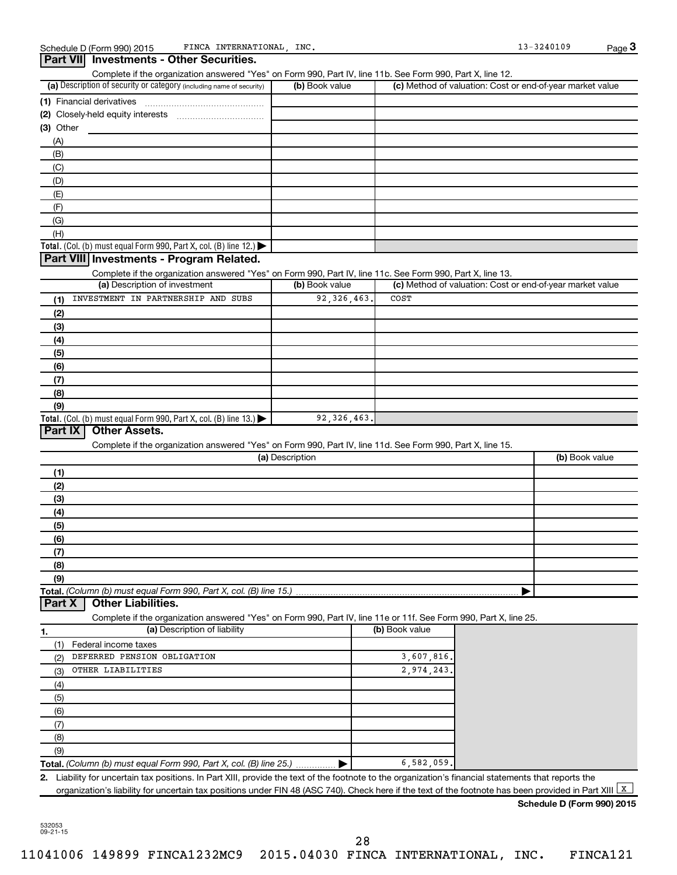|                                                                                                                                                                 | Complete if the organization answered "Yes" on Form 990, Part IV, line 11b. See Form 990, Part X, line 12. |                |                                                           |
|-----------------------------------------------------------------------------------------------------------------------------------------------------------------|------------------------------------------------------------------------------------------------------------|----------------|-----------------------------------------------------------|
| (a) Description of security or category (including name of security)                                                                                            | (b) Book value                                                                                             |                | (c) Method of valuation: Cost or end-of-year market value |
| (1) Financial derivatives                                                                                                                                       |                                                                                                            |                |                                                           |
|                                                                                                                                                                 |                                                                                                            |                |                                                           |
| $(3)$ Other                                                                                                                                                     |                                                                                                            |                |                                                           |
| (A)                                                                                                                                                             |                                                                                                            |                |                                                           |
| (B)                                                                                                                                                             |                                                                                                            |                |                                                           |
| (C)                                                                                                                                                             |                                                                                                            |                |                                                           |
| (D)                                                                                                                                                             |                                                                                                            |                |                                                           |
| (E)                                                                                                                                                             |                                                                                                            |                |                                                           |
| (F)                                                                                                                                                             |                                                                                                            |                |                                                           |
| (G)                                                                                                                                                             |                                                                                                            |                |                                                           |
| (H)                                                                                                                                                             |                                                                                                            |                |                                                           |
| Total. (Col. (b) must equal Form 990, Part X, col. (B) line 12.)                                                                                                |                                                                                                            |                |                                                           |
| Part VIII Investments - Program Related.                                                                                                                        |                                                                                                            |                |                                                           |
| Complete if the organization answered "Yes" on Form 990, Part IV, line 11c. See Form 990, Part X, line 13.<br>(a) Description of investment                     | (b) Book value                                                                                             |                | (c) Method of valuation: Cost or end-of-year market value |
| INVESTMENT IN PARTNERSHIP AND SUBS<br>(1)                                                                                                                       | 92, 326, 463                                                                                               | COST           |                                                           |
| (2)                                                                                                                                                             |                                                                                                            |                |                                                           |
| (3)                                                                                                                                                             |                                                                                                            |                |                                                           |
| (4)                                                                                                                                                             |                                                                                                            |                |                                                           |
| (5)                                                                                                                                                             |                                                                                                            |                |                                                           |
| (6)                                                                                                                                                             |                                                                                                            |                |                                                           |
| (7)                                                                                                                                                             |                                                                                                            |                |                                                           |
| (8)                                                                                                                                                             |                                                                                                            |                |                                                           |
| (9)                                                                                                                                                             |                                                                                                            |                |                                                           |
| Total. (Col. (b) must equal Form 990, Part X, col. (B) line 13.) $\blacktriangleright$                                                                          | 92, 326, 463.                                                                                              |                |                                                           |
| Part IX<br><b>Other Assets.</b>                                                                                                                                 |                                                                                                            |                |                                                           |
| Complete if the organization answered "Yes" on Form 990, Part IV, line 11d. See Form 990, Part X, line 15.                                                      |                                                                                                            |                |                                                           |
|                                                                                                                                                                 | (a) Description                                                                                            |                | (b) Book value                                            |
|                                                                                                                                                                 |                                                                                                            |                |                                                           |
| (1)                                                                                                                                                             |                                                                                                            |                |                                                           |
| (2)                                                                                                                                                             |                                                                                                            |                |                                                           |
|                                                                                                                                                                 |                                                                                                            |                |                                                           |
| (3)                                                                                                                                                             |                                                                                                            |                |                                                           |
| (4)                                                                                                                                                             |                                                                                                            |                |                                                           |
| (5)                                                                                                                                                             |                                                                                                            |                |                                                           |
| (6)                                                                                                                                                             |                                                                                                            |                |                                                           |
| (7)                                                                                                                                                             |                                                                                                            |                |                                                           |
| (8)                                                                                                                                                             |                                                                                                            |                |                                                           |
| (9)                                                                                                                                                             |                                                                                                            |                |                                                           |
|                                                                                                                                                                 |                                                                                                            |                |                                                           |
| <b>Other Liabilities.</b>                                                                                                                                       |                                                                                                            |                |                                                           |
| Complete if the organization answered "Yes" on Form 990, Part IV, line 11e or 11f. See Form 990, Part X, line 25.                                               |                                                                                                            |                |                                                           |
| (a) Description of liability                                                                                                                                    |                                                                                                            | (b) Book value |                                                           |
| (1) Federal income taxes                                                                                                                                        |                                                                                                            |                |                                                           |
| DEFERRED PENSION OBLIGATION<br>(2)                                                                                                                              |                                                                                                            | 3,607,816.     |                                                           |
| OTHER LIABILITIES<br>(3)                                                                                                                                        |                                                                                                            | 2,974,243.     |                                                           |
| (4)                                                                                                                                                             |                                                                                                            |                |                                                           |
|                                                                                                                                                                 |                                                                                                            |                |                                                           |
| (5)                                                                                                                                                             |                                                                                                            |                |                                                           |
| (6)                                                                                                                                                             |                                                                                                            |                |                                                           |
| (7)                                                                                                                                                             |                                                                                                            |                |                                                           |
| (8)                                                                                                                                                             |                                                                                                            |                |                                                           |
| Total. (Column (b) must equal Form 990, Part X, col. (B) line 15.)<br>Part X<br>1.<br>(9)<br>Total. (Column (b) must equal Form 990, Part X, col. (B) line 25.) |                                                                                                            | 6,582,059      |                                                           |

532053 09-21-15

**Schedule D (Form 990) 2015**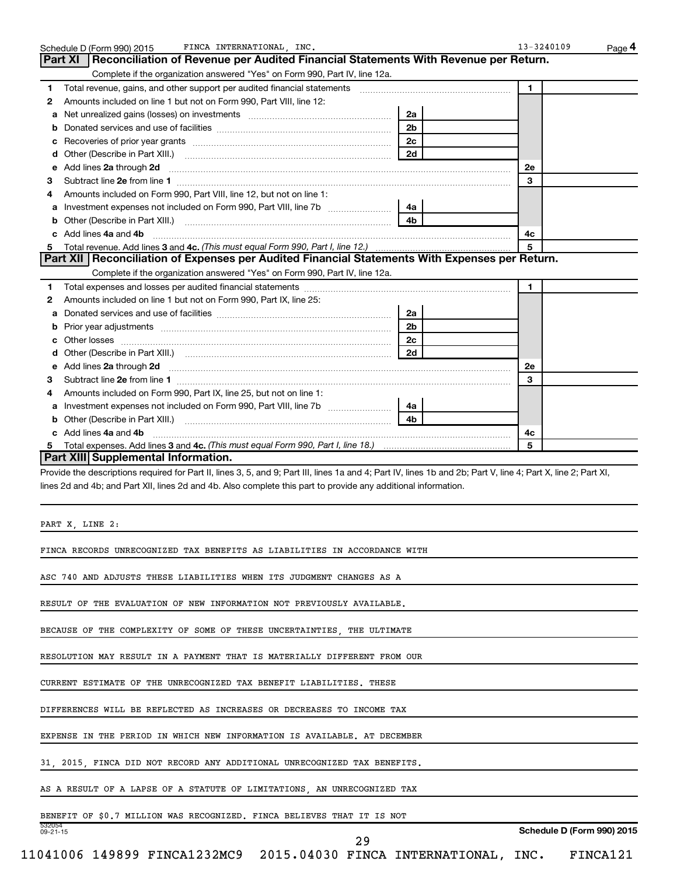| 1                                                                                                                                                                                                                                                                                                                            |                | $\mathbf{1}$         |
|------------------------------------------------------------------------------------------------------------------------------------------------------------------------------------------------------------------------------------------------------------------------------------------------------------------------------|----------------|----------------------|
| Amounts included on line 1 but not on Form 990, Part VIII, line 12:<br>2                                                                                                                                                                                                                                                     |                |                      |
| Net unrealized gains (losses) on investments [111] www.communition.communitions of the unrealized gains (losses) on investments<br>a                                                                                                                                                                                         | 2a             |                      |
| b                                                                                                                                                                                                                                                                                                                            | 2 <sub>b</sub> |                      |
| с                                                                                                                                                                                                                                                                                                                            | 2c             |                      |
| d                                                                                                                                                                                                                                                                                                                            | 2d             |                      |
| Add lines 2a through 2d<br>е                                                                                                                                                                                                                                                                                                 |                | 2e                   |
| з                                                                                                                                                                                                                                                                                                                            |                | 3                    |
| Amounts included on Form 990, Part VIII, line 12, but not on line 1:<br>4                                                                                                                                                                                                                                                    |                |                      |
|                                                                                                                                                                                                                                                                                                                              |                |                      |
| а                                                                                                                                                                                                                                                                                                                            | 4 <sub>b</sub> |                      |
| b                                                                                                                                                                                                                                                                                                                            |                |                      |
| c Add lines 4a and 4b                                                                                                                                                                                                                                                                                                        |                | 4с                   |
| 5                                                                                                                                                                                                                                                                                                                            |                | 5                    |
| Part XII   Reconciliation of Expenses per Audited Financial Statements With Expenses per Return.                                                                                                                                                                                                                             |                |                      |
| Complete if the organization answered "Yes" on Form 990, Part IV, line 12a.                                                                                                                                                                                                                                                  |                |                      |
| 1                                                                                                                                                                                                                                                                                                                            |                | $\blacktriangleleft$ |
| Amounts included on line 1 but not on Form 990, Part IX, line 25:<br>2                                                                                                                                                                                                                                                       |                |                      |
| a                                                                                                                                                                                                                                                                                                                            | 2a             |                      |
| Prior year adjustments [111] Prior year adjustments [11] Masseum Masseum Masseum Masseum Masseum Masseum Mass<br>b                                                                                                                                                                                                           | 2 <sub>b</sub> |                      |
| с                                                                                                                                                                                                                                                                                                                            | 2c             |                      |
| d                                                                                                                                                                                                                                                                                                                            | 2d             |                      |
| Add lines 2a through 2d <b>continuum contract and all contract and all contract and all contract and all contract and all contract and all contract and all contract and all contract and all contract and all contract and all </b><br>е                                                                                    |                | 2e                   |
| з                                                                                                                                                                                                                                                                                                                            |                | 3                    |
| Amounts included on Form 990, Part IX, line 25, but not on line 1:<br>4                                                                                                                                                                                                                                                      |                |                      |
| а                                                                                                                                                                                                                                                                                                                            |                |                      |
|                                                                                                                                                                                                                                                                                                                              |                |                      |
|                                                                                                                                                                                                                                                                                                                              |                |                      |
| b                                                                                                                                                                                                                                                                                                                            | 4 <sub>b</sub> |                      |
| c Add lines 4a and 4b                                                                                                                                                                                                                                                                                                        |                | 4с<br>-5             |
| 5<br>Part XIII Supplemental Information.<br>Provide the descriptions required for Part II, lines 3, 5, and 9; Part III, lines 1a and 4; Part IV, lines 1b and 2b; Part V, line 4; Part X, line 2; Part XI,<br>lines 2d and 4b; and Part XII, lines 2d and 4b. Also complete this part to provide any additional information. |                |                      |
| PART X, LINE 2:                                                                                                                                                                                                                                                                                                              |                |                      |
| FINCA RECORDS UNRECOGNIZED TAX BENEFITS AS LIABILITIES IN ACCORDANCE WITH                                                                                                                                                                                                                                                    |                |                      |
| ASC 740 AND ADJUSTS THESE LIABILITIES WHEN ITS JUDGMENT CHANGES AS A                                                                                                                                                                                                                                                         |                |                      |
| RESULT OF THE EVALUATION OF NEW INFORMATION NOT PREVIOUSLY AVAILABLE.                                                                                                                                                                                                                                                        |                |                      |
| BECAUSE OF THE COMPLEXITY OF SOME OF THESE UNCERTAINTIES, THE ULTIMATE                                                                                                                                                                                                                                                       |                |                      |
| RESOLUTION MAY RESULT IN A PAYMENT THAT IS MATERIALLY DIFFERENT FROM OUR                                                                                                                                                                                                                                                     |                |                      |
| CURRENT ESTIMATE OF THE UNRECOGNIZED TAX BENEFIT LIABILITIES. THESE                                                                                                                                                                                                                                                          |                |                      |
| DIFFERENCES WILL BE REFLECTED AS INCREASES OR DECREASES TO INCOME TAX                                                                                                                                                                                                                                                        |                |                      |
|                                                                                                                                                                                                                                                                                                                              |                |                      |
|                                                                                                                                                                                                                                                                                                                              |                |                      |
|                                                                                                                                                                                                                                                                                                                              |                |                      |
| EXPENSE IN THE PERIOD IN WHICH NEW INFORMATION IS AVAILABLE. AT DECEMBER<br>31, 2015, FINCA DID NOT RECORD ANY ADDITIONAL UNRECOGNIZED TAX BENEFITS.<br>AS A RESULT OF A LAPSE OF A STATUTE OF LIMITATIONS, AN UNRECOGNIZED TAX<br>BENEFIT OF \$0.7 MILLION WAS RECOGNIZED. FINCA BELIEVES THAT IT IS NOT                    |                |                      |

Schedule D (Form 990) 2015 FINCA INTERNATIONAL,INC. 13-3240109 Page

FINCA INTERNATIONAL, INC. 13-3240109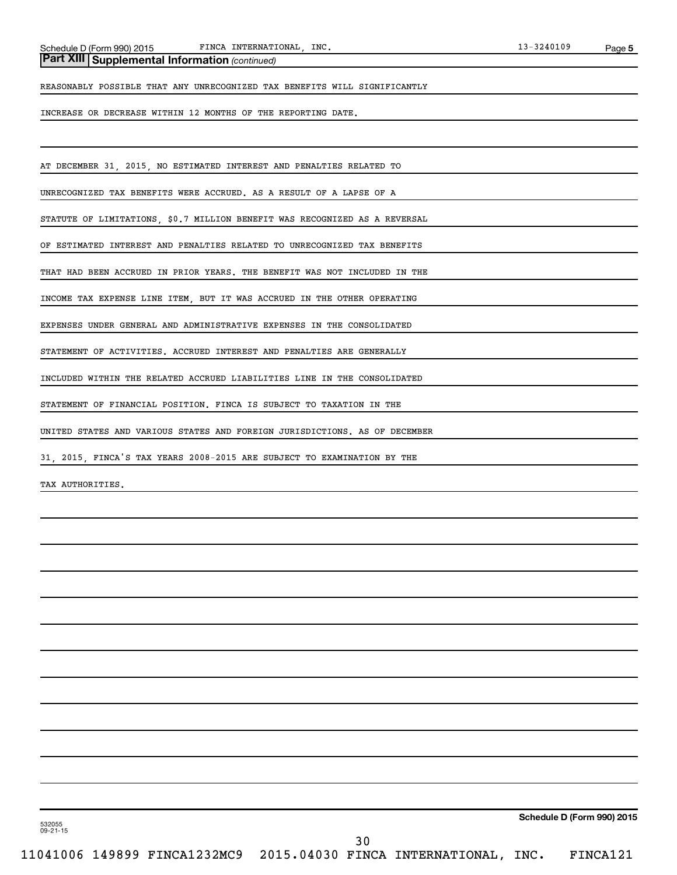### *(continued)* **Part XIII Supplemental Information**

REASONABLY POSSIBLE THAT ANY UNRECOGNIZED TAX BENEFITS WILL SIGNIFICANTLY

INCREASE OR DECREASE WITHIN 12 MONTHS OF THE REPORTING DATE.

AT DECEMBER 31, 2015, NO ESTIMATED INTEREST AND PENALTIES RELATED TO

UNRECOGNIZED TAX BENEFITS WERE ACCRUED. AS A RESULT OF A LAPSE OF A

STATUTE OF LIMITATIONS, \$0.7 MILLION BENEFIT WAS RECOGNIZED AS A REVERSAL

OF ESTIMATED INTEREST AND PENALTIES RELATED TO UNRECOGNIZED TAX BENEFITS

THAT HAD BEEN ACCRUED IN PRIOR YEARS. THE BENEFIT WAS NOT INCLUDED IN THE

INCOME TAX EXPENSE LINE ITEM, BUT IT WAS ACCRUED IN THE OTHER OPERATING

EXPENSES UNDER GENERAL AND ADMINISTRATIVE EXPENSES IN THE CONSOLIDATED

STATEMENT OF ACTIVITIES. ACCRUED INTEREST AND PENALTIES ARE GENERALLY

INCLUDED WITHIN THE RELATED ACCRUED LIABILITIES LINE IN THE CONSOLIDATED

STATEMENT OF FINANCIAL POSITION. FINCA IS SUBJECT TO TAXATION IN THE

UNITED STATES AND VARIOUS STATES AND FOREIGN JURISDICTIONS. AS OF DECEMBER

31, 2015, FINCA'S TAX YEARS 2008-2015 ARE SUBJECT TO EXAMINATION BY THE

TAX AUTHORITIES.

**Schedule D (Form 990) 2015**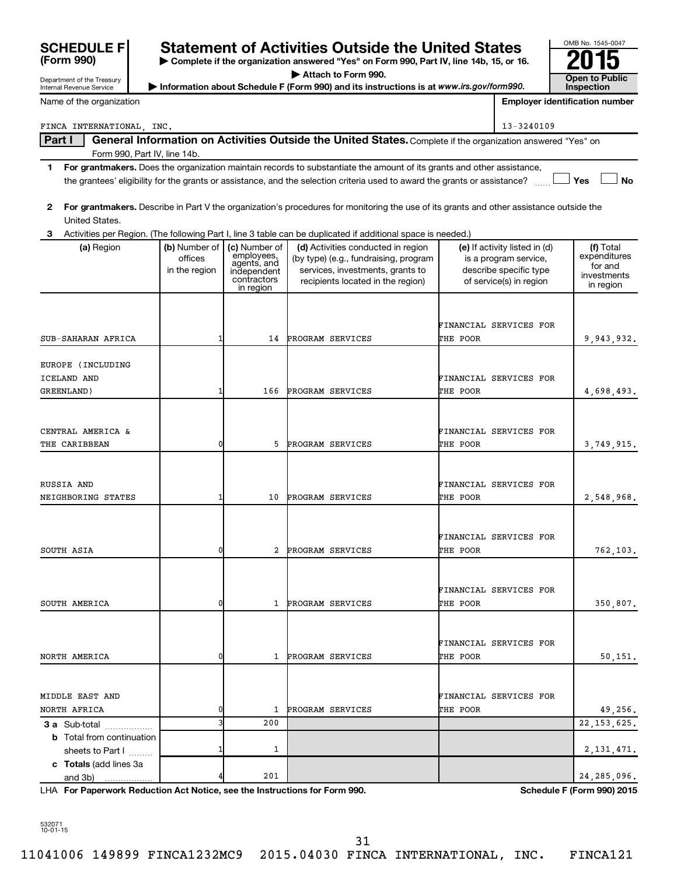| <b>SCHEDULE F</b><br>(Form 990) |                          |                             | <b>Statement of Activities Outside the United States</b><br>Complete if the organization answered "Yes" on Form 990, Part IV, line 14b, 15, or 16. |          |                                                        | OMB No. 1545-0047                     |
|---------------------------------|--------------------------|-----------------------------|----------------------------------------------------------------------------------------------------------------------------------------------------|----------|--------------------------------------------------------|---------------------------------------|
| Department of the Treasury      |                          |                             | Attach to Form 990.                                                                                                                                |          |                                                        | Open to Public                        |
| Internal Revenue Service        |                          |                             | Information about Schedule F (Form 990) and its instructions is at www.irs.gov/form990.                                                            |          |                                                        | <b>Inspection</b>                     |
| Name of the organization        |                          |                             |                                                                                                                                                    |          |                                                        | <b>Employer identification number</b> |
| FINCA INTERNATIONAL, INC.       |                          |                             |                                                                                                                                                    |          | 13-3240109                                             |                                       |
| Part I                          |                          |                             | General Information on Activities Outside the United States. Complete if the organization answered "Yes" on                                        |          |                                                        |                                       |
| Form 990, Part IV, line 14b.    |                          |                             |                                                                                                                                                    |          |                                                        |                                       |
| 1                               |                          |                             | For grantmakers. Does the organization maintain records to substantiate the amount of its grants and other assistance,                             |          |                                                        |                                       |
|                                 |                          |                             | the grantees' eligibility for the grants or assistance, and the selection criteria used to award the grants or assistance?                         |          |                                                        | Yes<br><b>No</b>                      |
| $\mathbf{2}$                    |                          |                             | For grantmakers. Describe in Part V the organization's procedures for monitoring the use of its grants and other assistance outside the            |          |                                                        |                                       |
| United States.                  |                          |                             |                                                                                                                                                    |          |                                                        |                                       |
| 3                               |                          |                             | Activities per Region. (The following Part I, line 3 table can be duplicated if additional space is needed.)                                       |          |                                                        |                                       |
| (a) Region                      | (b) Number of<br>offices | (c) Number of<br>employees, | (d) Activities conducted in region<br>(by type) (e.g., fundraising, program                                                                        |          | (e) If activity listed in (d)<br>is a program service, | (f) Total<br>expenditures             |
|                                 | in the region            | agents, and<br>independent  | services, investments, grants to                                                                                                                   |          | describe specific type                                 | for and                               |
|                                 |                          | contractors<br>in region    | recipients located in the region)                                                                                                                  |          | of service(s) in region                                | investments<br>in region              |
|                                 |                          |                             |                                                                                                                                                    |          |                                                        |                                       |
|                                 |                          |                             |                                                                                                                                                    |          |                                                        |                                       |
|                                 |                          |                             |                                                                                                                                                    |          | FINANCIAL SERVICES FOR                                 |                                       |
| SUB-SAHARAN AFRICA              |                          | 14                          | PROGRAM SERVICES                                                                                                                                   | THE POOR |                                                        | 9,943,932.                            |
| EUROPE (INCLUDING               |                          |                             |                                                                                                                                                    |          |                                                        |                                       |
| ICELAND AND                     |                          |                             |                                                                                                                                                    |          | FINANCIAL SERVICES FOR                                 |                                       |
| GREENLAND)                      |                          | 166                         | PROGRAM SERVICES                                                                                                                                   | THE POOR |                                                        | 4,698,493.                            |
|                                 |                          |                             |                                                                                                                                                    |          |                                                        |                                       |
| CENTRAL AMERICA &               |                          |                             |                                                                                                                                                    |          | FINANCIAL SERVICES FOR                                 |                                       |
| THE CARIBBEAN                   | $\Omega$                 | 5                           | PROGRAM SERVICES                                                                                                                                   | THE POOR |                                                        | 3,749,915.                            |
|                                 |                          |                             |                                                                                                                                                    |          |                                                        |                                       |
|                                 |                          |                             |                                                                                                                                                    |          |                                                        |                                       |
| RUSSIA AND                      |                          |                             |                                                                                                                                                    |          | FINANCIAL SERVICES FOR                                 |                                       |
| NEIGHBORING STATES              |                          | 10                          | PROGRAM SERVICES                                                                                                                                   | THE POOR |                                                        | 2,548,968.                            |
|                                 |                          |                             |                                                                                                                                                    |          |                                                        |                                       |
|                                 |                          |                             |                                                                                                                                                    |          | FINANCIAL SERVICES FOR                                 |                                       |
| SOUTH ASIA                      | 0                        | 2                           | PROGRAM SERVICES                                                                                                                                   | THE POOR |                                                        | 762,103.                              |
|                                 |                          |                             |                                                                                                                                                    |          |                                                        |                                       |
|                                 |                          |                             |                                                                                                                                                    |          |                                                        |                                       |
| SOUTH AMERICA                   | 0                        | 1                           | PROGRAM SERVICES                                                                                                                                   | THE POOR | FINANCIAL SERVICES FOR                                 | 350,807.                              |
|                                 |                          |                             |                                                                                                                                                    |          |                                                        |                                       |
|                                 |                          |                             |                                                                                                                                                    |          |                                                        |                                       |
|                                 |                          |                             |                                                                                                                                                    |          | FINANCIAL SERVICES FOR                                 |                                       |
| NORTH AMERICA                   |                          | 1                           | PROGRAM SERVICES                                                                                                                                   | THE POOR |                                                        | 50,151.                               |
|                                 |                          |                             |                                                                                                                                                    |          |                                                        |                                       |

**For Paperwork Reduction Act Notice, see the Instructions for Form 990. Schedule F (Form 990) 2015** LHA

532071 10-01-15

**3 a** Sub-total .................. **b** Total from continuation

**c Totals**  (add lines 3a

and 3b)

sheets to Part I .........

NORTH AFRICA 0 1 PROGRAM SERVICES THE POOR 49,256.

3 200 22,153,625.

 $1 \t 2,131,471.$ 

 $201$  24,285,096.

11041006 149899 FINCA1232MC9 2015.04030 FINCA INTERNATIONAL, INC. FINCA121

MIDDLE EAST AND FINANCIAL SERVICES FOR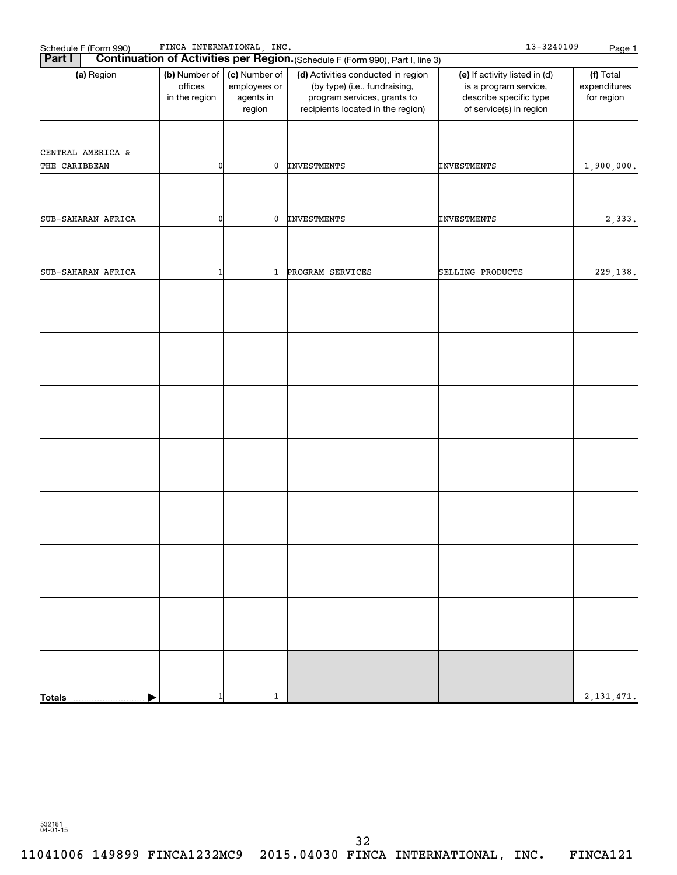| Schedule F (Form 990)<br><b>Part I</b> | FINCA INTERNATIONAL, INC.                 |                                                      | Continuation of Activities per Region. (Schedule F (Form 990), Part I, line 3)                                                          | 13-3240109                                                                                                  | Page 1                                  |
|----------------------------------------|-------------------------------------------|------------------------------------------------------|-----------------------------------------------------------------------------------------------------------------------------------------|-------------------------------------------------------------------------------------------------------------|-----------------------------------------|
| (a) Region                             | (b) Number of<br>offices<br>in the region | (c) Number of<br>employees or<br>agents in<br>region | (d) Activities conducted in region<br>(by type) (i.e., fundraising,<br>program services, grants to<br>recipients located in the region) | (e) If activity listed in (d)<br>is a program service,<br>describe specific type<br>of service(s) in region | (f) Total<br>expenditures<br>for region |
|                                        |                                           |                                                      |                                                                                                                                         |                                                                                                             |                                         |
| CENTRAL AMERICA &<br>THE CARIBBEAN     | n                                         | 0                                                    | INVESTMENTS                                                                                                                             | <b>INVESTMENTS</b>                                                                                          | 1,900,000.                              |
|                                        |                                           |                                                      |                                                                                                                                         |                                                                                                             |                                         |
| SUB-SAHARAN AFRICA                     | ŋ                                         | 0                                                    | <b>INVESTMENTS</b>                                                                                                                      | INVESTMENTS                                                                                                 | 2,333.                                  |
|                                        |                                           |                                                      |                                                                                                                                         |                                                                                                             |                                         |
| SUB-SAHARAN AFRICA                     |                                           |                                                      | 1 PROGRAM SERVICES                                                                                                                      | SELLING PRODUCTS                                                                                            | 229,138.                                |
|                                        |                                           |                                                      |                                                                                                                                         |                                                                                                             |                                         |
|                                        |                                           |                                                      |                                                                                                                                         |                                                                                                             |                                         |
|                                        |                                           |                                                      |                                                                                                                                         |                                                                                                             |                                         |
|                                        |                                           |                                                      |                                                                                                                                         |                                                                                                             |                                         |
|                                        |                                           |                                                      |                                                                                                                                         |                                                                                                             |                                         |
|                                        |                                           |                                                      |                                                                                                                                         |                                                                                                             |                                         |
|                                        |                                           |                                                      |                                                                                                                                         |                                                                                                             |                                         |
|                                        |                                           |                                                      |                                                                                                                                         |                                                                                                             |                                         |
|                                        |                                           |                                                      |                                                                                                                                         |                                                                                                             |                                         |
|                                        |                                           |                                                      |                                                                                                                                         |                                                                                                             |                                         |
|                                        |                                           |                                                      |                                                                                                                                         |                                                                                                             |                                         |
|                                        |                                           |                                                      |                                                                                                                                         |                                                                                                             |                                         |
|                                        |                                           |                                                      |                                                                                                                                         |                                                                                                             |                                         |
|                                        |                                           |                                                      |                                                                                                                                         |                                                                                                             |                                         |
|                                        |                                           |                                                      |                                                                                                                                         |                                                                                                             |                                         |
| <b>Totals</b>                          |                                           | $\mathbf{1}$                                         |                                                                                                                                         |                                                                                                             | 2, 131, 471.                            |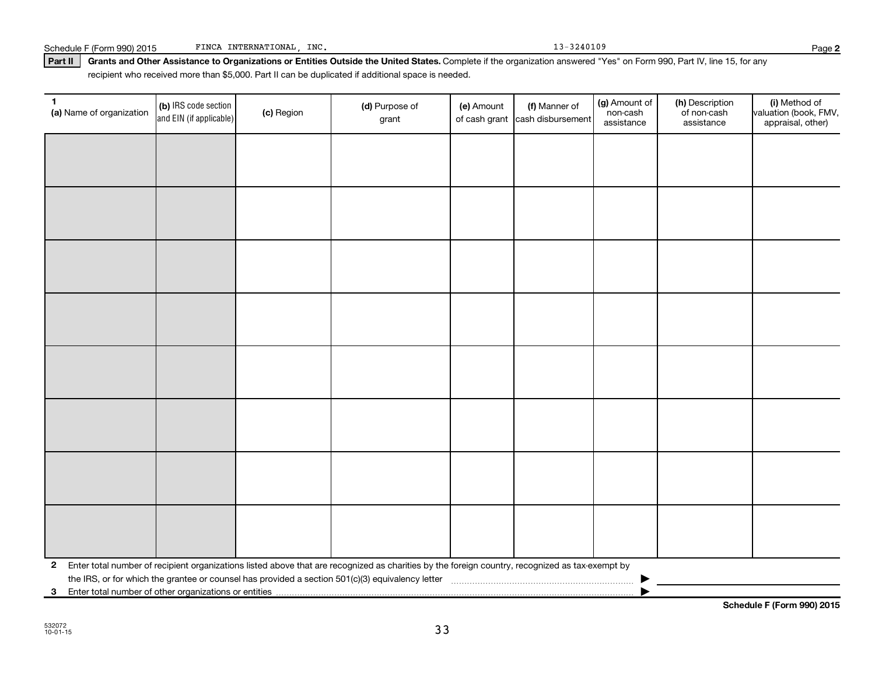| $\mathbf{2}$ |                                                          |  |  | Enter total number of recipient organizations listed above that are recognized as charities by the foreign country, recognized as tax-exempt by |  |  |  |  |  |
|--------------|----------------------------------------------------------|--|--|-------------------------------------------------------------------------------------------------------------------------------------------------|--|--|--|--|--|
|              |                                                          |  |  |                                                                                                                                                 |  |  |  |  |  |
|              | 3 Enter total number of other organizations or entities. |  |  |                                                                                                                                                 |  |  |  |  |  |

Part II | Grants and Other Assistance to Organizations or Entities Outside the United States. Complete if the organization answered "Yes" on Form 990, Part IV, line 15, for any recipient who received more than \$5,000. Part II can be duplicated if additional space is needed.

> (b) IRS code section and EIN (if applicable)

**1** (a) Name of organization  $\begin{bmatrix} \textbf{(b)} \text{ IRS code section} \end{bmatrix}$  (c) Region (d) Purpose of

**(a)** Name of organization (b) IRS code section (c) Region (c) Region (d) Purpose of (e) Amount (f) Manner of (g) Amount of (h) Description (i) (a) Name of organization (f) IRS code section (c) Region (d) Purpose of (d) Am

(e) Amount

of cash grant |cash disbursement

(f) Manner of

grant

Schedule F (Form 990) 2015 FINCA INTERNATIONAL, INC. 13-3240109 13-3240109

(i) Method of valuation (book, FMV, appraisal, other)

**Schedule F (Form 990) 2015**

(g) Amount of non-cash assistance

(h) Description of non-cash assistance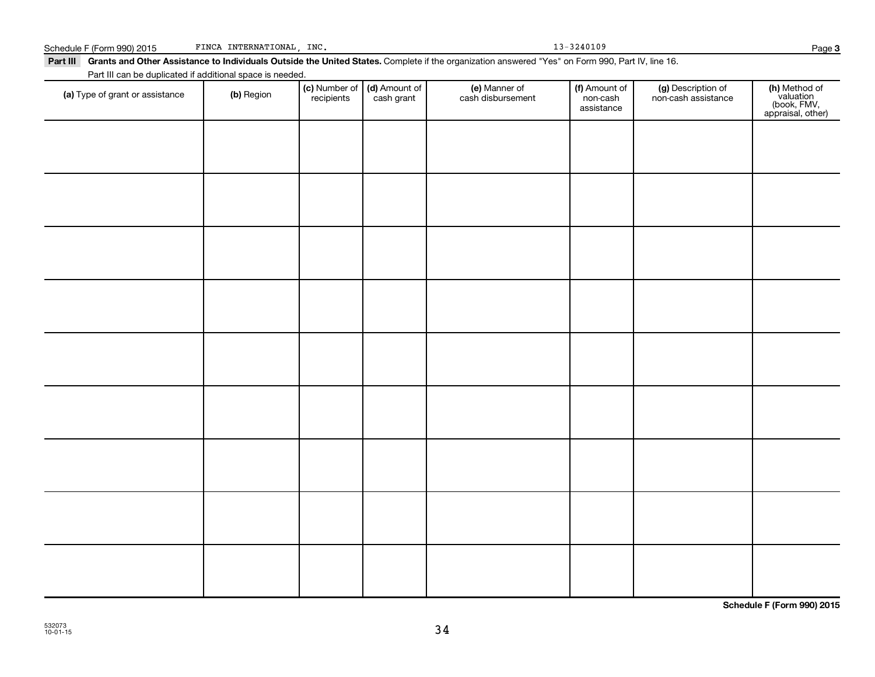| (a) Type of grant or assistance | (b) Region | <b>(c)</b> Number of <b>(d)</b> Amount of recipients cash grant | <b>(e)</b> Manner of<br>cash disbursement | (f) Amount of<br>non-cash<br>assistance | (g) Description of<br>non-cash assistance | (h) Method of<br>valuation<br>(book, FMV,<br>appraisal, other) |
|---------------------------------|------------|-----------------------------------------------------------------|-------------------------------------------|-----------------------------------------|-------------------------------------------|----------------------------------------------------------------|
|                                 |            |                                                                 |                                           |                                         |                                           |                                                                |
|                                 |            |                                                                 |                                           |                                         |                                           |                                                                |
|                                 |            |                                                                 |                                           |                                         |                                           |                                                                |
|                                 |            |                                                                 |                                           |                                         |                                           |                                                                |
|                                 |            |                                                                 |                                           |                                         |                                           |                                                                |
|                                 |            |                                                                 |                                           |                                         |                                           |                                                                |
|                                 |            |                                                                 |                                           |                                         |                                           |                                                                |
|                                 |            |                                                                 |                                           |                                         |                                           |                                                                |
|                                 |            |                                                                 |                                           |                                         |                                           |                                                                |

**Schedule F (Form 990) 2015**

Schedule F (Form 990) 2015 PINCA INTERNATIONAL, INC. 13-3240109 FINCA INTERNATIONAL, INC.

Part III can be duplicated if additional space is needed.

Part III Grants and Other Assistance to Individuals Outside the United States. Complete if the organization answered "Yes" on Form 990, Part IV, line 16.

(c) Number of recipients

(e) Manner of cash disbursement

(d) Amount of cash grant

Amount of non-cash assistance

(g) Description of non-cash assistance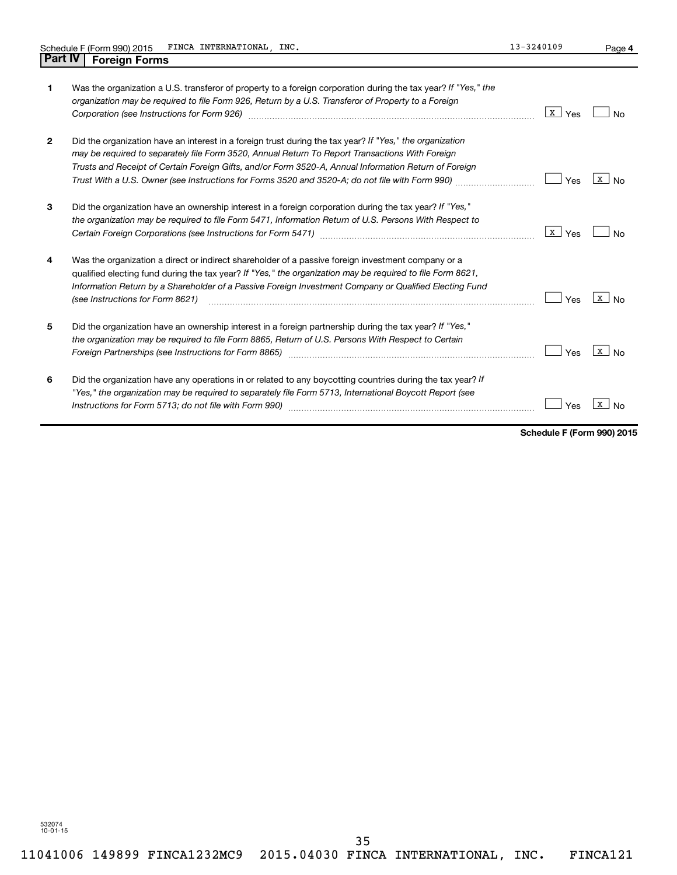| 1            | Was the organization a U.S. transferor of property to a foreign corporation during the tax year? If "Yes," the<br>organization may be required to file Form 926, Return by a U.S. Transferor of Property to a Foreign                                                                                                                                                                                                   | X  <br>Yes |   |
|--------------|-------------------------------------------------------------------------------------------------------------------------------------------------------------------------------------------------------------------------------------------------------------------------------------------------------------------------------------------------------------------------------------------------------------------------|------------|---|
| $\mathbf{2}$ | Did the organization have an interest in a foreign trust during the tax year? If "Yes," the organization<br>may be required to separately file Form 3520, Annual Return To Report Transactions With Foreign<br>Trusts and Receipt of Certain Foreign Gifts, and/or Form 3520-A, Annual Information Return of Foreign<br>Trust With a U.S. Owner (see Instructions for Forms 3520 and 3520-A; do not file with Form 990) | Yes        | X |
| 3            | Did the organization have an ownership interest in a foreign corporation during the tax year? If "Yes,"<br>the organization may be required to file Form 5471, Information Return of U.S. Persons With Respect to                                                                                                                                                                                                       | X  <br>Yes |   |
| 4            | Was the organization a direct or indirect shareholder of a passive foreign investment company or a<br>qualified electing fund during the tax year? If "Yes," the organization may be required to file Form 8621,<br>Information Return by a Shareholder of a Passive Foreign Investment Company or Qualified Electing Fund<br>(see Instructions for Form 8621)                                                          | Yes        | X |
| 5            | Did the organization have an ownership interest in a foreign partnership during the tax year? If "Yes,"<br>the organization may be required to file Form 8865, Return of U.S. Persons With Respect to Certain<br>Foreign Partnerships (see Instructions for Form 8865)                                                                                                                                                  | Yes        |   |

| Did the organization have any operations in or related to any boycotting countries during the tax year? If |                                  |  |
|------------------------------------------------------------------------------------------------------------|----------------------------------|--|
| "Yes," the organization may be required to separately file Form 5713, International Boycott Report (see    |                                  |  |
| Instructions for Form 5713; do not file with Form 990)                                                     | $\Box$ Yes $\boxed{\text{x}}$ No |  |

**Schedule F (Form 990) 2015**

**4**

532074 10-01-15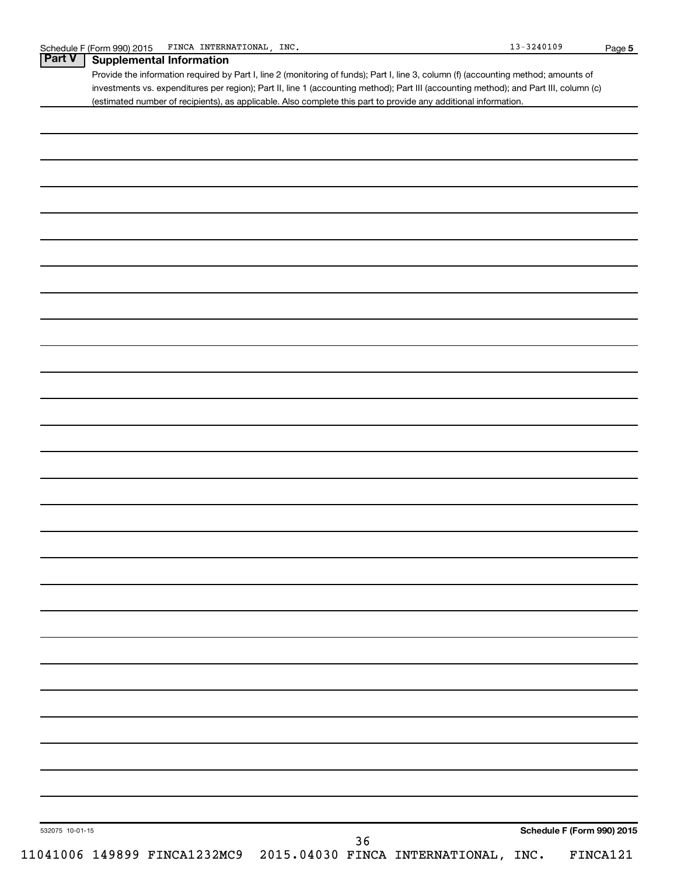|                 | Provide the information required by Part I, line 2 (monitoring of funds); Part I, line 3, column (f) (accounting method; amounts of<br>investments vs. expenditures per region); Part II, line 1 (accounting method); Part III (accounting method); and Part III, column (c) |
|-----------------|------------------------------------------------------------------------------------------------------------------------------------------------------------------------------------------------------------------------------------------------------------------------------|
|                 | (estimated number of recipients), as applicable. Also complete this part to provide any additional information.                                                                                                                                                              |
|                 |                                                                                                                                                                                                                                                                              |
|                 |                                                                                                                                                                                                                                                                              |
|                 |                                                                                                                                                                                                                                                                              |
|                 |                                                                                                                                                                                                                                                                              |
|                 |                                                                                                                                                                                                                                                                              |
|                 |                                                                                                                                                                                                                                                                              |
|                 |                                                                                                                                                                                                                                                                              |
|                 |                                                                                                                                                                                                                                                                              |
|                 |                                                                                                                                                                                                                                                                              |
|                 |                                                                                                                                                                                                                                                                              |
|                 |                                                                                                                                                                                                                                                                              |
|                 |                                                                                                                                                                                                                                                                              |
|                 |                                                                                                                                                                                                                                                                              |
|                 |                                                                                                                                                                                                                                                                              |
|                 |                                                                                                                                                                                                                                                                              |
|                 |                                                                                                                                                                                                                                                                              |
|                 |                                                                                                                                                                                                                                                                              |
|                 |                                                                                                                                                                                                                                                                              |
|                 |                                                                                                                                                                                                                                                                              |
|                 |                                                                                                                                                                                                                                                                              |
|                 |                                                                                                                                                                                                                                                                              |
|                 |                                                                                                                                                                                                                                                                              |
|                 |                                                                                                                                                                                                                                                                              |
|                 |                                                                                                                                                                                                                                                                              |
|                 |                                                                                                                                                                                                                                                                              |
|                 |                                                                                                                                                                                                                                                                              |
|                 |                                                                                                                                                                                                                                                                              |
|                 |                                                                                                                                                                                                                                                                              |
|                 |                                                                                                                                                                                                                                                                              |
|                 |                                                                                                                                                                                                                                                                              |
|                 |                                                                                                                                                                                                                                                                              |
|                 |                                                                                                                                                                                                                                                                              |
|                 |                                                                                                                                                                                                                                                                              |
| 532075 10-01-15 | Schedule F (Form 990) 2015                                                                                                                                                                                                                                                   |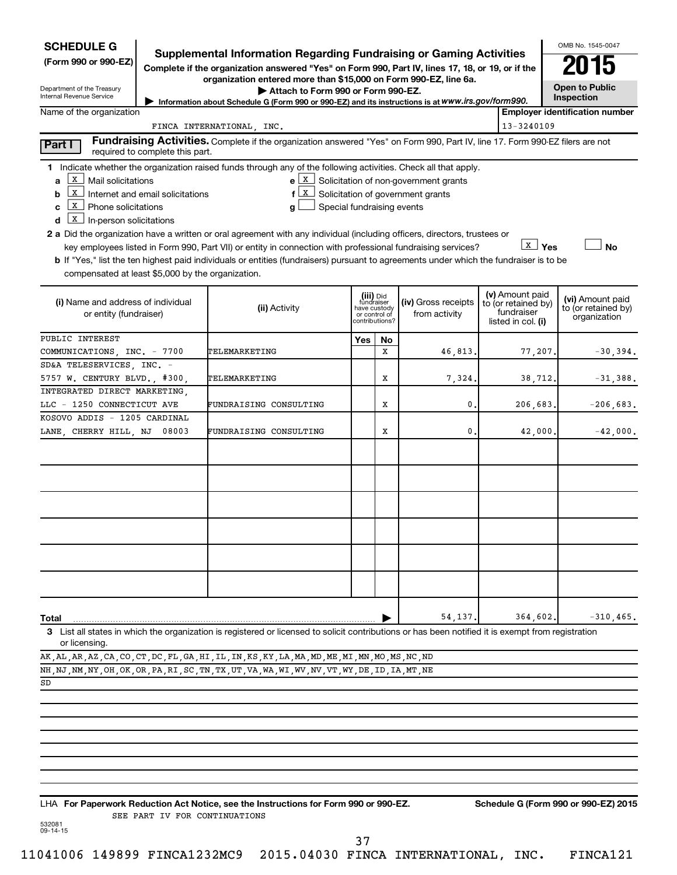| <b>SCHEDULE G</b><br>(Form 990 or 990-EZ)<br>Department of the Treasury<br>Internal Revenue Service<br>Name of the organization                                                                                                     |       | <b>Supplemental Information Regarding Fundraising or Gaming Activities</b><br>Complete if the organization answered "Yes" on Form 990, Part IV, lines 17, 18, or 19, or if the<br>organization entered more than \$15,000 on Form 990-EZ, line 6a.<br>Attach to Form 990 or Form 990-EZ.<br>Information about Schedule G (Form 990 or 990-EZ) and its instructions is at WWW.irs.gov/form990.                                                                                                                                                                        |     |                                                                            |                                                                            |                                                                            |                         | OMB No. 1545-0047<br>015<br><b>Open to Public</b><br>Inspection<br><b>Employer identification number</b> |
|-------------------------------------------------------------------------------------------------------------------------------------------------------------------------------------------------------------------------------------|-------|----------------------------------------------------------------------------------------------------------------------------------------------------------------------------------------------------------------------------------------------------------------------------------------------------------------------------------------------------------------------------------------------------------------------------------------------------------------------------------------------------------------------------------------------------------------------|-----|----------------------------------------------------------------------------|----------------------------------------------------------------------------|----------------------------------------------------------------------------|-------------------------|----------------------------------------------------------------------------------------------------------|
|                                                                                                                                                                                                                                     |       | FINCA INTERNATIONAL, INC.                                                                                                                                                                                                                                                                                                                                                                                                                                                                                                                                            |     |                                                                            |                                                                            |                                                                            | 13-3240109              |                                                                                                          |
|                                                                                                                                                                                                                                     |       | Fundraising Activities. Complete if the organization answered "Yes" on Form 990, Part IV, line 17. Form 990-EZ filers are not                                                                                                                                                                                                                                                                                                                                                                                                                                        |     |                                                                            |                                                                            |                                                                            |                         |                                                                                                          |
| Part I<br>required to complete this part.                                                                                                                                                                                           |       |                                                                                                                                                                                                                                                                                                                                                                                                                                                                                                                                                                      |     |                                                                            |                                                                            |                                                                            |                         |                                                                                                          |
| X   Mail solicitations<br>a<br>$\boxed{\mathbf{x}}$ Internet and email solicitations<br>b<br>  X   Phone solicitations<br>C<br>$\boxed{\text{x}}$ In-person solicitations<br>d<br>compensated at least \$5,000 by the organization. |       | 1 Indicate whether the organization raised funds through any of the following activities. Check all that apply.<br>e X<br>  X  <br>f<br>Special fundraising events<br>a<br>2 a Did the organization have a written or oral agreement with any individual (including officers, directors, trustees or<br>key employees listed in Form 990, Part VII) or entity in connection with professional fundraising services?<br><b>b</b> If "Yes," list the ten highest paid individuals or entities (fundraisers) pursuant to agreements under which the fundraiser is to be |     |                                                                            | Solicitation of non-government grants<br>Solicitation of government grants |                                                                            | $\lfloor x \rfloor$ Yes | No                                                                                                       |
| (i) Name and address of individual<br>or entity (fundraiser)                                                                                                                                                                        |       | (ii) Activity                                                                                                                                                                                                                                                                                                                                                                                                                                                                                                                                                        |     | (iii) Did<br>fundraiser<br>have custody<br>or control of<br>contributions? | (iv) Gross receipts<br>from activity                                       | (v) Amount paid<br>to (or retained by)<br>fundraiser<br>listed in col. (i) |                         | (vi) Amount paid<br>to (or retained by)<br>organization                                                  |
| PUBLIC INTEREST                                                                                                                                                                                                                     |       |                                                                                                                                                                                                                                                                                                                                                                                                                                                                                                                                                                      | Yes | No                                                                         |                                                                            |                                                                            |                         |                                                                                                          |
| COMMUNICATIONS, INC. - 7700                                                                                                                                                                                                         |       | TELEMARKETING                                                                                                                                                                                                                                                                                                                                                                                                                                                                                                                                                        |     | x                                                                          | 46,813.                                                                    |                                                                            | 77,207.                 | $-30,394.$                                                                                               |
| SD&A TELESERVICES, INC. -<br>5757 W. CENTURY BLVD., #300,                                                                                                                                                                           |       | TELEMARKETING                                                                                                                                                                                                                                                                                                                                                                                                                                                                                                                                                        |     | X                                                                          | 7,324.                                                                     | 38,712.                                                                    |                         | $-31,388.$                                                                                               |
| INTEGRATED DIRECT MARKETING,                                                                                                                                                                                                        |       |                                                                                                                                                                                                                                                                                                                                                                                                                                                                                                                                                                      |     |                                                                            |                                                                            |                                                                            |                         |                                                                                                          |
| LLC - 1250 CONNECTICUT AVE                                                                                                                                                                                                          |       | FUNDRAISING CONSULTING                                                                                                                                                                                                                                                                                                                                                                                                                                                                                                                                               |     | X                                                                          | 0.                                                                         |                                                                            | 206,683.                | $-206,683.$                                                                                              |
| KOSOVO ADDIS - 1205 CARDINAL<br>LANE, CHERRY HILL, NJ                                                                                                                                                                               | 08003 | FUNDRAISING CONSULTING                                                                                                                                                                                                                                                                                                                                                                                                                                                                                                                                               |     | х                                                                          | 0.                                                                         |                                                                            | 42,000.                 | $-42,000.$                                                                                               |
|                                                                                                                                                                                                                                     |       |                                                                                                                                                                                                                                                                                                                                                                                                                                                                                                                                                                      |     |                                                                            |                                                                            |                                                                            |                         |                                                                                                          |
|                                                                                                                                                                                                                                     |       |                                                                                                                                                                                                                                                                                                                                                                                                                                                                                                                                                                      |     |                                                                            |                                                                            |                                                                            |                         |                                                                                                          |
| Total<br>or licensing.<br>SD                                                                                                                                                                                                        |       | 3 List all states in which the organization is registered or licensed to solicit contributions or has been notified it is exempt from registration<br>AK, AL, AR, AZ, CA, CO, CT, DC, FL, GA, HI, IL, IN, KS, KY, LA, MA, MD, ME, MI, MN, MO, MS, NC, ND<br>NH NJ NM NY OH OK OR PA RI SC TN TX UT VA WA WI WV NV VT WY DE ID IA MT NE                                                                                                                                                                                                                               |     |                                                                            | 54, 137.                                                                   |                                                                            | 364,602.                | $-310, 465$ .                                                                                            |
|                                                                                                                                                                                                                                     |       |                                                                                                                                                                                                                                                                                                                                                                                                                                                                                                                                                                      |     |                                                                            |                                                                            |                                                                            |                         |                                                                                                          |
|                                                                                                                                                                                                                                     |       |                                                                                                                                                                                                                                                                                                                                                                                                                                                                                                                                                                      |     |                                                                            |                                                                            |                                                                            |                         |                                                                                                          |
|                                                                                                                                                                                                                                     |       |                                                                                                                                                                                                                                                                                                                                                                                                                                                                                                                                                                      |     |                                                                            |                                                                            |                                                                            |                         |                                                                                                          |
|                                                                                                                                                                                                                                     |       |                                                                                                                                                                                                                                                                                                                                                                                                                                                                                                                                                                      |     |                                                                            |                                                                            |                                                                            |                         |                                                                                                          |

**For Paperwork Reduction Act Notice, see the Instructions for Form 990 or 990-EZ. Schedule G (Form 990 or 990-EZ) 2015** LHA SEE PART IV FOR CONTINUATIONS

532081 09-14-15

37

11041006 149899 FINCA1232MC9 2015.04030 FINCA INTERNATIONAL, INC. FINCA121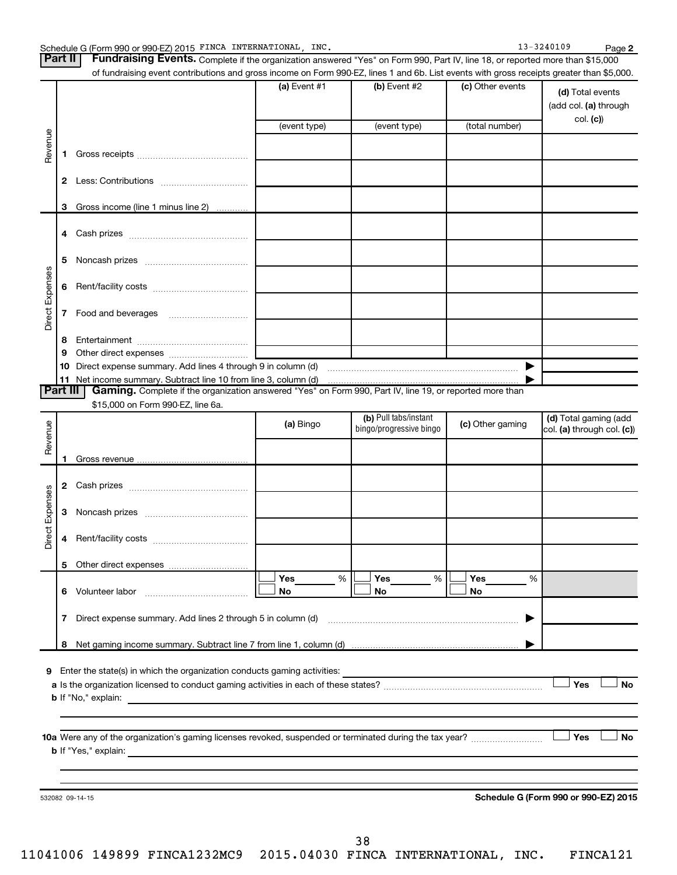**2**

| <b>Part II</b>  |              | Fundraising Events. Complete if the organization answered "Yes" on Form 990, Part IV, line 18, or reported more than \$15,000             |                |                                                  |                  |                                                     |
|-----------------|--------------|-------------------------------------------------------------------------------------------------------------------------------------------|----------------|--------------------------------------------------|------------------|-----------------------------------------------------|
|                 |              | of fundraising event contributions and gross income on Form 990-EZ, lines 1 and 6b. List events with gross receipts greater than \$5,000. |                |                                                  |                  |                                                     |
|                 |              |                                                                                                                                           | (a) Event $#1$ | (b) Event #2                                     | (c) Other events | (d) Total events<br>(add col. (a) through           |
|                 |              |                                                                                                                                           | (event type)   | (event type)                                     | (total number)   | col. (c)                                            |
|                 |              |                                                                                                                                           |                |                                                  |                  |                                                     |
| Revenue         | 1.           |                                                                                                                                           |                |                                                  |                  |                                                     |
|                 | $\mathbf{2}$ |                                                                                                                                           |                |                                                  |                  |                                                     |
|                 | 3            | Gross income (line 1 minus line 2)                                                                                                        |                |                                                  |                  |                                                     |
|                 | 4            |                                                                                                                                           |                |                                                  |                  |                                                     |
|                 | 5            |                                                                                                                                           |                |                                                  |                  |                                                     |
| Direct Expenses | 6            |                                                                                                                                           |                |                                                  |                  |                                                     |
|                 | 7            |                                                                                                                                           |                |                                                  |                  |                                                     |
|                 | 8            |                                                                                                                                           |                |                                                  |                  |                                                     |
|                 | 9            |                                                                                                                                           |                |                                                  |                  |                                                     |
|                 | 10           |                                                                                                                                           |                |                                                  | ▶                |                                                     |
| <b>Part III</b> |              | Gaming. Complete if the organization answered "Yes" on Form 990, Part IV, line 19, or reported more than                                  |                |                                                  |                  |                                                     |
|                 |              | \$15,000 on Form 990-EZ, line 6a.                                                                                                         |                |                                                  |                  |                                                     |
| Revenue         |              |                                                                                                                                           | (a) Bingo      | (b) Pull tabs/instant<br>bingo/progressive bingo | (c) Other gaming | (d) Total gaming (add<br>col. (a) through col. (c)) |
|                 | 1            |                                                                                                                                           |                |                                                  |                  |                                                     |
|                 |              |                                                                                                                                           |                |                                                  |                  |                                                     |
|                 |              |                                                                                                                                           |                |                                                  |                  |                                                     |
| Direct Expenses | 3            |                                                                                                                                           |                |                                                  |                  |                                                     |
|                 | 4            |                                                                                                                                           |                |                                                  |                  |                                                     |
|                 |              |                                                                                                                                           |                |                                                  |                  |                                                     |
|                 |              |                                                                                                                                           | Yes<br>%       | Yes<br>%                                         | Yes<br>%         |                                                     |
|                 |              |                                                                                                                                           | No             | No                                               | No               |                                                     |
|                 | 7            |                                                                                                                                           |                |                                                  | ▶                |                                                     |
|                 |              |                                                                                                                                           |                |                                                  |                  |                                                     |
|                 | 8            |                                                                                                                                           |                |                                                  |                  |                                                     |
|                 |              | 9 Enter the state(s) in which the organization conducts gaming activities:                                                                |                |                                                  |                  |                                                     |
|                 |              |                                                                                                                                           |                |                                                  |                  | Yes<br><b>No</b>                                    |
|                 |              |                                                                                                                                           |                |                                                  |                  |                                                     |
|                 |              |                                                                                                                                           |                |                                                  |                  |                                                     |
|                 |              |                                                                                                                                           |                |                                                  |                  | Yes<br><b>No</b>                                    |
|                 |              |                                                                                                                                           |                |                                                  |                  |                                                     |
|                 |              |                                                                                                                                           |                |                                                  |                  |                                                     |
|                 |              |                                                                                                                                           |                |                                                  |                  |                                                     |
|                 |              | 532082 09-14-15                                                                                                                           |                |                                                  |                  | Schedule G (Form 990 or 990-EZ) 2015                |
|                 |              |                                                                                                                                           |                |                                                  |                  |                                                     |
|                 |              |                                                                                                                                           |                |                                                  |                  |                                                     |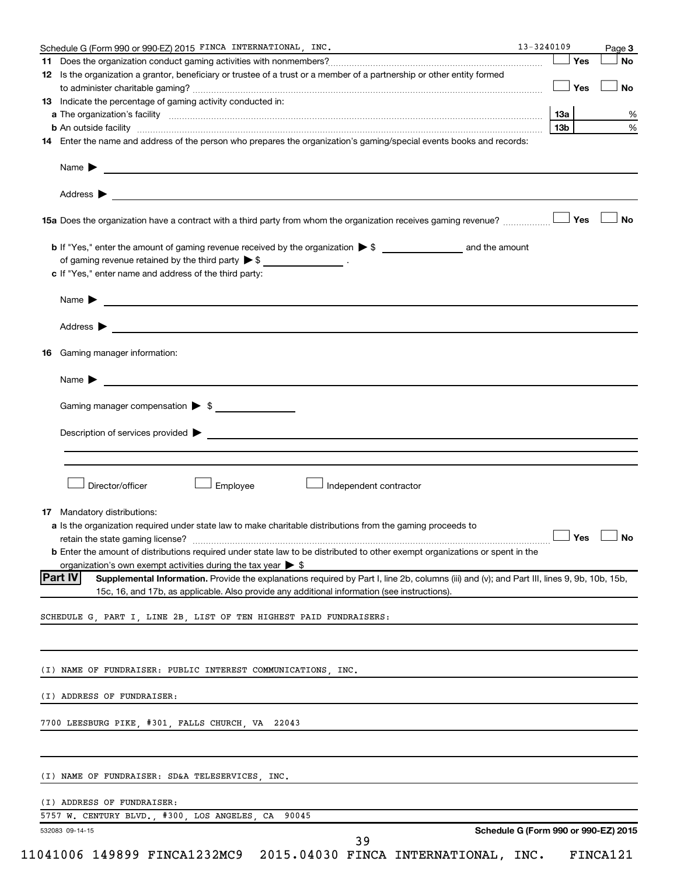| Schedule G (Form 990 or 990-EZ) 2015 FINCA INTERNATIONAL, INC.                                                                                                                                                                                          | $13 - 3240109$ |     | Page 3    |
|---------------------------------------------------------------------------------------------------------------------------------------------------------------------------------------------------------------------------------------------------------|----------------|-----|-----------|
|                                                                                                                                                                                                                                                         |                | Yes | No        |
| 12 Is the organization a grantor, beneficiary or trustee of a trust or a member of a partnership or other entity formed                                                                                                                                 |                |     |           |
|                                                                                                                                                                                                                                                         |                | Yes | <b>No</b> |
| 13 Indicate the percentage of gaming activity conducted in:                                                                                                                                                                                             |                |     |           |
|                                                                                                                                                                                                                                                         | 13а            |     |           |
| b An outside facility www.commutation.com/commutation.com/commutation.com/commutation.com/commutation.com/commu                                                                                                                                         | 13b            |     |           |
| 14 Enter the name and address of the person who prepares the organization's gaming/special events books and records:                                                                                                                                    |                |     |           |
|                                                                                                                                                                                                                                                         |                |     |           |
|                                                                                                                                                                                                                                                         |                |     |           |
| 15a Does the organization have a contract with a third party from whom the organization receives gaming revenue?                                                                                                                                        |                | Yes | No        |
|                                                                                                                                                                                                                                                         |                |     |           |
| of gaming revenue retained by the third party $\triangleright$ \$ _________________.                                                                                                                                                                    |                |     |           |
| c If "Yes," enter name and address of the third party:                                                                                                                                                                                                  |                |     |           |
|                                                                                                                                                                                                                                                         |                |     |           |
|                                                                                                                                                                                                                                                         |                |     |           |
| Address $\blacktriangleright$                                                                                                                                                                                                                           |                |     |           |
| <b>16</b> Gaming manager information:                                                                                                                                                                                                                   |                |     |           |
| Name > 2008 - 2008 - 2009 - 2009 - 2009 - 2009 - 2009 - 2009 - 2009 - 2009 - 2009 - 2009 - 2009 - 2009 - 2009 - 2009 - 2009 - 2009 - 2009 - 2009 - 2009 - 2009 - 2009 - 2009 - 2009 - 2009 - 2009 - 2009 - 2009 - 2009 - 2009                           |                |     |           |
| Gaming manager compensation > \$                                                                                                                                                                                                                        |                |     |           |
|                                                                                                                                                                                                                                                         |                |     |           |
| Description of services provided > example and a service of the service of the services provided > example and the services provided > example and the services provided > example and the services of the services of the ser                          |                |     |           |
|                                                                                                                                                                                                                                                         |                |     |           |
|                                                                                                                                                                                                                                                         |                |     |           |
|                                                                                                                                                                                                                                                         |                |     |           |
| Director/officer<br>Employee<br>Independent contractor                                                                                                                                                                                                  |                |     |           |
|                                                                                                                                                                                                                                                         |                |     |           |
| 17 Mandatory distributions:                                                                                                                                                                                                                             |                |     |           |
| a Is the organization required under state law to make charitable distributions from the gaming proceeds to                                                                                                                                             |                |     |           |
|                                                                                                                                                                                                                                                         |                |     |           |
| <b>b</b> Enter the amount of distributions required under state law to be distributed to other exempt organizations or spent in the                                                                                                                     |                |     |           |
| organization's own exempt activities during the tax year $\triangleright$ \$                                                                                                                                                                            |                |     |           |
| Part IV <br>Supplemental Information. Provide the explanations required by Part I, line 2b, columns (iii) and (v); and Part III, lines 9, 9b, 10b, 15b,<br>15c, 16, and 17b, as applicable. Also provide any additional information (see instructions). |                |     |           |
|                                                                                                                                                                                                                                                         |                |     |           |
| SCHEDULE G, PART I, LINE 2B, LIST OF TEN HIGHEST PAID FUNDRAISERS:                                                                                                                                                                                      |                |     |           |
|                                                                                                                                                                                                                                                         |                |     |           |
| (I) NAME OF FUNDRAISER: PUBLIC INTEREST COMMUNICATIONS, INC.                                                                                                                                                                                            |                |     |           |
| (I) ADDRESS OF FUNDRAISER:                                                                                                                                                                                                                              |                |     |           |
| 7700 LEESBURG PIKE, #301, FALLS CHURCH, VA 22043                                                                                                                                                                                                        |                |     |           |
|                                                                                                                                                                                                                                                         |                |     |           |
| (I) NAME OF FUNDRAISER: SD&A TELESERVICES, INC.                                                                                                                                                                                                         |                |     |           |
| (I) ADDRESS OF FUNDRAISER:                                                                                                                                                                                                                              |                |     |           |
| 5757 W. CENTURY BLVD., #300, LOS ANGELES, CA 90045                                                                                                                                                                                                      |                |     |           |
| Schedule G (Form 990 or 990-EZ) 2015<br>532083 09-14-15<br>39                                                                                                                                                                                           |                |     |           |
| 11041006 149899 FINCA1232MC9 2015.04030 FINCA INTERNATIONAL, INC.                                                                                                                                                                                       |                |     | FINCA121  |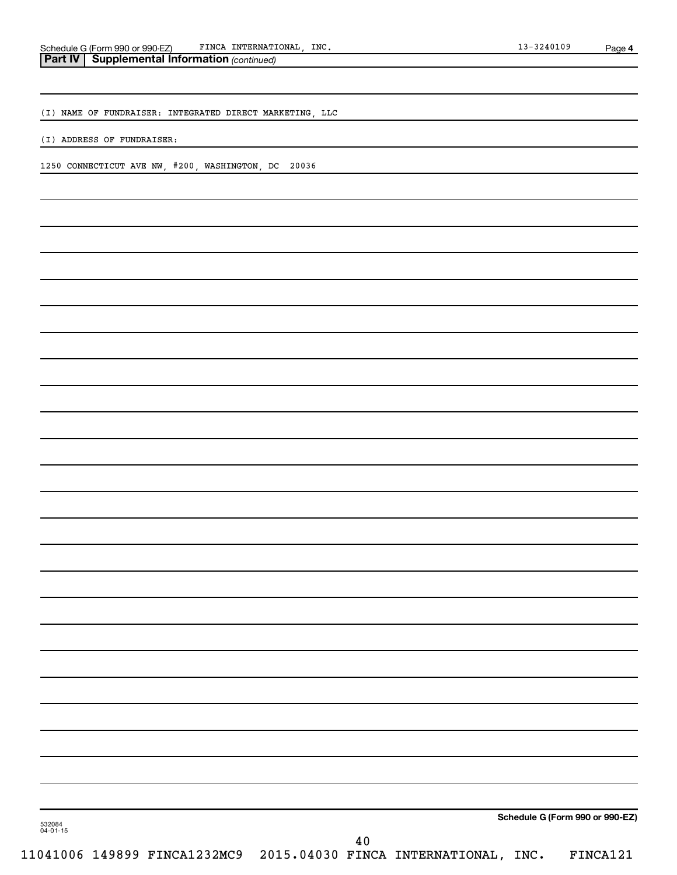(I) NAME OF FUNDRAISER: INTEGRATED DIRECT MARKETING, LLC

(I) ADDRESS OF FUNDRAISER:

1250 CONNECTICUT AVE NW, #200, WASHINGTON, DC 20036

**Schedule G (Form 990 or 990-EZ)**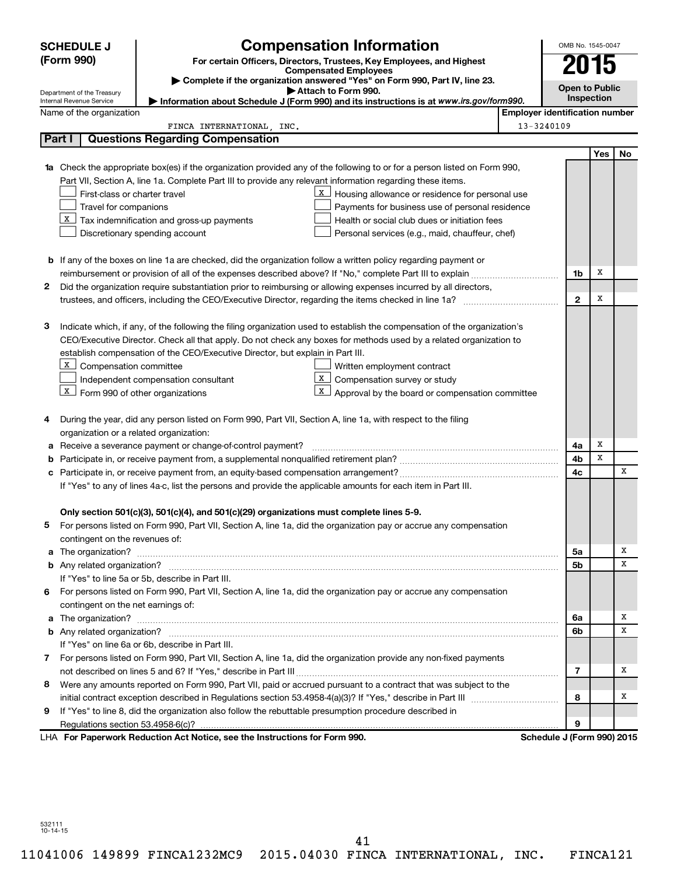|   | <b>SCHEDULE J</b>                       | <b>Compensation Information</b>                                                                                           |                                       | OMB No. 1545-0047     |            |    |
|---|-----------------------------------------|---------------------------------------------------------------------------------------------------------------------------|---------------------------------------|-----------------------|------------|----|
|   | (Form 990)                              | For certain Officers, Directors, Trustees, Key Employees, and Highest                                                     |                                       |                       | U15        |    |
|   |                                         | <b>Compensated Employees</b><br>Complete if the organization answered "Yes" on Form 990, Part IV, line 23.                |                                       |                       |            |    |
|   | Department of the Treasury              | Attach to Form 990.                                                                                                       |                                       | <b>Open to Public</b> |            |    |
|   | Internal Revenue Service                | Information about Schedule J (Form 990) and its instructions is at www.irs.gov/form990.                                   |                                       |                       | Inspection |    |
|   | Name of the organization                |                                                                                                                           | <b>Employer identification number</b> |                       |            |    |
|   | Part I                                  | FINCA INTERNATIONAL, INC.<br><b>Questions Regarding Compensation</b>                                                      | 13-3240109                            |                       |            |    |
|   |                                         |                                                                                                                           |                                       |                       |            |    |
|   |                                         | 1a Check the appropriate box(es) if the organization provided any of the following to or for a person listed on Form 990, |                                       |                       | Yes        | No |
|   |                                         | Part VII, Section A, line 1a. Complete Part III to provide any relevant information regarding these items.                |                                       |                       |            |    |
|   | First-class or charter travel           | X<br>Housing allowance or residence for personal use                                                                      |                                       |                       |            |    |
|   | Travel for companions                   | Payments for business use of personal residence                                                                           |                                       |                       |            |    |
|   |                                         | $\lfloor x \rfloor$ Tax indemnification and gross-up payments<br>Health or social club dues or initiation fees            |                                       |                       |            |    |
|   |                                         | Discretionary spending account<br>Personal services (e.g., maid, chauffeur, chef)                                         |                                       |                       |            |    |
|   |                                         |                                                                                                                           |                                       |                       |            |    |
|   |                                         | <b>b</b> If any of the boxes on line 1a are checked, did the organization follow a written policy regarding payment or    |                                       |                       |            |    |
|   |                                         |                                                                                                                           |                                       | 1b                    | х          |    |
| 2 |                                         | Did the organization require substantiation prior to reimbursing or allowing expenses incurred by all directors,          |                                       |                       |            |    |
|   |                                         |                                                                                                                           |                                       | $\mathbf{2}$          | х          |    |
|   |                                         |                                                                                                                           |                                       |                       |            |    |
| з |                                         | Indicate which, if any, of the following the filing organization used to establish the compensation of the organization's |                                       |                       |            |    |
|   |                                         | CEO/Executive Director. Check all that apply. Do not check any boxes for methods used by a related organization to        |                                       |                       |            |    |
|   |                                         | establish compensation of the CEO/Executive Director, but explain in Part III.                                            |                                       |                       |            |    |
|   | X Compensation committee                | Written employment contract                                                                                               |                                       |                       |            |    |
|   |                                         | X  <br>Compensation survey or study<br>Independent compensation consultant                                                |                                       |                       |            |    |
|   | $X$ Form 990 of other organizations     | Approval by the board or compensation committee<br>X                                                                      |                                       |                       |            |    |
|   |                                         |                                                                                                                           |                                       |                       |            |    |
| 4 |                                         | During the year, did any person listed on Form 990, Part VII, Section A, line 1a, with respect to the filing              |                                       |                       |            |    |
|   | organization or a related organization: |                                                                                                                           |                                       |                       |            |    |
| а |                                         | Receive a severance payment or change-of-control payment?                                                                 |                                       | 4a                    | х          |    |
| b |                                         |                                                                                                                           |                                       | 4b                    | x          |    |
| с |                                         |                                                                                                                           |                                       | 4c                    |            | x  |
|   |                                         | If "Yes" to any of lines 4a-c, list the persons and provide the applicable amounts for each item in Part III.             |                                       |                       |            |    |
|   |                                         |                                                                                                                           |                                       |                       |            |    |
|   |                                         | Only section 501(c)(3), 501(c)(4), and 501(c)(29) organizations must complete lines 5-9.                                  |                                       |                       |            |    |
|   |                                         | For persons listed on Form 990, Part VII, Section A, line 1a, did the organization pay or accrue any compensation         |                                       |                       |            |    |
|   | contingent on the revenues of:          |                                                                                                                           |                                       |                       |            |    |
|   |                                         |                                                                                                                           |                                       | 5а                    |            | х  |
|   |                                         |                                                                                                                           |                                       | 5b                    |            | x  |
|   |                                         | If "Yes" to line 5a or 5b, describe in Part III.                                                                          |                                       |                       |            |    |
| 6 |                                         | For persons listed on Form 990, Part VII, Section A, line 1a, did the organization pay or accrue any compensation         |                                       |                       |            |    |
|   | contingent on the net earnings of:      |                                                                                                                           |                                       |                       |            |    |
|   |                                         |                                                                                                                           |                                       | 6a                    |            | х  |
|   |                                         |                                                                                                                           |                                       | 6b                    |            | x  |
|   |                                         | If "Yes" on line 6a or 6b, describe in Part III.                                                                          |                                       |                       |            |    |
|   |                                         | 7 For persons listed on Form 990, Part VII, Section A, line 1a, did the organization provide any non-fixed payments       |                                       |                       |            |    |
|   |                                         |                                                                                                                           |                                       | 7                     |            | х  |
| 8 |                                         | Were any amounts reported on Form 990, Part VII, paid or accrued pursuant to a contract that was subject to the           |                                       |                       |            |    |
|   |                                         |                                                                                                                           |                                       | 8                     |            | x  |
| 9 |                                         | If "Yes" to line 8, did the organization also follow the rebuttable presumption procedure described in                    |                                       |                       |            |    |
|   |                                         |                                                                                                                           |                                       | 9                     |            |    |
|   |                                         | LHA For Paperwork Reduction Act Notice, see the Instructions for Form 990.                                                | Schedule J (Form 990) 2015            |                       |            |    |

532111 10-14-15

41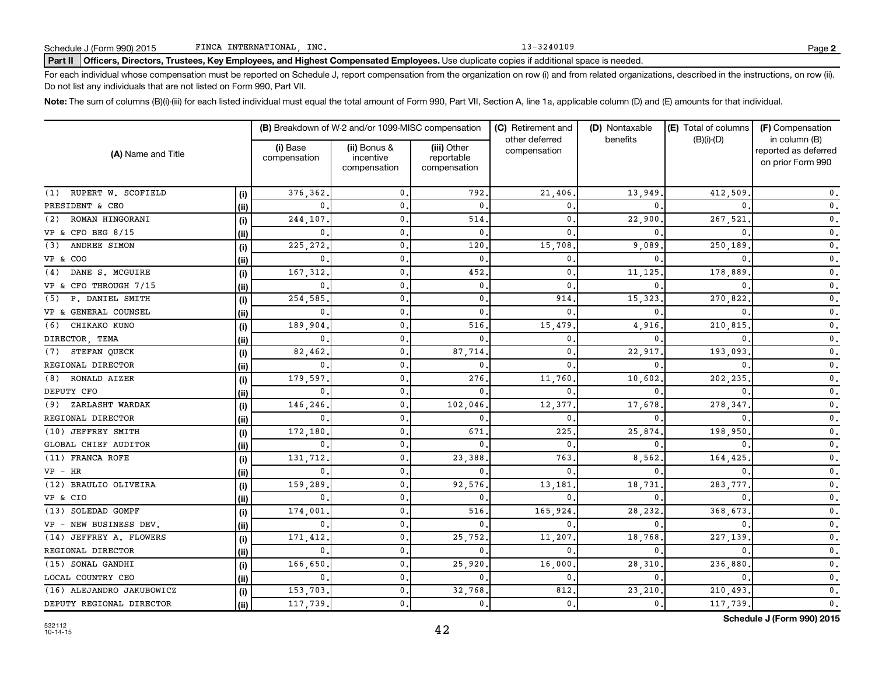#### Part II | Officers, Directors, Trustees, Key Employees, and Highest Compensated Employees. Use duplicate copies if additional space is needed.

For each individual whose compensation must be reported on Schedule J, report compensation from the organization on row (i) and from related organizations, described in the instructions, on row (ii). Do not list any individuals that are not listed on Form 990, Part VII.

Note: The sum of columns (B)(i)-(iii) for each listed individual must equal the total amount of Form 990, Part VII, Section A, line 1a, applicable column (D) and (E) amounts for that individual.

|                           |       |                          | (B) Breakdown of W-2 and/or 1099-MISC compensation |                                           | (C) Retirement and             | (D) Nontaxable | (E) Total of columns | (F) Compensation                                           |
|---------------------------|-------|--------------------------|----------------------------------------------------|-------------------------------------------|--------------------------------|----------------|----------------------|------------------------------------------------------------|
| (A) Name and Title        |       | (i) Base<br>compensation | (ii) Bonus &<br>incentive<br>compensation          | (iii) Other<br>reportable<br>compensation | other deferred<br>compensation | benefits       | $(B)(i)-(D)$         | in column (B)<br>reported as deferred<br>on prior Form 990 |
| (1) RUPERT W. SCOFIELD    | (i)   | 376,362                  | $\mathbf{0}$                                       | 792                                       | 21,406                         | 13,949         | 412,509              | $\mathbf{0}$ .                                             |
| PRESIDENT & CEO           | (i)   | $\Omega$                 | 0                                                  | $\mathbf{0}$                              | 0                              |                |                      | $\mathfrak o$ .                                            |
| ROMAN HINGORANI<br>(2)    | (i)   | 244,107                  | $\mathbf{0}$                                       | 514                                       | 0                              | 22,900         | 267,521              | $\mathbf{0}$ .                                             |
| VP & CFO BEG 8/15         | (i)   | 0                        | $\mathbf{0}$                                       | $\mathbf{0}$                              | $\Omega$                       | $\Omega$       |                      | $\mathfrak o$ .                                            |
| ANDREE SIMON<br>(3)       | (i)   | 225,272                  | $\mathbf{0}$                                       | 120                                       | 15,708                         | 9,089          | 250,189              | $\mathfrak o$ .                                            |
| VP & COO                  | (ii)  | 0                        | $\mathbf{0}$                                       | $\mathbf{0}$                              | 0                              | $\Omega$       |                      | $\mathbf 0$ .                                              |
| DANE S. MCGUIRE<br>(4)    | (i)   | 167,312                  | $\mathbf{0}$                                       | 452                                       | 0                              | 11,125         | 178,889              | $\mathfrak o$ .                                            |
| VP & CFO THROUGH 7/15     | (ii)  | 0                        | $\mathbf{0}$                                       | $\mathbf{0}$                              | 0                              | $\Omega$       |                      | $\mathfrak o$ .                                            |
| (5) P. DANIEL SMITH       | (i)   | 254,585                  | $\mathbf{0}$                                       | $\mathbf{0}$                              | 914                            | 15,323         | 270,822              | $\mathfrak o$ .                                            |
| VP & GENERAL COUNSEL      | (ii)  | 0                        | 0.                                                 | $\mathbf{0}$                              | $\Omega$                       | n              |                      | 0.                                                         |
| CHIKAKO KUNO<br>(6)       | (i)   | 189,904                  | $\mathbf{0}$                                       | 516                                       | 15,479                         | 4,916          | 210,815              | $\mathfrak o$ .                                            |
| DIRECTOR, TEMA            | (ii)  | 0                        | 0                                                  | $\mathbf{0}$                              | 0                              | $\Omega$       |                      | $\mathbf 0$ .                                              |
| STEFAN QUECK<br>(7)       | (i)   | 82,462                   | 0                                                  | 87,714                                    | 0                              | 22,917         | 193,093              | $\mathsf{0}$ .                                             |
| REGIONAL DIRECTOR         | (iii) | 0                        | 0                                                  | $\mathbf{0}$                              | $\Omega$                       | $\Omega$       |                      | 0.                                                         |
| (8) RONALD AIZER          | (i)   | 179,597                  | 0                                                  | 276                                       | 11,760                         | 10,602         | 202,235              | $\mathbf 0$ .                                              |
| DEPUTY CFO                | (ii)  | 0                        | $\mathbf 0$                                        | $\mathbf{0}$                              | $\Omega$                       | $\Omega$       |                      | $\mathfrak o$ .                                            |
| (9) ZARLASHT WARDAK       | (i)   | 146,246                  | $\mathbf 0$                                        | 102,046                                   | 12,377                         | 17,678         | 278,347              | $\mathfrak o$ .                                            |
| REGIONAL DIRECTOR         | (ii)  | 0                        | $\mathbf{0}$                                       | $\mathbf{0}$                              | 0                              | $\Omega$       |                      | $\mathbf{0}$ .                                             |
| (10) JEFFREY SMITH        | (i)   | 172,180                  | 0.                                                 | 671                                       | 225                            | 25,874         | 198,950              | $\mathfrak o$ .                                            |
| GLOBAL CHIEF AUDITOR      | (ii)  | 0                        | 0.                                                 | $\mathbf{0}$                              | $\mathbf{0}$                   | $\Omega$       |                      | $\mathfrak o$ .                                            |
| (11) FRANCA ROFE          | (i)   | 131,712                  | 0.                                                 | 23,388                                    | 763                            | 8,562          | 164,425              | 0.                                                         |
| $VP$ - $HR$               | (ii)  | $\mathbf 0$              | $\mathbf 0$ .                                      | $\mathbf{0}$                              | $\Omega$                       | $\mathbf{0}$   |                      | $\mathbf{0}$ .                                             |
| (12) BRAULIO OLIVEIRA     | (i)   | 159,289                  | 0.                                                 | 92,576                                    | 13,181                         | 18,731         | 283,777              | $\mathfrak o$ .                                            |
| VP & CIO                  | (ii)  | 0                        | 0.                                                 | $\mathbf{0}$                              | 0                              | 0              |                      | 0.                                                         |
| (13) SOLEDAD GOMPF        | (i)   | 174,001                  | 0.                                                 | 516                                       | 165,924                        | 28,232         | 368,673              | $\mathbf{0}$ .                                             |
| VP - NEW BUSINESS DEV.    | (ii)  | 0                        | 0.                                                 | $\mathbf{0}$                              | 0                              | 0              |                      | $\mathfrak o$ .                                            |
| (14) JEFFREY A. FLOWERS   | (i)   | 171,412                  | 0.                                                 | 25,752                                    | 11,207                         | 18,768         | 227,139              | $\mathbf 0$ .                                              |
| REGIONAL DIRECTOR         | (ii)  | 0                        | $\mathbf 0$                                        | $\mathbf{0}$                              | 0                              | 0              |                      | $\mathbf 0$ .                                              |
| (15) SONAL GANDHI         | (i)   | 166,650                  | 0.                                                 | 25,920                                    | 16,000                         | 28,310         | 236,880              | $\mathsf{0}\,.$                                            |
| LOCAL COUNTRY CEO         | (ii)  | 0                        | $\mathbf{0}$                                       | $\mathbf{0}$                              | $\Omega$                       | $\Omega$       |                      | $\mathfrak o$ .                                            |
| (16) ALEJANDRO JAKUBOWICZ | (i)   | 153,703.                 | 0.                                                 | 32,768                                    | 812                            | 23,210         | 210,493              | $\mathsf{0}$ .                                             |
| DEPUTY REGIONAL DIRECTOR  | (ii)  | 117,739.                 | 0.                                                 | 0.                                        | $\mathbf 0$ .                  | 0.             | 117,739              | $\mathbf{0}$ .                                             |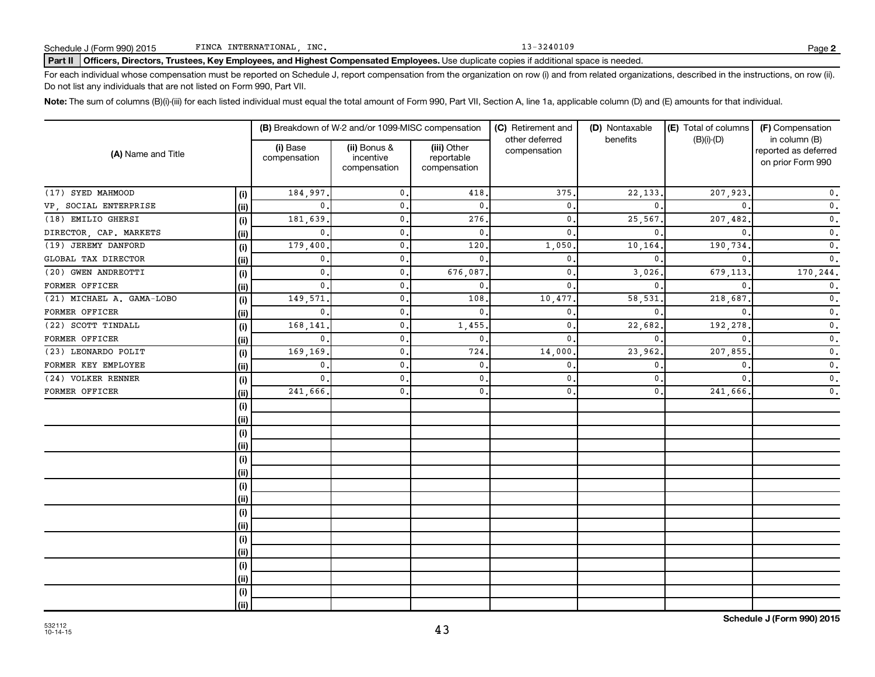#### Part II | Officers, Directors, Trustees, Key Employees, and Highest Compensated Employees. Use duplicate copies if additional space is needed.

For each individual whose compensation must be reported on Schedule J, report compensation from the organization on row (i) and from related organizations, described in the instructions, on row (ii). Do not list any individuals that are not listed on Form 990, Part VII.

Note: The sum of columns (B)(i)-(iii) for each listed individual must equal the total amount of Form 990, Part VII, Section A, line 1a, applicable column (D) and (E) amounts for that individual.

|                           |      |                          | (B) Breakdown of W-2 and/or 1099-MISC compensation |                                           | (C) Retirement and             | (D) Nontaxable | (E) Total of columns | (F) Compensation                                           |  |
|---------------------------|------|--------------------------|----------------------------------------------------|-------------------------------------------|--------------------------------|----------------|----------------------|------------------------------------------------------------|--|
| (A) Name and Title        |      | (i) Base<br>compensation | (ii) Bonus &<br>incentive<br>compensation          | (iii) Other<br>reportable<br>compensation | other deferred<br>compensation | benefits       | $(B)(i)-(D)$         | in column (B)<br>reported as deferred<br>on prior Form 990 |  |
| (17) SYED MAHMOOD         | (i)  | 184,997                  | 0.                                                 | 418                                       | 375                            | 22,133         | 207,923              | $\mathbf 0$ .                                              |  |
| VP, SOCIAL ENTERPRISE     | (ii) | $\Omega$                 | $\mathbf{0}$                                       | $\mathbf{0}$                              | $\mathbf{0}$                   | $\Omega$       |                      | $\mathfrak o$ .                                            |  |
| (18) EMILIO GHERSI        | (i)  | 181,639                  | $\mathbf{0}$                                       | 276                                       | 0                              | 25,567         | 207,482              | $\mathfrak o$ .                                            |  |
| DIRECTOR, CAP. MARKETS    | (i)  | 0                        | $\mathbf{0}$                                       | $\mathbf{0}$                              | 0                              | $\Omega$       | $\Omega$             | $\mathfrak o$ .                                            |  |
| (19) JEREMY DANFORD       | (i)  | 179,400                  | 0.                                                 | 120                                       | 1,050                          | 10,164         | 190,734              | $\mathfrak o$ .                                            |  |
| GLOBAL TAX DIRECTOR       | (i)  | 0                        | 0.                                                 | $\mathbf{0}$                              | 0                              | $\mathbf{0}$   | $\Omega$             | $\mathfrak o$ .                                            |  |
| (20) GWEN ANDREOTTI       | (i)  | $\mathbf{0}$             | 0.                                                 | 676,087                                   | 0                              | 3,026          | 679,113              | 170,244.                                                   |  |
| FORMER OFFICER            | (ii) | $\mathbf{0}$             | $\mathbf 0$ .                                      | $\mathbf{0}$ .                            | 0                              | $\Omega$       | $\Omega$             | $\mathfrak o$ .                                            |  |
| (21) MICHAEL A. GAMA-LOBO | (i)  | 149,571                  | 0.                                                 | 108                                       | 10,477                         | 58,531         | 218,687              | $\mathfrak o$ .                                            |  |
| FORMER OFFICER            | (ii) | 0                        | $\mathbf{0}$ .                                     | $\mathbf{0}$                              | 0                              | $\mathbf 0$    | 0                    | $\mathfrak o$ .                                            |  |
| (22) SCOTT TINDALL        | (i)  | 168,141                  | $\mathbf{0}$ .                                     | 1,455                                     | 0                              | 22,682         | 192,278              | $\mathfrak o$ .                                            |  |
| FORMER OFFICER            | (ii) | 0                        | $\mathbf{0}$                                       | $\mathbf{0}$                              | 0                              | $\mathbf 0$    | 0                    | $\mathfrak o$ .                                            |  |
| (23) LEONARDO POLIT       | (i)  | 169,169                  | $\mathbf{0}$                                       | 724                                       | 14,000                         | 23,962.        | 207,855              | $\mathfrak o$ .                                            |  |
| FORMER KEY EMPLOYEE       | (ii) | 0                        | $\mathbf{0}$                                       | $\mathbf{0}$                              | 0                              | 0              | 0                    | $\mathfrak o$ .                                            |  |
| (24) VOLKER RENNER        | (i)  | $\mathbf{0}$             | $\mathbf{0}$                                       | $\mathbf{0}$                              | $\mathbf 0$                    | $\mathbf 0$    | $\Omega$             | $\mathfrak o$ .                                            |  |
| FORMER OFFICER            | (ii) | 241,666.                 | $\mathbf{0}$                                       | $\mathbf{0}$                              | $\mathbf 0$                    | $\mathbf{0}$ . | 241,666              | $\mathbf 0$ .                                              |  |
|                           | (i)  |                          |                                                    |                                           |                                |                |                      |                                                            |  |
|                           | (ii) |                          |                                                    |                                           |                                |                |                      |                                                            |  |
|                           | (i)  |                          |                                                    |                                           |                                |                |                      |                                                            |  |
|                           | (ii) |                          |                                                    |                                           |                                |                |                      |                                                            |  |
|                           | (i)  |                          |                                                    |                                           |                                |                |                      |                                                            |  |
|                           | (ii) |                          |                                                    |                                           |                                |                |                      |                                                            |  |
|                           | (i)  |                          |                                                    |                                           |                                |                |                      |                                                            |  |
|                           | (ii) |                          |                                                    |                                           |                                |                |                      |                                                            |  |
|                           | (i)  |                          |                                                    |                                           |                                |                |                      |                                                            |  |
|                           | (ii) |                          |                                                    |                                           |                                |                |                      |                                                            |  |
|                           | (i)  |                          |                                                    |                                           |                                |                |                      |                                                            |  |
|                           | (ii) |                          |                                                    |                                           |                                |                |                      |                                                            |  |
|                           | (i)  |                          |                                                    |                                           |                                |                |                      |                                                            |  |
|                           | (ii) |                          |                                                    |                                           |                                |                |                      |                                                            |  |
|                           | (i)  |                          |                                                    |                                           |                                |                |                      |                                                            |  |
|                           | (ii) |                          |                                                    |                                           |                                |                |                      |                                                            |  |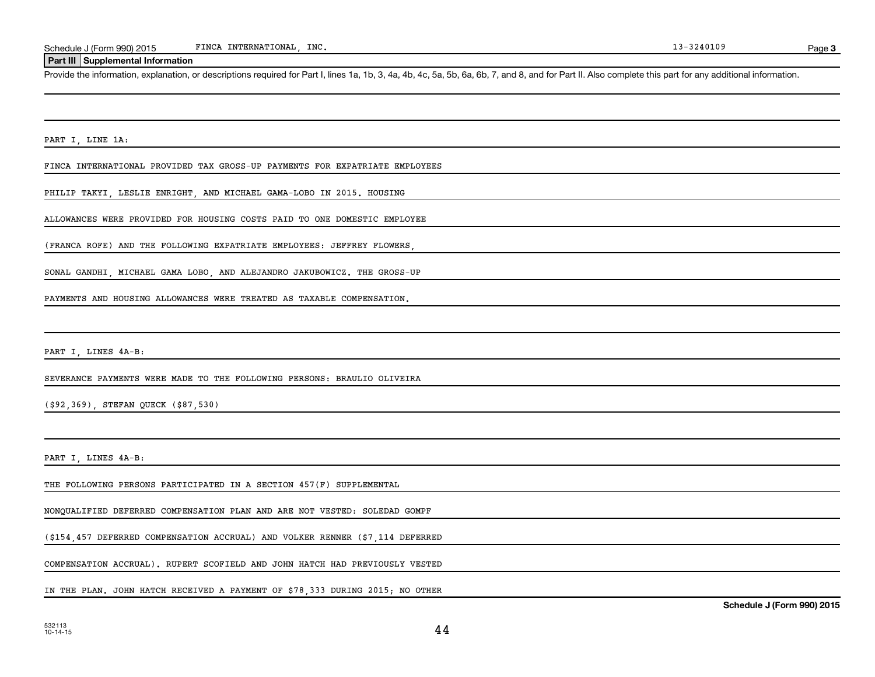#### **Part III Supplemental Information**

Provide the information, explanation, or descriptions required for Part I, lines 1a, 1b, 3, 4a, 4b, 4c, 5a, 5b, 6a, 6b, 7, and 8, and for Part II. Also complete this part for any additional information.

PART I, LINE 1A:

FINCA INTERNATIONAL PROVIDED TAX GROSS-UP PAYMENTS FOR EXPATRIATE EMPLOYEES

PHILIP TAKYI, LESLIE ENRIGHT, AND MICHAEL GAMA-LOBO IN 2015. HOUSING

ALLOWANCES WERE PROVIDED FOR HOUSING COSTS PAID TO ONE DOMESTIC EMPLOYEE

(FRANCA ROFE) AND THE FOLLOWING EXPATRIATE EMPLOYEES: JEFFREY FLOWERS

SONAL GANDHI, MICHAEL GAMA LOBO, AND ALEJANDRO JAKUBOWICZ. THE GROSS-UP

PAYMENTS AND HOUSING ALLOWANCES WERE TREATED AS TAXABLE COMPENSATION.

PART I, LINES 4A-B:

SEVERANCE PAYMENTS WERE MADE TO THE FOLLOWING PERSONS: BRAULIO OLIVEIRA

(\$92,369), STEFAN QUECK (\$87,530)

PART I, LINES 4A-B:

THE FOLLOWING PERSONS PARTICIPATED IN A SECTION 457(F) SUPPLEMENTAL

NONQUALIFIED DEFERRED COMPENSATION PLAN AND ARE NOT VESTED: SOLEDAD GOMPF

(\$154,457 DEFERRED COMPENSATION ACCRUAL) AND VOLKER RENNER (\$7,114 DEFERRED

COMPENSATION ACCRUAL). RUPERT SCOFIELD AND JOHN HATCH HAD PREVIOUSLY VESTED

IN THE PLAN. JOHN HATCH RECEIVED A PAYMENT OF \$78,333 DURING 2015; NO OTHER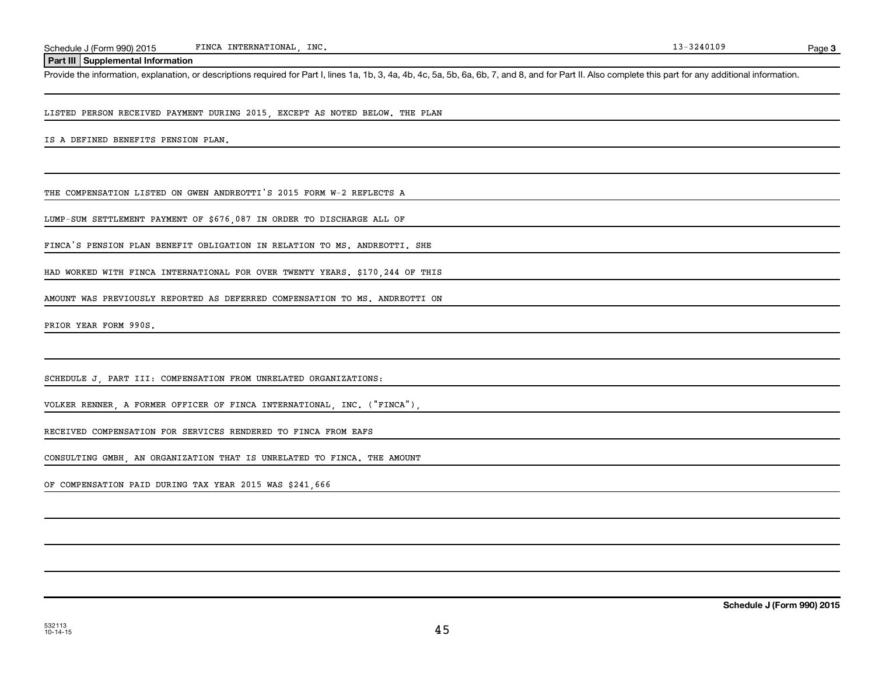#### **Part III Supplemental Information**

Provide the information, explanation, or descriptions required for Part I, lines 1a, 1b, 3, 4a, 4b, 4c, 5a, 5b, 6a, 6b, 7, and 8, and for Part II. Also complete this part for any additional information.

LISTED PERSON RECEIVED PAYMENT DURING 2015, EXCEPT AS NOTED BELOW. THE PLAN

IS A DEFINED BENEFITS PENSION PLAN.

THE COMPENSATION LISTED ON GWEN ANDREOTTI'S 2015 FORM W-2 REFLECTS A

LUMP-SUM SETTLEMENT PAYMENT OF \$676,087 IN ORDER TO DISCHARGE ALL OF

FINCA'S PENSION PLAN BENEFIT OBLIGATION IN RELATION TO MS. ANDREOTTI. SHE

HAD WORKED WITH FINCA INTERNATIONAL FOR OVER TWENTY YEARS. \$170,244 OF THIS

AMOUNT WAS PREVIOUSLY REPORTED AS DEFERRED COMPENSATION TO MS. ANDREOTTI ON

PRIOR YEAR FORM 990S.

SCHEDULE J, PART III: COMPENSATION FROM UNRELATED ORGANIZATIONS:

VOLKER RENNER, A FORMER OFFICER OF FINCA INTERNATIONAL, INC. ("FINCA"),

RECEIVED COMPENSATION FOR SERVICES RENDERED TO FINCA FROM EAFS

CONSULTING GMBH, AN ORGANIZATION THAT IS UNRELATED TO FINCA. THE AMOUNT

OF COMPENSATION PAID DURING TAX YEAR 2015 WAS \$241,666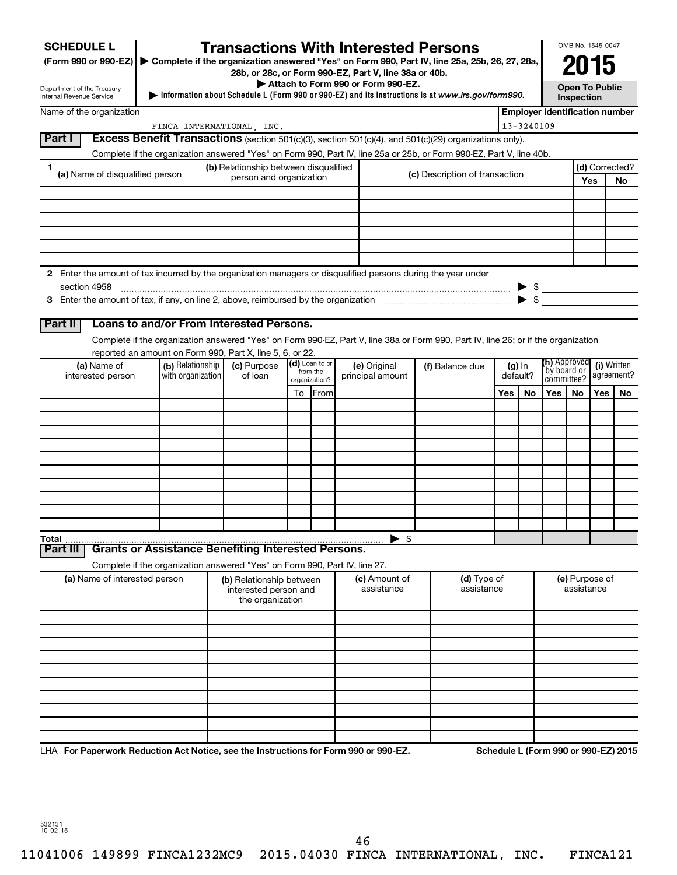| <b>SCHEDULE L</b>                                                                                                    |                                                                                                                                    |         | <b>Transactions With Interested Persons</b>           |                           |                |                                    |  |                                                                                                   |          |                          |                            | OMB No. 1545-0047                   |     |                                                                           |
|----------------------------------------------------------------------------------------------------------------------|------------------------------------------------------------------------------------------------------------------------------------|---------|-------------------------------------------------------|---------------------------|----------------|------------------------------------|--|---------------------------------------------------------------------------------------------------|----------|--------------------------|----------------------------|-------------------------------------|-----|---------------------------------------------------------------------------|
| (Form 990 or 990-EZ) ▶ Complete if the organization answered "Yes" on Form 990, Part IV, line 25a, 25b, 26, 27, 28a, |                                                                                                                                    |         | 28b, or 28c, or Form 990-EZ, Part V, line 38a or 40b. |                           |                |                                    |  |                                                                                                   |          |                          | 2015                       |                                     |     |                                                                           |
| Department of the Treasury<br>Internal Revenue Service                                                               |                                                                                                                                    |         |                                                       |                           |                | Attach to Form 990 or Form 990-EZ. |  | Information about Schedule L (Form 990 or 990-EZ) and its instructions is at www.irs.gov/form990. |          |                          |                            | <b>Open To Public</b><br>Inspection |     |                                                                           |
| Name of the organization                                                                                             |                                                                                                                                    |         |                                                       |                           |                |                                    |  |                                                                                                   |          |                          |                            |                                     |     | <b>Employer identification number</b>                                     |
|                                                                                                                      |                                                                                                                                    |         | FINCA INTERNATIONAL, INC.                             |                           |                |                                    |  |                                                                                                   |          | 13-3240109               |                            |                                     |     |                                                                           |
| Part I                                                                                                               | Excess Benefit Transactions (section 501(c)(3), section 501(c)(4), and 501(c)(29) organizations only).                             |         |                                                       |                           |                |                                    |  |                                                                                                   |          |                          |                            |                                     |     |                                                                           |
| 1                                                                                                                    | Complete if the organization answered "Yes" on Form 990, Part IV, line 25a or 25b, or Form 990-EZ, Part V, line 40b.               |         | (b) Relationship between disqualified                 |                           |                |                                    |  |                                                                                                   |          |                          |                            |                                     |     | (d) Corrected?                                                            |
| (a) Name of disqualified person                                                                                      |                                                                                                                                    |         | person and organization                               |                           |                | (c) Description of transaction     |  |                                                                                                   |          |                          |                            |                                     | Yes | No                                                                        |
|                                                                                                                      |                                                                                                                                    |         |                                                       |                           |                |                                    |  |                                                                                                   |          |                          |                            |                                     |     |                                                                           |
|                                                                                                                      |                                                                                                                                    |         |                                                       |                           |                |                                    |  |                                                                                                   |          |                          |                            |                                     |     |                                                                           |
|                                                                                                                      |                                                                                                                                    |         |                                                       |                           |                |                                    |  |                                                                                                   |          |                          |                            |                                     |     |                                                                           |
|                                                                                                                      |                                                                                                                                    |         |                                                       |                           |                |                                    |  |                                                                                                   |          |                          |                            |                                     |     |                                                                           |
|                                                                                                                      |                                                                                                                                    |         |                                                       |                           |                |                                    |  |                                                                                                   |          |                          |                            |                                     |     |                                                                           |
| 2 Enter the amount of tax incurred by the organization managers or disqualified persons during the year under        |                                                                                                                                    |         |                                                       |                           |                |                                    |  |                                                                                                   |          |                          |                            |                                     |     |                                                                           |
| section 4958                                                                                                         |                                                                                                                                    |         |                                                       |                           |                |                                    |  |                                                                                                   |          | $\blacktriangleright$ \$ |                            |                                     |     | $\begin{array}{c}\n\bullet \\ \bullet \\ \bullet \\ \bullet\n\end{array}$ |
|                                                                                                                      |                                                                                                                                    |         |                                                       |                           |                |                                    |  |                                                                                                   |          |                          |                            |                                     |     |                                                                           |
| Part II                                                                                                              | Loans to and/or From Interested Persons.                                                                                           |         |                                                       |                           |                |                                    |  |                                                                                                   |          |                          |                            |                                     |     |                                                                           |
|                                                                                                                      | Complete if the organization answered "Yes" on Form 990-EZ, Part V, line 38a or Form 990, Part IV, line 26; or if the organization |         |                                                       |                           |                |                                    |  |                                                                                                   |          |                          |                            |                                     |     |                                                                           |
| (a) Name of                                                                                                          | reported an amount on Form 990, Part X, line 5, 6, or 22.<br>(b) Relationship                                                      |         | (c) Purpose                                           |                           | (d) Loan to or | (e) Original                       |  | (f) Balance due                                                                                   |          | $(g)$ In                 | (h) Approved               |                                     |     | (i) Written                                                               |
| interested person                                                                                                    | with organization                                                                                                                  | of loan |                                                       | from the<br>organization? |                | principal amount                   |  |                                                                                                   | default? |                          | `by board or<br>committee? |                                     |     | agreement?                                                                |
|                                                                                                                      |                                                                                                                                    |         |                                                       |                           | To From        |                                    |  |                                                                                                   | Yes      | No                       | Yes                        | <b>No</b>                           | Yes | No                                                                        |
|                                                                                                                      |                                                                                                                                    |         |                                                       |                           |                |                                    |  |                                                                                                   |          |                          |                            |                                     |     |                                                                           |
|                                                                                                                      |                                                                                                                                    |         |                                                       |                           |                |                                    |  |                                                                                                   |          |                          |                            |                                     |     |                                                                           |
|                                                                                                                      |                                                                                                                                    |         |                                                       |                           |                |                                    |  |                                                                                                   |          |                          |                            |                                     |     |                                                                           |
|                                                                                                                      |                                                                                                                                    |         |                                                       |                           |                |                                    |  |                                                                                                   |          |                          |                            |                                     |     |                                                                           |
|                                                                                                                      |                                                                                                                                    |         |                                                       |                           |                |                                    |  |                                                                                                   |          |                          |                            |                                     |     |                                                                           |
|                                                                                                                      |                                                                                                                                    |         |                                                       |                           |                |                                    |  |                                                                                                   |          |                          |                            |                                     |     |                                                                           |
|                                                                                                                      |                                                                                                                                    |         |                                                       |                           |                |                                    |  |                                                                                                   |          |                          |                            |                                     |     |                                                                           |
|                                                                                                                      |                                                                                                                                    |         |                                                       |                           |                |                                    |  |                                                                                                   |          |                          |                            |                                     |     |                                                                           |
|                                                                                                                      | <b>Grants or Assistance Benefiting Interested Persons.</b>                                                                         |         |                                                       |                           |                | $\blacktriangleright$ \$           |  |                                                                                                   |          |                          |                            |                                     |     |                                                                           |
| Part III                                                                                                             |                                                                                                                                    |         |                                                       |                           |                |                                    |  |                                                                                                   |          |                          |                            |                                     |     |                                                                           |
| (a) Name of interested person                                                                                        | Complete if the organization answered "Yes" on Form 990, Part IV, line 27.                                                         |         | (b) Relationship between                              |                           |                | (c) Amount of                      |  | (d) Type of                                                                                       |          |                          |                            | (e) Purpose of                      |     |                                                                           |
|                                                                                                                      |                                                                                                                                    |         | interested person and<br>the organization             |                           |                | assistance                         |  | assistance                                                                                        |          |                          |                            | assistance                          |     |                                                                           |
|                                                                                                                      |                                                                                                                                    |         |                                                       |                           |                |                                    |  |                                                                                                   |          |                          |                            |                                     |     |                                                                           |
|                                                                                                                      |                                                                                                                                    |         |                                                       |                           |                |                                    |  |                                                                                                   |          |                          |                            |                                     |     |                                                                           |
|                                                                                                                      |                                                                                                                                    |         |                                                       |                           |                |                                    |  |                                                                                                   |          |                          |                            |                                     |     |                                                                           |
|                                                                                                                      |                                                                                                                                    |         |                                                       |                           |                |                                    |  |                                                                                                   |          |                          |                            |                                     |     |                                                                           |
|                                                                                                                      |                                                                                                                                    |         |                                                       |                           |                |                                    |  |                                                                                                   |          |                          |                            |                                     |     |                                                                           |
|                                                                                                                      |                                                                                                                                    |         |                                                       |                           |                |                                    |  |                                                                                                   |          |                          |                            |                                     |     |                                                                           |
|                                                                                                                      |                                                                                                                                    |         |                                                       |                           |                |                                    |  |                                                                                                   |          |                          |                            |                                     |     |                                                                           |
|                                                                                                                      |                                                                                                                                    |         |                                                       |                           |                |                                    |  |                                                                                                   |          |                          |                            |                                     |     |                                                                           |

LHA For Paperwork Reduction Act Notice, see the Instructions for Form 990 or 990-EZ. Schedule L (Form 990 or 990-EZ) 2015

532131 10-02-15

11041006 149899 FINCA1232MC9 2015.04030 FINCA INTERNATIONAL, INC. FINCA121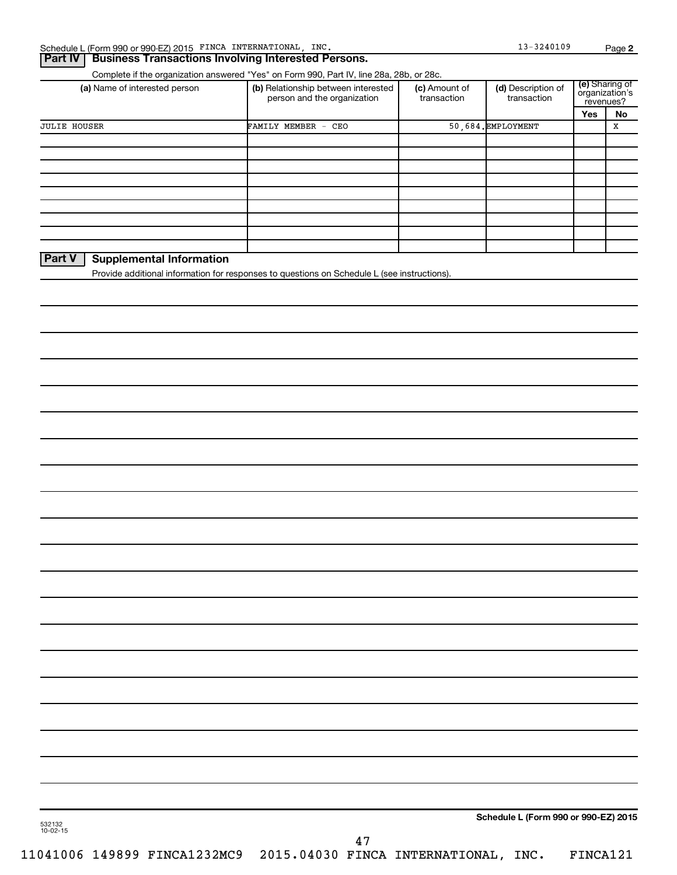## **Part IV Business Transactions Involving Interested Persons.**

Complete if the organization answered "Yes" on Form 990, Part IV, line 28a, 28b, or 28c.

| (a) Name of interested person                                                               | (b) Relationship between interested<br>person and the organization | (c) Amount of<br>transaction | (d) Description of<br>transaction | (e) Sharing of<br>organization's | revenues? |  |
|---------------------------------------------------------------------------------------------|--------------------------------------------------------------------|------------------------------|-----------------------------------|----------------------------------|-----------|--|
|                                                                                             |                                                                    |                              |                                   | Yes                              | No        |  |
| <b>JULIE HOUSER</b>                                                                         | FAMILY MEMBER -<br>CEO                                             |                              | 50,684. EMPLOYMENT                |                                  | х         |  |
|                                                                                             |                                                                    |                              |                                   |                                  |           |  |
|                                                                                             |                                                                    |                              |                                   |                                  |           |  |
|                                                                                             |                                                                    |                              |                                   |                                  |           |  |
|                                                                                             |                                                                    |                              |                                   |                                  |           |  |
|                                                                                             |                                                                    |                              |                                   |                                  |           |  |
|                                                                                             |                                                                    |                              |                                   |                                  |           |  |
|                                                                                             |                                                                    |                              |                                   |                                  |           |  |
|                                                                                             |                                                                    |                              |                                   |                                  |           |  |
|                                                                                             |                                                                    |                              |                                   |                                  |           |  |
| <b>Part V</b><br><b>Supplemental Information</b>                                            |                                                                    |                              |                                   |                                  |           |  |
| Provide additional information for responses to questions on Schedule L (see instructions). |                                                                    |                              |                                   |                                  |           |  |
|                                                                                             |                                                                    |                              |                                   |                                  |           |  |

11041006 149899 FINCA1232MC9 2015.04030 FINCA INTERNATIONAL, INC. FINCA121

Sharing of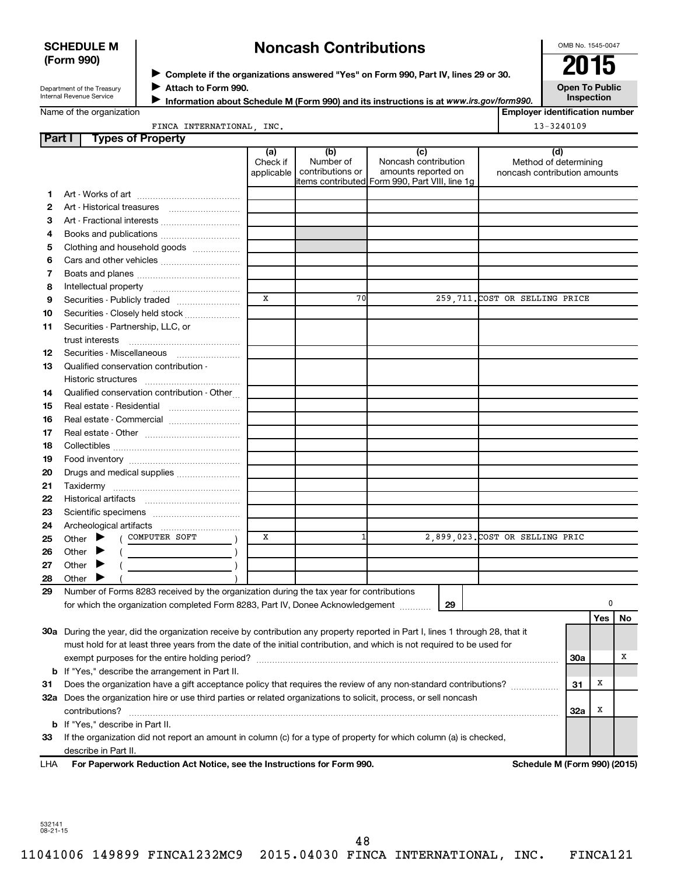## **SCHEDULE M (Form 990)**

# **Noncash Contributions**

OMB No. 1545-0047

Department of the Treasury Internal Revenue Service

◆ Complete if the organizations answered "Yes" on Form 990, Part IV, lines 29 or 30.<br>▶ Complete if the organizations answered "Yes" on Form 990, Part IV, lines 29 or 30. **Attach to Form 990.** J

**Open To Public Inspection**

| Name of the organization |  |
|--------------------------|--|
|--------------------------|--|

**Information about Schedule M (Form 990) and its instructions is at www.irs.gov/form990.** 

**Employer identification number**  $13 - 3240109$ 

| FINCA INTERNATIONAL | INC. |  |
|---------------------|------|--|
|                     |      |  |

| Part I | <b>Types of Property</b>                                                                                                       |             |                               |                                                |                                 |     |     |    |
|--------|--------------------------------------------------------------------------------------------------------------------------------|-------------|-------------------------------|------------------------------------------------|---------------------------------|-----|-----|----|
|        |                                                                                                                                | (a)         | (b)                           | (c)                                            | (d)                             |     |     |    |
|        |                                                                                                                                | Check if    | Number of<br>contributions or | Noncash contribution<br>amounts reported on    | Method of determining           |     |     |    |
|        |                                                                                                                                | applicable  |                               | items contributed Form 990, Part VIII, line 1g | noncash contribution amounts    |     |     |    |
| 1.     |                                                                                                                                |             |                               |                                                |                                 |     |     |    |
| 2      |                                                                                                                                |             |                               |                                                |                                 |     |     |    |
| з      |                                                                                                                                |             |                               |                                                |                                 |     |     |    |
| 4      |                                                                                                                                |             |                               |                                                |                                 |     |     |    |
| 5      | Clothing and household goods                                                                                                   |             |                               |                                                |                                 |     |     |    |
| 6      |                                                                                                                                |             |                               |                                                |                                 |     |     |    |
| 7      |                                                                                                                                |             |                               |                                                |                                 |     |     |    |
| 8      |                                                                                                                                |             |                               |                                                |                                 |     |     |    |
| 9      | Securities - Publicly traded                                                                                                   | $\mathbf x$ | 70                            |                                                | 259,711. COST OR SELLING PRICE  |     |     |    |
| 10     | Securities - Closely held stock                                                                                                |             |                               |                                                |                                 |     |     |    |
| 11     | Securities - Partnership, LLC, or                                                                                              |             |                               |                                                |                                 |     |     |    |
|        | trust interests                                                                                                                |             |                               |                                                |                                 |     |     |    |
| 12     |                                                                                                                                |             |                               |                                                |                                 |     |     |    |
| 13     | Qualified conservation contribution -                                                                                          |             |                               |                                                |                                 |     |     |    |
|        |                                                                                                                                |             |                               |                                                |                                 |     |     |    |
| 14     | Qualified conservation contribution - Other                                                                                    |             |                               |                                                |                                 |     |     |    |
| 15     | Real estate - Residential                                                                                                      |             |                               |                                                |                                 |     |     |    |
| 16     |                                                                                                                                |             |                               |                                                |                                 |     |     |    |
| 17     |                                                                                                                                |             |                               |                                                |                                 |     |     |    |
| 18     |                                                                                                                                |             |                               |                                                |                                 |     |     |    |
| 19     |                                                                                                                                |             |                               |                                                |                                 |     |     |    |
| 20     | Drugs and medical supplies                                                                                                     |             |                               |                                                |                                 |     |     |    |
| 21     |                                                                                                                                |             |                               |                                                |                                 |     |     |    |
| 22     |                                                                                                                                |             |                               |                                                |                                 |     |     |    |
| 23     |                                                                                                                                |             |                               |                                                |                                 |     |     |    |
| 24     |                                                                                                                                |             |                               |                                                |                                 |     |     |    |
| 25     | ( COMPUTER SOFT<br>Other $\blacktriangleright$                                                                                 | х           | 1                             |                                                | 2,899,023. COST OR SELLING PRIC |     |     |    |
| 26     | Other $\blacktriangleright$                                                                                                    |             |                               |                                                |                                 |     |     |    |
| 27     | Other $\blacktriangleright$                                                                                                    |             |                               |                                                |                                 |     |     |    |
| 28     | Other $\blacktriangleright$                                                                                                    |             |                               |                                                |                                 |     |     |    |
| 29     | Number of Forms 8283 received by the organization during the tax year for contributions                                        |             |                               |                                                |                                 |     |     |    |
|        | for which the organization completed Form 8283, Part IV, Donee Acknowledgement                                                 |             |                               | 29                                             |                                 |     | 0   |    |
|        |                                                                                                                                |             |                               |                                                |                                 |     | Yes | No |
|        | 30a During the year, did the organization receive by contribution any property reported in Part I, lines 1 through 28, that it |             |                               |                                                |                                 |     |     |    |
|        | must hold for at least three years from the date of the initial contribution, and which is not required to be used for         |             |                               |                                                |                                 |     |     |    |
|        |                                                                                                                                |             |                               |                                                |                                 | 30a |     | х  |
|        | <b>b</b> If "Yes," describe the arrangement in Part II.                                                                        |             |                               |                                                |                                 |     |     |    |
| 31     | Does the organization have a gift acceptance policy that requires the review of any non-standard contributions?                |             |                               |                                                |                                 | 31  | х   |    |
|        | 32a Does the organization hire or use third parties or related organizations to solicit, process, or sell noncash              |             |                               |                                                |                                 |     |     |    |
|        | contributions?                                                                                                                 |             |                               |                                                |                                 | 32a | X   |    |
|        | <b>b</b> If "Yes," describe in Part II.                                                                                        |             |                               |                                                |                                 |     |     |    |
| 33     | If the organization did not report an amount in column (c) for a type of property for which column (a) is checked,             |             |                               |                                                |                                 |     |     |    |
|        | describe in Part II.                                                                                                           |             |                               |                                                |                                 |     |     |    |
| LHA    | For Paperwork Reduction Act Notice, see the Instructions for Form 990.                                                         |             |                               |                                                | Schedule M (Form 990) (2015)    |     |     |    |

532141 08-21-15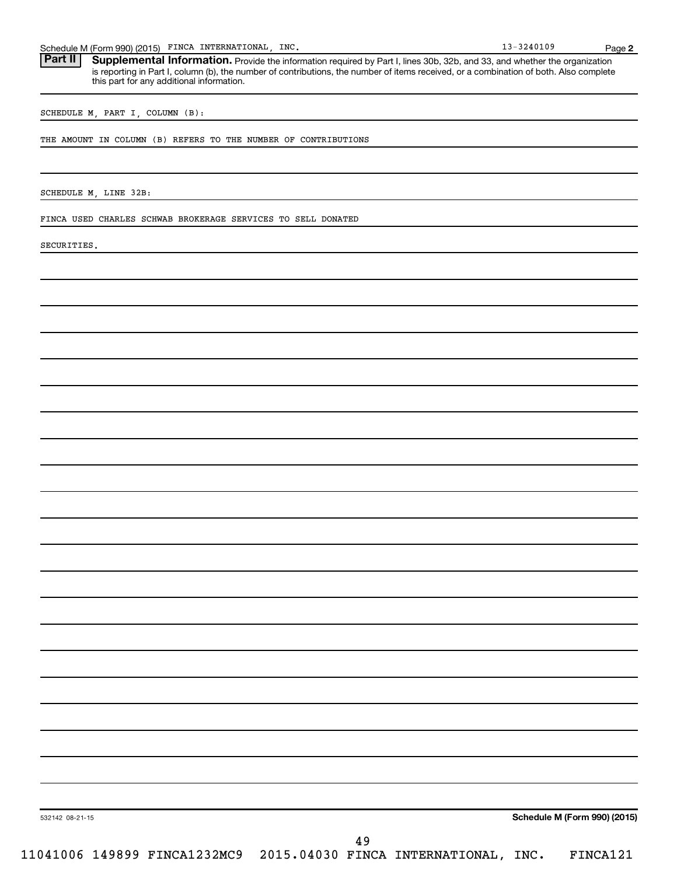Schedule M (Form 990) (2015) FINCA INTERNATIONAL, INC. 18 (1998) 13-3240109 Page

Part II | Supplemental Information. Provide the information required by Part I, lines 30b, 32b, and 33, and whether the organization is reporting in Part I, column (b), the number of contributions, the number of items received, or a combination of both. Also complete this part for any additional information.

SCHEDULE M, PART I, COLUMN (B):

THE AMOUNT IN COLUMN (B) REFERS TO THE NUMBER OF CONTRIBUTIONS

SCHEDULE M, LINE 32B:

FINCA USED CHARLES SCHWAB BROKERAGE SERVICES TO SELL DONATED

SECURITIES.

**Schedule M (Form 990) (2015)**

532142 08-21-15

11041006 149899 FINCA1232MC9 2015.04030 FINCA INTERNATIONAL, INC. FINCA121

**2**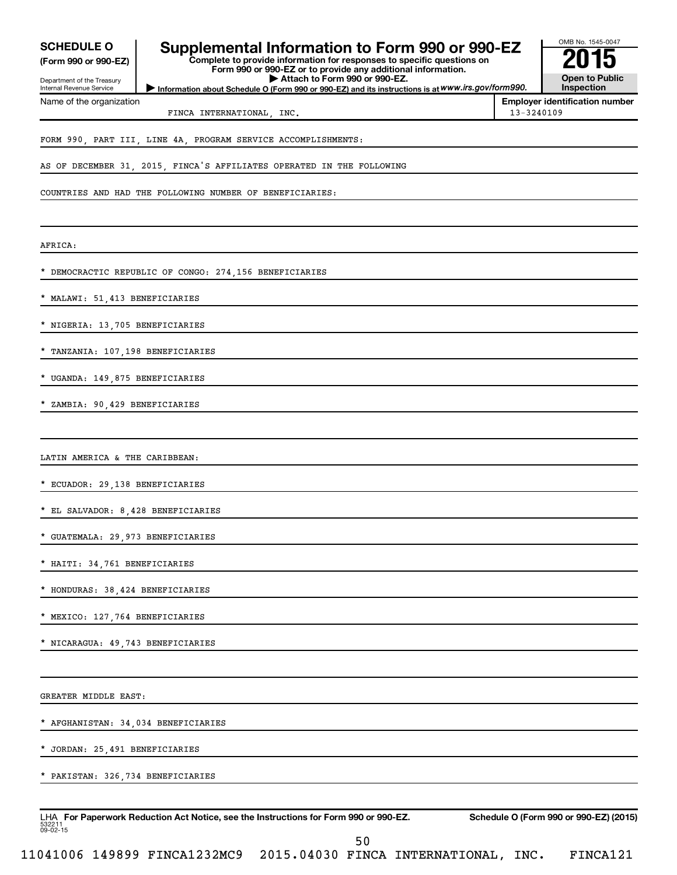| <b>SCHEDULE O</b><br>(Form 990 or 990-EZ)<br>Department of the Treasury<br>Internal Revenue Service | Supplemental Information to Form 990 or 990-EZ<br>Complete to provide information for responses to specific questions on<br>Form 990 or 990-EZ or to provide any additional information.<br>Attach to Form 990 or 990-EZ.<br>Information about Schedule O (Form 990 or 990-EZ) and its instructions is at WWW.irs.gov/form990. |            | OMB No. 1545-0047<br><b>Open to Public</b><br>Inspection |
|-----------------------------------------------------------------------------------------------------|--------------------------------------------------------------------------------------------------------------------------------------------------------------------------------------------------------------------------------------------------------------------------------------------------------------------------------|------------|----------------------------------------------------------|
| Name of the organization                                                                            |                                                                                                                                                                                                                                                                                                                                |            | <b>Employer identification number</b>                    |
|                                                                                                     | FINCA INTERNATIONAL, INC.                                                                                                                                                                                                                                                                                                      | 13-3240109 |                                                          |
|                                                                                                     | FORM 990, PART III, LINE 4A, PROGRAM SERVICE ACCOMPLISHMENTS:                                                                                                                                                                                                                                                                  |            |                                                          |
|                                                                                                     | AS OF DECEMBER 31, 2015, FINCA'S AFFILIATES OPERATED IN THE FOLLOWING                                                                                                                                                                                                                                                          |            |                                                          |
|                                                                                                     | COUNTRIES AND HAD THE FOLLOWING NUMBER OF BENEFICIARIES:                                                                                                                                                                                                                                                                       |            |                                                          |
| AFRICA:                                                                                             |                                                                                                                                                                                                                                                                                                                                |            |                                                          |
|                                                                                                     | * DEMOCRACTIC REPUBLIC OF CONGO: 274,156 BENEFICIARIES                                                                                                                                                                                                                                                                         |            |                                                          |
| * MALAWI: 51,413 BENEFICIARIES                                                                      |                                                                                                                                                                                                                                                                                                                                |            |                                                          |
| * NIGERIA: 13,705 BENEFICIARIES                                                                     |                                                                                                                                                                                                                                                                                                                                |            |                                                          |
| * TANZANIA: 107,198 BENEFICIARIES                                                                   |                                                                                                                                                                                                                                                                                                                                |            |                                                          |
| * UGANDA: 149,875 BENEFICIARIES                                                                     |                                                                                                                                                                                                                                                                                                                                |            |                                                          |
| * ZAMBIA: 90,429 BENEFICIARIES                                                                      |                                                                                                                                                                                                                                                                                                                                |            |                                                          |
| LATIN AMERICA & THE CARIBBEAN:                                                                      |                                                                                                                                                                                                                                                                                                                                |            |                                                          |
| * ECUADOR: 29,138 BENEFICIARIES                                                                     |                                                                                                                                                                                                                                                                                                                                |            |                                                          |
| * EL SALVADOR: 8,428 BENEFICIARIES                                                                  |                                                                                                                                                                                                                                                                                                                                |            |                                                          |
| GUATEMALA: 29,973 BENEFICIARIES                                                                     |                                                                                                                                                                                                                                                                                                                                |            |                                                          |
| * HAITI: 34,761 BENEFICIARIES                                                                       |                                                                                                                                                                                                                                                                                                                                |            |                                                          |
| * HONDURAS: 38, 424 BENEFICIARIES                                                                   |                                                                                                                                                                                                                                                                                                                                |            |                                                          |
| * MEXICO: 127, 764 BENEFICIARIES                                                                    |                                                                                                                                                                                                                                                                                                                                |            |                                                          |
| * NICARAGUA: 49,743 BENEFICIARIES                                                                   |                                                                                                                                                                                                                                                                                                                                |            |                                                          |
| GREATER MIDDLE EAST:                                                                                |                                                                                                                                                                                                                                                                                                                                |            |                                                          |
| * AFGHANISTAN: 34,034 BENEFICIARIES                                                                 |                                                                                                                                                                                                                                                                                                                                |            |                                                          |
| * JORDAN: 25,491 BENEFICIARIES                                                                      |                                                                                                                                                                                                                                                                                                                                |            |                                                          |
| * PAKISTAN: 326,734 BENEFICIARIES                                                                   |                                                                                                                                                                                                                                                                                                                                |            |                                                          |
| 532211<br>$09 - 02 - 15$                                                                            | LHA For Paperwork Reduction Act Notice, see the Instructions for Form 990 or 990-EZ.                                                                                                                                                                                                                                           |            | Schedule O (Form 990 or 990-EZ) (2015)                   |

50

11041006 149899 FINCA1232MC9 2015.04030 FINCA INTERNATIONAL, INC. FINCA121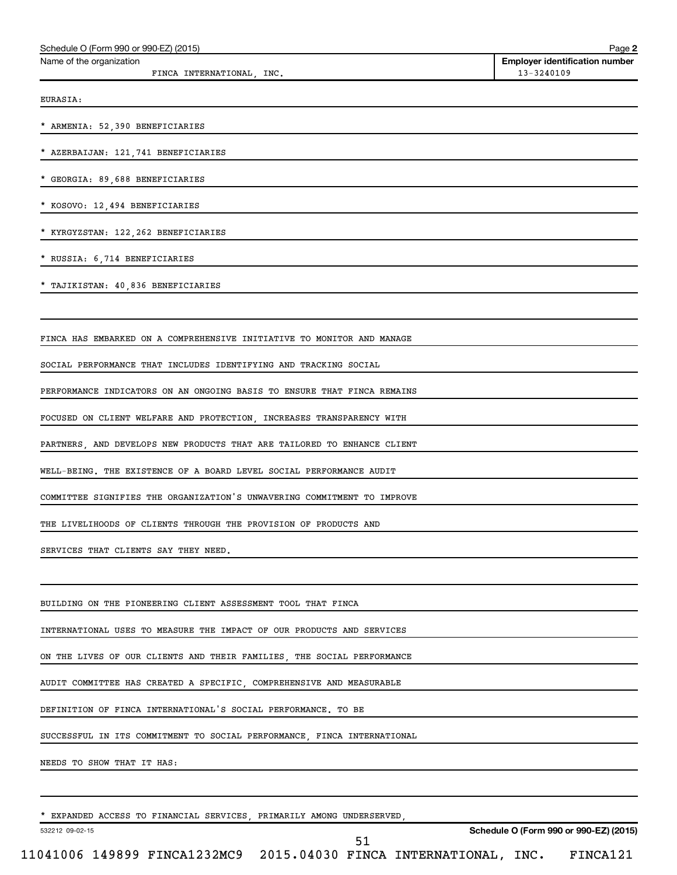| Schedule O (Form 990 or 990-EZ) (2015)                                  | Page 2                                              |
|-------------------------------------------------------------------------|-----------------------------------------------------|
| Name of the organization<br>FINCA INTERNATIONAL, INC.                   | <b>Employer identification number</b><br>13-3240109 |
|                                                                         |                                                     |
| EURASIA:                                                                |                                                     |
| * ARMENIA: 52,390 BENEFICIARIES                                         |                                                     |
| * AZERBAIJAN: 121, 741 BENEFICIARIES                                    |                                                     |
| * GEORGIA: 89,688 BENEFICIARIES                                         |                                                     |
| * KOSOVO: 12,494 BENEFICIARIES                                          |                                                     |
| * KYRGYZSTAN: 122, 262 BENEFICIARIES                                    |                                                     |
| * RUSSIA: 6,714 BENEFICIARIES                                           |                                                     |
| * TAJIKISTAN: 40,836 BENEFICIARIES                                      |                                                     |
|                                                                         |                                                     |
| FINCA HAS EMBARKED ON A COMPREHENSIVE INITIATIVE TO MONITOR AND MANAGE  |                                                     |
| SOCIAL PERFORMANCE THAT INCLUDES IDENTIFYING AND TRACKING SOCIAL        |                                                     |
| PERFORMANCE INDICATORS ON AN ONGOING BASIS TO ENSURE THAT FINCA REMAINS |                                                     |
| FOCUSED ON CLIENT WELFARE AND PROTECTION, INCREASES TRANSPARENCY WITH   |                                                     |
| PARTNERS, AND DEVELOPS NEW PRODUCTS THAT ARE TAILORED TO ENHANCE CLIENT |                                                     |
| WELL-BEING. THE EXISTENCE OF A BOARD LEVEL SOCIAL PERFORMANCE AUDIT     |                                                     |
| COMMITTEE SIGNIFIES THE ORGANIZATION'S UNWAVERING COMMITMENT TO IMPROVE |                                                     |
| THE LIVELIHOODS OF CLIENTS THROUGH THE PROVISION OF PRODUCTS AND        |                                                     |
| SERVICES THAT CLIENTS SAY THEY NEED.                                    |                                                     |
|                                                                         |                                                     |
| BUILDING ON THE PIONEERING CLIENT ASSESSMENT TOOL THAT FINCA            |                                                     |
| INTERNATIONAL USES TO MEASURE THE IMPACT OF OUR PRODUCTS AND SERVICES   |                                                     |
| ON THE LIVES OF OUR CLIENTS AND THEIR FAMILIES, THE SOCIAL PERFORMANCE  |                                                     |
| AUDIT COMMITTEE HAS CREATED A SPECIFIC, COMPREHENSIVE AND MEASURABLE    |                                                     |
| DEFINITION OF FINCA INTERNATIONAL'S SOCIAL PERFORMANCE. TO BE           |                                                     |
| SUCCESSFUL IN ITS COMMITMENT TO SOCIAL PERFORMANCE, FINCA INTERNATIONAL |                                                     |
| NEEDS TO SHOW THAT IT HAS:                                              |                                                     |
|                                                                         |                                                     |
| * EXPANDED ACCESS TO FINANCIAL SERVICES, PRIMARILY AMONG UNDERSERVED,   |                                                     |

532212 09-02-15

11041006 149899 FINCA1232MC9 2015.04030 FINCA INTERNATIONAL, INC. FINCA121 51

**Schedule O (Form 990 or 990-EZ) (2015)**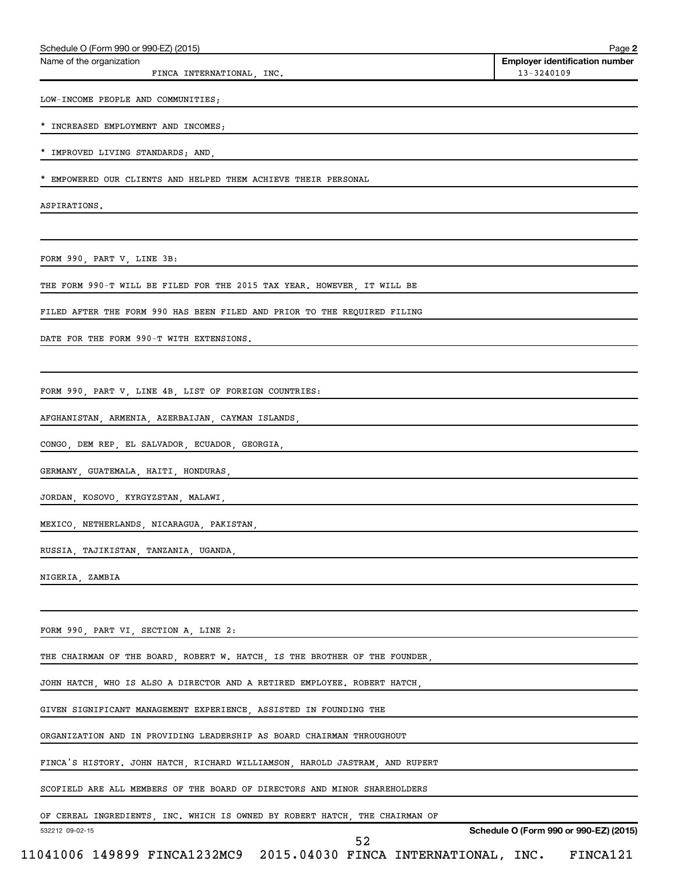| * IMPROVED LIVING STANDARDS; AND,<br>* EMPOWERED OUR CLIENTS AND HELPED THEM ACHIEVE THEIR PERSONAL<br>ASPIRATIONS.<br>FORM 990, PART V, LINE 3B:<br>THE FORM 990-T WILL BE FILED FOR THE 2015 TAX YEAR. HOWEVER, IT WILL BE<br>FILED AFTER THE FORM 990 HAS BEEN FILED AND PRIOR TO THE REQUIRED FILING<br>DATE FOR THE FORM 990-T WITH EXTENSIONS.<br>FORM 990, PART V, LINE 4B, LIST OF FOREIGN COUNTRIES:<br>AFGHANISTAN, ARMENIA, AZERBAIJAN, CAYMAN ISLANDS,<br>CONGO, DEM REP, EL SALVADOR, ECUADOR, GEORGIA,<br>GERMANY, GUATEMALA, HAITI, HONDURAS,<br>JORDAN, KOSOVO, KYRGYZSTAN, MALAWI,<br>MEXICO, NETHERLANDS, NICARAGUA, PAKISTAN,<br>RUSSIA, TAJIKISTAN, TANZANIA, UGANDA,<br>NIGERIA, ZAMBIA<br>FORM 990, PART VI, SECTION A, LINE 2:<br>THE CHAIRMAN OF THE BOARD, ROBERT W. HATCH, IS THE BROTHER OF THE FOUNDER,<br>JOHN HATCH, WHO IS ALSO A DIRECTOR AND A RETIRED EMPLOYEE. ROBERT HATCH,<br>GIVEN SIGNIFICANT MANAGEMENT EXPERIENCE, ASSISTED IN FOUNDING THE<br>ORGANIZATION AND IN PROVIDING LEADERSHIP AS BOARD CHAIRMAN THROUGHOUT<br>FINCA'S HISTORY. JOHN HATCH, RICHARD WILLIAMSON, HAROLD JASTRAM, AND RUPERT<br>SCOFIELD ARE ALL MEMBERS OF THE BOARD OF DIRECTORS AND MINOR SHAREHOLDERS<br>OF CEREAL INGREDIENTS, INC. WHICH IS OWNED BY ROBERT HATCH, THE CHAIRMAN OF<br>Schedule O (Form 990 or 990-EZ) (2015)<br>532212 09-02-15<br>52<br>11041006 149899 FINCA1232MC9 2015.04030 FINCA INTERNATIONAL, INC. FINCA121 |  | * INCREASED EMPLOYMENT AND INCOMES; |
|-----------------------------------------------------------------------------------------------------------------------------------------------------------------------------------------------------------------------------------------------------------------------------------------------------------------------------------------------------------------------------------------------------------------------------------------------------------------------------------------------------------------------------------------------------------------------------------------------------------------------------------------------------------------------------------------------------------------------------------------------------------------------------------------------------------------------------------------------------------------------------------------------------------------------------------------------------------------------------------------------------------------------------------------------------------------------------------------------------------------------------------------------------------------------------------------------------------------------------------------------------------------------------------------------------------------------------------------------------------------------------------------------------------------------------------------------------------|--|-------------------------------------|
|                                                                                                                                                                                                                                                                                                                                                                                                                                                                                                                                                                                                                                                                                                                                                                                                                                                                                                                                                                                                                                                                                                                                                                                                                                                                                                                                                                                                                                                           |  |                                     |
|                                                                                                                                                                                                                                                                                                                                                                                                                                                                                                                                                                                                                                                                                                                                                                                                                                                                                                                                                                                                                                                                                                                                                                                                                                                                                                                                                                                                                                                           |  |                                     |
|                                                                                                                                                                                                                                                                                                                                                                                                                                                                                                                                                                                                                                                                                                                                                                                                                                                                                                                                                                                                                                                                                                                                                                                                                                                                                                                                                                                                                                                           |  |                                     |
|                                                                                                                                                                                                                                                                                                                                                                                                                                                                                                                                                                                                                                                                                                                                                                                                                                                                                                                                                                                                                                                                                                                                                                                                                                                                                                                                                                                                                                                           |  |                                     |
|                                                                                                                                                                                                                                                                                                                                                                                                                                                                                                                                                                                                                                                                                                                                                                                                                                                                                                                                                                                                                                                                                                                                                                                                                                                                                                                                                                                                                                                           |  |                                     |
|                                                                                                                                                                                                                                                                                                                                                                                                                                                                                                                                                                                                                                                                                                                                                                                                                                                                                                                                                                                                                                                                                                                                                                                                                                                                                                                                                                                                                                                           |  |                                     |
|                                                                                                                                                                                                                                                                                                                                                                                                                                                                                                                                                                                                                                                                                                                                                                                                                                                                                                                                                                                                                                                                                                                                                                                                                                                                                                                                                                                                                                                           |  |                                     |
|                                                                                                                                                                                                                                                                                                                                                                                                                                                                                                                                                                                                                                                                                                                                                                                                                                                                                                                                                                                                                                                                                                                                                                                                                                                                                                                                                                                                                                                           |  |                                     |
|                                                                                                                                                                                                                                                                                                                                                                                                                                                                                                                                                                                                                                                                                                                                                                                                                                                                                                                                                                                                                                                                                                                                                                                                                                                                                                                                                                                                                                                           |  |                                     |
|                                                                                                                                                                                                                                                                                                                                                                                                                                                                                                                                                                                                                                                                                                                                                                                                                                                                                                                                                                                                                                                                                                                                                                                                                                                                                                                                                                                                                                                           |  |                                     |
|                                                                                                                                                                                                                                                                                                                                                                                                                                                                                                                                                                                                                                                                                                                                                                                                                                                                                                                                                                                                                                                                                                                                                                                                                                                                                                                                                                                                                                                           |  |                                     |
|                                                                                                                                                                                                                                                                                                                                                                                                                                                                                                                                                                                                                                                                                                                                                                                                                                                                                                                                                                                                                                                                                                                                                                                                                                                                                                                                                                                                                                                           |  |                                     |
|                                                                                                                                                                                                                                                                                                                                                                                                                                                                                                                                                                                                                                                                                                                                                                                                                                                                                                                                                                                                                                                                                                                                                                                                                                                                                                                                                                                                                                                           |  |                                     |
|                                                                                                                                                                                                                                                                                                                                                                                                                                                                                                                                                                                                                                                                                                                                                                                                                                                                                                                                                                                                                                                                                                                                                                                                                                                                                                                                                                                                                                                           |  |                                     |
|                                                                                                                                                                                                                                                                                                                                                                                                                                                                                                                                                                                                                                                                                                                                                                                                                                                                                                                                                                                                                                                                                                                                                                                                                                                                                                                                                                                                                                                           |  |                                     |
|                                                                                                                                                                                                                                                                                                                                                                                                                                                                                                                                                                                                                                                                                                                                                                                                                                                                                                                                                                                                                                                                                                                                                                                                                                                                                                                                                                                                                                                           |  |                                     |
|                                                                                                                                                                                                                                                                                                                                                                                                                                                                                                                                                                                                                                                                                                                                                                                                                                                                                                                                                                                                                                                                                                                                                                                                                                                                                                                                                                                                                                                           |  |                                     |
|                                                                                                                                                                                                                                                                                                                                                                                                                                                                                                                                                                                                                                                                                                                                                                                                                                                                                                                                                                                                                                                                                                                                                                                                                                                                                                                                                                                                                                                           |  |                                     |
|                                                                                                                                                                                                                                                                                                                                                                                                                                                                                                                                                                                                                                                                                                                                                                                                                                                                                                                                                                                                                                                                                                                                                                                                                                                                                                                                                                                                                                                           |  |                                     |
|                                                                                                                                                                                                                                                                                                                                                                                                                                                                                                                                                                                                                                                                                                                                                                                                                                                                                                                                                                                                                                                                                                                                                                                                                                                                                                                                                                                                                                                           |  |                                     |
|                                                                                                                                                                                                                                                                                                                                                                                                                                                                                                                                                                                                                                                                                                                                                                                                                                                                                                                                                                                                                                                                                                                                                                                                                                                                                                                                                                                                                                                           |  |                                     |
|                                                                                                                                                                                                                                                                                                                                                                                                                                                                                                                                                                                                                                                                                                                                                                                                                                                                                                                                                                                                                                                                                                                                                                                                                                                                                                                                                                                                                                                           |  |                                     |
|                                                                                                                                                                                                                                                                                                                                                                                                                                                                                                                                                                                                                                                                                                                                                                                                                                                                                                                                                                                                                                                                                                                                                                                                                                                                                                                                                                                                                                                           |  |                                     |
|                                                                                                                                                                                                                                                                                                                                                                                                                                                                                                                                                                                                                                                                                                                                                                                                                                                                                                                                                                                                                                                                                                                                                                                                                                                                                                                                                                                                                                                           |  |                                     |
|                                                                                                                                                                                                                                                                                                                                                                                                                                                                                                                                                                                                                                                                                                                                                                                                                                                                                                                                                                                                                                                                                                                                                                                                                                                                                                                                                                                                                                                           |  |                                     |
|                                                                                                                                                                                                                                                                                                                                                                                                                                                                                                                                                                                                                                                                                                                                                                                                                                                                                                                                                                                                                                                                                                                                                                                                                                                                                                                                                                                                                                                           |  |                                     |
|                                                                                                                                                                                                                                                                                                                                                                                                                                                                                                                                                                                                                                                                                                                                                                                                                                                                                                                                                                                                                                                                                                                                                                                                                                                                                                                                                                                                                                                           |  |                                     |
|                                                                                                                                                                                                                                                                                                                                                                                                                                                                                                                                                                                                                                                                                                                                                                                                                                                                                                                                                                                                                                                                                                                                                                                                                                                                                                                                                                                                                                                           |  |                                     |

Schedule O (Form 990 or 990-EZ) (2015)

LOW-INCOME PEOPLE AND COMMUNITIES;

FINCA INTERNATIONAL, INC.

Name of the organization

**2**

**Employer identification number**<br>13-3240109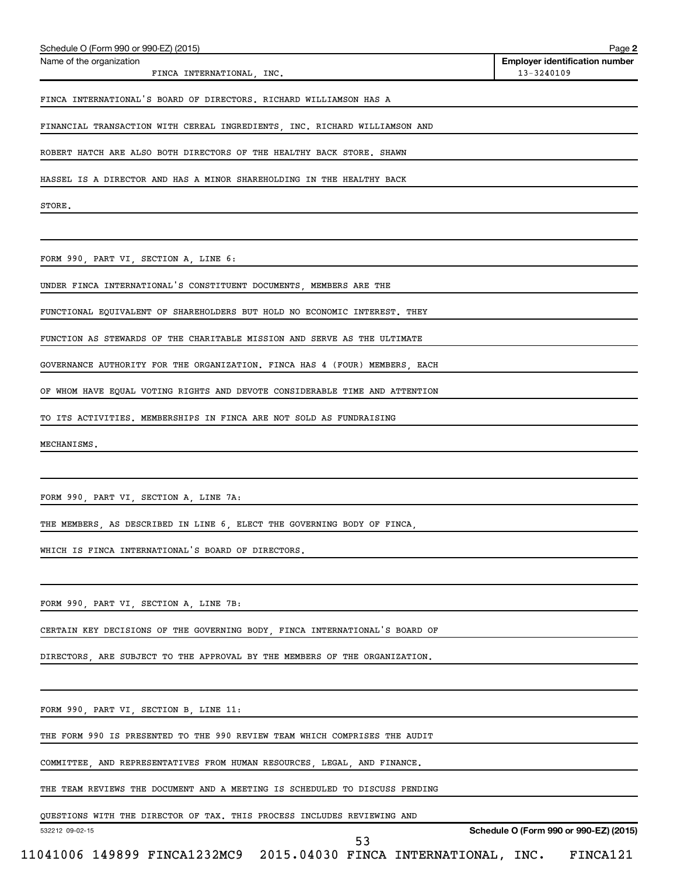| FINCA INTERNATIONAL, INC.                                                   | 13-3240109                             |
|-----------------------------------------------------------------------------|----------------------------------------|
| FINCA INTERNATIONAL'S BOARD OF DIRECTORS. RICHARD WILLIAMSON HAS A          |                                        |
| FINANCIAL TRANSACTION WITH CEREAL INGREDIENTS, INC. RICHARD WILLIAMSON AND  |                                        |
| ROBERT HATCH ARE ALSO BOTH DIRECTORS OF THE HEALTHY BACK STORE. SHAWN       |                                        |
| HASSEL IS A DIRECTOR AND HAS A MINOR SHAREHOLDING IN THE HEALTHY BACK       |                                        |
| STORE.                                                                      |                                        |
|                                                                             |                                        |
| FORM 990, PART VI, SECTION A, LINE 6:                                       |                                        |
| UNDER FINCA INTERNATIONAL'S CONSTITUENT DOCUMENTS, MEMBERS ARE THE          |                                        |
| FUNCTIONAL EQUIVALENT OF SHAREHOLDERS BUT HOLD NO ECONOMIC INTEREST. THEY   |                                        |
| FUNCTION AS STEWARDS OF THE CHARITABLE MISSION AND SERVE AS THE ULTIMATE    |                                        |
| GOVERNANCE AUTHORITY FOR THE ORGANIZATION. FINCA HAS 4 (FOUR) MEMBERS, EACH |                                        |
| OF WHOM HAVE EQUAL VOTING RIGHTS AND DEVOTE CONSIDERABLE TIME AND ATTENTION |                                        |
| TO ITS ACTIVITIES. MEMBERSHIPS IN FINCA ARE NOT SOLD AS FUNDRAISING         |                                        |
| MECHANISMS.                                                                 |                                        |
|                                                                             |                                        |
| FORM 990, PART VI, SECTION A, LINE 7A:                                      |                                        |
| THE MEMBERS, AS DESCRIBED IN LINE 6, ELECT THE GOVERNING BODY OF FINCA,     |                                        |
| WHICH IS FINCA INTERNATIONAL'S BOARD OF DIRECTORS.                          |                                        |
|                                                                             |                                        |
| FORM 990, PART VI, SECTION A, LINE 7B:                                      |                                        |
| CERTAIN KEY DECISIONS OF THE GOVERNING BODY, FINCA INTERNATIONAL'S BOARD OF |                                        |
| DIRECTORS, ARE SUBJECT TO THE APPROVAL BY THE MEMBERS OF THE ORGANIZATION.  |                                        |
|                                                                             |                                        |
| FORM 990, PART VI, SECTION B, LINE 11:                                      |                                        |
| THE FORM 990 IS PRESENTED TO THE 990 REVIEW TEAM WHICH COMPRISES THE AUDIT  |                                        |
| COMMITTEE, AND REPRESENTATIVES FROM HUMAN RESOURCES, LEGAL, AND FINANCE.    |                                        |
| THE TEAM REVIEWS THE DOCUMENT AND A MEETING IS SCHEDULED TO DISCUSS PENDING |                                        |
| QUESTIONS WITH THE DIRECTOR OF TAX. THIS PROCESS INCLUDES REVIEWING AND     |                                        |
| 532212 09-02-15<br>53                                                       | Schedule O (Form 990 or 990-EZ) (2015) |
| 11041006 149899 FINCA1232MC9 2015.04030 FINCA INTERNATIONAL, INC.           | FINCA121                               |

Schedule O (Form 990 or 990-EZ) (2015)

Name of the organization

**2**

**Employer identification number**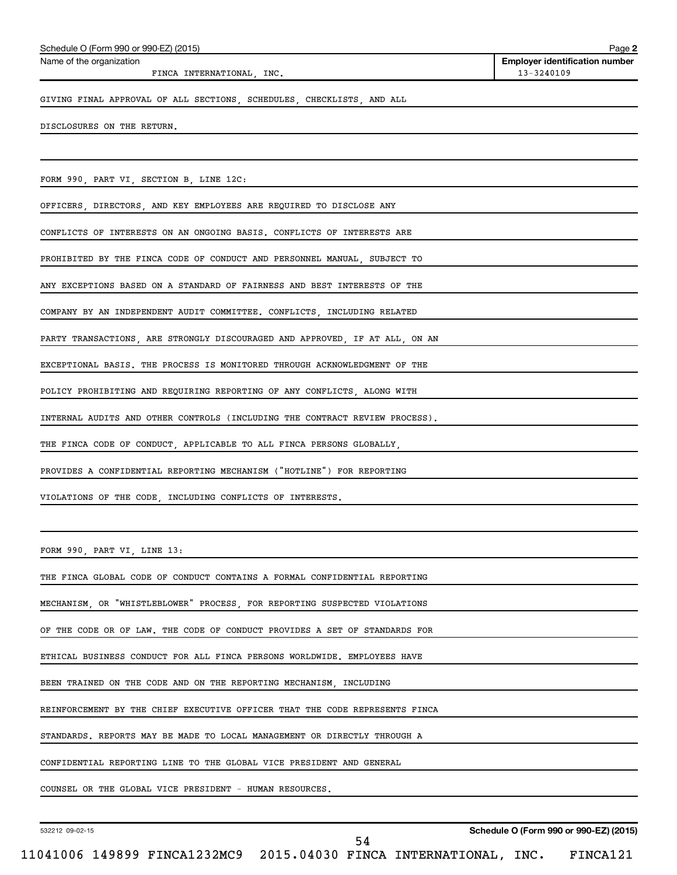| DISCLOSURES ON THE RETURN.                                                  |
|-----------------------------------------------------------------------------|
|                                                                             |
| FORM 990, PART VI, SECTION B, LINE 12C:                                     |
| OFFICERS, DIRECTORS, AND KEY EMPLOYEES ARE REQUIRED TO DISCLOSE ANY         |
| CONFLICTS OF INTERESTS ON AN ONGOING BASIS. CONFLICTS OF INTERESTS ARE      |
| PROHIBITED BY THE FINCA CODE OF CONDUCT AND PERSONNEL MANUAL, SUBJECT TO    |
| ANY EXCEPTIONS BASED ON A STANDARD OF FAIRNESS AND BEST INTERESTS OF THE    |
| COMPANY BY AN INDEPENDENT AUDIT COMMITTEE. CONFLICTS, INCLUDING RELATED     |
| PARTY TRANSACTIONS, ARE STRONGLY DISCOURAGED AND APPROVED, IF AT ALL, ON AN |
| EXCEPTIONAL BASIS. THE PROCESS IS MONITORED THROUGH ACKNOWLEDGMENT OF THE   |
| POLICY PROHIBITING AND REQUIRING REPORTING OF ANY CONFLICTS, ALONG WITH     |
| INTERNAL AUDITS AND OTHER CONTROLS (INCLUDING THE CONTRACT REVIEW PROCESS). |
| THE FINCA CODE OF CONDUCT, APPLICABLE TO ALL FINCA PERSONS GLOBALLY,        |
| PROVIDES A CONFIDENTIAL REPORTING MECHANISM ("HOTLINE") FOR REPORTING       |
| VIOLATIONS OF THE CODE, INCLUDING CONFLICTS OF INTERESTS.                   |
|                                                                             |
| FORM 990, PART VI, LINE 13:                                                 |
| THE FINCA GLOBAL CODE OF CONDUCT CONTAINS A FORMAL CONFIDENTIAL REPORTING   |
| MECHANISM, OR "WHISTLEBLOWER" PROCESS, FOR REPORTING SUSPECTED VIOLATIONS   |
| OF THE CODE OR OF LAW. THE CODE OF CONDUCT PROVIDES A SET OF STANDARDS FOR  |
| ETHICAL BUSINESS CONDUCT FOR ALL FINCA PERSONS WORLDWIDE. EMPLOYEES HAVE    |
| BEEN TRAINED ON THE CODE AND ON THE REPORTING MECHANISM, INCLUDING          |
| REINFORCEMENT BY THE CHIEF EXECUTIVE OFFICER THAT THE CODE REPRESENTS FINCA |
| STANDARDS. REPORTS MAY BE MADE TO LOCAL MANAGEMENT OR DIRECTLY THROUGH A    |
| CONFIDENTIAL REPORTING LINE TO THE GLOBAL VICE PRESIDENT AND GENERAL        |

532212 09-02-15

54

Name of the organization

FINCA INTERNATIONAL, INC. 13-3240109

**Employer identification number**

GIVING FINAL APPROVAL OF ALL SECTIONS, SCHEDULES, CHECKLISTS, AND ALL

COUNSEL OR THE GLOBAL VICE PRESIDENT - HUMAN RESOURCES.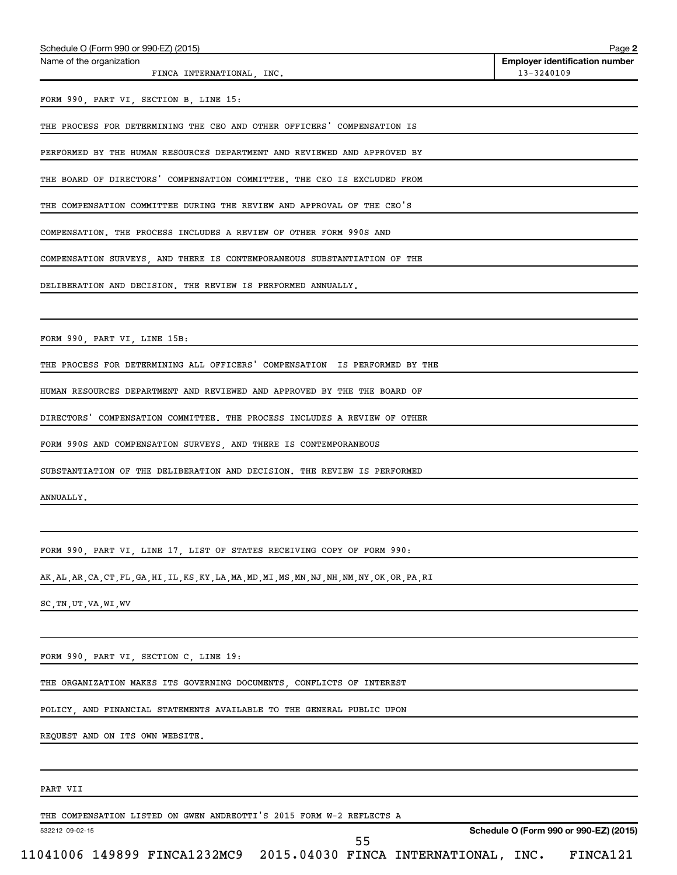| Name of the organization                                                                           | <b>Employer identification number</b> |
|----------------------------------------------------------------------------------------------------|---------------------------------------|
| FINCA INTERNATIONAL, INC.                                                                          | 13-3240109                            |
| FORM 990, PART VI, SECTION B, LINE 15:                                                             |                                       |
|                                                                                                    |                                       |
| THE PROCESS FOR DETERMINING THE CEO AND OTHER OFFICERS' COMPENSATION IS                            |                                       |
| PERFORMED BY THE HUMAN RESOURCES DEPARTMENT AND REVIEWED AND APPROVED BY                           |                                       |
| THE BOARD OF DIRECTORS' COMPENSATION COMMITTEE. THE CEO IS EXCLUDED FROM                           |                                       |
| THE COMPENSATION COMMITTEE DURING THE REVIEW AND APPROVAL OF THE CEO'S                             |                                       |
| COMPENSATION. THE PROCESS INCLUDES A REVIEW OF OTHER FORM 990S AND                                 |                                       |
| COMPENSATION SURVEYS, AND THERE IS CONTEMPORANEOUS SUBSTANTIATION OF THE                           |                                       |
| DELIBERATION AND DECISION. THE REVIEW IS PERFORMED ANNUALLY.                                       |                                       |
|                                                                                                    |                                       |
| FORM 990, PART VI, LINE 15B:                                                                       |                                       |
| THE PROCESS FOR DETERMINING ALL OFFICERS' COMPENSATION IS PERFORMED BY THE                         |                                       |
| HUMAN RESOURCES DEPARTMENT AND REVIEWED AND APPROVED BY THE THE BOARD OF                           |                                       |
| DIRECTORS' COMPENSATION COMMITTEE. THE PROCESS INCLUDES A REVIEW OF OTHER                          |                                       |
| FORM 990S AND COMPENSATION SURVEYS, AND THERE IS CONTEMPORANEOUS                                   |                                       |
| SUBSTANTIATION OF THE DELIBERATION AND DECISION. THE REVIEW IS PERFORMED                           |                                       |
| ANNUALLY.                                                                                          |                                       |
|                                                                                                    |                                       |
| FORM 990 PART VI LINE 17 LIST OF STATES RECEIVING COPY OF FORM 990:                                |                                       |
| AK, AL, AR, CA, CT, FL, GA, HI, IL, KS, KY, LA, MA, MD, MI, MS, MN, NJ, NH, NM, NY, OK, OR, PA, RI |                                       |
| SC, TN, UT, VA, WI, WV                                                                             |                                       |
|                                                                                                    |                                       |
| FORM 990, PART VI, SECTION C, LINE 19:                                                             |                                       |
|                                                                                                    |                                       |

THE ORGANIZATION MAKES ITS GOVERNING DOCUMENTS, CONFLICTS OF INTEREST

POLICY, AND FINANCIAL STATEMENTS AVAILABLE TO THE GENERAL PUBLIC UPON

REQUEST AND ON ITS OWN WEBSITE.

Schedule O (Form 990 or 990-EZ) (2015)

## PART VII

THE COMPENSATION LISTED ON GWEN ANDREOTTI'S 2015 FORM W-2 REFLECTS A

532212 09-02-15

**Schedule O (Form 990 or 990-EZ) (2015)**

**2**

55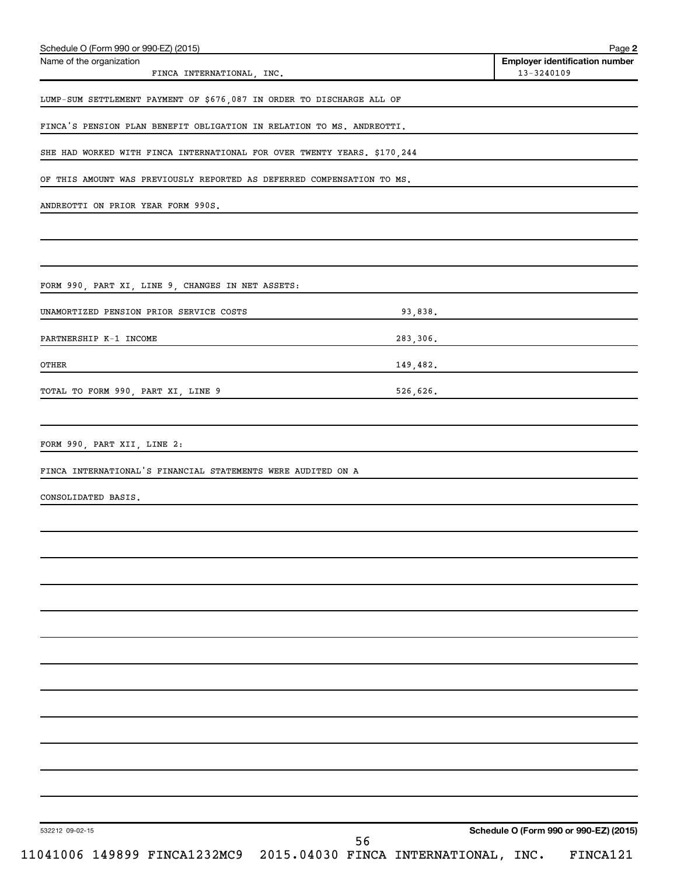| Schedule O (Form 990 or 990-EZ) (2015)<br>Name of the organization       | <b>Employer identification number</b>  |
|--------------------------------------------------------------------------|----------------------------------------|
| FINCA INTERNATIONAL, INC.                                                | 13-3240109                             |
| LUMP-SUM SETTLEMENT PAYMENT OF \$676,087 IN ORDER TO DISCHARGE ALL OF    |                                        |
| FINCA'S PENSION PLAN BENEFIT OBLIGATION IN RELATION TO MS. ANDREOTTI.    |                                        |
| SHE HAD WORKED WITH FINCA INTERNATIONAL FOR OVER TWENTY YEARS. \$170,244 |                                        |
| OF THIS AMOUNT WAS PREVIOUSLY REPORTED AS DEFERRED COMPENSATION TO MS.   |                                        |
| ANDREOTTI ON PRIOR YEAR FORM 990S.                                       |                                        |
|                                                                          |                                        |
|                                                                          |                                        |
| FORM 990, PART XI, LINE 9, CHANGES IN NET ASSETS:                        |                                        |
| UNAMORTIZED PENSION PRIOR SERVICE COSTS                                  | 93,838.                                |
| PARTNERSHIP K-1 INCOME                                                   | 283,306.                               |
| OTHER                                                                    | 149,482.                               |
| TOTAL TO FORM 990, PART XI, LINE 9                                       | 526,626.                               |
|                                                                          |                                        |
| FORM 990, PART XII, LINE 2:                                              |                                        |
| FINCA INTERNATIONAL'S FINANCIAL STATEMENTS WERE AUDITED ON A             |                                        |
| CONSOLIDATED BASIS.                                                      |                                        |
|                                                                          |                                        |
|                                                                          |                                        |
|                                                                          |                                        |
|                                                                          |                                        |
|                                                                          |                                        |
|                                                                          |                                        |
|                                                                          |                                        |
|                                                                          |                                        |
|                                                                          |                                        |
|                                                                          |                                        |
|                                                                          |                                        |
|                                                                          |                                        |
| 532212 09-02-15                                                          | Schedule O (Form 990 or 990-EZ) (2015) |
| 11041006 149899 FINCA1232MC9 2015.04030 FINCA INTERNATIONAL, INC.        | 56<br>FINCA121                         |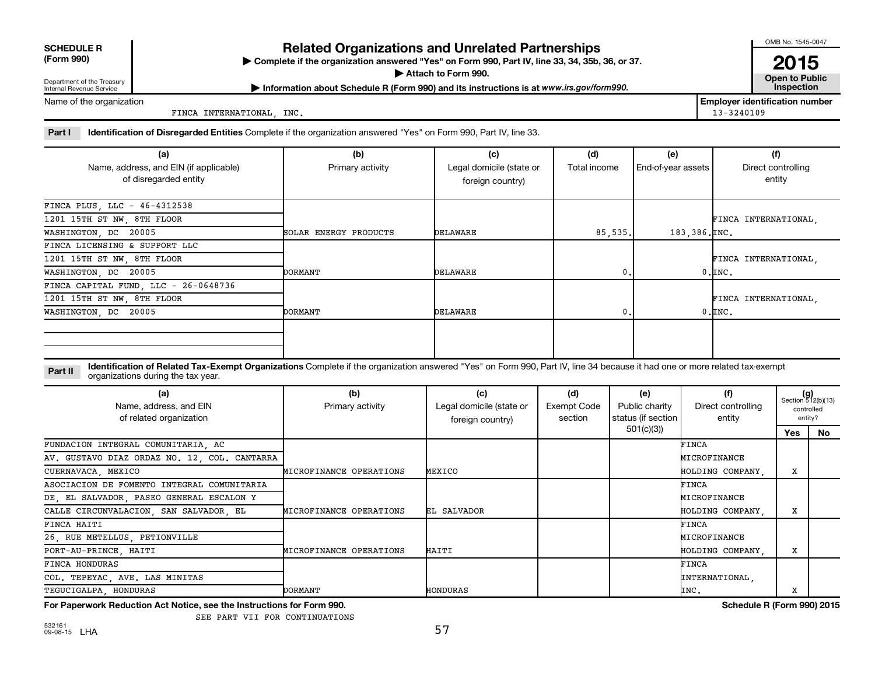|  | <b>SCHEDULE R</b> |
|--|-------------------|
|  |                   |

## **Related Organizations and Unrelated Partnerships**

**(Form 990) Complete if the organization answered "Yes" on Form 990, Part IV, line 33, 34, 35b, 36, or 37.** |

**Attach to Form 990. Contract to Public Contract of Public** 

OMB No. 1545-0047

**2015**<br>Open to Public

Department of the Treasury Internal Revenue Service

**Most Information about Schedule R (Form 990) and its instructions is at www.irs.gov/form990.** This pection

Name of the organization

FINCA INTERNATIONAL, INC. 13-3240109

**Employer identification number**

Part I ldentification of Disregarded Entities Complete if the organization answered "Yes" on Form 990, Part IV, line 33.

| (a)                                    | (b)                   | (c)                      | (d)          | (e)                | (f)                  |
|----------------------------------------|-----------------------|--------------------------|--------------|--------------------|----------------------|
| Name, address, and EIN (if applicable) | Primary activity      | Legal domicile (state or | Total income | End-of-year assets | Direct controlling   |
| of disregarded entity                  |                       | foreign country)         |              |                    | entity               |
| FINCA PLUS, LLC - 46-4312538           |                       |                          |              |                    |                      |
| 1201 15TH ST NW, 8TH FLOOR             |                       |                          |              |                    | FINCA INTERNATIONAL, |
| WASHINGTON, DC 20005                   | SOLAR ENERGY PRODUCTS | DELAWARE                 | 85,535.      | 183,386. INC.      |                      |
| FINCA LICENSING & SUPPORT LLC          |                       |                          |              |                    |                      |
| 1201 15TH ST NW, 8TH FLOOR             |                       |                          |              |                    | FINCA INTERNATIONAL, |
| WASHINGTON, DC 20005                   | <b>DORMANT</b>        | DELAWARE                 | 0.           |                    | $0.\mathsf{INC}$ .   |
| FINCA CAPITAL FUND, LLC - 26-0648736   |                       |                          |              |                    |                      |
| 1201 15TH ST NW, 8TH FLOOR             |                       |                          |              |                    | FINCA INTERNATIONAL, |
| WASHINGTON, DC 20005                   | <b>DORMANT</b>        | DELAWARE                 | 0.           |                    | $0,$ INC.            |
|                                        |                       |                          |              |                    |                      |
|                                        |                       |                          |              |                    |                      |
|                                        |                       |                          |              |                    |                      |

**Part II** Identification of Related Tax-Exempt Organizations Complete if the organization answered "Yes" on Form 990, Part IV, line 34 because it had one or more related tax-exempt<br>Complete it is a seriest of the two wears organizations during the tax year.

| (a)<br>Name, address, and EIN<br>of related organization | (b)<br>Primary activity | (c)<br>Legal domicile (state or<br>foreign country) | (d)<br>Exempt Code<br>section | (e)<br>Public charity<br>status (if section | (f)<br>Direct controlling<br>entity | $(g)$<br>Section 512(b)(13)<br>controlled<br>entity? |    |
|----------------------------------------------------------|-------------------------|-----------------------------------------------------|-------------------------------|---------------------------------------------|-------------------------------------|------------------------------------------------------|----|
|                                                          |                         |                                                     |                               | 501(c)(3))                                  |                                     | Yes                                                  | No |
| FUNDACION INTEGRAL COMUNITARIA, AC                       |                         |                                                     |                               |                                             | FINCA                               |                                                      |    |
| AV. GUSTAVO DIAZ ORDAZ NO. 12, COL. CANTARRA             |                         |                                                     |                               |                                             | MICROFINANCE                        |                                                      |    |
| CUERNAVACA, MEXICO                                       | MICROFINANCE OPERATIONS | MEXICO                                              |                               |                                             | HOLDING COMPANY.                    | x                                                    |    |
| ASOCIACION DE FOMENTO INTEGRAL COMUNITARIA               |                         |                                                     |                               |                                             | FINCA                               |                                                      |    |
| DE, EL SALVADOR, PASEO GENERAL ESCALON Y                 |                         |                                                     |                               |                                             | MICROFINANCE                        |                                                      |    |
| CALLE CIRCUNVALACION, SAN SALVADOR, EL                   | MICROFINANCE OPERATIONS | EL SALVADOR                                         |                               |                                             | HOLDING COMPANY,                    | X                                                    |    |
| FINCA HAITI                                              |                         |                                                     |                               |                                             | FINCA                               |                                                      |    |
| 26, RUE METELLUS, PETIONVILLE                            |                         |                                                     |                               |                                             | MICROFINANCE                        |                                                      |    |
| PORT-AU-PRINCE, HAITI                                    | MICROFINANCE OPERATIONS | HAITI                                               |                               |                                             | HOLDING COMPANY.                    | x                                                    |    |
| <b>FINCA HONDURAS</b>                                    |                         |                                                     |                               |                                             | FINCA                               |                                                      |    |
| COL. TEPEYAC, AVE. LAS MINITAS                           |                         |                                                     |                               |                                             | INTERNATIONAL,                      |                                                      |    |
| TEGUCIGALPA HONDURAS                                     | <b>DORMANT</b>          | HONDURAS                                            |                               |                                             | INC.                                | х                                                    |    |

**For Paperwork Reduction Act Notice, see the Instructions for Form 990. Schedule R (Form 990) 2015**

SEE PART VII FOR CONTINUATIONS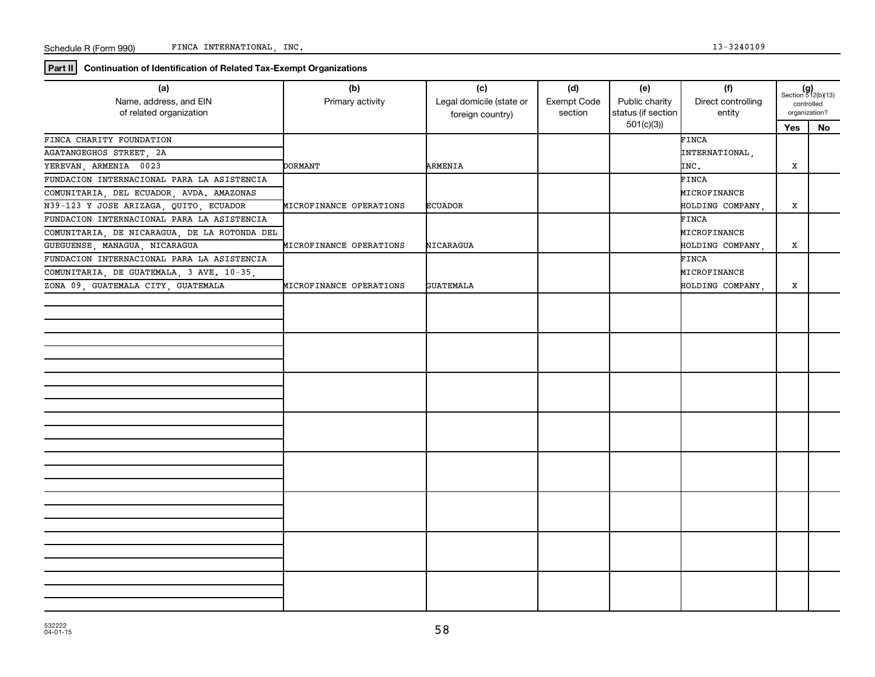**Part II Continuation of Identification of Related Tax-Exempt Organizations**

| (a)<br>Name, address, and EIN<br>of related organization | (b)<br>Primary activity | (c)<br>Legal domicile (state or<br>foreign country) | (d)<br>Exempt Code<br>section | (e)<br>Public charity<br>status (if section | (f)<br>Direct controlling<br>entity | $(g)$<br>Section 512(b)(13)<br>controlled<br>organization? |    |
|----------------------------------------------------------|-------------------------|-----------------------------------------------------|-------------------------------|---------------------------------------------|-------------------------------------|------------------------------------------------------------|----|
|                                                          |                         |                                                     |                               | 501(c)(3)                                   |                                     | Yes                                                        | No |
| FINCA CHARITY FOUNDATION                                 |                         |                                                     |                               |                                             | FINCA                               |                                                            |    |
| AGATANGEGHOS STREET, 2A                                  |                         |                                                     |                               |                                             | INTERNATIONAL,                      |                                                            |    |
| YEREVAN, ARMENIA 0023                                    | <b>DORMANT</b>          | ARMENIA                                             |                               |                                             | INC.                                | x                                                          |    |
| FUNDACION INTERNACIONAL PARA LA ASISTENCIA               |                         |                                                     |                               |                                             | FINCA                               |                                                            |    |
| COMUNITARIA, DEL ECUADOR, AVDA. AMAZONAS                 |                         |                                                     |                               |                                             | MICROFINANCE                        |                                                            |    |
| N39-123 Y JOSE ARIZAGA, QUITO, ECUADOR                   | MICROFINANCE OPERATIONS | ECUADOR                                             |                               |                                             | HOLDING COMPANY,                    | x                                                          |    |
| FUNDACION INTERNACIONAL PARA LA ASISTENCIA               |                         |                                                     |                               |                                             | FINCA                               |                                                            |    |
| COMUNITARIA, DE NICARAGUA, DE LA ROTONDA DEL             |                         |                                                     |                               |                                             | MICROFINANCE                        |                                                            |    |
| GUEGUENSE, MANAGUA, NICARAGUA                            | MICROFINANCE OPERATIONS | NICARAGUA                                           |                               |                                             | HOLDING COMPANY .                   | X                                                          |    |
| FUNDACION INTERNACIONAL PARA LA ASISTENCIA               |                         |                                                     |                               |                                             | FINCA                               |                                                            |    |
| COMUNITARIA, DE GUATEMALA, 3 AVE. 10-35,                 |                         |                                                     |                               |                                             | MICROFINANCE                        |                                                            |    |
| ZONA 09, GUATEMALA CITY, GUATEMALA                       | MICROFINANCE OPERATIONS | <b>GUATEMALA</b>                                    |                               |                                             | HOLDING COMPANY,                    | x                                                          |    |
|                                                          |                         |                                                     |                               |                                             |                                     |                                                            |    |
|                                                          |                         |                                                     |                               |                                             |                                     |                                                            |    |
|                                                          |                         |                                                     |                               |                                             |                                     |                                                            |    |
|                                                          |                         |                                                     |                               |                                             |                                     |                                                            |    |
|                                                          |                         |                                                     |                               |                                             |                                     |                                                            |    |
|                                                          |                         |                                                     |                               |                                             |                                     |                                                            |    |
|                                                          |                         |                                                     |                               |                                             |                                     |                                                            |    |
|                                                          |                         |                                                     |                               |                                             |                                     |                                                            |    |
|                                                          |                         |                                                     |                               |                                             |                                     |                                                            |    |
|                                                          |                         |                                                     |                               |                                             |                                     |                                                            |    |
|                                                          |                         |                                                     |                               |                                             |                                     |                                                            |    |
|                                                          |                         |                                                     |                               |                                             |                                     |                                                            |    |
|                                                          |                         |                                                     |                               |                                             |                                     |                                                            |    |
|                                                          |                         |                                                     |                               |                                             |                                     |                                                            |    |
|                                                          |                         |                                                     |                               |                                             |                                     |                                                            |    |
|                                                          |                         |                                                     |                               |                                             |                                     |                                                            |    |
|                                                          |                         |                                                     |                               |                                             |                                     |                                                            |    |
|                                                          |                         |                                                     |                               |                                             |                                     |                                                            |    |
|                                                          |                         |                                                     |                               |                                             |                                     |                                                            |    |
|                                                          |                         |                                                     |                               |                                             |                                     |                                                            |    |
|                                                          |                         |                                                     |                               |                                             |                                     |                                                            |    |
|                                                          |                         |                                                     |                               |                                             |                                     |                                                            |    |
|                                                          |                         |                                                     |                               |                                             |                                     |                                                            |    |
|                                                          |                         |                                                     |                               |                                             |                                     |                                                            |    |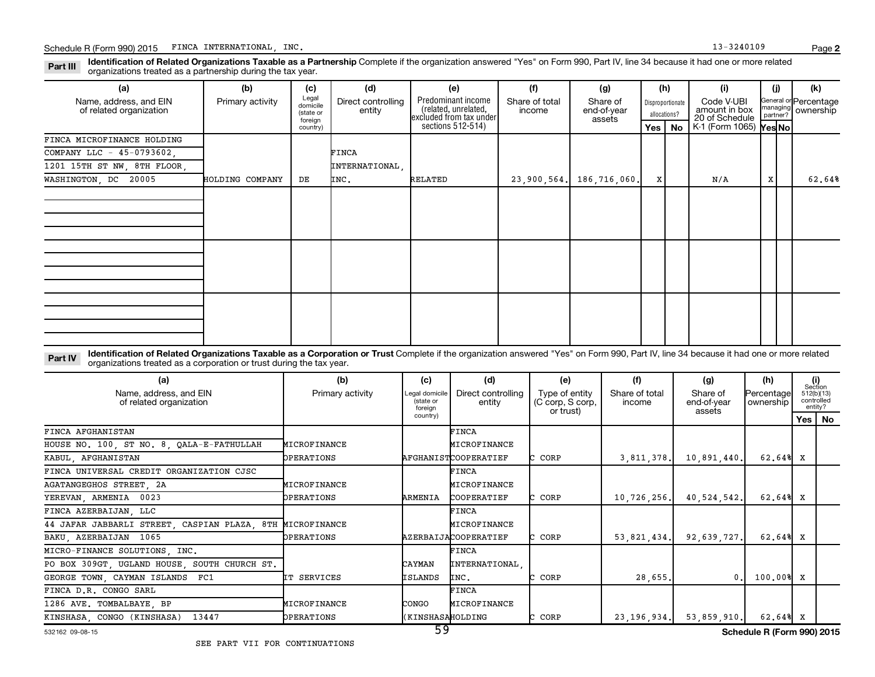Part III Identification of Related Organizations Taxable as a Partnership Complete if the organization answered "Yes" on Form 990, Part IV, line 34 because it had one or more related<br>Read to the organizations tracted as a organizations treated as a partnership during the tax year.

| (a)                                               | (b)              | (c)                                                   | (d)                          | (e)                                                                                        | (f)                      | (g)                               |   | (h)                                          | (i)                                                                                | (i) | (k)                                                     |
|---------------------------------------------------|------------------|-------------------------------------------------------|------------------------------|--------------------------------------------------------------------------------------------|--------------------------|-----------------------------------|---|----------------------------------------------|------------------------------------------------------------------------------------|-----|---------------------------------------------------------|
| Name, address, and EIN<br>of related organization | Primary activity | Legal<br>domicile<br>(state or<br>foreign<br>country) | Direct controlling<br>entity | Predominant income<br>(related, unrelated,<br>excluded from tax under<br>sections 512-514) | Share of total<br>income | Share of<br>end-of-year<br>assets |   | Disproportionate<br>allocations?<br>Yes   No | Code V-UBI<br>amount in box<br>20 of Schedule<br>$K1$ (Form 1065) $\sqrt{Y}$ es No |     | General or Percentage<br>managing<br>partner? Ownership |
| FINCA MICROFINANCE HOLDING                        |                  |                                                       |                              |                                                                                            |                          |                                   |   |                                              |                                                                                    |     |                                                         |
| COMPANY LLC - 45-0793602,                         |                  |                                                       | FINCA                        |                                                                                            |                          |                                   |   |                                              |                                                                                    |     |                                                         |
| 1201 15TH ST NW, 8TH FLOOR,                       |                  |                                                       | INTERNATIONAL,               |                                                                                            |                          |                                   |   |                                              |                                                                                    |     |                                                         |
| WASHINGTON, DC 20005                              | HOLDING COMPANY  | DE                                                    | INC.                         | RELATED                                                                                    | 23,900,564.              | 186,716,060.                      | X |                                              | N/A                                                                                | X   | 62.64%                                                  |
|                                                   |                  |                                                       |                              |                                                                                            |                          |                                   |   |                                              |                                                                                    |     |                                                         |
|                                                   |                  |                                                       |                              |                                                                                            |                          |                                   |   |                                              |                                                                                    |     |                                                         |
|                                                   |                  |                                                       |                              |                                                                                            |                          |                                   |   |                                              |                                                                                    |     |                                                         |

Part IV Identification of Related Organizations Taxable as a Corporation or Trust Complete if the organization answered "Yes" on Form 990, Part IV, line 34 because it had one or more related<br>Comparison tracted as a comprat organizations treated as a corporation or trust during the tax year.

| (b)<br>(c)<br>(a)                                         |                   |                                        | (d)                          | (e)                                             | (f)                      | (g)                               | (h)                     | (i)<br>Section |                       |
|-----------------------------------------------------------|-------------------|----------------------------------------|------------------------------|-------------------------------------------------|--------------------------|-----------------------------------|-------------------------|----------------|-----------------------|
| Name, address, and EIN<br>of related organization         | Primary activity  | Legal domicile<br>(state or<br>foreian | Direct controlling<br>entity | Type of entity<br>(C corp, S corp,<br>or trust) | Share of total<br>income | Share of<br>end-of-year<br>assets | Percentage<br>ownership | controlled     | 512(b)(13)<br>entity? |
|                                                           |                   | country)                               |                              |                                                 |                          |                                   |                         |                | Yes   No              |
| FINCA AFGHANISTAN                                         |                   |                                        | <b>FINCA</b>                 |                                                 |                          |                                   |                         |                |                       |
| HOUSE NO. 100, ST NO. 8, QALA-E-FATHULLAH                 | MICROFINANCE      |                                        | MICROFINANCE                 |                                                 |                          |                                   |                         |                |                       |
| KABUL, AFGHANISTAN                                        | OPERATIONS        |                                        | AFGHANISTCOOPERATIEF         | C CORP                                          | 3,811,378.               | 10,891,440.                       | 62.64% X                |                |                       |
| FINCA UNIVERSAL CREDIT ORGANIZATION CJSC                  |                   |                                        | <b>FINCA</b>                 |                                                 |                          |                                   |                         |                |                       |
| AGATANGEGHOS STREET, 2A                                   | MICROFINANCE      |                                        | MICROFINANCE                 |                                                 |                          |                                   |                         |                |                       |
| YEREVAN, ARMENIA 0023                                     | <b>OPERATIONS</b> | ARMENIA                                | COOPERATIEF                  | C CORP                                          | 10, 726, 256.            | 40,524,542.                       | $62.64%$ X              |                |                       |
| FINCA AZERBAIJAN, LLC                                     |                   |                                        | <b>FINCA</b>                 |                                                 |                          |                                   |                         |                |                       |
| 44 JAFAR JABBARLI STREET, CASPIAN PLAZA, 8TH MICROFINANCE |                   |                                        | MICROFINANCE                 |                                                 |                          |                                   |                         |                |                       |
| BAKU, AZERBAIJAN 1065                                     | OPERATIONS        |                                        | AZERBAIJACOOPERATIEF         | C CORP                                          | 53.821.434.              | 92,639,727.                       | 62.64%                  | x              |                       |
| MICRO-FINANCE SOLUTIONS, INC.                             |                   |                                        | <b>FINCA</b>                 |                                                 |                          |                                   |                         |                |                       |
| PO BOX 309GT, UGLAND HOUSE, SOUTH CHURCH ST.              |                   | CAYMAN                                 | INTERNATIONAL                |                                                 |                          |                                   |                         |                |                       |
| GEORGE TOWN, CAYMAN ISLANDS FC1                           | IT SERVICES       | ISLANDS                                | INC.                         | C CORP                                          | 28,655.                  | 0                                 | 100.00%                 | x              |                       |
| FINCA D.R. CONGO SARL                                     |                   |                                        | <b>FINCA</b>                 |                                                 |                          |                                   |                         |                |                       |
| 1286 AVE. TOMBALBAYE, BP                                  | MICROFINANCE      | CONGO                                  | MICROFINANCE                 |                                                 |                          |                                   |                         |                |                       |
| KINSHASA, CONGO (KINSHASA)<br>13447                       | <b>OPERATIONS</b> | <b>KINSHASAHOLDING</b><br>$-$          |                              | CORP                                            | 23, 196, 934.            | 53,859,910.                       | 62.64% X                |                |                       |

#### 532162 09-08-15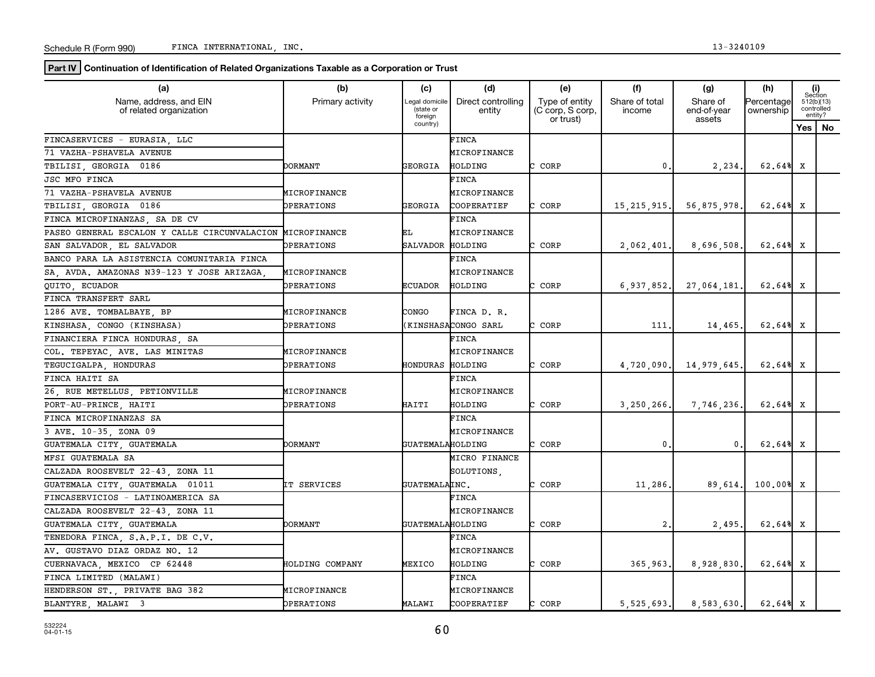**Part IV** Continuation of Identification of Related Organizations Taxable as a Corporation or Trust

| (a)                                               | (b)<br>(c)        |                                        | (d)                          | (e)                                             | (f)                      | (g)                               | (h)                     |   | (i)<br>Section                      |
|---------------------------------------------------|-------------------|----------------------------------------|------------------------------|-------------------------------------------------|--------------------------|-----------------------------------|-------------------------|---|-------------------------------------|
| Name, address, and EIN<br>of related organization | Primary activity  | Legal domicile<br>(state or<br>foreign | Direct controlling<br>entity | Type of entity<br>(C corp, S corp,<br>or trust) | Share of total<br>income | Share of<br>end-of-year<br>assets | Percentage<br>ownership |   | 512(b)(13)<br>controlled<br>entity? |
|                                                   |                   | country)                               |                              |                                                 |                          |                                   |                         |   | Yes   No                            |
| FINCASERVICES - EURASIA, LLC                      |                   |                                        | FINCA                        |                                                 |                          |                                   |                         |   |                                     |
| 71 VAZHA-PSHAVELA AVENUE                          |                   |                                        | MICROFINANCE                 |                                                 |                          |                                   |                         |   |                                     |
| TBILISI GEORGIA 0186                              | DORMANT           | GEORGIA                                | HOLDING                      | CORP                                            | $\mathbf 0$              | 2,234                             | 62.64% X                |   |                                     |
| <b>JSC MFO FINCA</b>                              |                   |                                        | FINCA                        |                                                 |                          |                                   |                         |   |                                     |
| 71 VAZHA-PSHAVELA AVENUE                          | MICROFINANCE      |                                        | MICROFINANCE                 |                                                 |                          |                                   |                         |   |                                     |
| TBILISI, GEORGIA 0186                             | OPERATIONS        | GEORGIA                                | COOPERATIEF                  | C CORP                                          | 15, 215, 915.            | 56,875,978                        | 62.64% X                |   |                                     |
| FINCA MICROFINANZAS, SA DE CV                     |                   |                                        | FINCA                        |                                                 |                          |                                   |                         |   |                                     |
| PASEO GENERAL ESCALON Y CALLE CIRCUNVALACION      | MICROFINANCE      | ЕL                                     | MICROFINANCE                 |                                                 |                          |                                   |                         |   |                                     |
| SAN SALVADOR, EL SALVADOR                         | <b>DPERATIONS</b> | SALVADOR                               | HOLDING                      | C CORP                                          | 2,062,401.               | 8,696,508.                        | 62.64% X                |   |                                     |
| BANCO PARA LA ASISTENCIA COMUNITARIA FINCA        |                   |                                        | FINCA                        |                                                 |                          |                                   |                         |   |                                     |
| SA, AVDA. AMAZONAS N39-123 Y JOSE ARIZAGA         | MICROFINANCE      |                                        | MICROFINANCE                 |                                                 |                          |                                   |                         |   |                                     |
| QUITO ECUADOR                                     | OPERATIONS        | <b>ECUADOR</b>                         | HOLDING                      | C CORP                                          | 6,937,852.               | 27,064,181                        | 62.64%                  | x |                                     |
| FINCA TRANSFERT SARL                              |                   |                                        |                              |                                                 |                          |                                   |                         |   |                                     |
| 1286 AVE. TOMBALBAYE, BP                          | MICROFINANCE      | CONGO                                  | FINCA D. R.                  |                                                 |                          |                                   |                         |   |                                     |
| KINSHASA, CONGO (KINSHASA)                        | <b>DPERATIONS</b> |                                        | (KINSHASACONGO SARL          | C CORP                                          | 111                      | 14,465                            | 62.64% X                |   |                                     |
| FINANCIERA FINCA HONDURAS, SA                     |                   |                                        | <b>FINCA</b>                 |                                                 |                          |                                   |                         |   |                                     |
| COL. TEPEYAC, AVE. LAS MINITAS                    | MICROFINANCE      |                                        | MICROFINANCE                 |                                                 |                          |                                   |                         |   |                                     |
| TEGUCIGALPA HONDURAS                              | <b>DPERATIONS</b> | HONDURAS                               | HOLDING                      | CORP<br>C                                       | 4,720,090.               | 14,979,645                        | 62.64%                  | x |                                     |
| FINCA HAITI SA                                    |                   |                                        | <b>FINCA</b>                 |                                                 |                          |                                   |                         |   |                                     |
| 26, RUE METELLUS, PETIONVILLE                     | MICROFINANCE      |                                        | MICROFINANCE                 |                                                 |                          |                                   |                         |   |                                     |
| PORT-AU-PRINCE, HAITI                             | OPERATIONS        | HAITI                                  | HOLDING                      | C CORP                                          | 3,250,266.               | 7,746,236                         | 62.64% X                |   |                                     |
| FINCA MICROFINANZAS SA                            |                   |                                        | FINCA                        |                                                 |                          |                                   |                         |   |                                     |
| 3 AVE. 10-35, ZONA 09                             |                   |                                        | MICROFINANCE                 |                                                 |                          |                                   |                         |   |                                     |
| GUATEMALA CITY, GUATEMALA                         | DORMANT           | GUATEMALAHOLDING                       |                              | C CORP                                          | $\mathbf{0}$             | 0.                                | 62.64% X                |   |                                     |
| MFSI GUATEMALA SA                                 |                   |                                        | MICRO FINANCE                |                                                 |                          |                                   |                         |   |                                     |
| CALZADA ROOSEVELT 22-43, ZONA 11                  |                   |                                        | SOLUTIONS.                   |                                                 |                          |                                   |                         |   |                                     |
| GUATEMALA CITY, GUATEMALA 01011                   | IT SERVICES       | GUATEMALAINC.                          |                              | C CORP                                          | 11,286                   | 89,614.                           | 100.00%                 | X |                                     |
| FINCASERVICIOS - LATINOAMERICA SA                 |                   |                                        | <b>FINCA</b>                 |                                                 |                          |                                   |                         |   |                                     |
| CALZADA ROOSEVELT 22-43, ZONA 11                  |                   |                                        | MICROFINANCE                 |                                                 |                          |                                   |                         |   |                                     |
| GUATEMALA CITY GUATEMALA                          | <b>DORMANT</b>    | GUATEMALAHOLDING                       |                              | C CORP                                          | 2.                       | 2,495                             | $62.64% \times$         |   |                                     |
| TENEDORA FINCA, S.A.P.I. DE C.V.                  |                   |                                        | FINCA                        |                                                 |                          |                                   |                         |   |                                     |
| AV. GUSTAVO DIAZ ORDAZ NO. 12                     |                   |                                        | MICROFINANCE                 |                                                 |                          |                                   |                         |   |                                     |
| CUERNAVACA, MEXICO CP 62448                       | HOLDING COMPANY   | MEXICO                                 | HOLDING                      | C CORP                                          | 365,963.                 | 8,928,830                         | 62.64% X                |   |                                     |
| FINCA LIMITED (MALAWI)                            |                   |                                        | FINCA                        |                                                 |                          |                                   |                         |   |                                     |
| HENDERSON ST., PRIVATE BAG 382                    | MICROFINANCE      |                                        | MICROFINANCE                 |                                                 |                          |                                   |                         |   |                                     |
| BLANTYRE MALAWI 3                                 | OPERATIONS        | MALAWI                                 | COOPERATIEF                  | CORP<br>C.                                      | 5,525,693.               | 8,583,630.                        | 62.64% X                |   |                                     |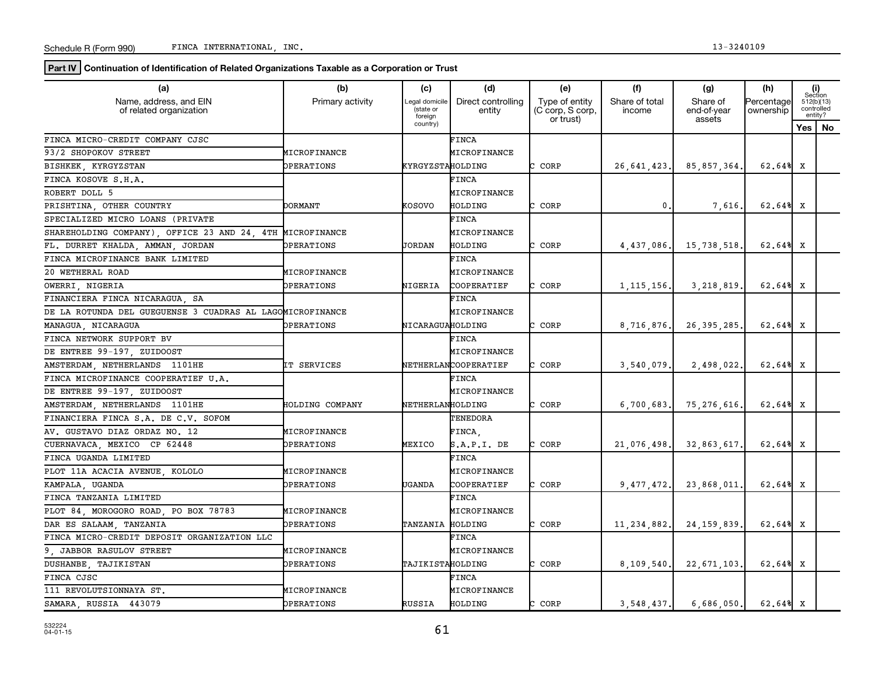**Part IV** Continuation of Identification of Related Organizations Taxable as a Corporation or Trust

| (a)                                                       | (b)                    | (c)                                    | (d)                          | (e)                                             | (f)                      | (g)                                                          | (h)                    |     | (i)<br>Section                      |
|-----------------------------------------------------------|------------------------|----------------------------------------|------------------------------|-------------------------------------------------|--------------------------|--------------------------------------------------------------|------------------------|-----|-------------------------------------|
| Name, address, and EIN<br>of related organization         | Primary activity       | Legal domicile<br>(state or<br>foreign | Direct controlling<br>entity | Type of entity<br>(C corp, S corp,<br>or trust) | Share of total<br>income | Share of<br>Percentage<br>end-of-year<br>ownership<br>assets |                        |     | 512(b)(13)<br>controlled<br>entity? |
|                                                           |                        | country)                               |                              |                                                 |                          |                                                              |                        | Yes | No                                  |
| FINCA MICRO-CREDIT COMPANY CJSC                           |                        |                                        | FINCA                        |                                                 |                          |                                                              |                        |     |                                     |
| 93/2 SHOPOKOV STREET                                      | MICROFINANCE           |                                        | MICROFINANCE                 |                                                 |                          |                                                              |                        |     |                                     |
| BISHKEK KYRGYZSTAN                                        | OPERATIONS             | KYRGYZSTAHOLDING                       |                              | CORP                                            | 26,641,423.              | 85,857,364.                                                  | 62.64% X               |     |                                     |
| FINCA KOSOVE S.H.A.                                       |                        |                                        | <b>FINCA</b>                 |                                                 |                          |                                                              |                        |     |                                     |
| ROBERT DOLL 5                                             |                        |                                        | MICROFINANCE                 |                                                 |                          |                                                              |                        |     |                                     |
| PRISHTINA, OTHER COUNTRY                                  | DORMANT                | KOSOVO                                 | HOLDING                      | CORP                                            | $\mathbf 0$ .            | 7,616.                                                       | $62.64%$ X             |     |                                     |
| SPECIALIZED MICRO LOANS (PRIVATE                          |                        |                                        | FINCA                        |                                                 |                          |                                                              |                        |     |                                     |
| SHAREHOLDING COMPANY) OFFICE 23 AND 24 4TH                | MICROFINANCE           |                                        | MICROFINANCE                 |                                                 |                          |                                                              |                        |     |                                     |
| FL. DURRET KHALDA, AMMAN, JORDAN                          | <b>DPERATIONS</b>      | JORDAN                                 | HOLDING                      | CORP<br>C.                                      | 4,437,086.               | 15,738,518.                                                  | $62.64%$ X             |     |                                     |
| FINCA MICROFINANCE BANK LIMITED                           |                        |                                        | FINCA                        |                                                 |                          |                                                              |                        |     |                                     |
| 20 WETHERAL ROAD                                          | <b>MICROFINANCE</b>    |                                        | MICROFINANCE                 |                                                 |                          |                                                              |                        |     |                                     |
| OWERRI, NIGERIA                                           | OPERATIONS             | NIGERIA                                | COOPERATIEF                  | CORP                                            | 1, 115, 156.             | 3,218,819.                                                   | 62.64% X               |     |                                     |
| FINANCIERA FINCA NICARAGUA, SA                            |                        |                                        | FINCA                        |                                                 |                          |                                                              |                        |     |                                     |
| DE LA ROTUNDA DEL GUEGUENSE 3 CUADRAS AL LAGOMICROFINANCE |                        |                                        | MICROFINANCE                 |                                                 |                          |                                                              |                        |     |                                     |
| MANAGUA, NICARAGUA                                        | OPERATIONS             | NICARAGUAHOLDING                       |                              | CORP                                            | 8,716,876.               | 26, 395, 285.                                                | $62.64%$ X             |     |                                     |
| FINCA NETWORK SUPPORT BV                                  |                        |                                        | <b>FINCA</b>                 |                                                 |                          |                                                              |                        |     |                                     |
| DE ENTREE 99-197, ZUIDOOST                                |                        |                                        | MICROFINANCE                 |                                                 |                          |                                                              |                        |     |                                     |
| AMSTERDAM, NETHERLANDS 1101HE                             | <b>IT SERVICES</b>     |                                        | NETHERLANCOOPERATIEF         | CORP                                            | 3,540,079.               | 2,498,022.                                                   | $62.64$ <sup>8</sup> X |     |                                     |
| FINCA MICROFINANCE COOPERATIEF U.A.                       |                        |                                        | <b>FINCA</b>                 |                                                 |                          |                                                              |                        |     |                                     |
| DE ENTREE 99-197, ZUIDOOST                                |                        |                                        | MICROFINANCE                 |                                                 |                          |                                                              |                        |     |                                     |
| AMSTERDAM, NETHERLANDS 1101HE                             | <b>HOLDING COMPANY</b> | NETHERLANHOLDING                       |                              | CORP                                            | 6,700,683.               | 75, 276, 616.                                                | $62.64%$ X             |     |                                     |
| FINANCIERA FINCA S.A. DE C.V. SOFOM                       |                        |                                        | TENEDORA                     |                                                 |                          |                                                              |                        |     |                                     |
| AV. GUSTAVO DIAZ ORDAZ NO. 12                             | MICROFINANCE           |                                        | FINCA,                       |                                                 |                          |                                                              |                        |     |                                     |
| CUERNAVACA, MEXICO CP 62448                               | <b>DPERATIONS</b>      | MEXICO                                 | S.A.P.I. DE                  | C CORP                                          | 21,076,498.              | 32,863,617.                                                  | $62.64%$ X             |     |                                     |
| FINCA UGANDA LIMITED                                      |                        |                                        | <b>FINCA</b>                 |                                                 |                          |                                                              |                        |     |                                     |
| PLOT 11A ACACIA AVENUE, KOLOLO                            | MICROFINANCE           |                                        | MICROFINANCE                 |                                                 |                          |                                                              |                        |     |                                     |
| KAMPALA, UGANDA                                           | <b>DPERATIONS</b>      | UGANDA                                 | COOPERATIEF                  | CORP                                            | 9,477,472.               | 23,868,011.                                                  | $62.64%$ X             |     |                                     |
| FINCA TANZANIA LIMITED                                    |                        |                                        | FINCA                        |                                                 |                          |                                                              |                        |     |                                     |
| PLOT 84, MOROGORO ROAD, PO BOX 78783                      | MICROFINANCE           |                                        | MICROFINANCE                 |                                                 |                          |                                                              |                        |     |                                     |
| DAR ES SALAAM, TANZANIA                                   | <b>OPERATIONS</b>      | TANZANIA HOLDING                       |                              | C CORP                                          | 11, 234, 882.            | 24, 159, 839.                                                | $62.64%$ X             |     |                                     |
| FINCA MICRO-CREDIT DEPOSIT ORGANIZATION LLC               |                        |                                        | FINCA                        |                                                 |                          |                                                              |                        |     |                                     |
| 9. JABBOR RASULOV STREET                                  | MICROFINANCE           |                                        | MICROFINANCE                 |                                                 |                          |                                                              |                        |     |                                     |
| DUSHANBE, TAJIKISTAN                                      | <b>DPERATIONS</b>      | TAJIKISTAHOLDING                       |                              | CORP                                            | 8,109,540.               | 22, 671, 103.                                                | 62.64% X               |     |                                     |
| FINCA CJSC                                                |                        |                                        | <b>FINCA</b>                 |                                                 |                          |                                                              |                        |     |                                     |
| 111 REVOLUTSIONNAYA ST.                                   | MICROFINANCE           |                                        | MICROFINANCE                 |                                                 |                          |                                                              |                        |     |                                     |
| SAMARA, RUSSIA 443079                                     | OPERATIONS             | RUSSIA                                 | HOLDING                      | CORP                                            | 3,548,437.               | 6,686,050.                                                   | $62.64%$ X             |     |                                     |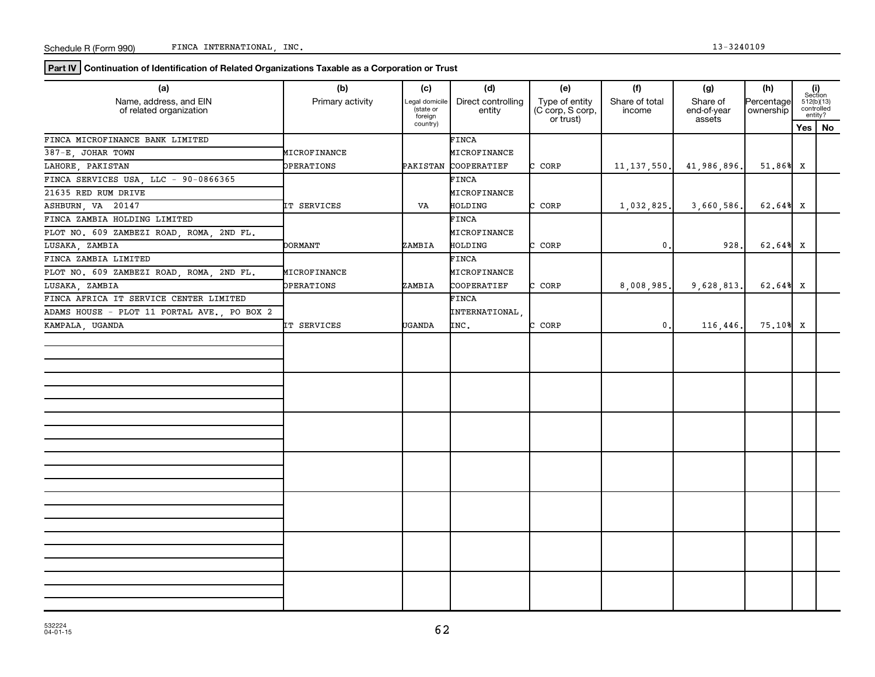**Part IV Continuation of Identification of Related Organizations Taxable as a Corporation or Trust**

| (a)                                               | (b)               | (c)                                   | (d)                          | (e)                                             | (f)                      | (g)                               | (h)                     |                                                                                                                          |
|---------------------------------------------------|-------------------|---------------------------------------|------------------------------|-------------------------------------------------|--------------------------|-----------------------------------|-------------------------|--------------------------------------------------------------------------------------------------------------------------|
| Name, address, and EIN<br>of related organization | Primary activity  | Legal domicile<br>state or<br>foreign | Direct controlling<br>entity | Type of entity<br>(C corp, S corp,<br>or trust) | Share of total<br>income | Share of<br>end-of-year<br>assets | Percentage<br>ownership | $\begin{array}{c} \textbf{(i)}\\ \text{Section}\\ 512 \text{(b)} \text{(13)}\\ \text{controlled} \end{array}$<br>entity? |
|                                                   |                   | country)                              |                              |                                                 |                          |                                   |                         | Yes   No                                                                                                                 |
| FINCA MICROFINANCE BANK LIMITED                   |                   |                                       | FINCA                        |                                                 |                          |                                   |                         |                                                                                                                          |
| 387-E JOHAR TOWN                                  | MICROFINANCE      |                                       | MICROFINANCE                 |                                                 |                          |                                   |                         |                                                                                                                          |
| LAHORE PAKISTAN                                   | <b>DPERATIONS</b> | PAKISTAN                              | COOPERATIEF                  | CORP                                            | 11, 137, 550.            | 41,986,896,                       | 51.86% X                |                                                                                                                          |
| FINCA SERVICES USA, LLC - 90-0866365              |                   |                                       | FINCA                        |                                                 |                          |                                   |                         |                                                                                                                          |
| 21635 RED RUM DRIVE                               |                   |                                       | MICROFINANCE                 |                                                 |                          |                                   |                         |                                                                                                                          |
| ASHBURN, VA 20147                                 | IT SERVICES       | VA                                    | HOLDING                      | CORP<br>C.                                      | 1,032,825.               | 3,660,586                         | $62.64%$ X              |                                                                                                                          |
| FINCA ZAMBIA HOLDING LIMITED                      |                   |                                       | FINCA                        |                                                 |                          |                                   |                         |                                                                                                                          |
| PLOT NO. 609 ZAMBEZI ROAD, ROMA,<br>2ND FL.       |                   |                                       | MICROFINANCE                 |                                                 |                          |                                   |                         |                                                                                                                          |
| LUSAKA, ZAMBIA                                    | DORMANT           | ZAMBIA                                | <b>HOLDING</b>               | CORP<br>∼                                       | $\mathbf{0}$ .           | 928                               | $62.64$ <sup>8</sup> X  |                                                                                                                          |
| FINCA ZAMBIA LIMITED                              |                   |                                       | FINCA                        |                                                 |                          |                                   |                         |                                                                                                                          |
| PLOT NO. 609 ZAMBEZI ROAD, ROMA, 2ND FL.          | MICROFINANCE      |                                       | MICROFINANCE                 |                                                 |                          |                                   |                         |                                                                                                                          |
| LUSAKA, ZAMBIA                                    | OPERATIONS        | ZAMBIA                                | COOPERATIEF                  | CORP                                            | 8,008,985.               | 9,628,813.                        | $62.64%$ X              |                                                                                                                          |
| FINCA AFRICA IT SERVICE CENTER LIMITED            |                   |                                       | FINCA                        |                                                 |                          |                                   |                         |                                                                                                                          |
| ADAMS HOUSE - PLOT 11 PORTAL AVE., PO BOX 2       |                   |                                       | INTERNATIONAL,               |                                                 |                          |                                   |                         |                                                                                                                          |
| KAMPALA, UGANDA                                   | IT SERVICES       | <b>UGANDA</b>                         | INC.                         | CORP<br>r.                                      | $\mathbf{0}$ .           | 116,446                           | 75.10% X                |                                                                                                                          |
|                                                   |                   |                                       |                              |                                                 |                          |                                   |                         |                                                                                                                          |
|                                                   |                   |                                       |                              |                                                 |                          |                                   |                         |                                                                                                                          |
|                                                   |                   |                                       |                              |                                                 |                          |                                   |                         |                                                                                                                          |
|                                                   |                   |                                       |                              |                                                 |                          |                                   |                         |                                                                                                                          |
|                                                   |                   |                                       |                              |                                                 |                          |                                   |                         |                                                                                                                          |
|                                                   |                   |                                       |                              |                                                 |                          |                                   |                         |                                                                                                                          |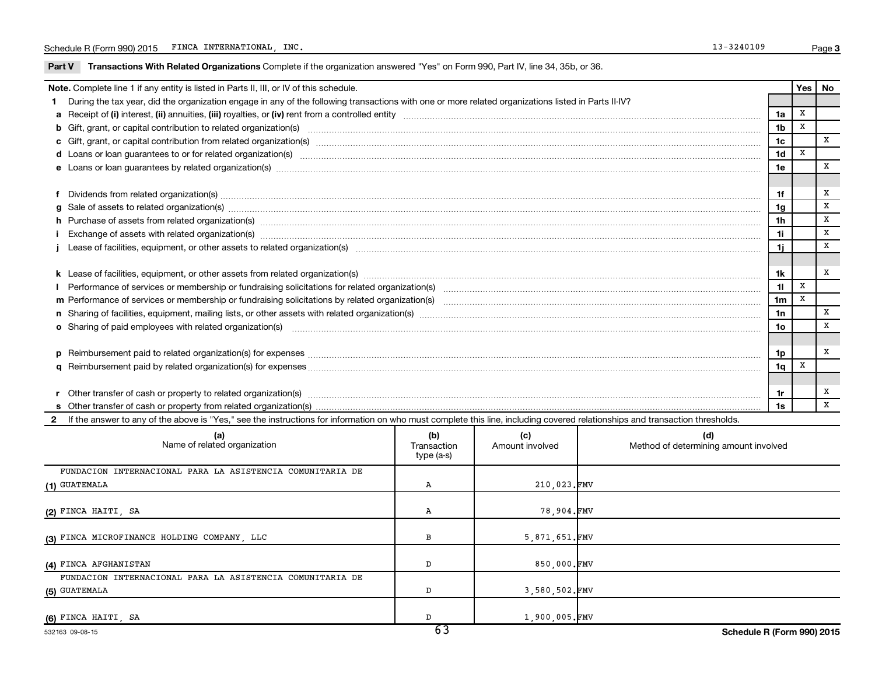Part V Transactions With Related Organizations Complete if the organization answered "Yes" on Form 990, Part IV, line 34, 35b, or 36.

| Note. Complete line 1 if any entity is listed in Parts II, III, or IV of this schedule.                                                                                                                                              |                | Yes | No |
|--------------------------------------------------------------------------------------------------------------------------------------------------------------------------------------------------------------------------------------|----------------|-----|----|
| During the tax year, did the organization engage in any of the following transactions with one or more related organizations listed in Parts II-IV?                                                                                  |                |     |    |
|                                                                                                                                                                                                                                      | 1a             | x   |    |
| b Gift, grant, or capital contribution to related organization(s) manufactured content to content and contribution to related organization(s) manufactured content and content of the content of the content of the content of       | 1 <sub>b</sub> | X   |    |
|                                                                                                                                                                                                                                      | 1c             |     | x  |
| d Loans or loan guarantees to or for related organization(s) www.communically.com/www.communically.com/www.communically.com/www.communically.com/www.communically.com/www.communically.com/www.communically.com/www.communical       | 1 <sub>d</sub> | X   |    |
|                                                                                                                                                                                                                                      | 1e             |     | x  |
|                                                                                                                                                                                                                                      |                |     |    |
|                                                                                                                                                                                                                                      | 1f             |     | х  |
| $g$ Sale of assets to related organization(s) with the contraction contraction contract of the contract of the contract organization(s) with the contract of the contract of the contract of the contract of the contract of         | 1g             |     | х  |
| h Purchase of assets from related organization(s) manufactured and content to content the content of assets from related organization(s)                                                                                             | 1 <sub>h</sub> |     | X  |
|                                                                                                                                                                                                                                      | 1i.            |     | X  |
|                                                                                                                                                                                                                                      | 1i             |     | X  |
|                                                                                                                                                                                                                                      |                |     |    |
|                                                                                                                                                                                                                                      | 1k             |     | x  |
|                                                                                                                                                                                                                                      | 11             | X   |    |
|                                                                                                                                                                                                                                      | 1 <sub>m</sub> | x   |    |
|                                                                                                                                                                                                                                      | 1n             |     | x  |
| o Sharing of paid employees with related organization(s) <b>contract to consume the contract of the consumer contract of the consumer contract of the consumer consumer consumer consumer consumer consumer consumer consumer co</b> | 1 <sub>o</sub> |     | X  |
|                                                                                                                                                                                                                                      |                |     |    |
|                                                                                                                                                                                                                                      | 1p             |     | х  |
|                                                                                                                                                                                                                                      | 1q             | X   |    |
|                                                                                                                                                                                                                                      |                |     |    |
|                                                                                                                                                                                                                                      | 1r             |     | х  |
|                                                                                                                                                                                                                                      | 1s             |     | X  |
| 2 If the answer to any of the above is "Yes," see the instructions for information on who must complete this line, including covered relationships and transaction thresholds.                                                       |                |     |    |

| (a)<br>Name of related organization                       | (b)<br>Transaction<br>type (a-s) | (c)<br>Amount involved | (d)<br>Method of determining amount involved |
|-----------------------------------------------------------|----------------------------------|------------------------|----------------------------------------------|
| FUNDACION INTERNACIONAL PARA LA ASISTENCIA COMUNITARIA DE |                                  |                        |                                              |
| (1) GUATEMALA                                             | Α                                | 210,023.FMV            |                                              |
|                                                           |                                  |                        |                                              |
| (2) FINCA HAITI, SA                                       | А                                | 78,904.FMV             |                                              |
| (3) FINCA MICROFINANCE HOLDING COMPANY, LLC               | в                                | 5,871,651.FMV          |                                              |
| (4) FINCA AFGHANISTAN                                     | D                                | 850,000.FMV            |                                              |
| FUNDACION INTERNACIONAL PARA LA ASISTENCIA COMUNITARIA DE |                                  |                        |                                              |
| (5) GUATEMALA                                             | D                                | 3,580,502.FMV          |                                              |
| (6) FINCA HAITI, SA                                       | $\overline{\phantom{a}}$         | 1,900,005.FMV          |                                              |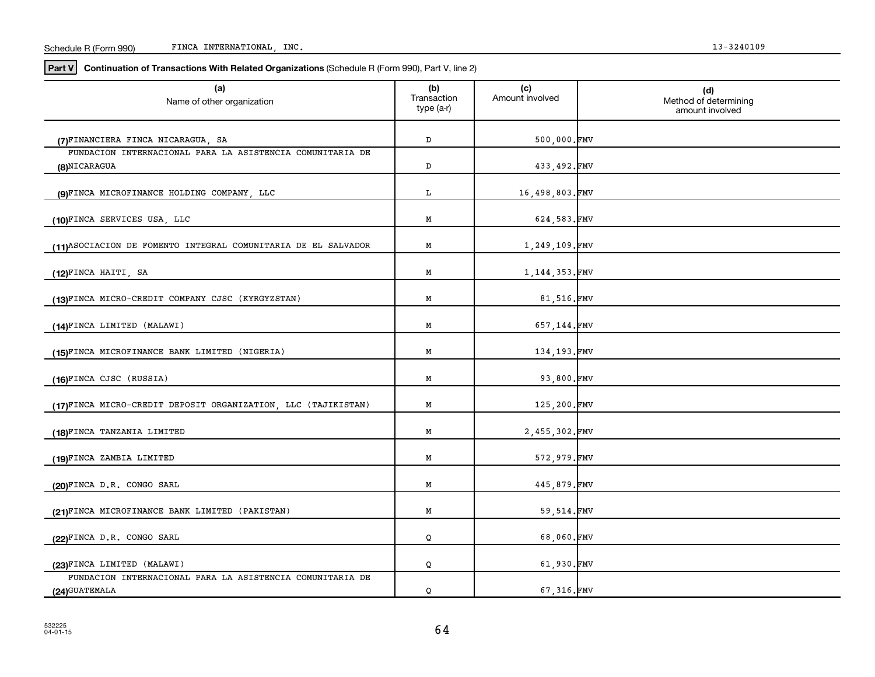| Schedule R<br>R (Form 990) | INC<br>INTERNATIONAL<br><b>TINCA</b> | .2401 |
|----------------------------|--------------------------------------|-------|
|----------------------------|--------------------------------------|-------|

**Part V Continuation of Transactions With Related Organizations**  (Schedule R (Form 990), Part V, line 2)

| (a)<br>Name of other organization                                           | (b)<br>Transaction<br>type (a-r) | (c)<br>Amount involved | (d)<br>Method of determining<br>amount involved |
|-----------------------------------------------------------------------------|----------------------------------|------------------------|-------------------------------------------------|
| (7) FINANCIERA FINCA NICARAGUA, SA                                          | $\mathbb D$                      | 500,000.FMV            |                                                 |
| FUNDACION INTERNACIONAL PARA LA ASISTENCIA COMUNITARIA DE<br>(8)NICARAGUA   | D                                | 433,492.FMV            |                                                 |
| (9)FINCA MICROFINANCE HOLDING COMPANY, LLC                                  | L                                | 16,498,803.FMV         |                                                 |
| (10)FINCA SERVICES USA, LLC                                                 | М                                | 624,583.FMV            |                                                 |
| (11) ASOCIACION DE FOMENTO INTEGRAL COMUNITARIA DE EL SALVADOR              | Μ                                | 1,249,109.FMV          |                                                 |
| (12)FINCA HAITI, SA                                                         | Μ                                | 1, 144, 353. FMV       |                                                 |
| (13)FINCA MICRO-CREDIT COMPANY CJSC (KYRGYZSTAN)                            | Μ                                | 81,516.FMV             |                                                 |
| (14)FINCA LIMITED (MALAWI)                                                  | M                                | 657,144.FMV            |                                                 |
| (15)FINCA MICROFINANCE BANK LIMITED (NIGERIA)                               | M                                | 134,193.FMV            |                                                 |
| (16)FINCA CJSC (RUSSIA)                                                     | Μ                                | 93,800.FMV             |                                                 |
| (17)FINCA MICRO-CREDIT DEPOSIT ORGANIZATION, LLC (TAJIKISTAN)               | М                                | 125,200.FMV            |                                                 |
| (18)FINCA TANZANIA LIMITED                                                  | М                                | 2,455,302.FMV          |                                                 |
| (19)FINCA ZAMBIA LIMITED                                                    | Μ                                | 572,979.FMV            |                                                 |
| (20)FINCA D.R. CONGO SARL                                                   | M                                | 445,879.FMV            |                                                 |
| (21)FINCA MICROFINANCE BANK LIMITED (PAKISTAN)                              | M                                | 59,514.FMV             |                                                 |
| (22)FINCA D.R. CONGO SARL                                                   | Q                                | 68,060.FMV             |                                                 |
| (23)FINCA LIMITED (MALAWI)                                                  | Q                                | 61,930.FMV             |                                                 |
| FUNDACION INTERNACIONAL PARA LA ASISTENCIA COMUNITARIA DE<br>(24) GUATEMALA | Q                                | 67,316.FMV             |                                                 |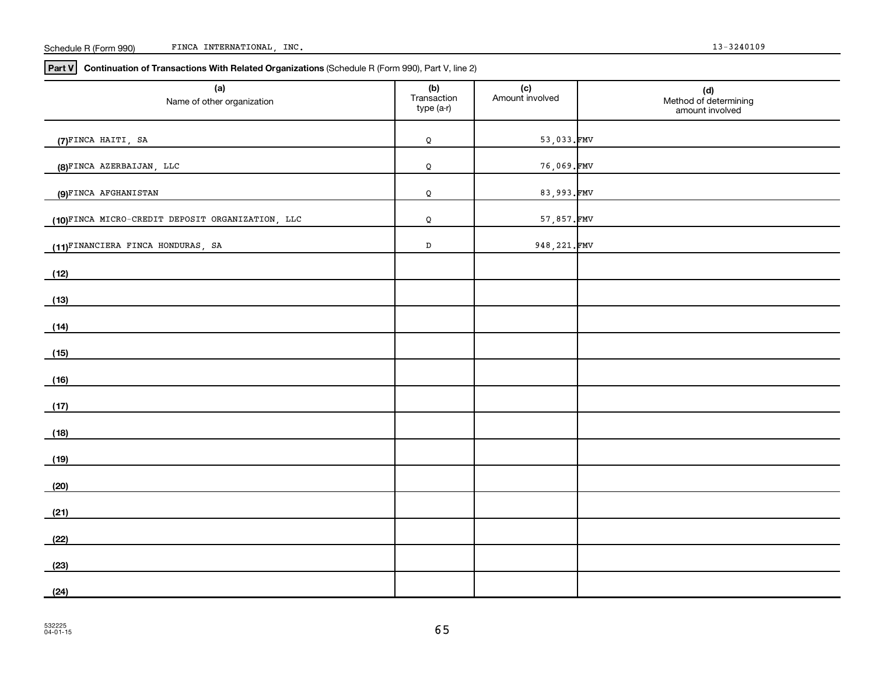#### Schedule R (Form 990) FINCA INTERNATIONAL, INC. 13-3240109

**Part V Continuation of Transactions With Related Organizations**  (Schedule R (Form 990), Part V, line 2)

| (a)<br>Name of other organization                | (b)<br>Transaction<br>type (a-r) | (c)<br>Amount involved | (d)<br>Method of determining<br>amount involved |
|--------------------------------------------------|----------------------------------|------------------------|-------------------------------------------------|
| (7)FINCA HAITI, SA                               | Q                                | 53,033.FMV             |                                                 |
| (8)FINCA AZERBAIJAN, LLC                         | Q                                | 76,069.FMV             |                                                 |
| (9)FINCA AFGHANISTAN                             | Q                                | 83,993.FMV             |                                                 |
| (10)FINCA MICRO-CREDIT DEPOSIT ORGANIZATION, LLC | Q                                | 57,857.FMV             |                                                 |
| (11)FINANCIERA FINCA HONDURAS, SA                | $\mathbb D$                      | 948, 221. FMV          |                                                 |
| (12)                                             |                                  |                        |                                                 |
| (13)                                             |                                  |                        |                                                 |
| (14)                                             |                                  |                        |                                                 |
| (15)                                             |                                  |                        |                                                 |
| (16)                                             |                                  |                        |                                                 |
| (17)                                             |                                  |                        |                                                 |
| (18)                                             |                                  |                        |                                                 |
| (19)                                             |                                  |                        |                                                 |
| (20)                                             |                                  |                        |                                                 |
| (21)                                             |                                  |                        |                                                 |
| (22)                                             |                                  |                        |                                                 |
|                                                  |                                  |                        |                                                 |
|                                                  |                                  |                        |                                                 |
| (23)<br>(24)                                     |                                  |                        |                                                 |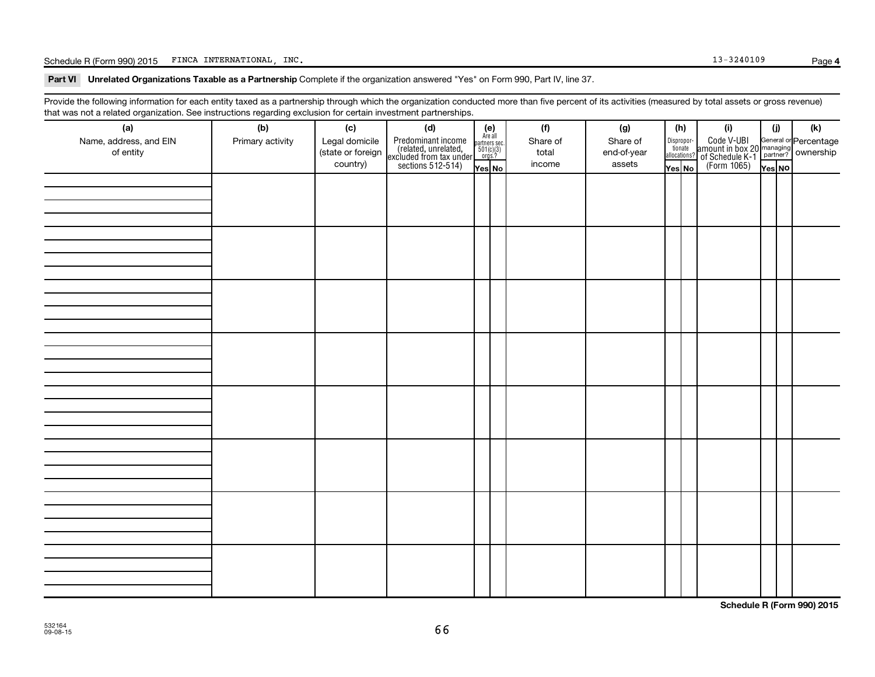Schedule R (Form 990) 2015 FINCA INTERNATIONAL, INC. Page 13-3240109 Page

Part VI Unrelated Organizations Taxable as a Partnership Complete if the organization answered "Yes" on Form 990, Part IV, line 37.

Provide the following information for each entity taxed as a partnership through which the organization conducted more than five percent of its activities (measured by total assets or gross revenue) that was not a related organization. See instructions regarding exclusion for certain investment partnerships.

| that machieve include eigenmation. See motionene regarding exercision for contain invectment partneremper<br>(a) | (b)              | (c) | (d)                                                                                                                                                                                                                       |                                                            | (f)      | (g)         |                                  | (h) | (i)                                                                                                             | (i)    | (k) |
|------------------------------------------------------------------------------------------------------------------|------------------|-----|---------------------------------------------------------------------------------------------------------------------------------------------------------------------------------------------------------------------------|------------------------------------------------------------|----------|-------------|----------------------------------|-----|-----------------------------------------------------------------------------------------------------------------|--------|-----|
| Name, address, and EIN                                                                                           | Primary activity |     |                                                                                                                                                                                                                           | $(e)$<br>Are all<br>partners sec.<br>$501(c)(3)$<br>orgs.? | Share of | Share of    |                                  |     |                                                                                                                 |        |     |
| of entity                                                                                                        |                  |     | Legal domicile<br>(state or foreign<br>(celated, unrelated,<br>country)<br>$\left.\begin{array}{c}\n\text{Predicted, unrelated, unrelated, unrelated, non-exculated from tax undersections 512-514)\n\end{array}\right\}$ |                                                            | total    | end-of-year | Disproportionate<br>allocations? |     | Code V-UBI<br>amount in box 20 managing<br>2 of Schedule K-1<br>Person of The Press No<br>(Form 1065)<br>Tes No |        |     |
|                                                                                                                  |                  |     |                                                                                                                                                                                                                           |                                                            | income   | assets      |                                  |     |                                                                                                                 |        |     |
|                                                                                                                  |                  |     |                                                                                                                                                                                                                           | Yes No                                                     |          |             | Yes No                           |     |                                                                                                                 | Yes NO |     |
|                                                                                                                  |                  |     |                                                                                                                                                                                                                           |                                                            |          |             |                                  |     |                                                                                                                 |        |     |
|                                                                                                                  |                  |     |                                                                                                                                                                                                                           |                                                            |          |             |                                  |     |                                                                                                                 |        |     |
|                                                                                                                  |                  |     |                                                                                                                                                                                                                           |                                                            |          |             |                                  |     |                                                                                                                 |        |     |
|                                                                                                                  |                  |     |                                                                                                                                                                                                                           |                                                            |          |             |                                  |     |                                                                                                                 |        |     |
|                                                                                                                  |                  |     |                                                                                                                                                                                                                           |                                                            |          |             |                                  |     |                                                                                                                 |        |     |
|                                                                                                                  |                  |     |                                                                                                                                                                                                                           |                                                            |          |             |                                  |     |                                                                                                                 |        |     |
|                                                                                                                  |                  |     |                                                                                                                                                                                                                           |                                                            |          |             |                                  |     |                                                                                                                 |        |     |
|                                                                                                                  |                  |     |                                                                                                                                                                                                                           |                                                            |          |             |                                  |     |                                                                                                                 |        |     |
|                                                                                                                  |                  |     |                                                                                                                                                                                                                           |                                                            |          |             |                                  |     |                                                                                                                 |        |     |
|                                                                                                                  |                  |     |                                                                                                                                                                                                                           |                                                            |          |             |                                  |     |                                                                                                                 |        |     |
|                                                                                                                  |                  |     |                                                                                                                                                                                                                           |                                                            |          |             |                                  |     |                                                                                                                 |        |     |
|                                                                                                                  |                  |     |                                                                                                                                                                                                                           |                                                            |          |             |                                  |     |                                                                                                                 |        |     |
|                                                                                                                  |                  |     |                                                                                                                                                                                                                           |                                                            |          |             |                                  |     |                                                                                                                 |        |     |
|                                                                                                                  |                  |     |                                                                                                                                                                                                                           |                                                            |          |             |                                  |     |                                                                                                                 |        |     |
|                                                                                                                  |                  |     |                                                                                                                                                                                                                           |                                                            |          |             |                                  |     |                                                                                                                 |        |     |
|                                                                                                                  |                  |     |                                                                                                                                                                                                                           |                                                            |          |             |                                  |     |                                                                                                                 |        |     |
|                                                                                                                  |                  |     |                                                                                                                                                                                                                           |                                                            |          |             |                                  |     |                                                                                                                 |        |     |
|                                                                                                                  |                  |     |                                                                                                                                                                                                                           |                                                            |          |             |                                  |     |                                                                                                                 |        |     |
|                                                                                                                  |                  |     |                                                                                                                                                                                                                           |                                                            |          |             |                                  |     |                                                                                                                 |        |     |
|                                                                                                                  |                  |     |                                                                                                                                                                                                                           |                                                            |          |             |                                  |     |                                                                                                                 |        |     |
|                                                                                                                  |                  |     |                                                                                                                                                                                                                           |                                                            |          |             |                                  |     |                                                                                                                 |        |     |
|                                                                                                                  |                  |     |                                                                                                                                                                                                                           |                                                            |          |             |                                  |     |                                                                                                                 |        |     |
|                                                                                                                  |                  |     |                                                                                                                                                                                                                           |                                                            |          |             |                                  |     |                                                                                                                 |        |     |
|                                                                                                                  |                  |     |                                                                                                                                                                                                                           |                                                            |          |             |                                  |     |                                                                                                                 |        |     |
|                                                                                                                  |                  |     |                                                                                                                                                                                                                           |                                                            |          |             |                                  |     |                                                                                                                 |        |     |
|                                                                                                                  |                  |     |                                                                                                                                                                                                                           |                                                            |          |             |                                  |     |                                                                                                                 |        |     |
|                                                                                                                  |                  |     |                                                                                                                                                                                                                           |                                                            |          |             |                                  |     |                                                                                                                 |        |     |
|                                                                                                                  |                  |     |                                                                                                                                                                                                                           |                                                            |          |             |                                  |     |                                                                                                                 |        |     |
|                                                                                                                  |                  |     |                                                                                                                                                                                                                           |                                                            |          |             |                                  |     |                                                                                                                 |        |     |
|                                                                                                                  |                  |     |                                                                                                                                                                                                                           |                                                            |          |             |                                  |     |                                                                                                                 |        |     |
|                                                                                                                  |                  |     |                                                                                                                                                                                                                           |                                                            |          |             |                                  |     |                                                                                                                 |        |     |
|                                                                                                                  |                  |     |                                                                                                                                                                                                                           |                                                            |          |             |                                  |     |                                                                                                                 |        |     |
|                                                                                                                  |                  |     |                                                                                                                                                                                                                           |                                                            |          |             |                                  |     |                                                                                                                 |        |     |
|                                                                                                                  |                  |     |                                                                                                                                                                                                                           |                                                            |          |             |                                  |     |                                                                                                                 |        |     |
|                                                                                                                  |                  |     |                                                                                                                                                                                                                           |                                                            |          |             |                                  |     |                                                                                                                 |        |     |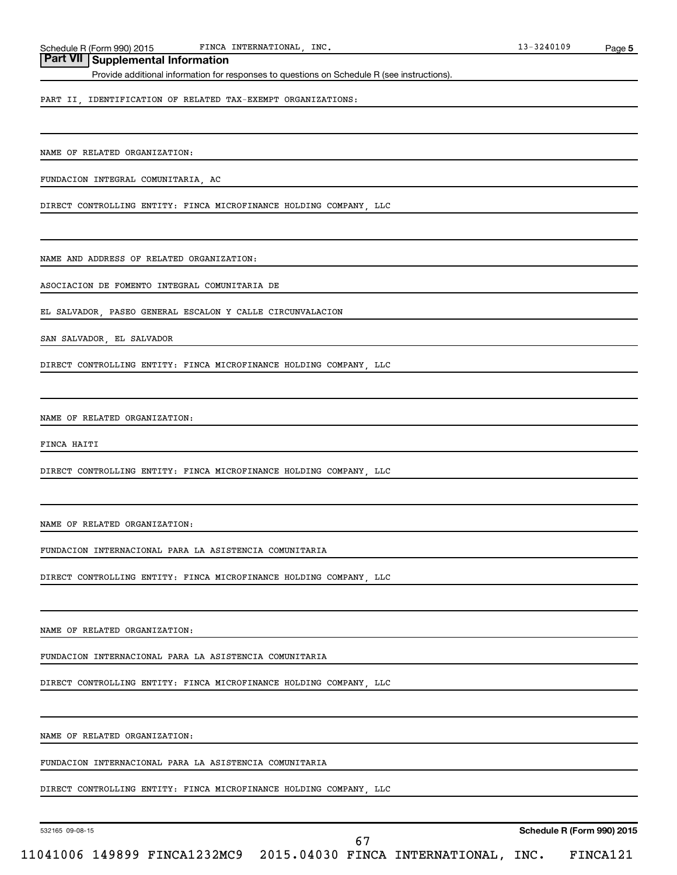## **Part VII Supplemental Information**

Provide additional information for responses to questions on Schedule R (see instructions).

PART II, IDENTIFICATION OF RELATED TAX-EXEMPT ORGANIZATIONS:

NAME OF RELATED ORGANIZATION:

FUNDACION INTEGRAL COMUNITARIA, AC

DIRECT CONTROLLING ENTITY: FINCA MICROFINANCE HOLDING COMPANY, LLC

NAME AND ADDRESS OF RELATED ORGANIZATION:

ASOCIACION DE FOMENTO INTEGRAL COMUNITARIA DE

EL SALVADOR, PASEO GENERAL ESCALON Y CALLE CIRCUNVALACION

SAN SALVADOR, EL SALVADOR

DIRECT CONTROLLING ENTITY: FINCA MICROFINANCE HOLDING COMPANY, LLC

NAME OF RELATED ORGANIZATION:

FINCA HAITI

DIRECT CONTROLLING ENTITY: FINCA MICROFINANCE HOLDING COMPANY, LLC

NAME OF RELATED ORGANIZATION:

FUNDACION INTERNACIONAL PARA LA ASISTENCIA COMUNITARIA

DIRECT CONTROLLING ENTITY: FINCA MICROFINANCE HOLDING COMPANY, LLC

NAME OF RELATED ORGANIZATION:

FUNDACION INTERNACIONAL PARA LA ASISTENCIA COMUNITARIA

DIRECT CONTROLLING ENTITY: FINCA MICROFINANCE HOLDING COMPANY, LLC

NAME OF RELATED ORGANIZATION:

FUNDACION INTERNACIONAL PARA LA ASISTENCIA COMUNITARIA

DIRECT CONTROLLING ENTITY: FINCA MICROFINANCE HOLDING COMPANY, LLC

532165 09-08-15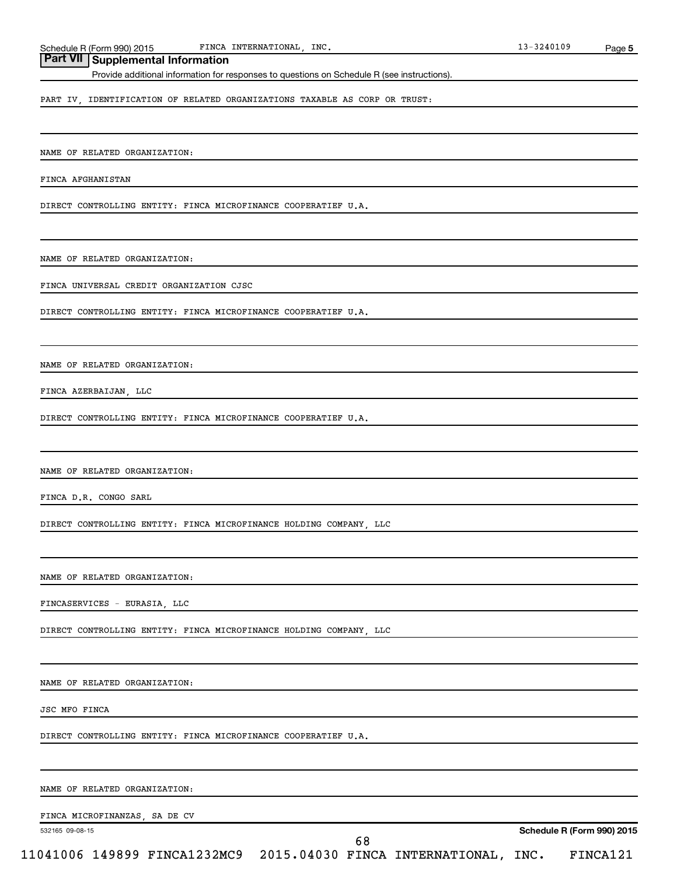## **Part VII Supplemental Information**

Provide additional information for responses to questions on Schedule R (see instructions).

PART IV, IDENTIFICATION OF RELATED ORGANIZATIONS TAXABLE AS CORP OR TRUST:

NAME OF RELATED ORGANIZATION:

FINCA AFGHANISTAN

DIRECT CONTROLLING ENTITY: FINCA MICROFINANCE COOPERATIEF U.A.

NAME OF RELATED ORGANIZATION:

FINCA UNIVERSAL CREDIT ORGANIZATION CJSC

DIRECT CONTROLLING ENTITY: FINCA MICROFINANCE COOPERATIEF U.A.

NAME OF RELATED ORGANIZATION:

FINCA AZERBAIJAN, LLC

DIRECT CONTROLLING ENTITY: FINCA MICROFINANCE COOPERATIEF U.A.

NAME OF RELATED ORGANIZATION:

FINCA D.R. CONGO SARL

DIRECT CONTROLLING ENTITY: FINCA MICROFINANCE HOLDING COMPANY, LLC

NAME OF RELATED ORGANIZATION:

FINCASERVICES - EURASIA, LLC

DIRECT CONTROLLING ENTITY: FINCA MICROFINANCE HOLDING COMPANY, LLC

NAME OF RELATED ORGANIZATION:

JSC MFO FINCA

DIRECT CONTROLLING ENTITY: FINCA MICROFINANCE COOPERATIEF U.A.

NAME OF RELATED ORGANIZATION:

FINCA MICROFINANZAS, SA DE CV

532165 09-08-15

68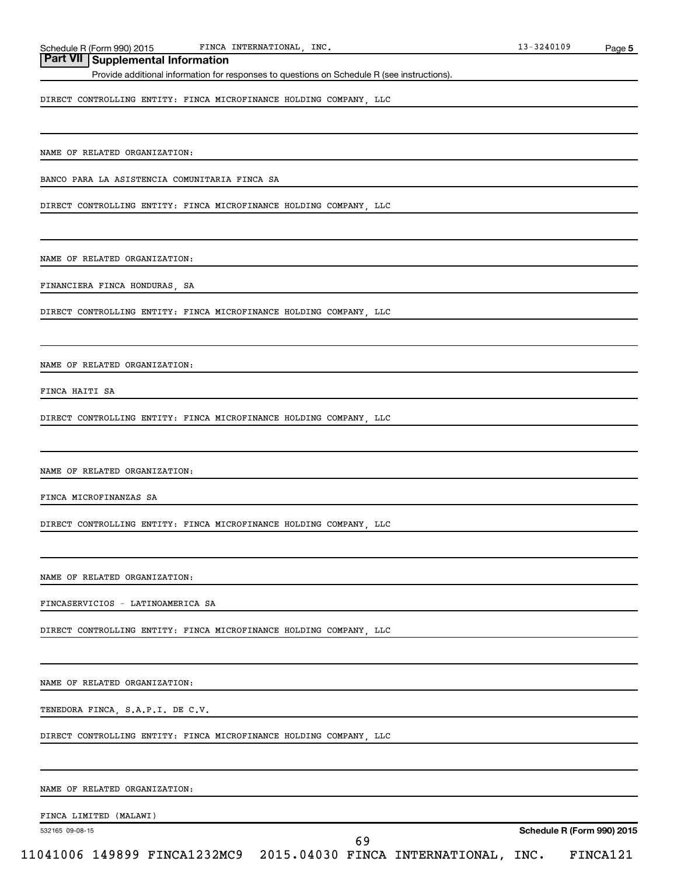## **Part VII Supplemental Information**

Provide additional information for responses to questions on Schedule R (see instructions).

DIRECT CONTROLLING ENTITY: FINCA MICROFINANCE HOLDING COMPANY, LLC

NAME OF RELATED ORGANIZATION:

BANCO PARA LA ASISTENCIA COMUNITARIA FINCA SA

DIRECT CONTROLLING ENTITY: FINCA MICROFINANCE HOLDING COMPANY, LLC

NAME OF RELATED ORGANIZATION:

FINANCIERA FINCA HONDURAS, SA

DIRECT CONTROLLING ENTITY: FINCA MICROFINANCE HOLDING COMPANY, LLC

NAME OF RELATED ORGANIZATION:

FINCA HAITI SA

DIRECT CONTROLLING ENTITY: FINCA MICROFINANCE HOLDING COMPANY, LLC

NAME OF RELATED ORGANIZATION:

FINCA MICROFINANZAS SA

DIRECT CONTROLLING ENTITY: FINCA MICROFINANCE HOLDING COMPANY, LLC

NAME OF RELATED ORGANIZATION:

FINCASERVICIOS - LATINOAMERICA SA

DIRECT CONTROLLING ENTITY: FINCA MICROFINANCE HOLDING COMPANY, LLC

NAME OF RELATED ORGANIZATION:

TENEDORA FINCA, S.A.P.I. DE C.V.

DIRECT CONTROLLING ENTITY: FINCA MICROFINANCE HOLDING COMPANY, LLC

NAME OF RELATED ORGANIZATION:

FINCA LIMITED (MALAWI)

532165 09-08-15

69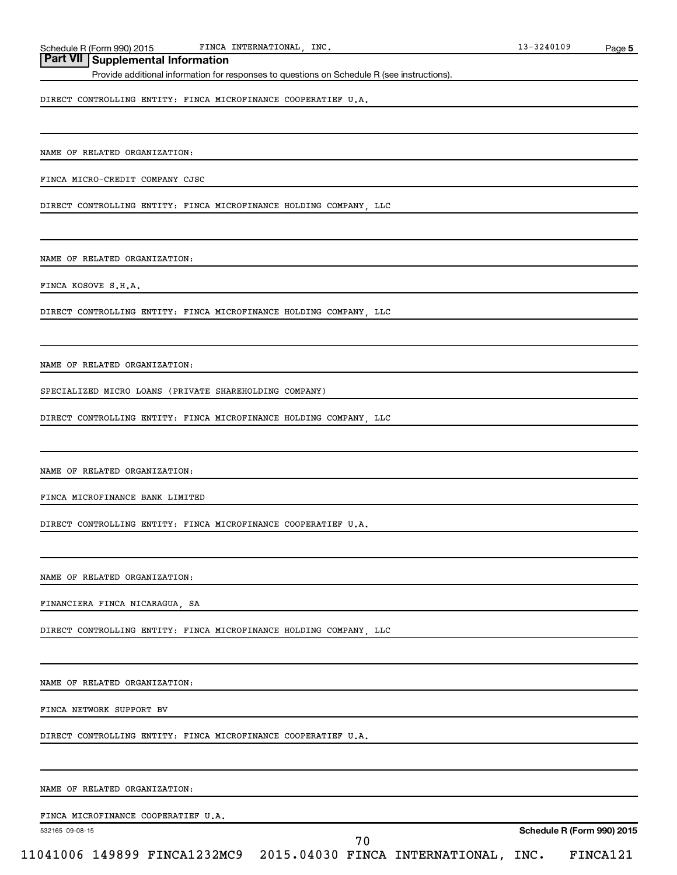## **Part VII Supplemental Information**

Provide additional information for responses to questions on Schedule R (see instructions).

DIRECT CONTROLLING ENTITY: FINCA MICROFINANCE COOPERATIEF U.A.

NAME OF RELATED ORGANIZATION:

FINCA MICRO-CREDIT COMPANY CJSC

DIRECT CONTROLLING ENTITY: FINCA MICROFINANCE HOLDING COMPANY, LLC

NAME OF RELATED ORGANIZATION:

FINCA KOSOVE S.H.A.

DIRECT CONTROLLING ENTITY: FINCA MICROFINANCE HOLDING COMPANY, LLC

NAME OF RELATED ORGANIZATION:

SPECIALIZED MICRO LOANS (PRIVATE SHAREHOLDING COMPANY)

DIRECT CONTROLLING ENTITY: FINCA MICROFINANCE HOLDING COMPANY, LLC

NAME OF RELATED ORGANIZATION:

FINCA MICROFINANCE BANK LIMITED

DIRECT CONTROLLING ENTITY: FINCA MICROFINANCE COOPERATIEF U.A.

NAME OF RELATED ORGANIZATION:

FINANCIERA FINCA NICARAGUA, SA

DIRECT CONTROLLING ENTITY: FINCA MICROFINANCE HOLDING COMPANY, LLC

NAME OF RELATED ORGANIZATION:

FINCA NETWORK SUPPORT BV

DIRECT CONTROLLING ENTITY: FINCA MICROFINANCE COOPERATIEF U.A.

NAME OF RELATED ORGANIZATION:

FINCA MICROFINANCE COOPERATIEF U.A.

532165 09-08-15

70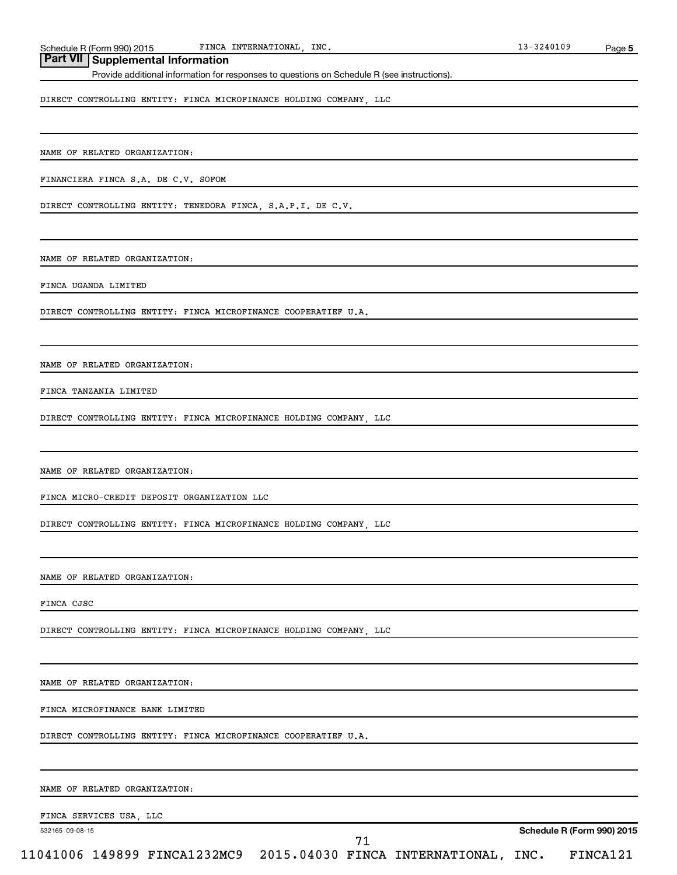## **Part VII Supplemental Information**

Provide additional information for responses to questions on Schedule R (see instructions).

DIRECT CONTROLLING ENTITY: FINCA MICROFINANCE HOLDING COMPANY, LLC

NAME OF RELATED ORGANIZATION:

FINANCIERA FINCA S.A. DE C.V. SOFOM

DIRECT CONTROLLING ENTITY: TENEDORA FINCA, S.A.P.I. DE C.V.

NAME OF RELATED ORGANIZATION:

FINCA UGANDA LIMITED

DIRECT CONTROLLING ENTITY: FINCA MICROFINANCE COOPERATIEF U.A.

NAME OF RELATED ORGANIZATION:

FINCA TANZANIA LIMITED

DIRECT CONTROLLING ENTITY: FINCA MICROFINANCE HOLDING COMPANY, LLC

NAME OF RELATED ORGANIZATION:

FINCA MICRO-CREDIT DEPOSIT ORGANIZATION LLC

DIRECT CONTROLLING ENTITY: FINCA MICROFINANCE HOLDING COMPANY, LLC

NAME OF RELATED ORGANIZATION:

FINCA CJSC

DIRECT CONTROLLING ENTITY: FINCA MICROFINANCE HOLDING COMPANY, LLC

NAME OF RELATED ORGANIZATION:

FINCA MICROFINANCE BANK LIMITED

DIRECT CONTROLLING ENTITY: FINCA MICROFINANCE COOPERATIEF U.A.

NAME OF RELATED ORGANIZATION:

FINCA SERVICES USA, LLC

532165 09-08-15